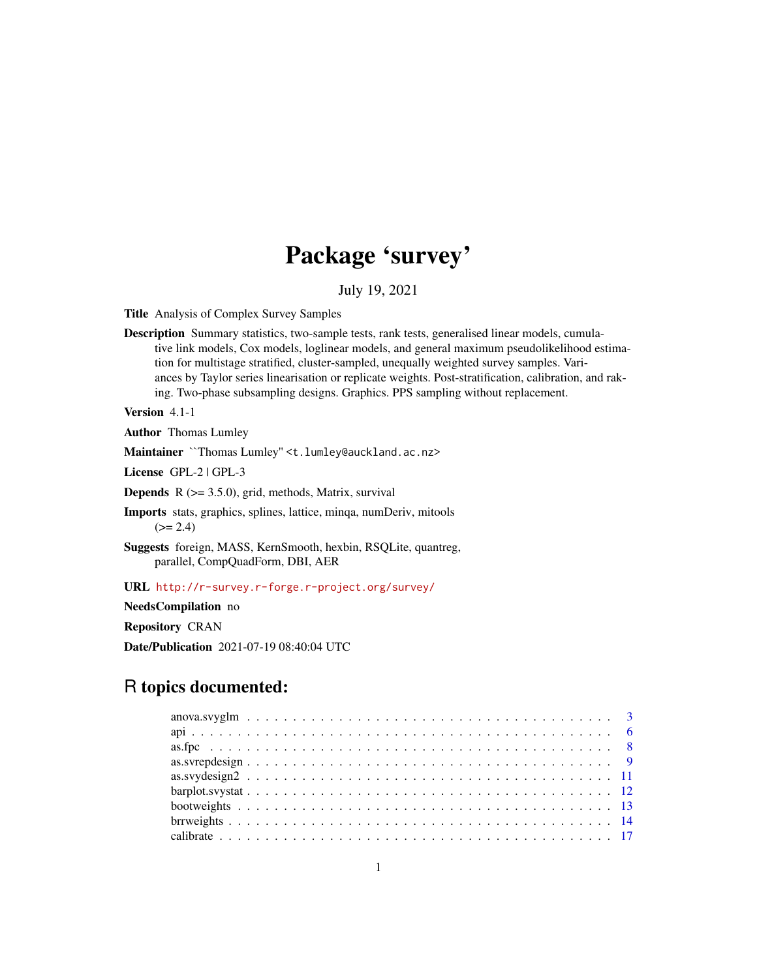# Package 'survey'

# July 19, 2021

<span id="page-0-0"></span>Title Analysis of Complex Survey Samples

Description Summary statistics, two-sample tests, rank tests, generalised linear models, cumulative link models, Cox models, loglinear models, and general maximum pseudolikelihood estimation for multistage stratified, cluster-sampled, unequally weighted survey samples. Variances by Taylor series linearisation or replicate weights. Post-stratification, calibration, and raking. Two-phase subsampling designs. Graphics. PPS sampling without replacement.

Version 4.1-1

Author Thomas Lumley

Maintainer ``Thomas Lumley" <t. lumley@auckland.ac.nz>

License GPL-2 | GPL-3

**Depends**  $R$  ( $>= 3.5.0$ ), grid, methods, Matrix, survival

Imports stats, graphics, splines, lattice, minqa, numDeriv, mitools  $(>= 2.4)$ 

Suggests foreign, MASS, KernSmooth, hexbin, RSQLite, quantreg, parallel, CompQuadForm, DBI, AER

URL <http://r-survey.r-forge.r-project.org/survey/>

NeedsCompilation no

Repository CRAN

Date/Publication 2021-07-19 08:40:04 UTC

# R topics documented: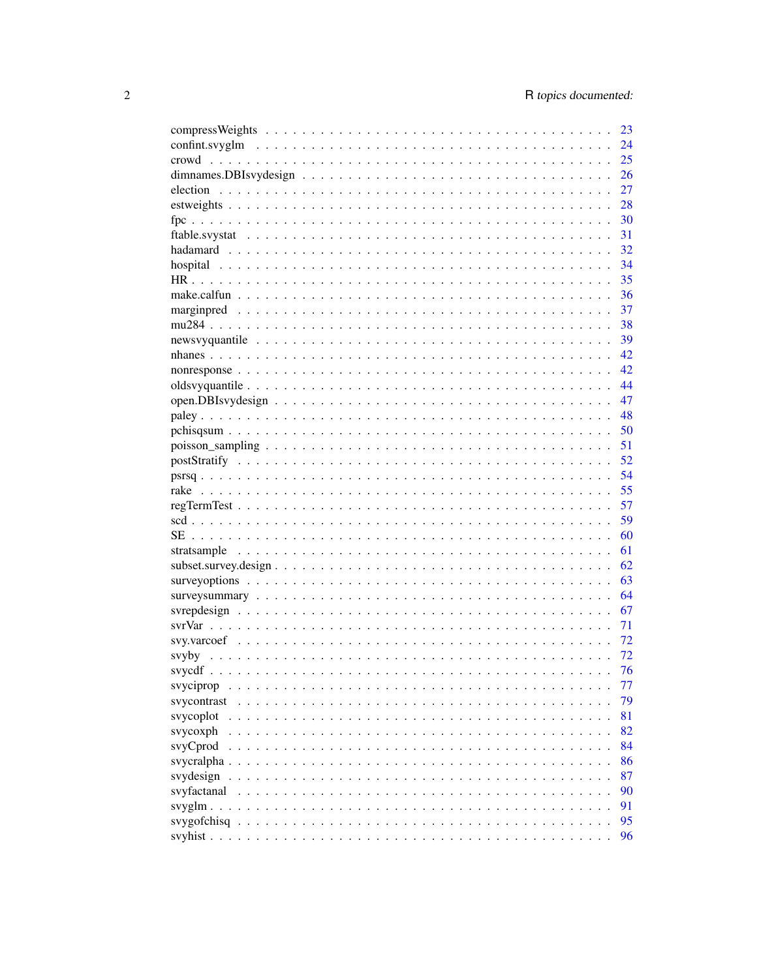|                          | 23 |
|--------------------------|----|
|                          | 24 |
|                          | 25 |
|                          | 26 |
|                          | 27 |
|                          | 28 |
|                          | 30 |
|                          | 31 |
|                          | 32 |
|                          | 34 |
|                          | 35 |
|                          | 36 |
|                          | 37 |
|                          | 38 |
|                          | 39 |
|                          | 42 |
|                          | 42 |
|                          | 44 |
|                          | 47 |
|                          | 48 |
|                          |    |
|                          |    |
|                          |    |
|                          |    |
|                          |    |
|                          | 57 |
|                          | 59 |
|                          | 60 |
|                          | 61 |
|                          | 62 |
|                          | 63 |
|                          | 64 |
|                          | 67 |
|                          | 71 |
|                          | 72 |
|                          | 72 |
|                          | 76 |
|                          | 77 |
| svyciprop                | 79 |
| svycontrast<br>svycoplot | 81 |
|                          | 82 |
| svycoxph                 | 84 |
| svyCprod                 |    |
| svycralpha.              | 86 |
| svydesign                | 87 |
| svyfactanal              | 90 |
| svyglm $\ldots$          | 91 |
| syygofchisq              | 95 |
|                          | 96 |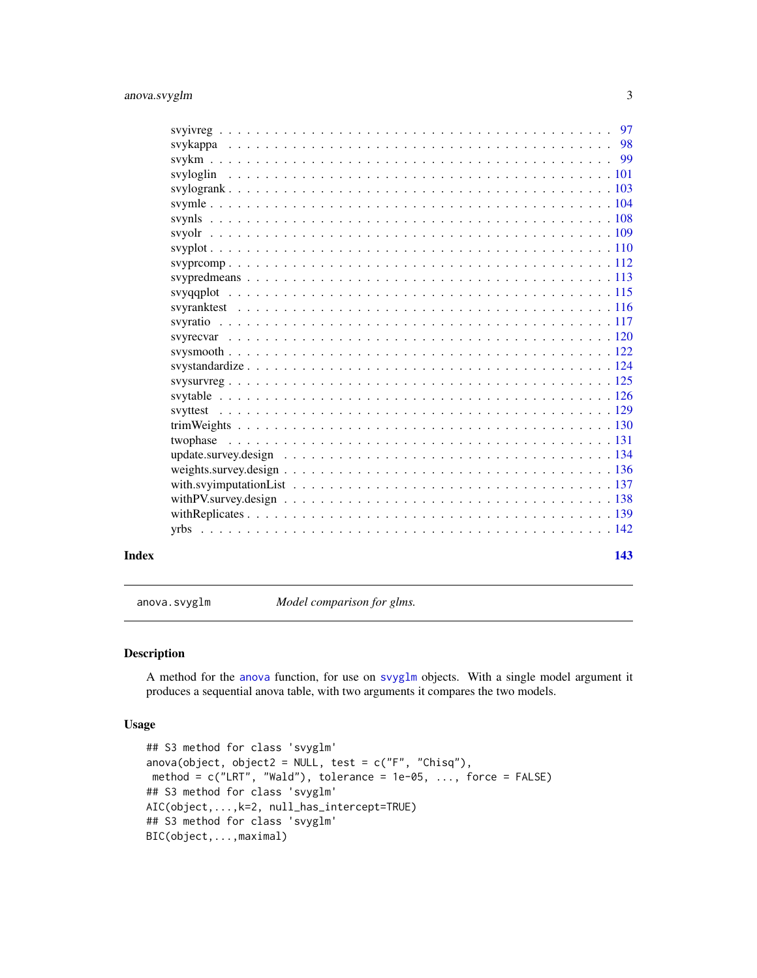<span id="page-2-0"></span>

| Index | 143 |
|-------|-----|
|       |     |
|       |     |
|       |     |
|       |     |
|       |     |
|       |     |
|       |     |
|       |     |
|       |     |
|       |     |
|       |     |
|       |     |
|       |     |
|       |     |
|       |     |
|       |     |
|       |     |
|       |     |
|       |     |
|       |     |
|       |     |
|       |     |
|       |     |
|       |     |
|       |     |
|       |     |
|       |     |
|       |     |

anova.svyglm *Model comparison for glms.*

# Description

A method for the [anova](#page-0-0) function, for use on [svyglm](#page-90-1) objects. With a single model argument it produces a sequential anova table, with two arguments it compares the two models.

#### Usage

```
## S3 method for class 'svyglm'
anova(object, object2 = NULL, test = c("F", "Chisq"),method = c("LRT", "Wald"), tolerance = 1e-05, ..., force = FALSE)## S3 method for class 'svyglm'
AIC(object,...,k=2, null_has_intercept=TRUE)
## S3 method for class 'svyglm'
BIC(object,...,maximal)
```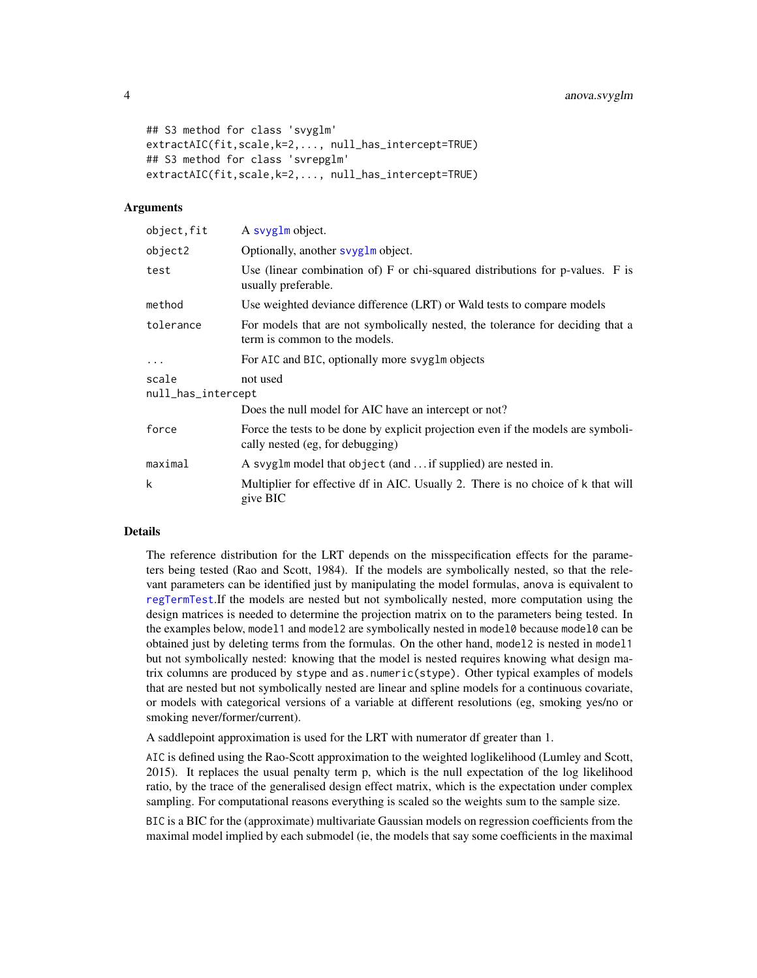```
## S3 method for class 'svyglm'
extractAIC(fit,scale,k=2,..., null_has_intercept=TRUE)
## S3 method for class 'svrepglm'
extractAIC(fit,scale,k=2,..., null_has_intercept=TRUE)
```
#### Arguments

| object, fit                 | A svyglm object.                                                                                                      |
|-----------------------------|-----------------------------------------------------------------------------------------------------------------------|
| object2                     | Optionally, another syyglm object.                                                                                    |
| test                        | Use (linear combination of) F or chi-squared distributions for p-values. F is<br>usually preferable.                  |
| method                      | Use weighted deviance difference (LRT) or Wald tests to compare models                                                |
| tolerance                   | For models that are not symbolically nested, the tolerance for deciding that a<br>term is common to the models.       |
| $\ddots$                    | For AIC and BIC, optionally more svyglm objects                                                                       |
| scale<br>null_has_intercept | not used                                                                                                              |
|                             | Does the null model for AIC have an intercept or not?                                                                 |
| force                       | Force the tests to be done by explicit projection even if the models are symboli-<br>cally nested (eg, for debugging) |
| maximal                     | A svyglm model that object (and  if supplied) are nested in.                                                          |
| k                           | Multiplier for effective df in AIC. Usually 2. There is no choice of k that will<br>give BIC                          |

# Details

The reference distribution for the LRT depends on the misspecification effects for the parameters being tested (Rao and Scott, 1984). If the models are symbolically nested, so that the relevant parameters can be identified just by manipulating the model formulas, anova is equivalent to [regTermTest](#page-56-1).If the models are nested but not symbolically nested, more computation using the design matrices is needed to determine the projection matrix on to the parameters being tested. In the examples below, model1 and model2 are symbolically nested in model0 because model0 can be obtained just by deleting terms from the formulas. On the other hand, model2 is nested in model1 but not symbolically nested: knowing that the model is nested requires knowing what design matrix columns are produced by stype and as.numeric(stype). Other typical examples of models that are nested but not symbolically nested are linear and spline models for a continuous covariate, or models with categorical versions of a variable at different resolutions (eg, smoking yes/no or smoking never/former/current).

A saddlepoint approximation is used for the LRT with numerator df greater than 1.

AIC is defined using the Rao-Scott approximation to the weighted loglikelihood (Lumley and Scott, 2015). It replaces the usual penalty term p, which is the null expectation of the log likelihood ratio, by the trace of the generalised design effect matrix, which is the expectation under complex sampling. For computational reasons everything is scaled so the weights sum to the sample size.

BIC is a BIC for the (approximate) multivariate Gaussian models on regression coefficients from the maximal model implied by each submodel (ie, the models that say some coefficients in the maximal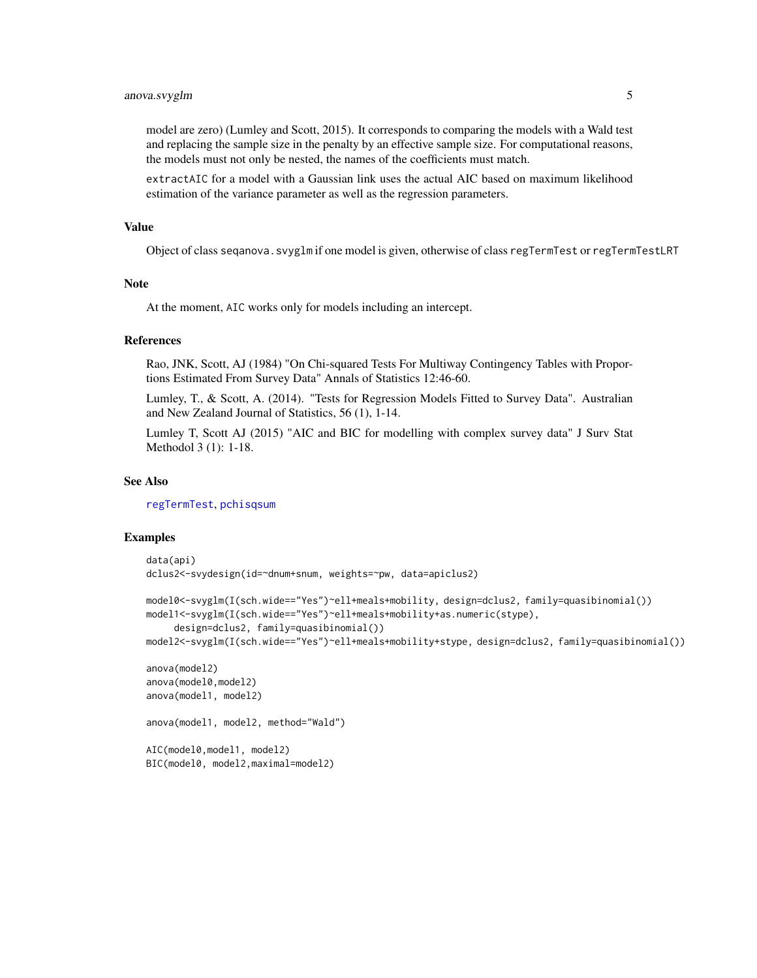# anova.svyglm 5

model are zero) (Lumley and Scott, 2015). It corresponds to comparing the models with a Wald test and replacing the sample size in the penalty by an effective sample size. For computational reasons, the models must not only be nested, the names of the coefficients must match.

extractAIC for a model with a Gaussian link uses the actual AIC based on maximum likelihood estimation of the variance parameter as well as the regression parameters.

#### Value

Object of class seqanova.svyglm if one model is given, otherwise of class regTermTest or regTermTestLRT

# Note

At the moment, AIC works only for models including an intercept.

# References

Rao, JNK, Scott, AJ (1984) "On Chi-squared Tests For Multiway Contingency Tables with Proportions Estimated From Survey Data" Annals of Statistics 12:46-60.

Lumley, T., & Scott, A. (2014). "Tests for Regression Models Fitted to Survey Data". Australian and New Zealand Journal of Statistics, 56 (1), 1-14.

Lumley T, Scott AJ (2015) "AIC and BIC for modelling with complex survey data" J Surv Stat Methodol 3 (1): 1-18.

# See Also

[regTermTest](#page-56-1), [pchisqsum](#page-49-1)

#### Examples

```
data(api)
dclus2<-svydesign(id=~dnum+snum, weights=~pw, data=apiclus2)
model0<-svyglm(I(sch.wide=="Yes")~ell+meals+mobility, design=dclus2, family=quasibinomial())
model1<-svyglm(I(sch.wide=="Yes")~ell+meals+mobility+as.numeric(stype),
     design=dclus2, family=quasibinomial())
model2<-svyglm(I(sch.wide=="Yes")~ell+meals+mobility+stype, design=dclus2, family=quasibinomial())
anova(model2)
anova(model0,model2)
anova(model1, model2)
anova(model1, model2, method="Wald")
AIC(model0,model1, model2)
BIC(model0, model2,maximal=model2)
```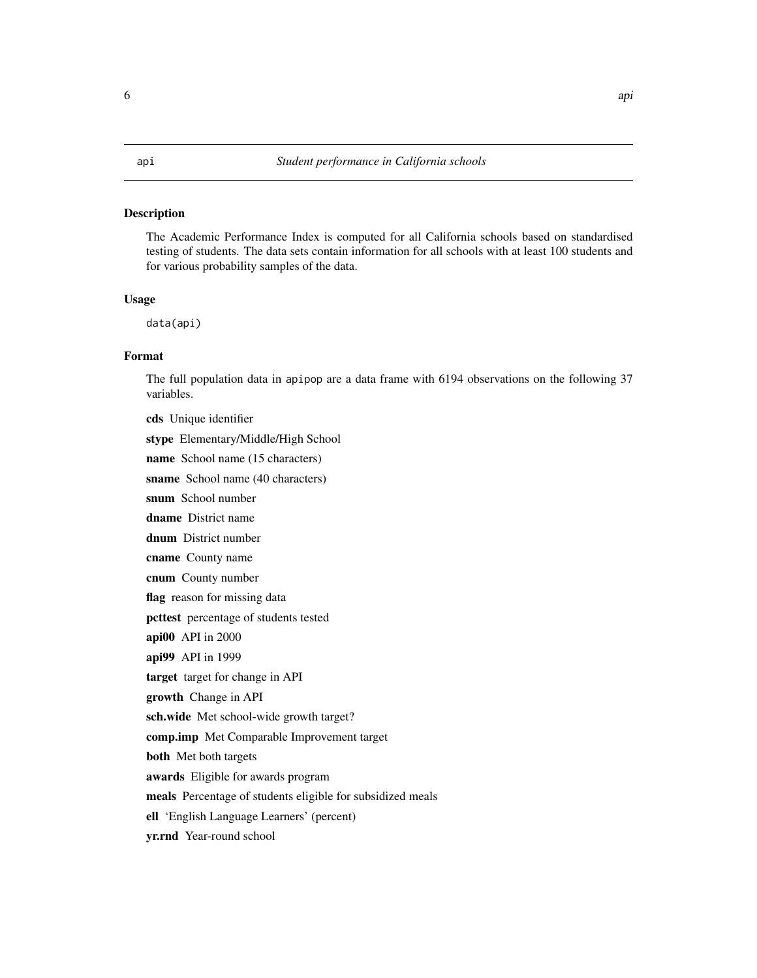#### <span id="page-5-0"></span>Description

The Academic Performance Index is computed for all California schools based on standardised testing of students. The data sets contain information for all schools with at least 100 students and for various probability samples of the data.

# Usage

data(api)

# Format

The full population data in apipop are a data frame with 6194 observations on the following 37 variables.

cds Unique identifier stype Elementary/Middle/High School name School name (15 characters) sname School name (40 characters) snum School number dname District name dnum District number cname County name cnum County number flag reason for missing data pcttest percentage of students tested api00 API in 2000 api99 API in 1999 target target for change in API growth Change in API sch.wide Met school-wide growth target? comp.imp Met Comparable Improvement target both Met both targets awards Eligible for awards program meals Percentage of students eligible for subsidized meals ell 'English Language Learners' (percent) yr.rnd Year-round school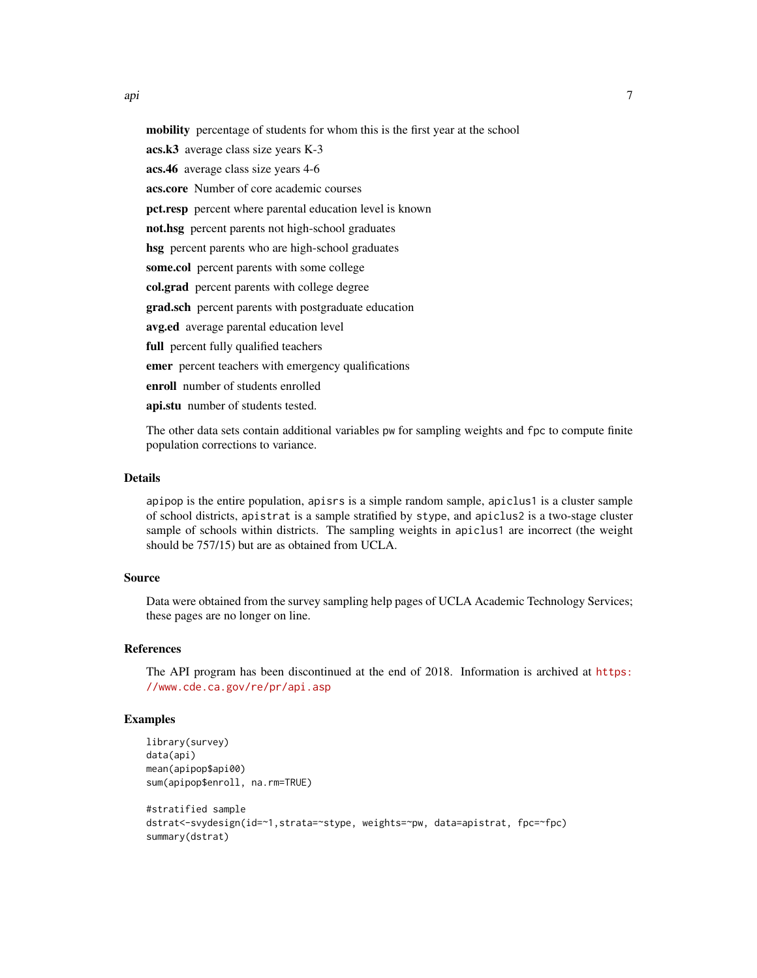api 2008 - 2008 - 2008 - 2008 - 2008 - 2008 - 2008 - 2008 - 2008 - 2008 - 2008 - 2008 - 2008 - 2008 - 2008 - 2<br>Digwyddiadau

mobility percentage of students for whom this is the first year at the school

acs.k3 average class size years K-3

acs.46 average class size years 4-6

acs.core Number of core academic courses

pct.resp percent where parental education level is known

not.hsg percent parents not high-school graduates

hsg percent parents who are high-school graduates

some.col percent parents with some college

col.grad percent parents with college degree

grad.sch percent parents with postgraduate education

avg.ed average parental education level

full percent fully qualified teachers

emer percent teachers with emergency qualifications

enroll number of students enrolled

api.stu number of students tested.

The other data sets contain additional variables pw for sampling weights and fpc to compute finite population corrections to variance.

# Details

apipop is the entire population, apisrs is a simple random sample, apiclus1 is a cluster sample of school districts, apistrat is a sample stratified by stype, and apiclus2 is a two-stage cluster sample of schools within districts. The sampling weights in apiclus1 are incorrect (the weight should be 757/15) but are as obtained from UCLA.

# Source

Data were obtained from the survey sampling help pages of UCLA Academic Technology Services; these pages are no longer on line.

#### References

The API program has been discontinued at the end of 2018. Information is archived at [https:](https://www.cde.ca.gov/re/pr/api.asp) [//www.cde.ca.gov/re/pr/api.asp](https://www.cde.ca.gov/re/pr/api.asp)

# Examples

```
library(survey)
data(api)
mean(apipop$api00)
sum(apipop$enroll, na.rm=TRUE)
#stratified sample
dstrat<-svydesign(id=~1,strata=~stype, weights=~pw, data=apistrat, fpc=~fpc)
summary(dstrat)
```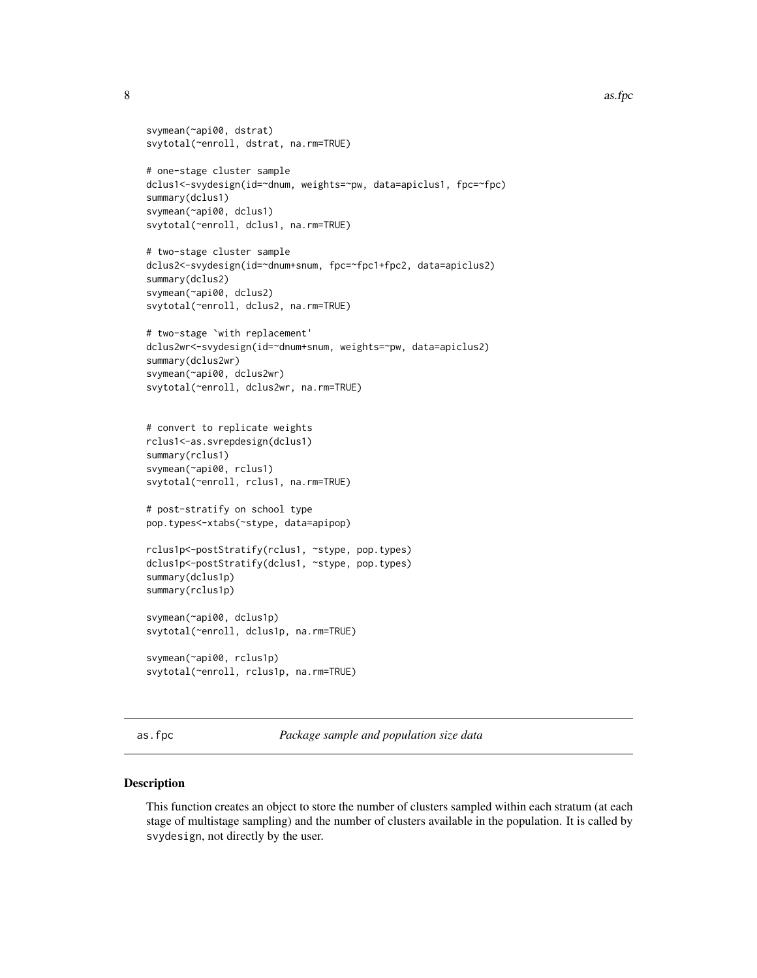#### <span id="page-7-0"></span>8 as. fpc

```
svymean(~api00, dstrat)
svytotal(~enroll, dstrat, na.rm=TRUE)
# one-stage cluster sample
dclus1<-svydesign(id=~dnum, weights=~pw, data=apiclus1, fpc=~fpc)
summary(dclus1)
svymean(~api00, dclus1)
svytotal(~enroll, dclus1, na.rm=TRUE)
# two-stage cluster sample
dclus2<-svydesign(id=~dnum+snum, fpc=~fpc1+fpc2, data=apiclus2)
summary(dclus2)
svymean(~api00, dclus2)
svytotal(~enroll, dclus2, na.rm=TRUE)
# two-stage `with replacement'
dclus2wr<-svydesign(id=~dnum+snum, weights=~pw, data=apiclus2)
summary(dclus2wr)
svymean(~api00, dclus2wr)
svytotal(~enroll, dclus2wr, na.rm=TRUE)
# convert to replicate weights
rclus1<-as.svrepdesign(dclus1)
summary(rclus1)
svymean(~api00, rclus1)
svytotal(~enroll, rclus1, na.rm=TRUE)
# post-stratify on school type
pop.types<-xtabs(~stype, data=apipop)
rclus1p<-postStratify(rclus1, ~stype, pop.types)
dclus1p<-postStratify(dclus1, ~stype, pop.types)
summary(dclus1p)
summary(rclus1p)
svymean(~api00, dclus1p)
svytotal(~enroll, dclus1p, na.rm=TRUE)
svymean(~api00, rclus1p)
svytotal(~enroll, rclus1p, na.rm=TRUE)
```
as.fpc *Package sample and population size data*

# Description

This function creates an object to store the number of clusters sampled within each stratum (at each stage of multistage sampling) and the number of clusters available in the population. It is called by svydesign, not directly by the user.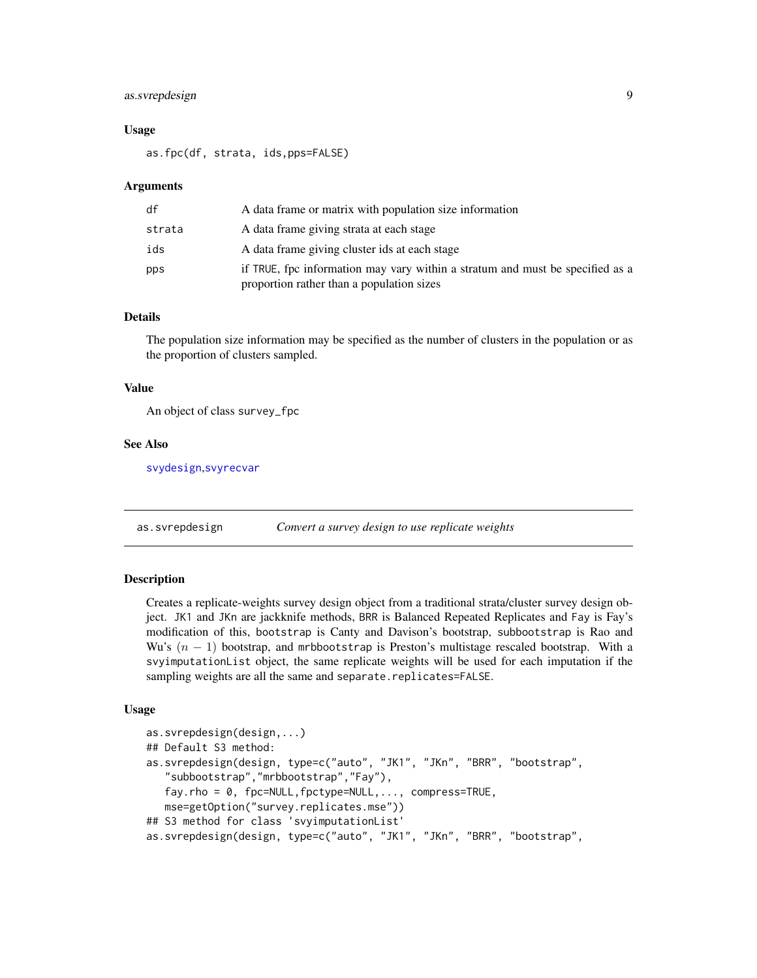# <span id="page-8-0"></span>as.svrepdesign 9

#### Usage

as.fpc(df, strata, ids,pps=FALSE)

#### Arguments

| df     | A data frame or matrix with population size information                                                                    |
|--------|----------------------------------------------------------------------------------------------------------------------------|
| strata | A data frame giving strata at each stage                                                                                   |
| ids    | A data frame giving cluster ids at each stage                                                                              |
| pps    | if TRUE, fpc information may vary within a stratum and must be specified as a<br>proportion rather than a population sizes |

#### Details

The population size information may be specified as the number of clusters in the population or as the proportion of clusters sampled.

#### Value

An object of class survey\_fpc

#### See Also

[svydesign](#page-86-1),[svyrecvar](#page-119-1)

<span id="page-8-1"></span>as.svrepdesign *Convert a survey design to use replicate weights*

# Description

Creates a replicate-weights survey design object from a traditional strata/cluster survey design object. JK1 and JKn are jackknife methods, BRR is Balanced Repeated Replicates and Fay is Fay's modification of this, bootstrap is Canty and Davison's bootstrap, subbootstrap is Rao and Wu's  $(n - 1)$  bootstrap, and mrbbootstrap is Preston's multistage rescaled bootstrap. With a svyimputationList object, the same replicate weights will be used for each imputation if the sampling weights are all the same and separate.replicates=FALSE.

#### Usage

```
as.svrepdesign(design,...)
## Default S3 method:
as.svrepdesign(design, type=c("auto", "JK1", "JKn", "BRR", "bootstrap",
   "subbootstrap","mrbbootstrap","Fay"),
   fay.rho = 0, fpc=NULL,fpctype=NULL,..., compress=TRUE,
   mse=getOption("survey.replicates.mse"))
## S3 method for class 'svyimputationList'
as.svrepdesign(design, type=c("auto", "JK1", "JKn", "BRR", "bootstrap",
```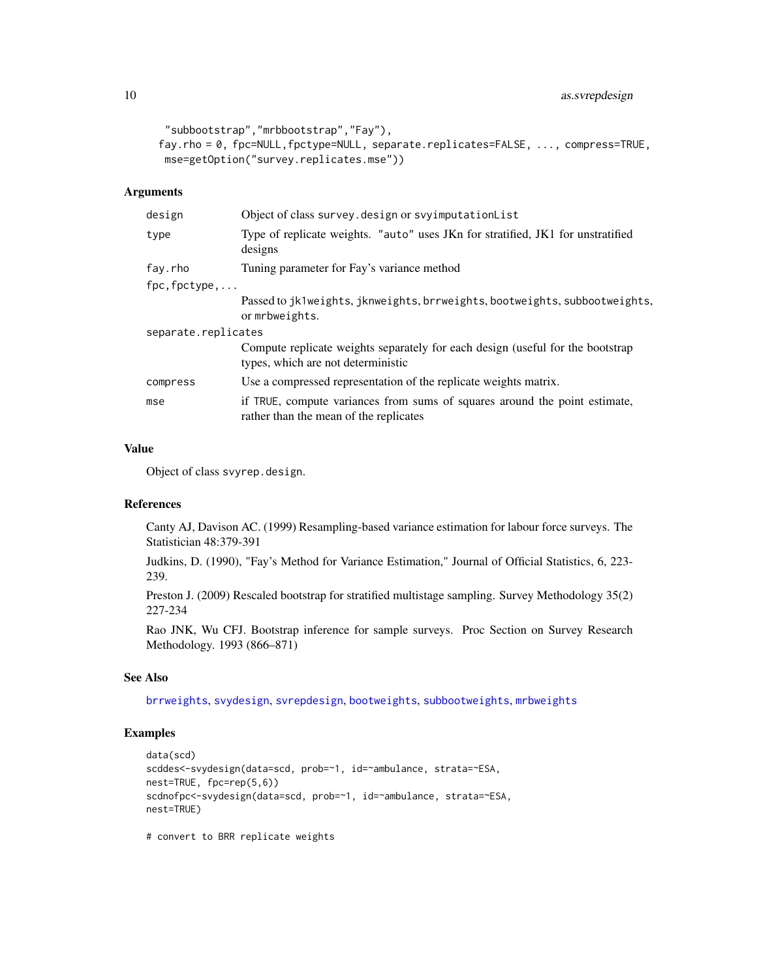```
"subbootstrap","mrbbootstrap","Fay"),
fay.rho = 0, fpc=NULL,fpctype=NULL, separate.replicates=FALSE, ..., compress=TRUE,
mse=getOption("survey.replicates.mse"))
```
# Arguments

| design                 | Object of class survey. design or svyimputationList                                                                  |
|------------------------|----------------------------------------------------------------------------------------------------------------------|
| type                   | Type of replicate weights. "auto" uses JKn for stratified, JK1 for unstratified<br>designs                           |
| fay.rho                | Tuning parameter for Fay's variance method                                                                           |
| $fpc, fpctype, \ldots$ |                                                                                                                      |
|                        | Passed to jk1weights, jknweights, brrweights, bootweights, subbootweights,<br>or mrbweights.                         |
| separate.replicates    |                                                                                                                      |
|                        | Compute replicate weights separately for each design (useful for the bootstrap<br>types, which are not deterministic |
| compress               | Use a compressed representation of the replicate weights matrix.                                                     |
| mse                    | if TRUE, compute variances from sums of squares around the point estimate,<br>rather than the mean of the replicates |
|                        |                                                                                                                      |

# Value

Object of class svyrep.design.

# References

Canty AJ, Davison AC. (1999) Resampling-based variance estimation for labour force surveys. The Statistician 48:379-391

Judkins, D. (1990), "Fay's Method for Variance Estimation," Journal of Official Statistics, 6, 223- 239.

Preston J. (2009) Rescaled bootstrap for stratified multistage sampling. Survey Methodology 35(2) 227-234

Rao JNK, Wu CFJ. Bootstrap inference for sample surveys. Proc Section on Survey Research Methodology. 1993 (866–871)

# See Also

[brrweights](#page-13-1), [svydesign](#page-86-1), [svrepdesign](#page-66-1), [bootweights](#page-12-1), [subbootweights](#page-12-2), [mrbweights](#page-12-2)

# Examples

```
data(scd)
scddes<-svydesign(data=scd, prob=~1, id=~ambulance, strata=~ESA,
nest=TRUE, fpc=rep(5,6))
scdnofpc<-svydesign(data=scd, prob=~1, id=~ambulance, strata=~ESA,
nest=TRUE)
```
# convert to BRR replicate weights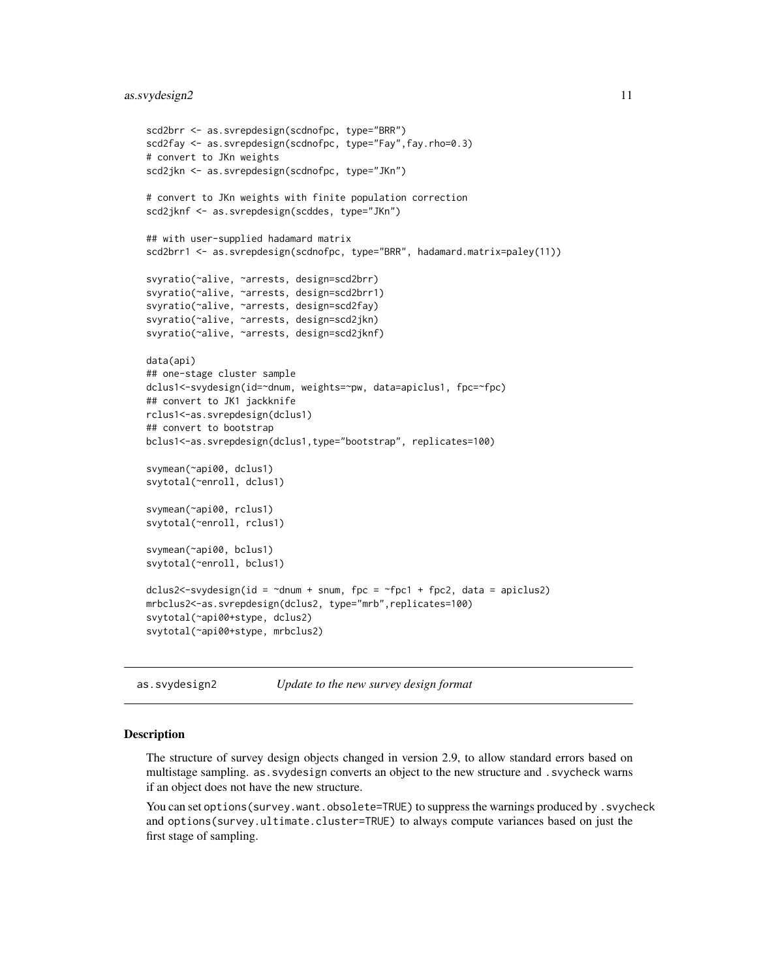```
scd2brr <- as.svrepdesign(scdnofpc, type="BRR")
scd2fay <- as.svrepdesign(scdnofpc, type="Fay",fay.rho=0.3)
# convert to JKn weights
scd2jkn <- as.svrepdesign(scdnofpc, type="JKn")
# convert to JKn weights with finite population correction
scd2jknf <- as.svrepdesign(scddes, type="JKn")
## with user-supplied hadamard matrix
scd2brr1 <- as.svrepdesign(scdnofpc, type="BRR", hadamard.matrix=paley(11))
svyratio(~alive, ~arrests, design=scd2brr)
svyratio(~alive, ~arrests, design=scd2brr1)
svyratio(~alive, ~arrests, design=scd2fay)
svyratio(~alive, ~arrests, design=scd2jkn)
svyratio(~alive, ~arrests, design=scd2jknf)
data(api)
## one-stage cluster sample
dclus1<-svydesign(id=~dnum, weights=~pw, data=apiclus1, fpc=~fpc)
## convert to JK1 jackknife
rclus1<-as.svrepdesign(dclus1)
## convert to bootstrap
bclus1<-as.svrepdesign(dclus1,type="bootstrap", replicates=100)
svymean(~api00, dclus1)
svytotal(~enroll, dclus1)
svymean(~api00, rclus1)
svytotal(~enroll, rclus1)
svymean(~api00, bclus1)
svytotal(~enroll, bclus1)
dclus2\lt-svydesign(id = \ltdnum + snum, fpc = \ltfpc1 + fpc2, data = apiclus2)
mrbclus2<-as.svrepdesign(dclus2, type="mrb",replicates=100)
svytotal(~api00+stype, dclus2)
svytotal(~api00+stype, mrbclus2)
```

```
as.svydesign2 Update to the new survey design format
```
#### Description

The structure of survey design objects changed in version 2.9, to allow standard errors based on multistage sampling. as.svydesign converts an object to the new structure and .svycheck warns if an object does not have the new structure.

You can set options (survey.want.obsolete=TRUE) to suppress the warnings produced by . svycheck and options(survey.ultimate.cluster=TRUE) to always compute variances based on just the first stage of sampling.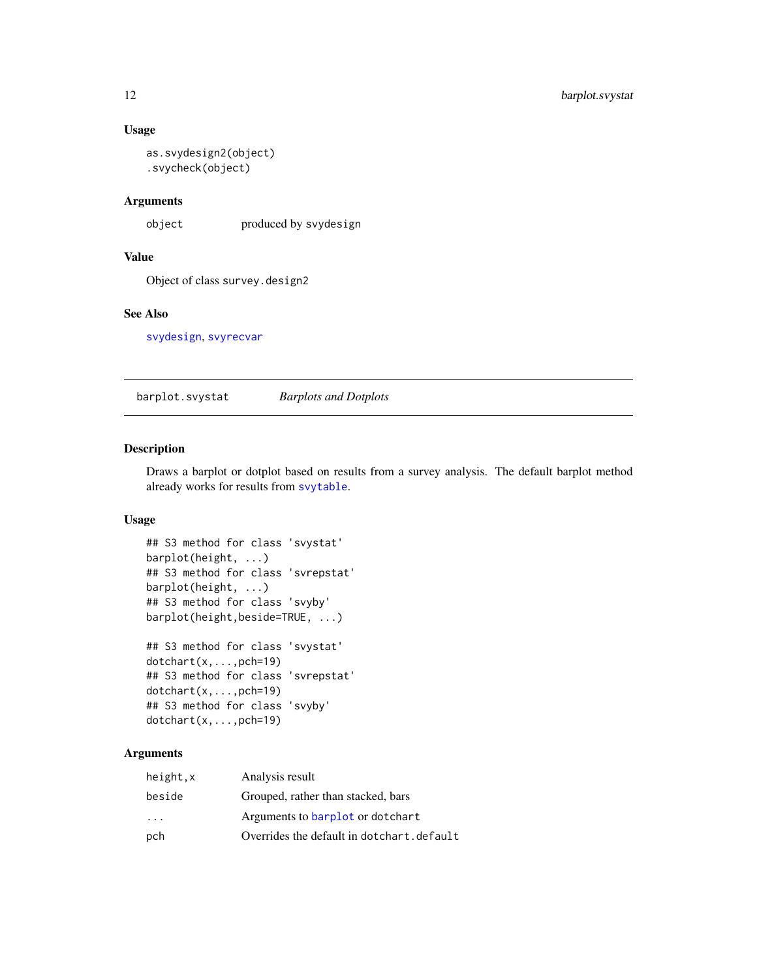# <span id="page-11-0"></span>Usage

```
as.svydesign2(object)
.svycheck(object)
```
#### Arguments

object produced by svydesign

# Value

Object of class survey.design2

# See Also

[svydesign](#page-86-1), [svyrecvar](#page-119-1)

barplot.svystat *Barplots and Dotplots*

# Description

Draws a barplot or dotplot based on results from a survey analysis. The default barplot method already works for results from [svytable](#page-125-1).

#### Usage

```
## S3 method for class 'svystat'
barplot(height, ...)
## S3 method for class 'svrepstat'
barplot(height, ...)
## S3 method for class 'svyby'
barplot(height,beside=TRUE, ...)
## S3 method for class 'svystat'
```

```
dotchart(x,...,pch=19)
## S3 method for class 'svrepstat'
dotchart(x,...,pch=19)
## S3 method for class 'svyby'
dotchart(x,...,pch=19)
```
# Arguments

| height,x                | Analysis result                           |
|-------------------------|-------------------------------------------|
| beside                  | Grouped, rather than stacked, bars        |
| $\cdot$ $\cdot$ $\cdot$ | Arguments to barplot or dotchart          |
| pch                     | Overrides the default in dotchart.default |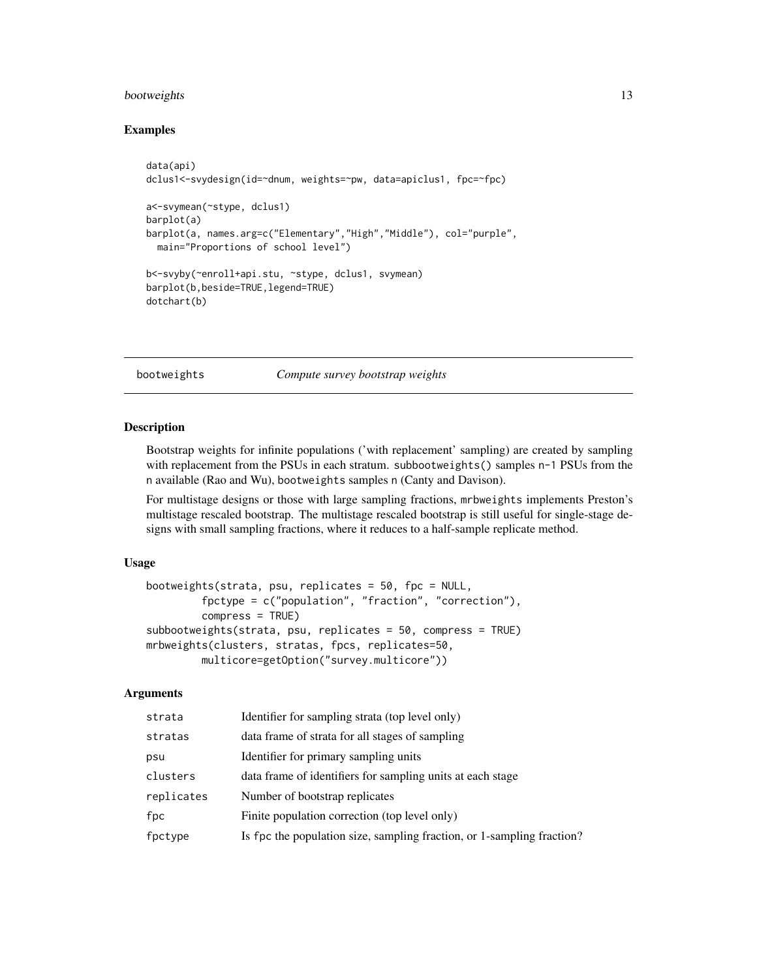# <span id="page-12-0"></span>bootweights and the state of the state of the state of the state of the state of the state of the state of the state of the state of the state of the state of the state of the state of the state of the state of the state o

# Examples

```
data(api)
dclus1<-svydesign(id=~dnum, weights=~pw, data=apiclus1, fpc=~fpc)
a<-svymean(~stype, dclus1)
barplot(a)
barplot(a, names.arg=c("Elementary","High","Middle"), col="purple",
 main="Proportions of school level")
b<-svyby(~enroll+api.stu, ~stype, dclus1, svymean)
barplot(b,beside=TRUE,legend=TRUE)
dotchart(b)
```
<span id="page-12-1"></span>bootweights *Compute survey bootstrap weights*

# <span id="page-12-2"></span>Description

Bootstrap weights for infinite populations ('with replacement' sampling) are created by sampling with replacement from the PSUs in each stratum. subbootweights() samples n-1 PSUs from the n available (Rao and Wu), bootweights samples n (Canty and Davison).

For multistage designs or those with large sampling fractions, mrbweights implements Preston's multistage rescaled bootstrap. The multistage rescaled bootstrap is still useful for single-stage designs with small sampling fractions, where it reduces to a half-sample replicate method.

#### Usage

```
bootweights(strata, psu, replicates = 50, fpc = NULL,
         fpctype = c("population", "fraction", "correction"),
         compress = TRUE)
subbootweights(strata, psu, replicates = 50, compress = TRUE)
mrbweights(clusters, stratas, fpcs, replicates=50,
        multicore=getOption("survey.multicore"))
```
# Arguments

| strata     | Identifier for sampling strata (top level only)                        |
|------------|------------------------------------------------------------------------|
| stratas    | data frame of strata for all stages of sampling                        |
| psu        | Identifier for primary sampling units                                  |
| clusters   | data frame of identifiers for sampling units at each stage             |
| replicates | Number of bootstrap replicates                                         |
| fpc        | Finite population correction (top level only)                          |
| fpctype    | Is fpc the population size, sampling fraction, or 1-sampling fraction? |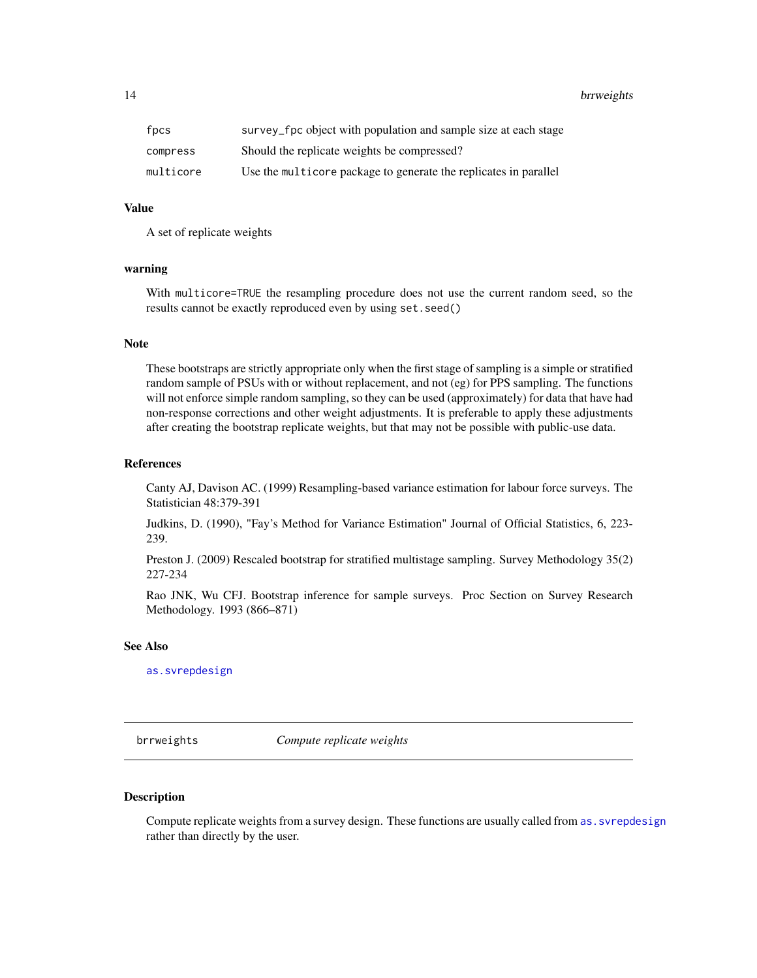#### <span id="page-13-0"></span>14 brrweights and the set of the set of the set of the set of the set of the set of the set of the set of the set of the set of the set of the set of the set of the set of the set of the set of the set of the set of the se

| fpcs      | survey_fpc object with population and sample size at each stage  |
|-----------|------------------------------------------------------------------|
| compress  | Should the replicate weights be compressed?                      |
| multicore | Use the multicore package to generate the replicates in parallel |

#### Value

A set of replicate weights

#### warning

With multicore=TRUE the resampling procedure does not use the current random seed, so the results cannot be exactly reproduced even by using set.seed()

#### Note

These bootstraps are strictly appropriate only when the first stage of sampling is a simple or stratified random sample of PSUs with or without replacement, and not (eg) for PPS sampling. The functions will not enforce simple random sampling, so they can be used (approximately) for data that have had non-response corrections and other weight adjustments. It is preferable to apply these adjustments after creating the bootstrap replicate weights, but that may not be possible with public-use data.

#### References

Canty AJ, Davison AC. (1999) Resampling-based variance estimation for labour force surveys. The Statistician 48:379-391

Judkins, D. (1990), "Fay's Method for Variance Estimation" Journal of Official Statistics, 6, 223- 239.

Preston J. (2009) Rescaled bootstrap for stratified multistage sampling. Survey Methodology 35(2) 227-234

Rao JNK, Wu CFJ. Bootstrap inference for sample surveys. Proc Section on Survey Research Methodology. 1993 (866–871)

# See Also

[as.svrepdesign](#page-8-1)

<span id="page-13-1"></span>brrweights *Compute replicate weights*

#### <span id="page-13-2"></span>Description

Compute replicate weights from a survey design. These functions are usually called from as. svrepdesign rather than directly by the user.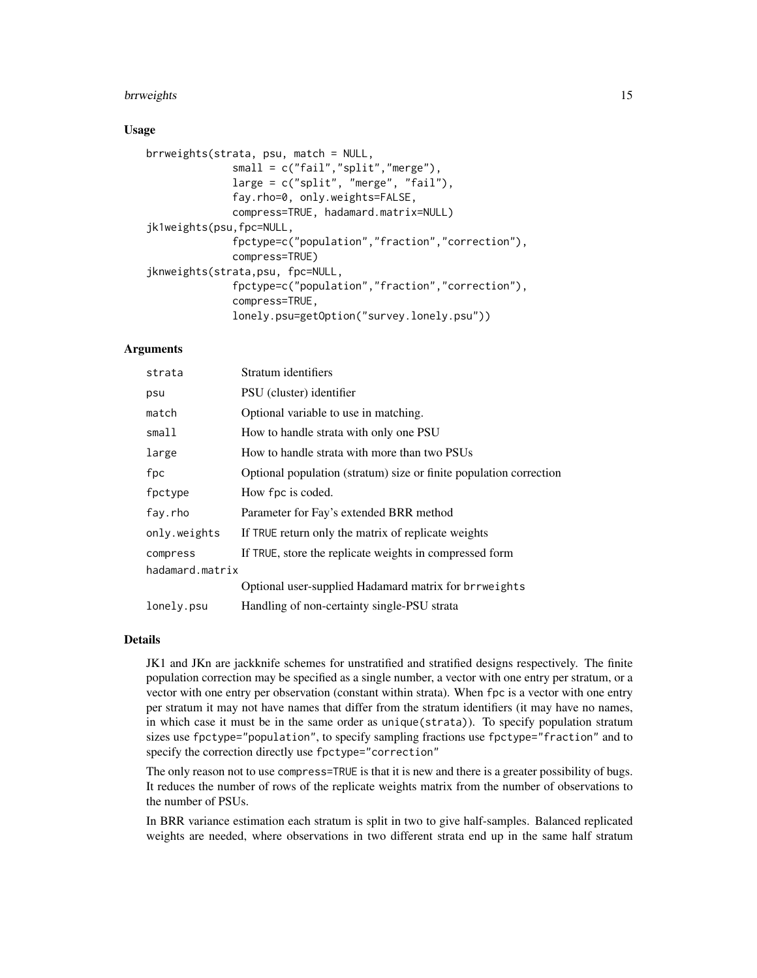#### brrweights that the contract of the contract of the contract of the contract of the contract of the contract of the contract of the contract of the contract of the contract of the contract of the contract of the contract o

#### Usage

```
brrweights(strata, psu, match = NULL,
              small = c("fail","split","merge"),
              large = c("split", "merge", "fail"),
              fay.rho=0, only.weights=FALSE,
              compress=TRUE, hadamard.matrix=NULL)
jk1weights(psu,fpc=NULL,
              fpctype=c("population","fraction","correction"),
              compress=TRUE)
jknweights(strata,psu, fpc=NULL,
              fpctype=c("population","fraction","correction"),
              compress=TRUE,
              lonely.psu=getOption("survey.lonely.psu"))
```
# Arguments

| strata          | Stratum identifiers                                                |
|-----------------|--------------------------------------------------------------------|
| psu             | PSU (cluster) identifier                                           |
| match           | Optional variable to use in matching.                              |
| small1          | How to handle strata with only one PSU                             |
| large           | How to handle strata with more than two PSUs                       |
| fpc             | Optional population (stratum) size or finite population correction |
| fpctype         | How fpc is coded.                                                  |
| fay.rho         | Parameter for Fay's extended BRR method                            |
| only.weights    | If TRUE return only the matrix of replicate weights                |
| compress        | If TRUE, store the replicate weights in compressed form            |
| hadamard.matrix |                                                                    |
|                 | Optional user-supplied Hadamard matrix for brrweights              |
| lonely.psu      | Handling of non-certainty single-PSU strata                        |

# Details

JK1 and JKn are jackknife schemes for unstratified and stratified designs respectively. The finite population correction may be specified as a single number, a vector with one entry per stratum, or a vector with one entry per observation (constant within strata). When fpc is a vector with one entry per stratum it may not have names that differ from the stratum identifiers (it may have no names, in which case it must be in the same order as unique(strata)). To specify population stratum sizes use fpctype="population", to specify sampling fractions use fpctype="fraction" and to specify the correction directly use fpctype="correction"

The only reason not to use compress=TRUE is that it is new and there is a greater possibility of bugs. It reduces the number of rows of the replicate weights matrix from the number of observations to the number of PSUs.

In BRR variance estimation each stratum is split in two to give half-samples. Balanced replicated weights are needed, where observations in two different strata end up in the same half stratum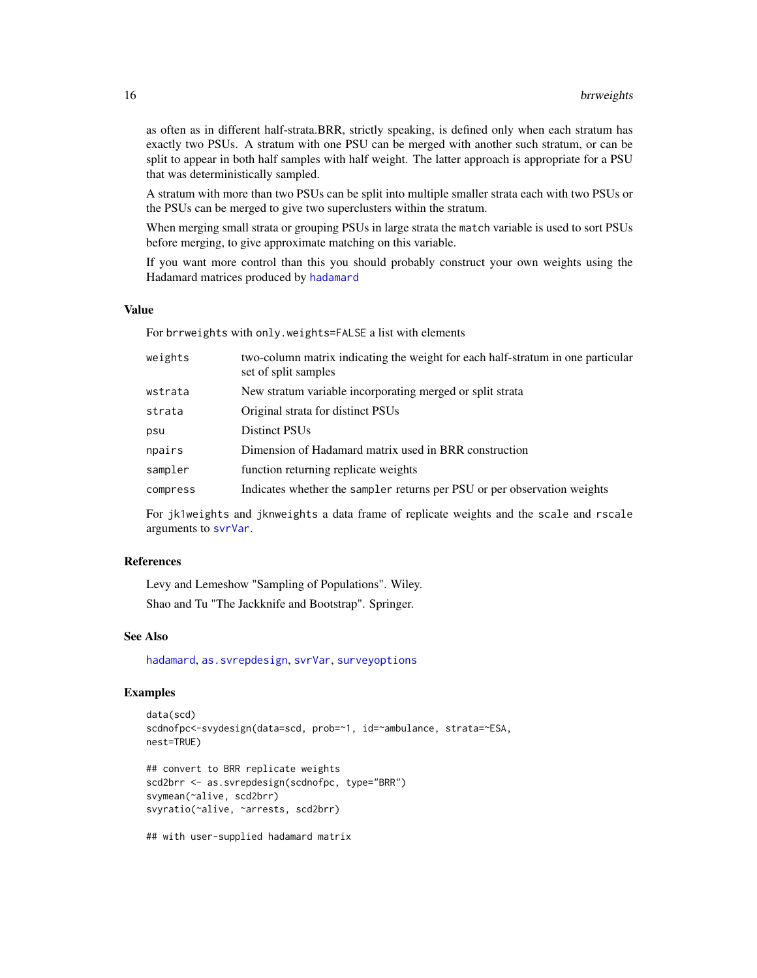as often as in different half-strata.BRR, strictly speaking, is defined only when each stratum has exactly two PSUs. A stratum with one PSU can be merged with another such stratum, or can be split to appear in both half samples with half weight. The latter approach is appropriate for a PSU that was deterministically sampled.

A stratum with more than two PSUs can be split into multiple smaller strata each with two PSUs or the PSUs can be merged to give two superclusters within the stratum.

When merging small strata or grouping PSUs in large strata the match variable is used to sort PSUs before merging, to give approximate matching on this variable.

If you want more control than this you should probably construct your own weights using the Hadamard matrices produced by [hadamard](#page-31-1)

#### Value

For brrweights with only.weights=FALSE a list with elements

| weights  | two-column matrix indicating the weight for each half-stratum in one particular<br>set of split samples |
|----------|---------------------------------------------------------------------------------------------------------|
| wstrata  | New stratum variable incorporating merged or split strata                                               |
| strata   | Original strata for distinct PSUs                                                                       |
| psu      | Distinct PSU <sub>s</sub>                                                                               |
| npairs   | Dimension of Hadamard matrix used in BRR construction                                                   |
| sampler  | function returning replicate weights                                                                    |
| compress | Indicates whether the sampler returns per PSU or per observation weights                                |
|          |                                                                                                         |

For jk1weights and jknweights a data frame of replicate weights and the scale and rscale arguments to [svrVar](#page-70-1).

### References

Levy and Lemeshow "Sampling of Populations". Wiley.

Shao and Tu "The Jackknife and Bootstrap". Springer.

#### See Also

[hadamard](#page-31-1), [as.svrepdesign](#page-8-1), [svrVar](#page-70-1), [surveyoptions](#page-62-1)

# Examples

```
data(scd)
scdnofpc<-svydesign(data=scd, prob=~1, id=~ambulance, strata=~ESA,
nest=TRUE)
## convert to BRR replicate weights
scd2brr <- as.svrepdesign(scdnofpc, type="BRR")
```
svymean(~alive, scd2brr) svyratio(~alive, ~arrests, scd2brr)

## with user-supplied hadamard matrix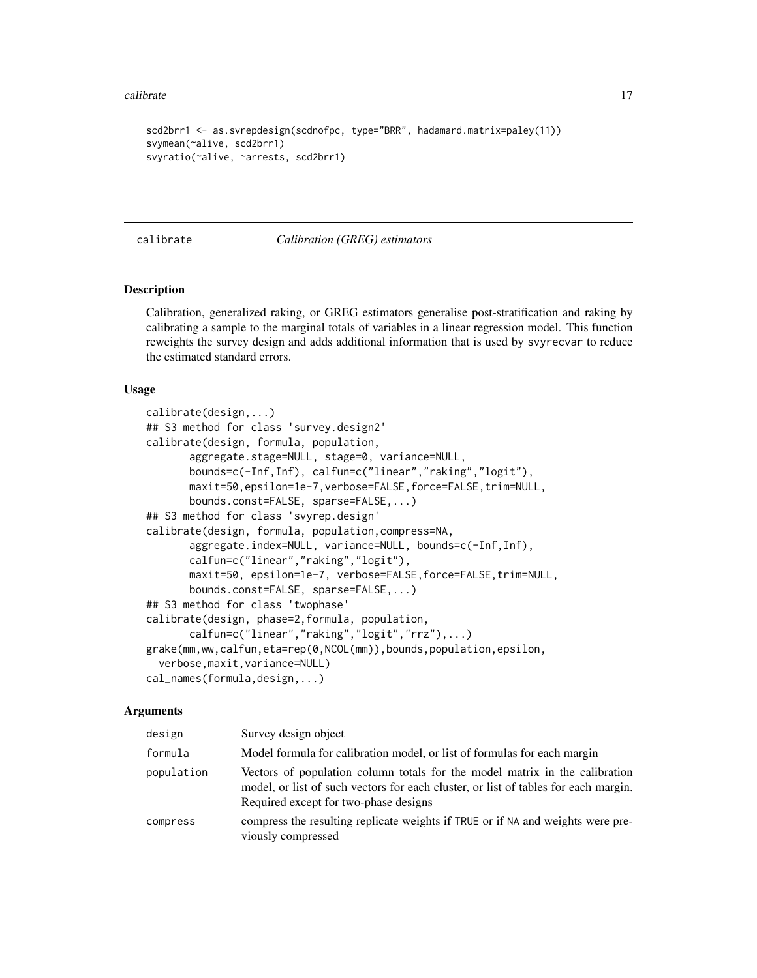#### <span id="page-16-0"></span>calibrate the contract of the contract of the contract of the contract of the contract of the contract of the contract of the contract of the contract of the contract of the contract of the contract of the contract of the

```
scd2brr1 <- as.svrepdesign(scdnofpc, type="BRR", hadamard.matrix=paley(11))
svymean(~alive, scd2brr1)
svyratio(~alive, ~arrests, scd2brr1)
```
#### <span id="page-16-1"></span>calibrate *Calibration (GREG) estimators*

#### Description

Calibration, generalized raking, or GREG estimators generalise post-stratification and raking by calibrating a sample to the marginal totals of variables in a linear regression model. This function reweights the survey design and adds additional information that is used by svyrecvar to reduce the estimated standard errors.

#### Usage

```
calibrate(design,...)
## S3 method for class 'survey.design2'
calibrate(design, formula, population,
       aggregate.stage=NULL, stage=0, variance=NULL,
       bounds=c(-Inf,Inf), calfun=c("linear","raking","logit"),
       maxit=50,epsilon=1e-7,verbose=FALSE,force=FALSE,trim=NULL,
       bounds.const=FALSE, sparse=FALSE,...)
## S3 method for class 'svyrep.design'
calibrate(design, formula, population,compress=NA,
       aggregate.index=NULL, variance=NULL, bounds=c(-Inf,Inf),
       calfun=c("linear","raking","logit"),
       maxit=50, epsilon=1e-7, verbose=FALSE,force=FALSE,trim=NULL,
       bounds.const=FALSE, sparse=FALSE,...)
## S3 method for class 'twophase'
calibrate(design, phase=2,formula, population,
       calfun=c("linear","raking","logit","rrz"),...)
grake(mm,ww,calfun,eta=rep(0,NCOL(mm)),bounds,population,epsilon,
  verbose,maxit,variance=NULL)
cal_names(formula,design,...)
```
#### Arguments

| design     | Survey design object                                                                                                                                                                                        |
|------------|-------------------------------------------------------------------------------------------------------------------------------------------------------------------------------------------------------------|
| formula    | Model formula for calibration model, or list of formulas for each margin                                                                                                                                    |
| population | Vectors of population column totals for the model matrix in the calibration<br>model, or list of such vectors for each cluster, or list of tables for each margin.<br>Required except for two-phase designs |
| compress   | compress the resulting replicate weights if TRUE or if NA and weights were pre-<br>viously compressed                                                                                                       |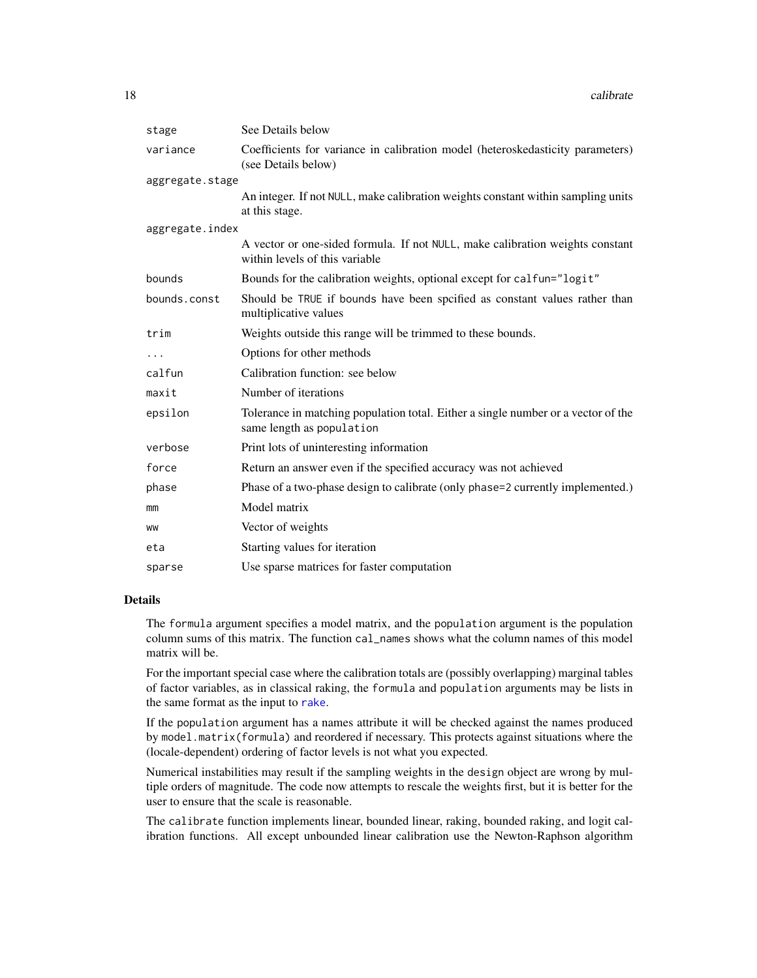| stage           | See Details below                                                                                               |
|-----------------|-----------------------------------------------------------------------------------------------------------------|
| variance        | Coefficients for variance in calibration model (heteroskedasticity parameters)<br>(see Details below)           |
| aggregate.stage |                                                                                                                 |
|                 | An integer. If not NULL, make calibration weights constant within sampling units<br>at this stage.              |
| aggregate.index |                                                                                                                 |
|                 | A vector or one-sided formula. If not NULL, make calibration weights constant<br>within levels of this variable |
| bounds          | Bounds for the calibration weights, optional except for calfun="logit"                                          |
| bounds.const    | Should be TRUE if bounds have been spcified as constant values rather than<br>multiplicative values             |
| trim            | Weights outside this range will be trimmed to these bounds.                                                     |
| $\cdots$        | Options for other methods                                                                                       |
| calfun          | Calibration function: see below                                                                                 |
| maxit           | Number of iterations                                                                                            |
| epsilon         | Tolerance in matching population total. Either a single number or a vector of the<br>same length as population  |
| verbose         | Print lots of uninteresting information                                                                         |
| force           | Return an answer even if the specified accuracy was not achieved                                                |
| phase           | Phase of a two-phase design to calibrate (only phase=2 currently implemented.)                                  |
| mm              | Model matrix                                                                                                    |
| WW              | Vector of weights                                                                                               |
| eta             | Starting values for iteration                                                                                   |
| sparse          | Use sparse matrices for faster computation                                                                      |

# Details

The formula argument specifies a model matrix, and the population argument is the population column sums of this matrix. The function cal\_names shows what the column names of this model matrix will be.

For the important special case where the calibration totals are (possibly overlapping) marginal tables of factor variables, as in classical raking, the formula and population arguments may be lists in the same format as the input to [rake](#page-54-1).

If the population argument has a names attribute it will be checked against the names produced by model.matrix(formula) and reordered if necessary. This protects against situations where the (locale-dependent) ordering of factor levels is not what you expected.

Numerical instabilities may result if the sampling weights in the design object are wrong by multiple orders of magnitude. The code now attempts to rescale the weights first, but it is better for the user to ensure that the scale is reasonable.

The calibrate function implements linear, bounded linear, raking, bounded raking, and logit calibration functions. All except unbounded linear calibration use the Newton-Raphson algorithm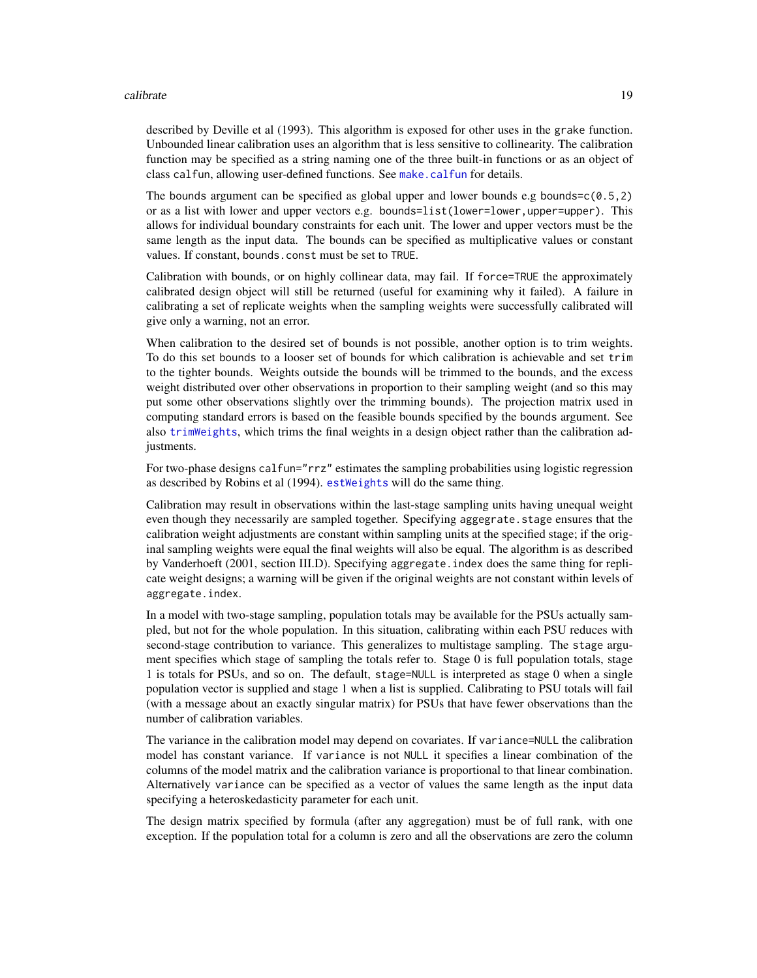#### calibrate the contract of the contract of the contract of the contract of the contract of the contract of the contract of the contract of the contract of the contract of the contract of the contract of the contract of the

described by Deville et al (1993). This algorithm is exposed for other uses in the grake function. Unbounded linear calibration uses an algorithm that is less sensitive to collinearity. The calibration function may be specified as a string naming one of the three built-in functions or as an object of class calfun, allowing user-defined functions. See [make.calfun](#page-35-1) for details.

The bounds argument can be specified as global upper and lower bounds e.g bounds= $c(0.5,2)$ or as a list with lower and upper vectors e.g. bounds=list(lower=lower,upper=upper). This allows for individual boundary constraints for each unit. The lower and upper vectors must be the same length as the input data. The bounds can be specified as multiplicative values or constant values. If constant, bounds.const must be set to TRUE.

Calibration with bounds, or on highly collinear data, may fail. If force=TRUE the approximately calibrated design object will still be returned (useful for examining why it failed). A failure in calibrating a set of replicate weights when the sampling weights were successfully calibrated will give only a warning, not an error.

When calibration to the desired set of bounds is not possible, another option is to trim weights. To do this set bounds to a looser set of bounds for which calibration is achievable and set trim to the tighter bounds. Weights outside the bounds will be trimmed to the bounds, and the excess weight distributed over other observations in proportion to their sampling weight (and so this may put some other observations slightly over the trimming bounds). The projection matrix used in computing standard errors is based on the feasible bounds specified by the bounds argument. See also [trimWeights](#page-129-1), which trims the final weights in a design object rather than the calibration adjustments.

For two-phase designs calfun="rrz" estimates the sampling probabilities using logistic regression as described by Robins et al (1994). [estWeights](#page-27-1) will do the same thing.

Calibration may result in observations within the last-stage sampling units having unequal weight even though they necessarily are sampled together. Specifying aggegrate.stage ensures that the calibration weight adjustments are constant within sampling units at the specified stage; if the original sampling weights were equal the final weights will also be equal. The algorithm is as described by Vanderhoeft (2001, section III.D). Specifying aggregate.index does the same thing for replicate weight designs; a warning will be given if the original weights are not constant within levels of aggregate.index.

In a model with two-stage sampling, population totals may be available for the PSUs actually sampled, but not for the whole population. In this situation, calibrating within each PSU reduces with second-stage contribution to variance. This generalizes to multistage sampling. The stage argument specifies which stage of sampling the totals refer to. Stage 0 is full population totals, stage 1 is totals for PSUs, and so on. The default, stage=NULL is interpreted as stage 0 when a single population vector is supplied and stage 1 when a list is supplied. Calibrating to PSU totals will fail (with a message about an exactly singular matrix) for PSUs that have fewer observations than the number of calibration variables.

The variance in the calibration model may depend on covariates. If variance=NULL the calibration model has constant variance. If variance is not NULL it specifies a linear combination of the columns of the model matrix and the calibration variance is proportional to that linear combination. Alternatively variance can be specified as a vector of values the same length as the input data specifying a heteroskedasticity parameter for each unit.

The design matrix specified by formula (after any aggregation) must be of full rank, with one exception. If the population total for a column is zero and all the observations are zero the column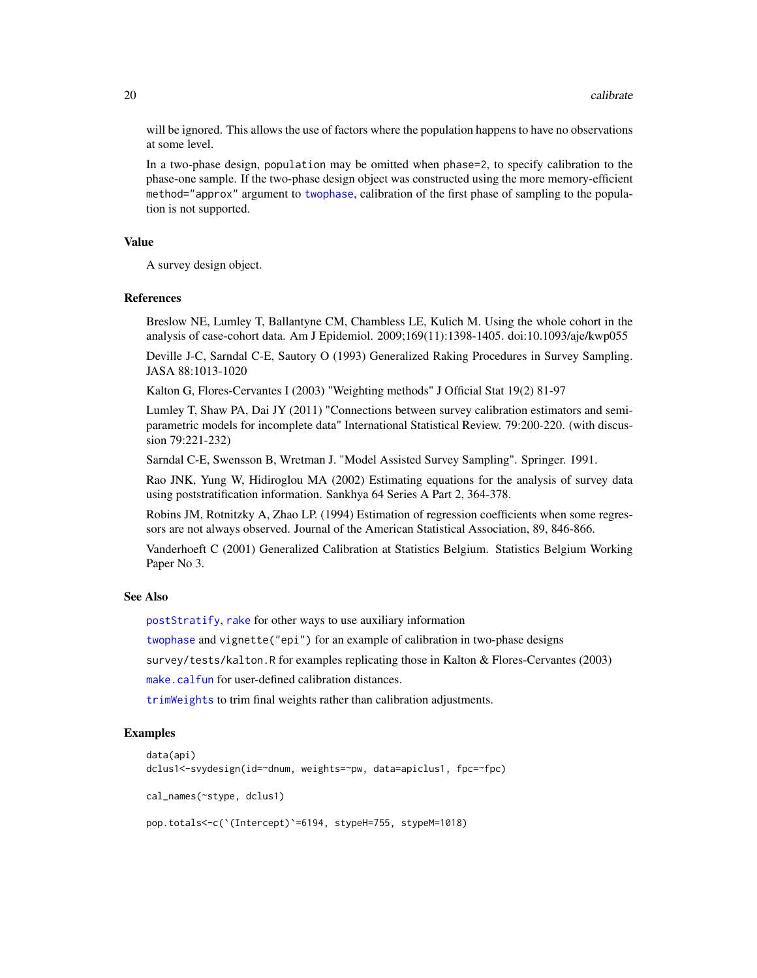will be ignored. This allows the use of factors where the population happens to have no observations at some level.

In a two-phase design, population may be omitted when phase=2, to specify calibration to the phase-one sample. If the two-phase design object was constructed using the more memory-efficient method="approx" argument to [twophase](#page-130-1), calibration of the first phase of sampling to the population is not supported.

#### Value

A survey design object.

#### References

Breslow NE, Lumley T, Ballantyne CM, Chambless LE, Kulich M. Using the whole cohort in the analysis of case-cohort data. Am J Epidemiol. 2009;169(11):1398-1405. doi:10.1093/aje/kwp055

Deville J-C, Sarndal C-E, Sautory O (1993) Generalized Raking Procedures in Survey Sampling. JASA 88:1013-1020

Kalton G, Flores-Cervantes I (2003) "Weighting methods" J Official Stat 19(2) 81-97

Lumley T, Shaw PA, Dai JY (2011) "Connections between survey calibration estimators and semiparametric models for incomplete data" International Statistical Review. 79:200-220. (with discussion 79:221-232)

Sarndal C-E, Swensson B, Wretman J. "Model Assisted Survey Sampling". Springer. 1991.

Rao JNK, Yung W, Hidiroglou MA (2002) Estimating equations for the analysis of survey data using poststratification information. Sankhya 64 Series A Part 2, 364-378.

Robins JM, Rotnitzky A, Zhao LP. (1994) Estimation of regression coefficients when some regressors are not always observed. Journal of the American Statistical Association, 89, 846-866.

Vanderhoeft C (2001) Generalized Calibration at Statistics Belgium. Statistics Belgium Working Paper No 3.

# See Also

[postStratify](#page-51-1), [rake](#page-54-1) for other ways to use auxiliary information

[twophase](#page-130-1) and vignette("epi") for an example of calibration in two-phase designs

survey/tests/kalton.R for examples replicating those in Kalton & Flores-Cervantes (2003)

[make.calfun](#page-35-1) for user-defined calibration distances.

[trimWeights](#page-129-1) to trim final weights rather than calibration adjustments.

# Examples

```
data(api)
dclus1<-svydesign(id=~dnum, weights=~pw, data=apiclus1, fpc=~fpc)
cal_names(~stype, dclus1)
pop.totals<-c(`(Intercept)`=6194, stypeH=755, stypeM=1018)
```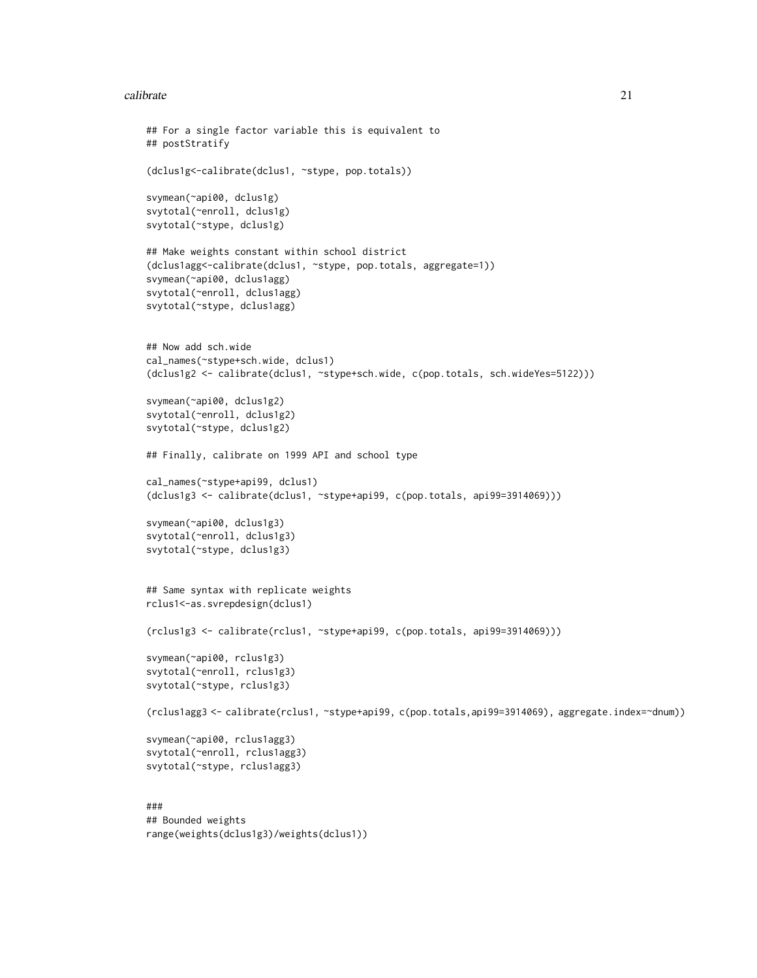#### calibrate 21

```
## For a single factor variable this is equivalent to
## postStratify
(dclus1g<-calibrate(dclus1, ~stype, pop.totals))
svymean(~api00, dclus1g)
svytotal(~enroll, dclus1g)
svytotal(~stype, dclus1g)
## Make weights constant within school district
(dclus1agg<-calibrate(dclus1, ~stype, pop.totals, aggregate=1))
svymean(~api00, dclus1agg)
svytotal(~enroll, dclus1agg)
svytotal(~stype, dclus1agg)
## Now add sch.wide
cal_names(~stype+sch.wide, dclus1)
(dclus1g2 <- calibrate(dclus1, ~stype+sch.wide, c(pop.totals, sch.wideYes=5122)))
svymean(~api00, dclus1g2)
svytotal(~enroll, dclus1g2)
svytotal(~stype, dclus1g2)
## Finally, calibrate on 1999 API and school type
cal_names(~stype+api99, dclus1)
(dclus1g3 <- calibrate(dclus1, ~stype+api99, c(pop.totals, api99=3914069)))
svymean(~api00, dclus1g3)
svytotal(~enroll, dclus1g3)
svytotal(~stype, dclus1g3)
## Same syntax with replicate weights
rclus1<-as.svrepdesign(dclus1)
(rclus1g3 <- calibrate(rclus1, ~stype+api99, c(pop.totals, api99=3914069)))
svymean(~api00, rclus1g3)
svytotal(~enroll, rclus1g3)
svytotal(~stype, rclus1g3)
(rclus1agg3 <- calibrate(rclus1, ~stype+api99, c(pop.totals,api99=3914069), aggregate.index=~dnum))
svymean(~api00, rclus1agg3)
svytotal(~enroll, rclus1agg3)
svytotal(~stype, rclus1agg3)
###
## Bounded weights
range(weights(dclus1g3)/weights(dclus1))
```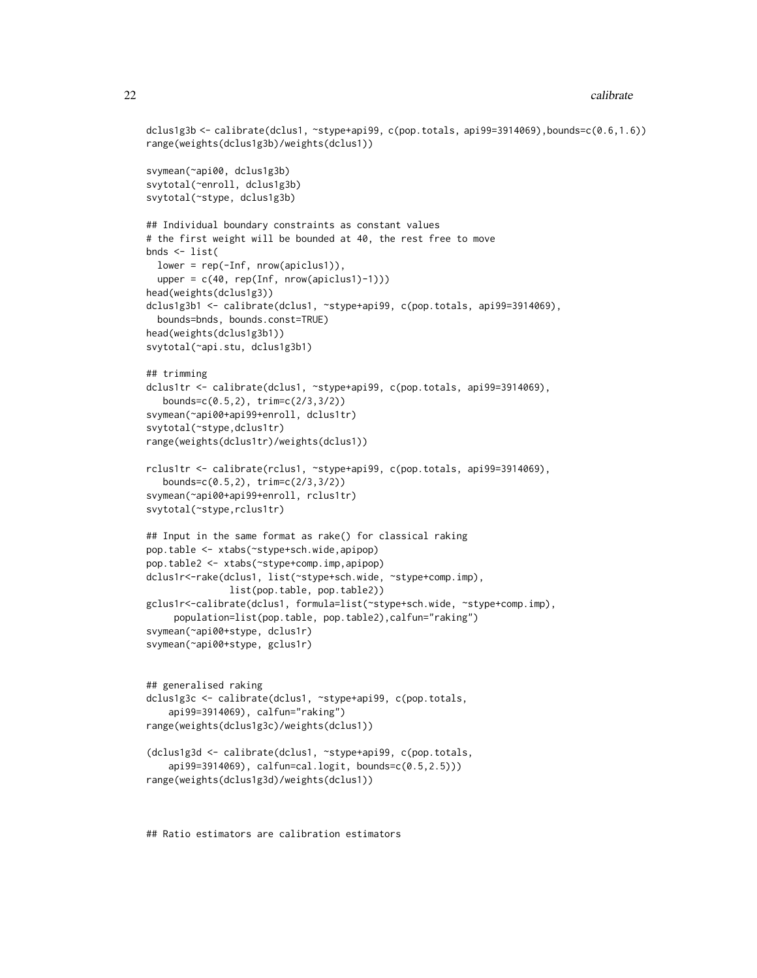```
dclus1g3b <- calibrate(dclus1, ~stype+api99, c(pop.totals, api99=3914069),bounds=c(0.6,1.6))
range(weights(dclus1g3b)/weights(dclus1))
svymean(~api00, dclus1g3b)
svytotal(~enroll, dclus1g3b)
svytotal(~stype, dclus1g3b)
## Individual boundary constraints as constant values
# the first weight will be bounded at 40, the rest free to move
bnds <- list(
 lower = rep(-Inf, nrow(apiclus1)),
 upper = c(40, rep(Inf, nrow(apiclus1)-1)))head(weights(dclus1g3))
dclus1g3b1 <- calibrate(dclus1, ~stype+api99, c(pop.totals, api99=3914069),
 bounds=bnds, bounds.const=TRUE)
head(weights(dclus1g3b1))
svytotal(~api.stu, dclus1g3b1)
## trimming
dclus1tr <- calibrate(dclus1, ~stype+api99, c(pop.totals, api99=3914069),
  bounds=c(0.5,2), trim=c(2/3,3/2))
svymean(~api00+api99+enroll, dclus1tr)
svytotal(~stype,dclus1tr)
range(weights(dclus1tr)/weights(dclus1))
rclus1tr <- calibrate(rclus1, ~stype+api99, c(pop.totals, api99=3914069),
   bounds=c(0.5,2), trim=c(2/3,3/2))
svymean(~api00+api99+enroll, rclus1tr)
svytotal(~stype,rclus1tr)
## Input in the same format as rake() for classical raking
pop.table <- xtabs(~stype+sch.wide,apipop)
pop.table2 <- xtabs(~stype+comp.imp,apipop)
dclus1r<-rake(dclus1, list(~stype+sch.wide, ~stype+comp.imp),
               list(pop.table, pop.table2))
gclus1r<-calibrate(dclus1, formula=list(~stype+sch.wide, ~stype+comp.imp),
     population=list(pop.table, pop.table2),calfun="raking")
svymean(~api00+stype, dclus1r)
svymean(~api00+stype, gclus1r)
## generalised raking
dclus1g3c <- calibrate(dclus1, ~stype+api99, c(pop.totals,
    api99=3914069), calfun="raking")
range(weights(dclus1g3c)/weights(dclus1))
(dclus1g3d <- calibrate(dclus1, ~stype+api99, c(pop.totals,
    api99=3914069), calfun=cal.logit, bounds=c(0.5,2.5)))
range(weights(dclus1g3d)/weights(dclus1))
```
## Ratio estimators are calibration estimators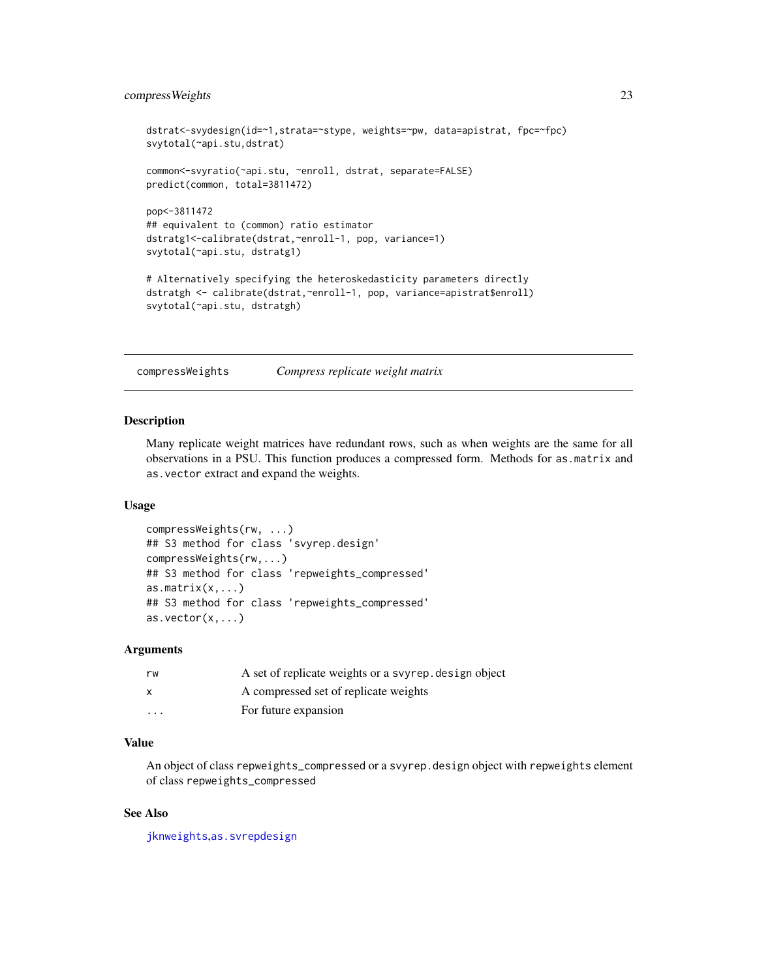# <span id="page-22-0"></span>compressWeights 23

```
dstrat<-svydesign(id=~1,strata=~stype, weights=~pw, data=apistrat, fpc=~fpc)
svytotal(~api.stu,dstrat)
common<-svyratio(~api.stu, ~enroll, dstrat, separate=FALSE)
predict(common, total=3811472)
pop<-3811472
## equivalent to (common) ratio estimator
dstratg1<-calibrate(dstrat,~enroll-1, pop, variance=1)
svytotal(~api.stu, dstratg1)
# Alternatively specifying the heteroskedasticity parameters directly
dstratgh <- calibrate(dstrat,~enroll-1, pop, variance=apistrat$enroll)
svytotal(~api.stu, dstratgh)
```
compressWeights *Compress replicate weight matrix*

# Description

Many replicate weight matrices have redundant rows, such as when weights are the same for all observations in a PSU. This function produces a compressed form. Methods for as.matrix and as.vector extract and expand the weights.

#### Usage

```
compressWeights(rw, ...)
## S3 method for class 'svyrep.design'
compressWeights(rw,...)
## S3 method for class 'repweights_compressed'
as.matrix(x,...)## S3 method for class 'repweights_compressed'
as.vector(x,...)
```
#### Arguments

| rw       | A set of replicate weights or a svyrep. design object |
|----------|-------------------------------------------------------|
|          | A compressed set of replicate weights                 |
| $\cdots$ | For future expansion                                  |

#### Value

An object of class repweights\_compressed or a svyrep.design object with repweights element of class repweights\_compressed

# See Also

[jknweights](#page-13-2),[as.svrepdesign](#page-8-1)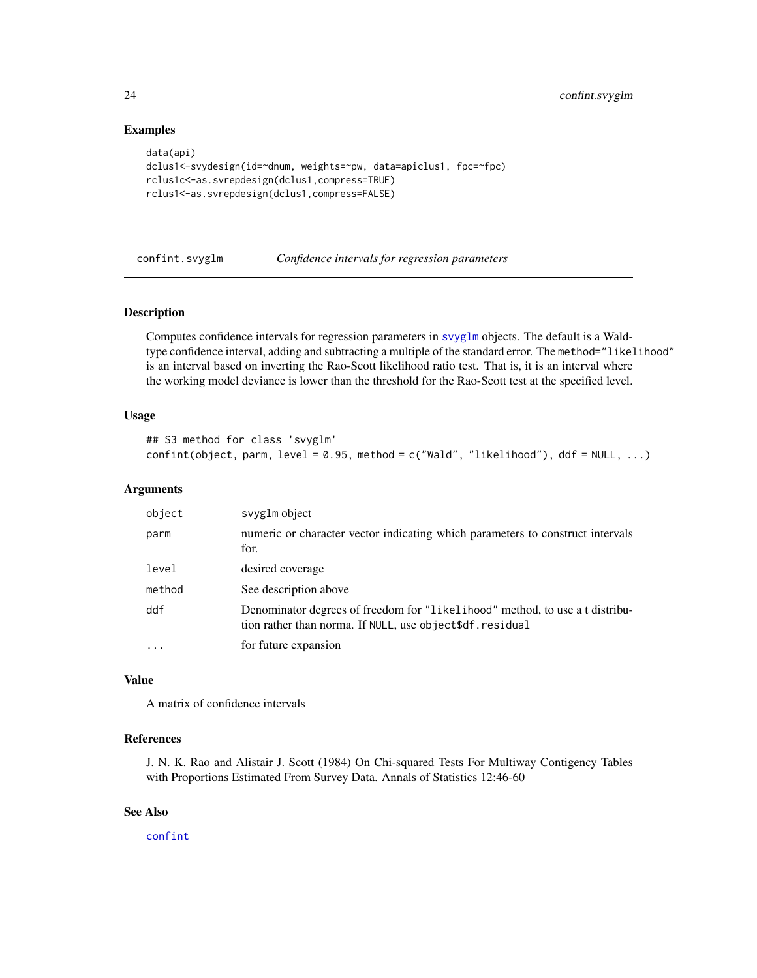# Examples

```
data(api)
dclus1<-svydesign(id=~dnum, weights=~pw, data=apiclus1, fpc=~fpc)
rclus1c<-as.svrepdesign(dclus1,compress=TRUE)
rclus1<-as.svrepdesign(dclus1,compress=FALSE)
```
confint.svyglm *Confidence intervals for regression parameters*

# Description

Computes confidence intervals for regression parameters in [svyglm](#page-90-1) objects. The default is a Waldtype confidence interval, adding and subtracting a multiple of the standard error. The method="likelihood" is an interval based on inverting the Rao-Scott likelihood ratio test. That is, it is an interval where the working model deviance is lower than the threshold for the Rao-Scott test at the specified level.

#### Usage

```
## S3 method for class 'svyglm'
confint(object, parm, level = 0.95, method = c("Wald", "likelihood"), ddf = NULL, ...)
```
# Arguments

| object    | svyglm object                                                                                                                            |
|-----------|------------------------------------------------------------------------------------------------------------------------------------------|
| parm      | numeric or character vector indicating which parameters to construct intervals<br>for.                                                   |
| level     | desired coverage                                                                                                                         |
| method    | See description above                                                                                                                    |
| ddf       | Denominator degrees of freedom for "likelihood" method, to use a t distribu-<br>tion rather than norma. If NULL, use object\$df.residual |
| $\ddotsc$ | for future expansion                                                                                                                     |

#### Value

A matrix of confidence intervals

# References

J. N. K. Rao and Alistair J. Scott (1984) On Chi-squared Tests For Multiway Contigency Tables with Proportions Estimated From Survey Data. Annals of Statistics 12:46-60

# See Also

[confint](#page-0-0)

<span id="page-23-0"></span>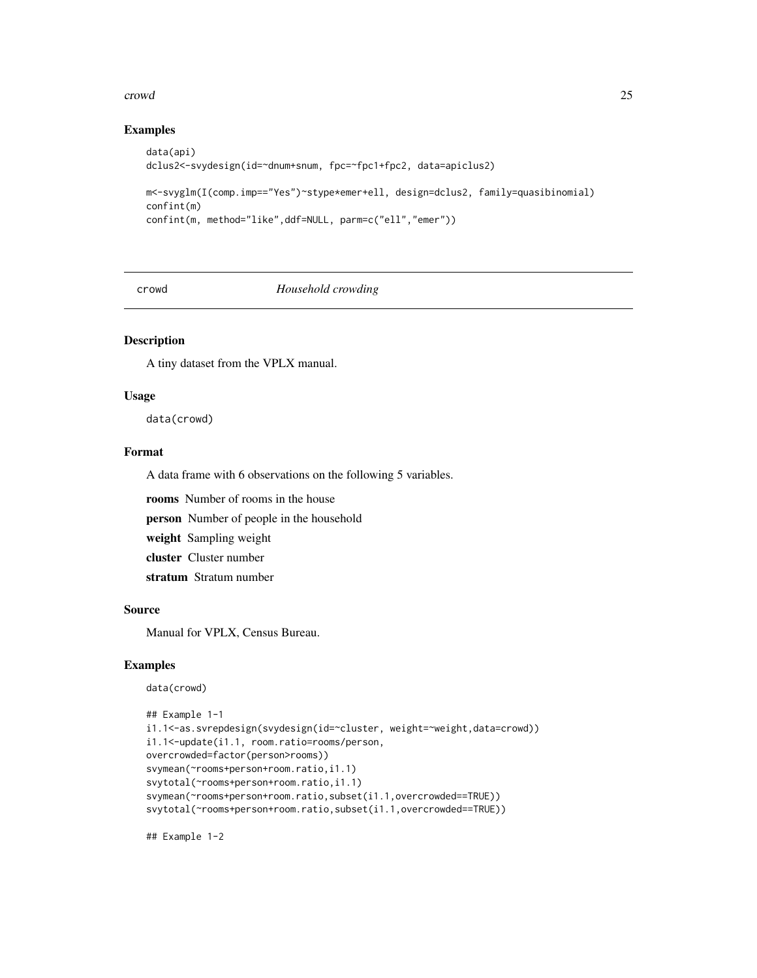#### <span id="page-24-0"></span>crowd 25

### Examples

```
data(api)
dclus2<-svydesign(id=~dnum+snum, fpc=~fpc1+fpc2, data=apiclus2)
m<-svyglm(I(comp.imp=="Yes")~stype*emer+ell, design=dclus2, family=quasibinomial)
confint(m)
confint(m, method="like",ddf=NULL, parm=c("ell","emer"))
```
crowd *Household crowding*

# Description

A tiny dataset from the VPLX manual.

#### Usage

data(crowd)

# Format

A data frame with 6 observations on the following 5 variables.

rooms Number of rooms in the house

person Number of people in the household

weight Sampling weight

cluster Cluster number

stratum Stratum number

# Source

Manual for VPLX, Census Bureau.

# Examples

```
data(crowd)
```

```
## Example 1-1
i1.1<-as.svrepdesign(svydesign(id=~cluster, weight=~weight,data=crowd))
i1.1<-update(i1.1, room.ratio=rooms/person,
overcrowded=factor(person>rooms))
svymean(~rooms+person+room.ratio,i1.1)
svytotal(~rooms+person+room.ratio,i1.1)
svymean(~rooms+person+room.ratio,subset(i1.1,overcrowded==TRUE))
svytotal(~rooms+person+room.ratio,subset(i1.1,overcrowded==TRUE))
```
## Example 1-2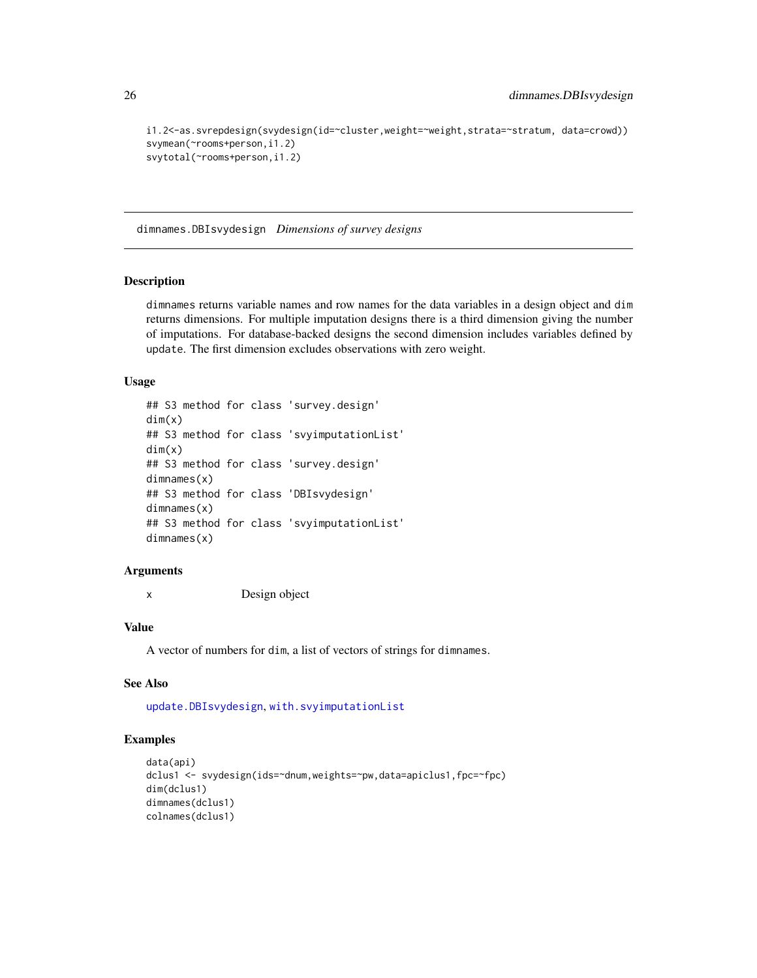```
i1.2<-as.svrepdesign(svydesign(id=~cluster,weight=~weight,strata=~stratum, data=crowd))
svymean(~rooms+person,i1.2)
svytotal(~rooms+person,i1.2)
```
dimnames.DBIsvydesign *Dimensions of survey designs*

#### Description

dimnames returns variable names and row names for the data variables in a design object and dim returns dimensions. For multiple imputation designs there is a third dimension giving the number of imputations. For database-backed designs the second dimension includes variables defined by update. The first dimension excludes observations with zero weight.

#### Usage

```
## S3 method for class 'survey.design'
dim(x)
## S3 method for class 'svyimputationList'
dim(x)
## S3 method for class 'survey.design'
dimnames(x)
## S3 method for class 'DBIsvydesign'
dimnames(x)
## S3 method for class 'svyimputationList'
dimnames(x)
```
#### Arguments

x Design object

# Value

A vector of numbers for dim, a list of vectors of strings for dimnames.

### See Also

[update.DBIsvydesign](#page-133-1), [with.svyimputationList](#page-136-1)

# Examples

```
data(api)
dclus1 <- svydesign(ids=~dnum,weights=~pw,data=apiclus1,fpc=~fpc)
dim(dclus1)
dimnames(dclus1)
colnames(dclus1)
```
<span id="page-25-0"></span>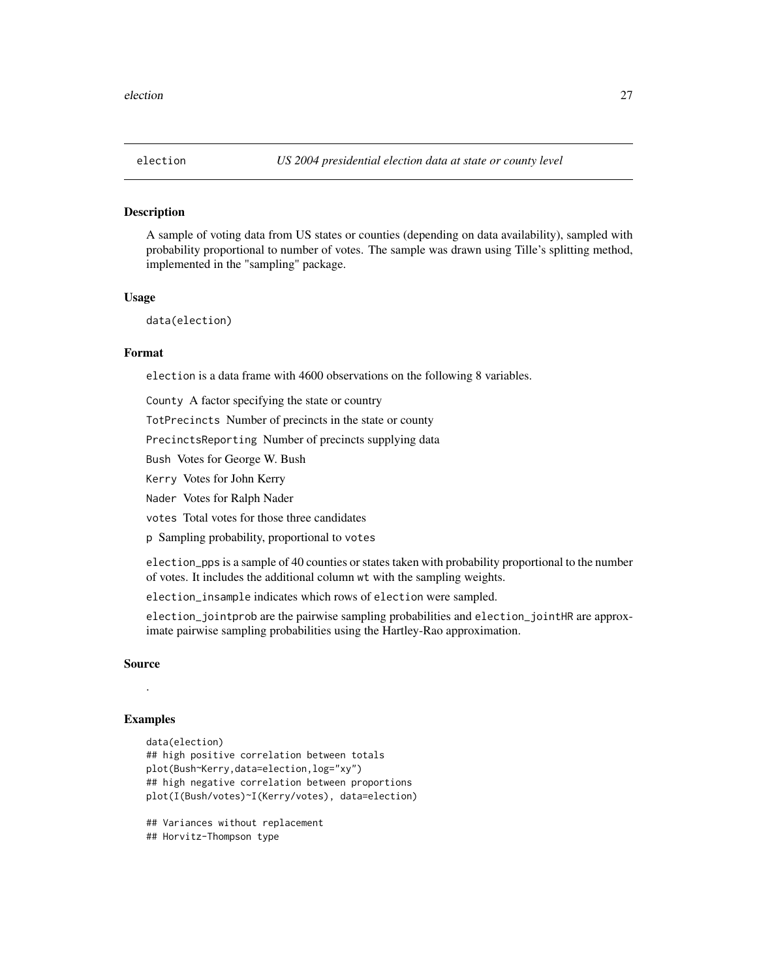<span id="page-26-1"></span><span id="page-26-0"></span>

#### **Description**

A sample of voting data from US states or counties (depending on data availability), sampled with probability proportional to number of votes. The sample was drawn using Tille's splitting method, implemented in the "sampling" package.

#### Usage

data(election)

# Format

election is a data frame with 4600 observations on the following 8 variables.

County A factor specifying the state or country

TotPrecincts Number of precincts in the state or county

PrecinctsReporting Number of precincts supplying data

Bush Votes for George W. Bush

Kerry Votes for John Kerry

Nader Votes for Ralph Nader

votes Total votes for those three candidates

p Sampling probability, proportional to votes

election\_pps is a sample of 40 counties or states taken with probability proportional to the number of votes. It includes the additional column wt with the sampling weights.

election\_insample indicates which rows of election were sampled.

election\_jointprob are the pairwise sampling probabilities and election\_jointHR are approximate pairwise sampling probabilities using the Hartley-Rao approximation.

#### Source

#### Examples

.

```
data(election)
## high positive correlation between totals
plot(Bush~Kerry,data=election,log="xy")
## high negative correlation between proportions
plot(I(Bush/votes)~I(Kerry/votes), data=election)
## Variances without replacement
```
## Horvitz-Thompson type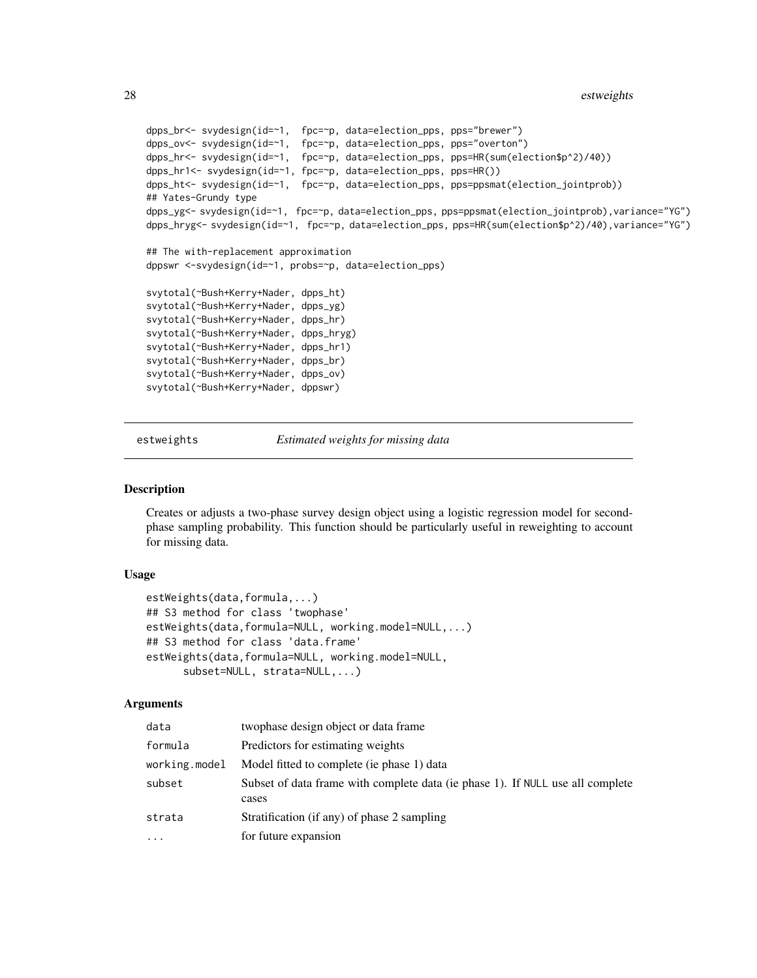```
dpps_br<- svydesign(id=~1, fpc=~p, data=election_pps, pps="brewer")
dpps_ov<- svydesign(id=~1, fpc=~p, data=election_pps, pps="overton")
dpps_hr<- svydesign(id=~1, fpc=~p, data=election_pps, pps=HR(sum(election$p^2)/40))
dpps_hr1<- svydesign(id=~1, fpc=~p, data=election_pps, pps=HR())
dpps_ht<- svydesign(id=~1, fpc=~p, data=election_pps, pps=ppsmat(election_jointprob))
## Yates-Grundy type
dpps_yg<- svydesign(id=~1, fpc=~p, data=election_pps, pps=ppsmat(election_jointprob),variance="YG")
dpps_hryg<- svydesign(id=~1, fpc=~p, data=election_pps, pps=HR(sum(election$p^2)/40),variance="YG")
## The with-replacement approximation
dppswr <-svydesign(id=~1, probs=~p, data=election_pps)
svytotal(~Bush+Kerry+Nader, dpps_ht)
svytotal(~Bush+Kerry+Nader, dpps_yg)
svytotal(~Bush+Kerry+Nader, dpps_hr)
svytotal(~Bush+Kerry+Nader, dpps_hryg)
svytotal(~Bush+Kerry+Nader, dpps_hr1)
svytotal(~Bush+Kerry+Nader, dpps_br)
svytotal(~Bush+Kerry+Nader, dpps_ov)
svytotal(~Bush+Kerry+Nader, dppswr)
```
estweights *Estimated weights for missing data*

#### <span id="page-27-1"></span>Description

Creates or adjusts a two-phase survey design object using a logistic regression model for secondphase sampling probability. This function should be particularly useful in reweighting to account for missing data.

#### Usage

```
estWeights(data,formula,...)
## S3 method for class 'twophase'
estWeights(data,formula=NULL, working.model=NULL,...)
## S3 method for class 'data.frame'
estWeights(data,formula=NULL, working.model=NULL,
      subset=NULL, strata=NULL,...)
```
#### Arguments

| data          | two phase design object or data frame                                                   |
|---------------|-----------------------------------------------------------------------------------------|
| formula       | Predictors for estimating weights                                                       |
| working.model | Model fitted to complete (ie phase 1) data                                              |
| subset        | Subset of data frame with complete data (ie phase 1). If NULL use all complete<br>cases |
| strata        | Stratification (if any) of phase 2 sampling                                             |
| $\cdots$      | for future expansion                                                                    |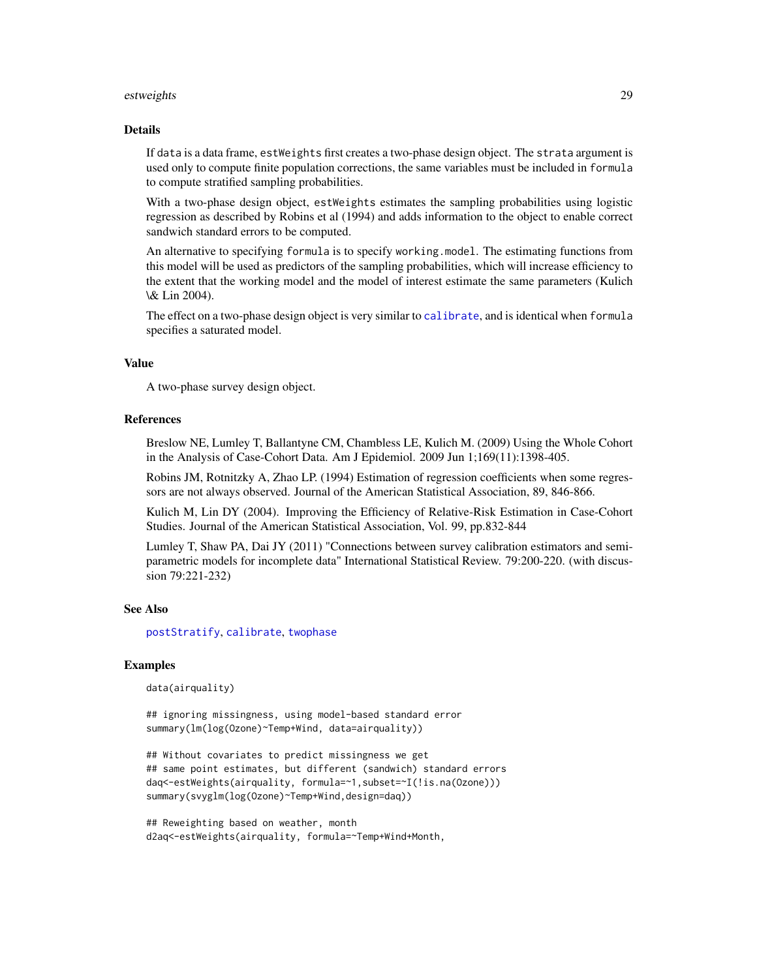#### estweights 29

#### Details

If data is a data frame, estWeights first creates a two-phase design object. The strata argument is used only to compute finite population corrections, the same variables must be included in formula to compute stratified sampling probabilities.

With a two-phase design object, estWeights estimates the sampling probabilities using logistic regression as described by Robins et al (1994) and adds information to the object to enable correct sandwich standard errors to be computed.

An alternative to specifying formula is to specify working.model. The estimating functions from this model will be used as predictors of the sampling probabilities, which will increase efficiency to the extent that the working model and the model of interest estimate the same parameters (Kulich \& Lin 2004).

The effect on a two-phase design object is very similar to [calibrate](#page-16-1), and is identical when formula specifies a saturated model.

#### Value

A two-phase survey design object.

#### References

Breslow NE, Lumley T, Ballantyne CM, Chambless LE, Kulich M. (2009) Using the Whole Cohort in the Analysis of Case-Cohort Data. Am J Epidemiol. 2009 Jun 1;169(11):1398-405.

Robins JM, Rotnitzky A, Zhao LP. (1994) Estimation of regression coefficients when some regressors are not always observed. Journal of the American Statistical Association, 89, 846-866.

Kulich M, Lin DY (2004). Improving the Efficiency of Relative-Risk Estimation in Case-Cohort Studies. Journal of the American Statistical Association, Vol. 99, pp.832-844

Lumley T, Shaw PA, Dai JY (2011) "Connections between survey calibration estimators and semiparametric models for incomplete data" International Statistical Review. 79:200-220. (with discussion 79:221-232)

#### See Also

[postStratify](#page-51-1), [calibrate](#page-16-1), [twophase](#page-130-1)

#### Examples

data(airquality)

## ignoring missingness, using model-based standard error summary(lm(log(Ozone)~Temp+Wind, data=airquality))

```
## Without covariates to predict missingness we get
## same point estimates, but different (sandwich) standard errors
daq<-estWeights(airquality, formula=~1,subset=~I(!is.na(Ozone)))
summary(svyglm(log(Ozone)~Temp+Wind,design=daq))
```

```
## Reweighting based on weather, month
d2aq<-estWeights(airquality, formula=~Temp+Wind+Month,
```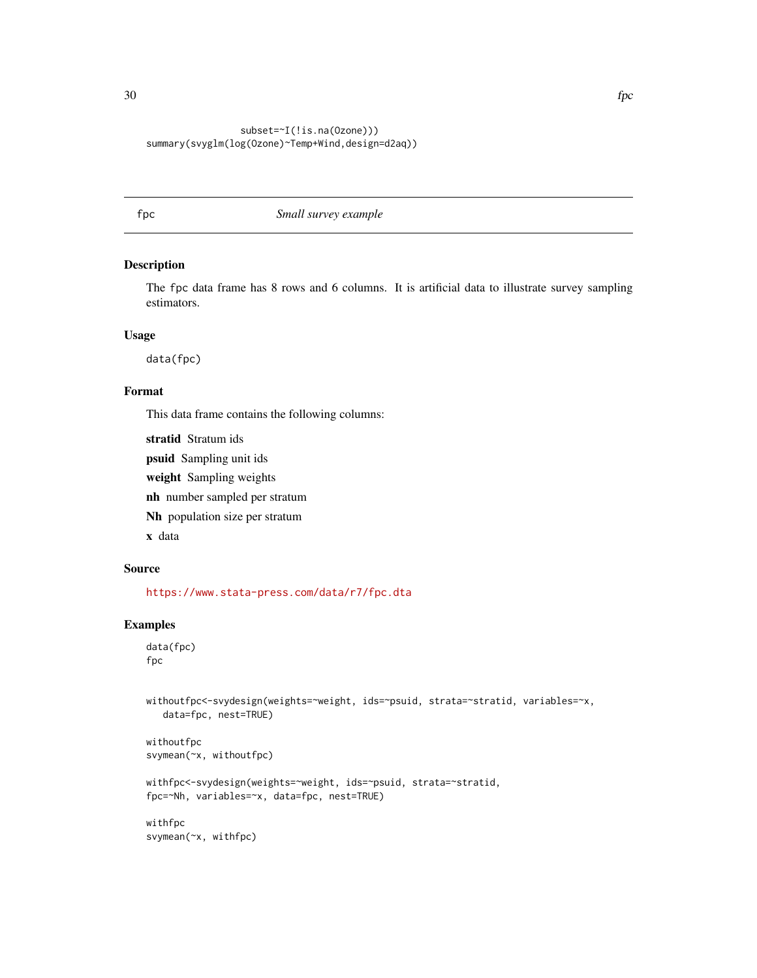# <span id="page-29-0"></span>subset=~I(!is.na(Ozone))) summary(svyglm(log(Ozone)~Temp+Wind,design=d2aq))

# fpc *Small survey example*

# Description

The fpc data frame has 8 rows and 6 columns. It is artificial data to illustrate survey sampling estimators.

#### Usage

data(fpc)

#### Format

This data frame contains the following columns:

stratid Stratum ids

psuid Sampling unit ids

weight Sampling weights

nh number sampled per stratum

Nh population size per stratum

x data

# Source

<https://www.stata-press.com/data/r7/fpc.dta>

# Examples

```
data(fpc)
fpc
```
withoutfpc<-svydesign(weights=~weight, ids=~psuid, strata=~stratid, variables=~x, data=fpc, nest=TRUE)

withoutfpc svymean(~x, withoutfpc)

```
withfpc<-svydesign(weights=~weight, ids=~psuid, strata=~stratid,
fpc=~Nh, variables=~x, data=fpc, nest=TRUE)
```
withfpc svymean(~x, withfpc)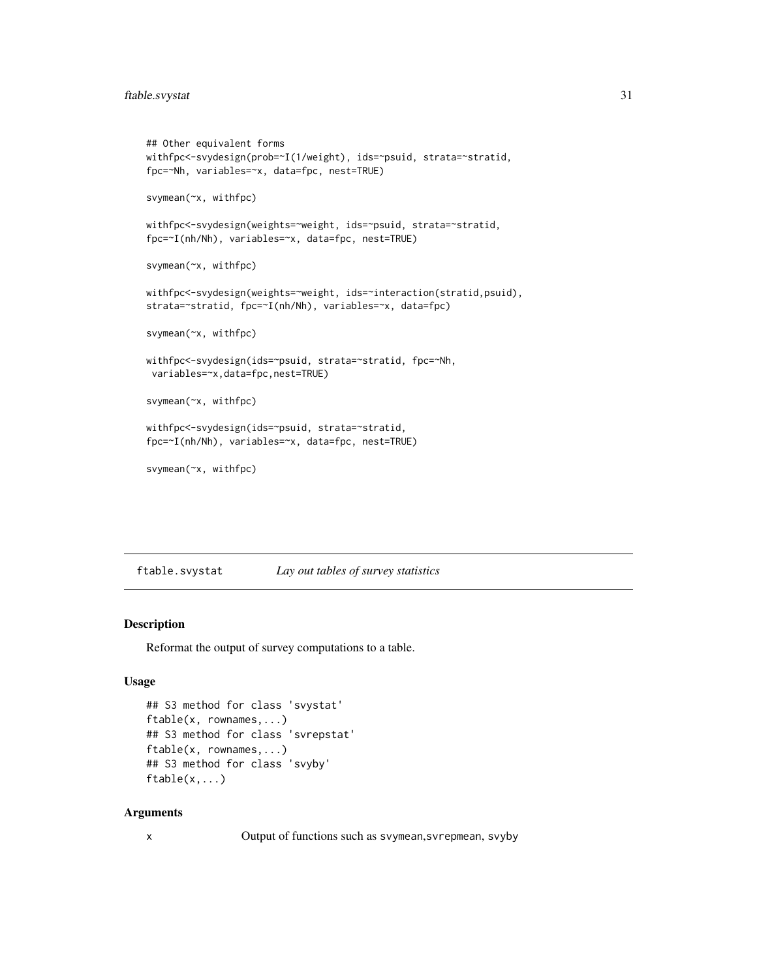```
## Other equivalent forms
withfpc<-svydesign(prob=~I(1/weight), ids=~psuid, strata=~stratid,
fpc=~Nh, variables=~x, data=fpc, nest=TRUE)
svymean(~x, withfpc)
withfpc<-svydesign(weights=~weight, ids=~psuid, strata=~stratid,
fpc=~I(nh/Nh), variables=~x, data=fpc, nest=TRUE)
svymean(~x, withfpc)
withfpc<-svydesign(weights=~weight, ids=~interaction(stratid,psuid),
strata=~stratid, fpc=~I(nh/Nh), variables=~x, data=fpc)
svymean(~x, withfpc)
withfpc<-svydesign(ids=~psuid, strata=~stratid, fpc=~Nh,
variables=~x,data=fpc,nest=TRUE)
svymean(~x, withfpc)
withfpc<-svydesign(ids=~psuid, strata=~stratid,
fpc=~I(nh/Nh), variables=~x, data=fpc, nest=TRUE)
svymean(~x, withfpc)
```
ftable.svystat *Lay out tables of survey statistics*

### Description

Reformat the output of survey computations to a table.

#### Usage

```
## S3 method for class 'svystat'
ftable(x, rownames,...)
## S3 method for class 'svrepstat'
ftable(x, rownames,...)
## S3 method for class 'svyby'
ftable(x,...)
```
# Arguments

x Output of functions such as svymean,svrepmean, svyby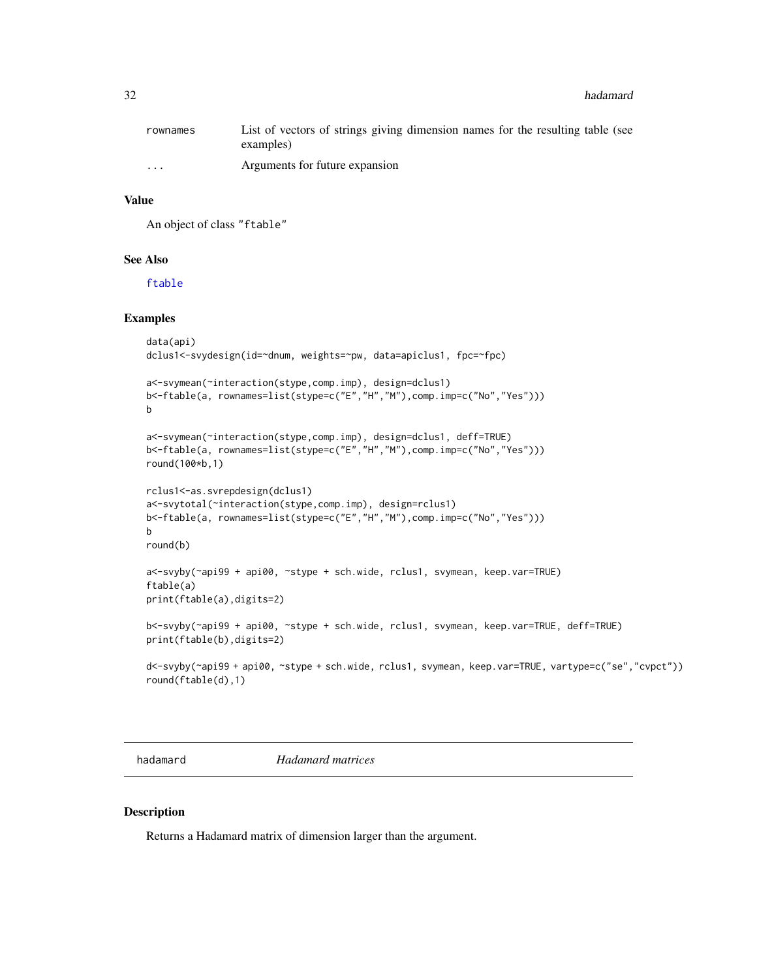<span id="page-31-0"></span>

| rownames | List of vectors of strings giving dimension names for the resulting table (see |
|----------|--------------------------------------------------------------------------------|
|          | examples)                                                                      |
| $\cdots$ | Arguments for future expansion                                                 |

#### Value

An object of class "ftable"

#### See Also

[ftable](#page-0-0)

# Examples

```
data(api)
dclus1<-svydesign(id=~dnum, weights=~pw, data=apiclus1, fpc=~fpc)
a<-svymean(~interaction(stype,comp.imp), design=dclus1)
b<-ftable(a, rownames=list(stype=c("E","H","M"),comp.imp=c("No","Yes")))
b
a<-svymean(~interaction(stype,comp.imp), design=dclus1, deff=TRUE)
b<-ftable(a, rownames=list(stype=c("E","H","M"),comp.imp=c("No","Yes")))
round(100*b,1)
rclus1<-as.svrepdesign(dclus1)
a<-svytotal(~interaction(stype,comp.imp), design=rclus1)
b<-ftable(a, rownames=list(stype=c("E","H","M"),comp.imp=c("No","Yes")))
b
round(b)
a<-svyby(~api99 + api00, ~stype + sch.wide, rclus1, svymean, keep.var=TRUE)
ftable(a)
print(ftable(a),digits=2)
b<-svyby(~api99 + api00, ~stype + sch.wide, rclus1, svymean, keep.var=TRUE, deff=TRUE)
print(ftable(b),digits=2)
d<-svyby(~api99 + api00, ~stype + sch.wide, rclus1, svymean, keep.var=TRUE, vartype=c("se","cvpct"))
round(ftable(d),1)
```
hadamard *Hadamard matrices*

#### Description

Returns a Hadamard matrix of dimension larger than the argument.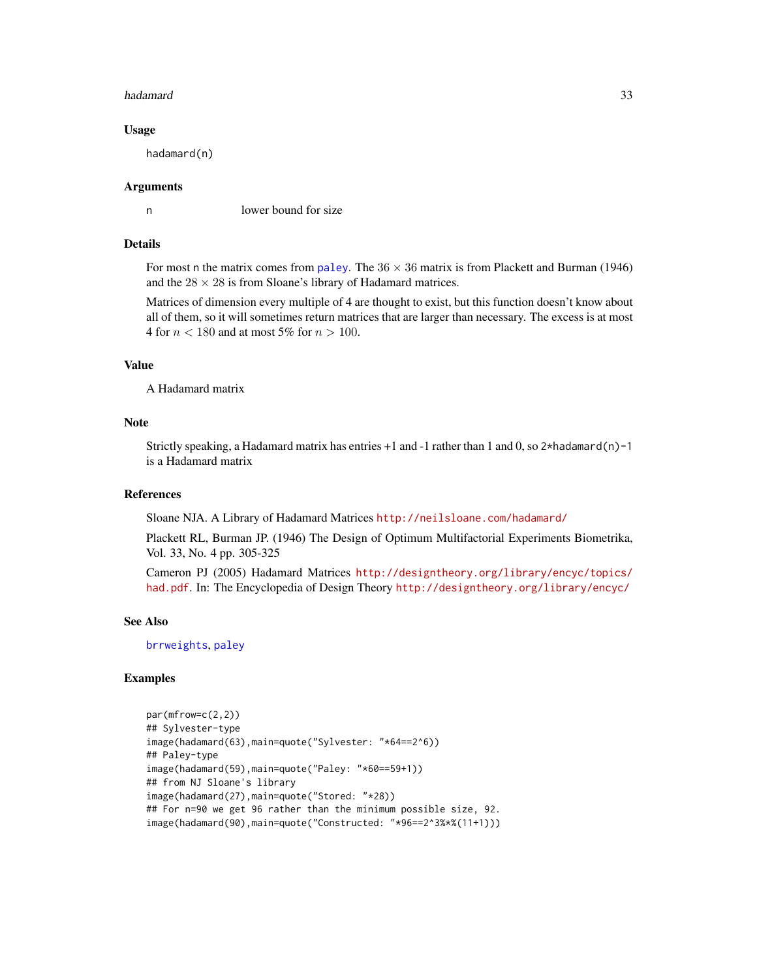#### hadamard 33

#### Usage

hadamard(n)

#### Arguments

n lower bound for size

# Details

For most n the matrix comes from [paley](#page-47-1). The  $36 \times 36$  matrix is from Plackett and Burman (1946) and the  $28 \times 28$  is from Sloane's library of Hadamard matrices.

Matrices of dimension every multiple of 4 are thought to exist, but this function doesn't know about all of them, so it will sometimes return matrices that are larger than necessary. The excess is at most 4 for  $n < 180$  and at most 5% for  $n > 100$ .

# Value

A Hadamard matrix

#### Note

Strictly speaking, a Hadamard matrix has entries  $+1$  and  $-1$  rather than 1 and 0, so  $2*$ hadamard(n) $-1$ is a Hadamard matrix

# References

Sloane NJA. A Library of Hadamard Matrices <http://neilsloane.com/hadamard/>

Plackett RL, Burman JP. (1946) The Design of Optimum Multifactorial Experiments Biometrika, Vol. 33, No. 4 pp. 305-325

Cameron PJ (2005) Hadamard Matrices [http://designtheory.org/library/encyc/topics/](http://designtheory.org/library/encyc/topics/had.pdf) [had.pdf](http://designtheory.org/library/encyc/topics/had.pdf). In: The Encyclopedia of Design Theory <http://designtheory.org/library/encyc/>

#### See Also

[brrweights](#page-13-1), [paley](#page-47-1)

# Examples

```
par(mfrow=c(2,2))
## Sylvester-type
image(hadamard(63),main=quote("Sylvester: "*64==2^6))
## Paley-type
image(hadamard(59),main=quote("Paley: "*60==59+1))
## from NJ Sloane's library
image(hadamard(27),main=quote("Stored: "*28))
## For n=90 we get 96 rather than the minimum possible size, 92.
image(hadamard(90),main=quote("Constructed: "*96==2^3%*%(11+1)))
```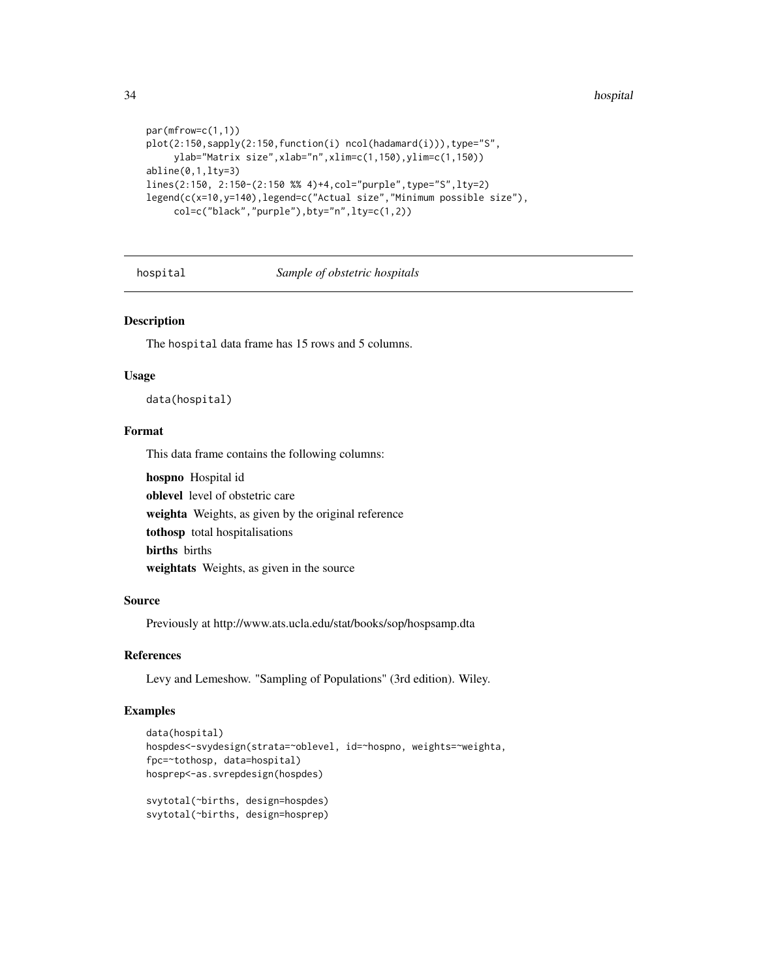```
par(mfrow=c(1,1))
plot(2:150,sapply(2:150,function(i) ncol(hadamard(i))),type="S",
     ylab="Matrix size",xlab="n",xlim=c(1,150),ylim=c(1,150))
abline(0,1,lty=3)
lines(2:150, 2:150-(2:150 %% 4)+4,col="purple",type="S",lty=2)
legend(c(x=10,y=140),legend=c("Actual size","Minimum possible size"),
     col=c("black","purple"),bty="n",lty=c(1,2))
```
hospital *Sample of obstetric hospitals*

# Description

The hospital data frame has 15 rows and 5 columns.

#### Usage

data(hospital)

# Format

This data frame contains the following columns:

hospno Hospital id oblevel level of obstetric care weighta Weights, as given by the original reference tothosp total hospitalisations births births weightats Weights, as given in the source

#### Source

Previously at http://www.ats.ucla.edu/stat/books/sop/hospsamp.dta

#### References

Levy and Lemeshow. "Sampling of Populations" (3rd edition). Wiley.

#### Examples

```
data(hospital)
hospdes<-svydesign(strata=~oblevel, id=~hospno, weights=~weighta,
fpc=~tothosp, data=hospital)
hosprep<-as.svrepdesign(hospdes)
svytotal(~births, design=hospdes)
svytotal(~births, design=hosprep)
```
<span id="page-33-0"></span>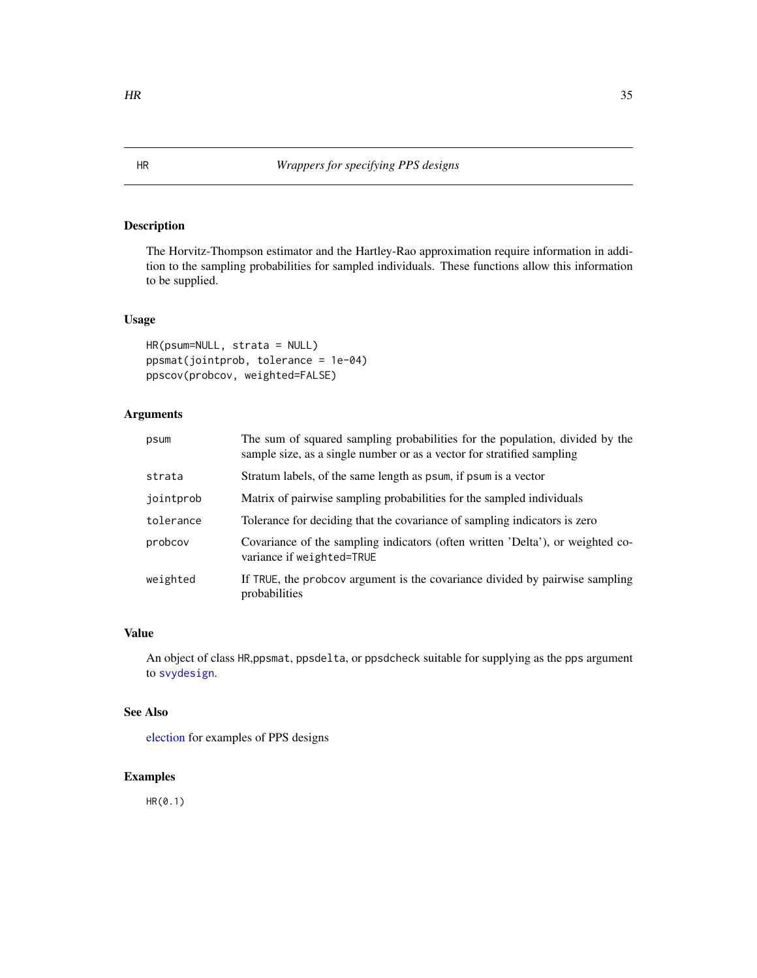# <span id="page-34-0"></span>Description

The Horvitz-Thompson estimator and the Hartley-Rao approximation require information in addition to the sampling probabilities for sampled individuals. These functions allow this information to be supplied.

# Usage

```
HR(psum=NULL, strata = NULL)
ppsmat(jointprob, tolerance = 1e-04)
ppscov(probcov, weighted=FALSE)
```
# Arguments

| psum      | The sum of squared sampling probabilities for the population, divided by the<br>sample size, as a single number or as a vector for stratified sampling |
|-----------|--------------------------------------------------------------------------------------------------------------------------------------------------------|
| strata    | Stratum labels, of the same length as psum, if psum is a vector                                                                                        |
| jointprob | Matrix of pairwise sampling probabilities for the sampled individuals                                                                                  |
| tolerance | Tolerance for deciding that the covariance of sampling indicators is zero                                                                              |
| probcov   | Covariance of the sampling indicators (often written 'Delta'), or weighted co-<br>variance if weighted=TRUE                                            |
| weighted  | If TRUE, the probcov argument is the covariance divided by pairwise sampling<br>probabilities                                                          |

# Value

An object of class HR,ppsmat, ppsdelta, or ppsdcheck suitable for supplying as the pps argument to [svydesign](#page-86-1).

# See Also

[election](#page-26-1) for examples of PPS designs

# Examples

HR(0.1)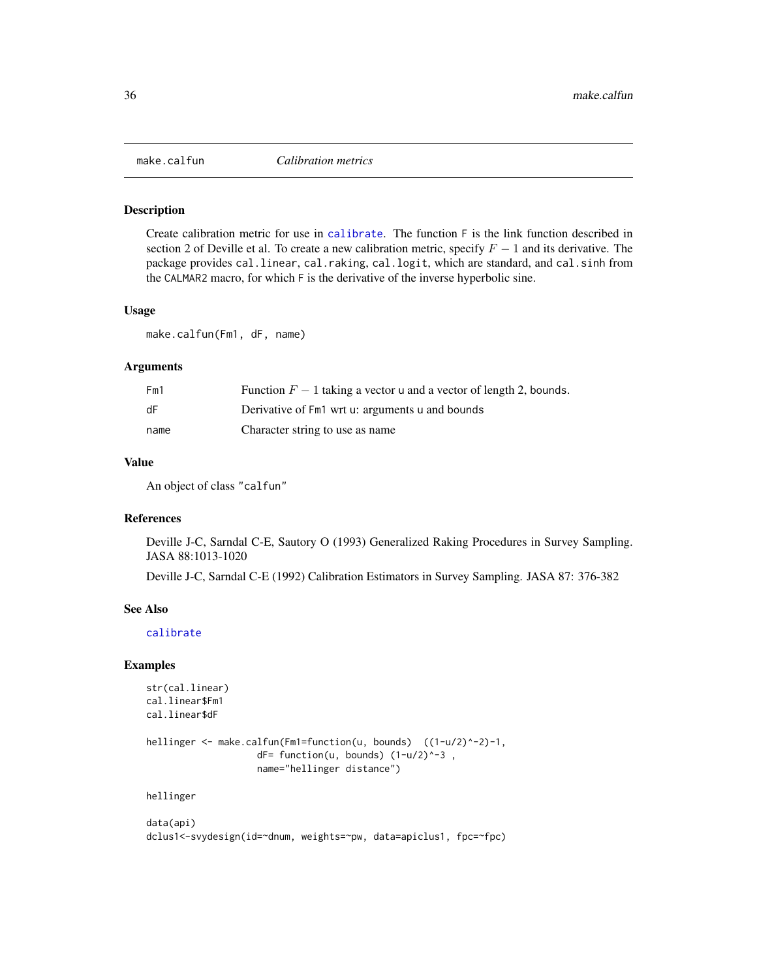<span id="page-35-1"></span><span id="page-35-0"></span>

#### Description

Create calibration metric for use in [calibrate](#page-16-1). The function F is the link function described in section 2 of Deville et al. To create a new calibration metric, specify  $F - 1$  and its derivative. The package provides cal.linear, cal.raking, cal.logit, which are standard, and cal.sinh from the CALMAR2 macro, for which F is the derivative of the inverse hyperbolic sine.

#### Usage

make.calfun(Fm1, dF, name)

#### Arguments

| Fm1  | Function $F-1$ taking a vector u and a vector of length 2, bounds. |
|------|--------------------------------------------------------------------|
| dF   | Derivative of Fm1 wrt u: arguments u and bounds                    |
| name | Character string to use as name                                    |

#### Value

An object of class "calfun"

#### References

Deville J-C, Sarndal C-E, Sautory O (1993) Generalized Raking Procedures in Survey Sampling. JASA 88:1013-1020

Deville J-C, Sarndal C-E (1992) Calibration Estimators in Survey Sampling. JASA 87: 376-382

#### See Also

[calibrate](#page-16-1)

#### Examples

str(cal.linear) cal.linear\$Fm1 cal.linear\$dF

```
hellinger <- make.calfun(Fm1=function(u, bounds) ((1-u/2)^-2)-1,
                    dF= function(u, bounds) (1-u/2)^{-3} ,
                    name="hellinger distance")
```
hellinger

data(api) dclus1<-svydesign(id=~dnum, weights=~pw, data=apiclus1, fpc=~fpc)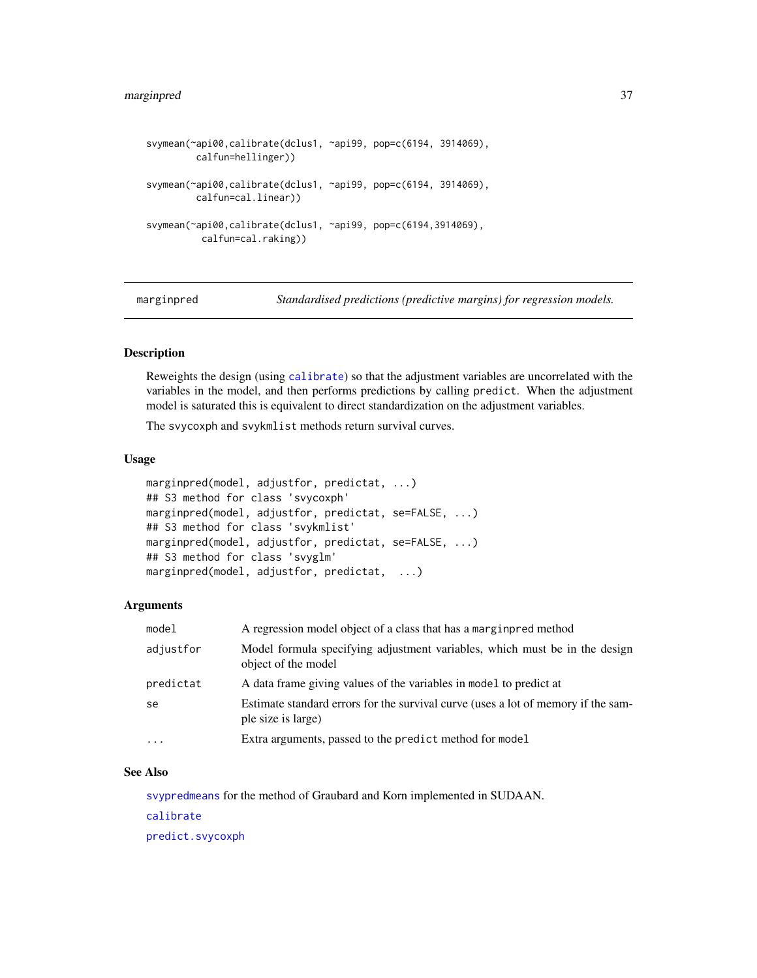```
svymean(~api00,calibrate(dclus1, ~api99, pop=c(6194, 3914069),
        calfun=hellinger))
svymean(~api00,calibrate(dclus1, ~api99, pop=c(6194, 3914069),
        calfun=cal.linear))
svymean(~api00,calibrate(dclus1, ~api99, pop=c(6194,3914069),
         calfun=cal.raking))
```
marginpred *Standardised predictions (predictive margins) for regression models.*

# Description

Reweights the design (using [calibrate](#page-16-0)) so that the adjustment variables are uncorrelated with the variables in the model, and then performs predictions by calling predict. When the adjustment model is saturated this is equivalent to direct standardization on the adjustment variables.

The svycoxph and svykmlist methods return survival curves.

#### Usage

```
marginpred(model, adjustfor, predictat, ...)
## S3 method for class 'svycoxph'
marginpred(model, adjustfor, predictat, se=FALSE, ...)
## S3 method for class 'svykmlist'
marginpred(model, adjustfor, predictat, se=FALSE, ...)
## S3 method for class 'svyglm'
marginpred(model, adjustfor, predictat, ...)
```
## Arguments

| model     | A regression model object of a class that has a marging red method                                      |
|-----------|---------------------------------------------------------------------------------------------------------|
| adjustfor | Model formula specifying adjustment variables, which must be in the design<br>object of the model       |
| predictat | A data frame giving values of the variables in model to predict at                                      |
| se        | Estimate standard errors for the survival curve (uses a lot of memory if the sam-<br>ple size is large) |
| $\cdots$  | Extra arguments, passed to the predict method for model                                                 |

#### See Also

[svypredmeans](#page-112-0) for the method of Graubard and Korn implemented in SUDAAN. [calibrate](#page-16-0)

[predict.svycoxph](#page-81-0)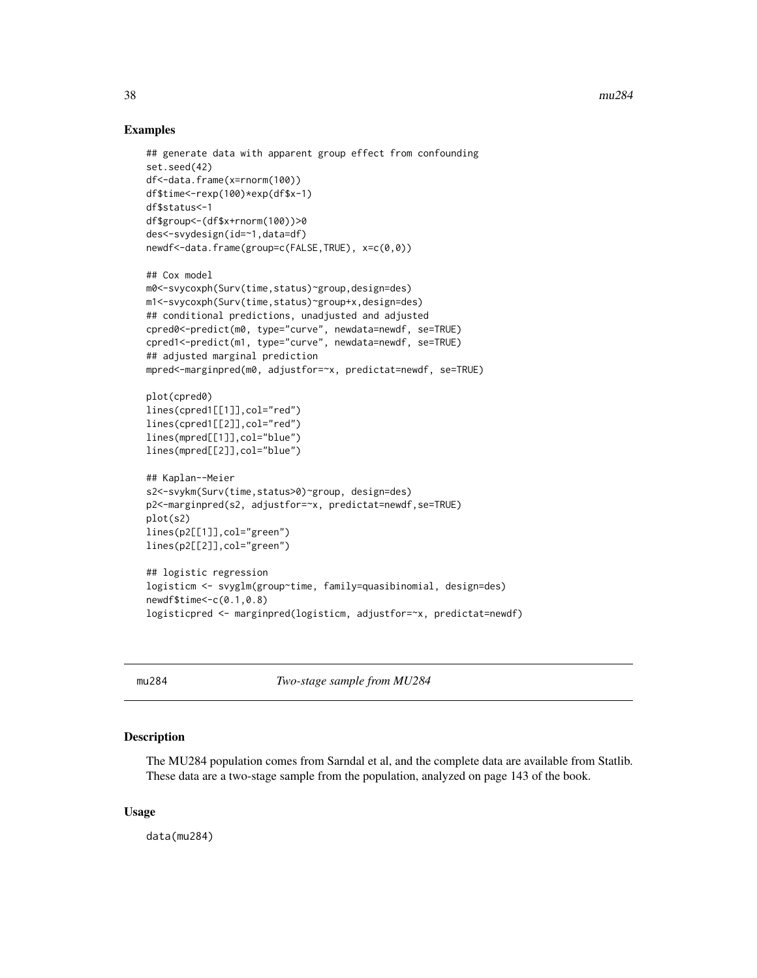# Examples

```
## generate data with apparent group effect from confounding
set.seed(42)
df<-data.frame(x=rnorm(100))
df$time<-rexp(100)*exp(df$x-1)
df$status<-1
df$group<-(df$x+rnorm(100))>0
des<-svydesign(id=~1,data=df)
newdf<-data.frame(group=c(FALSE,TRUE), x=c(0,0))
## Cox model
m0<-svycoxph(Surv(time,status)~group,design=des)
m1<-svycoxph(Surv(time,status)~group+x,design=des)
## conditional predictions, unadjusted and adjusted
cpred0<-predict(m0, type="curve", newdata=newdf, se=TRUE)
cpred1<-predict(m1, type="curve", newdata=newdf, se=TRUE)
## adjusted marginal prediction
mpred<-marginpred(m0, adjustfor=~x, predictat=newdf, se=TRUE)
plot(cpred0)
lines(cpred1[[1]],col="red")
lines(cpred1[[2]],col="red")
lines(mpred[[1]],col="blue")
lines(mpred[[2]],col="blue")
## Kaplan--Meier
s2<-svykm(Surv(time,status>0)~group, design=des)
p2<-marginpred(s2, adjustfor=~x, predictat=newdf,se=TRUE)
plot(s2)
lines(p2[[1]],col="green")
lines(p2[[2]],col="green")
## logistic regression
logisticm <- svyglm(group~time, family=quasibinomial, design=des)
newdf$time<-c(0.1,0.8)
logisticpred <- marginpred(logisticm, adjustfor=~x, predictat=newdf)
```
mu284 *Two-stage sample from MU284*

## **Description**

The MU284 population comes from Sarndal et al, and the complete data are available from Statlib. These data are a two-stage sample from the population, analyzed on page 143 of the book.

## Usage

data(mu284)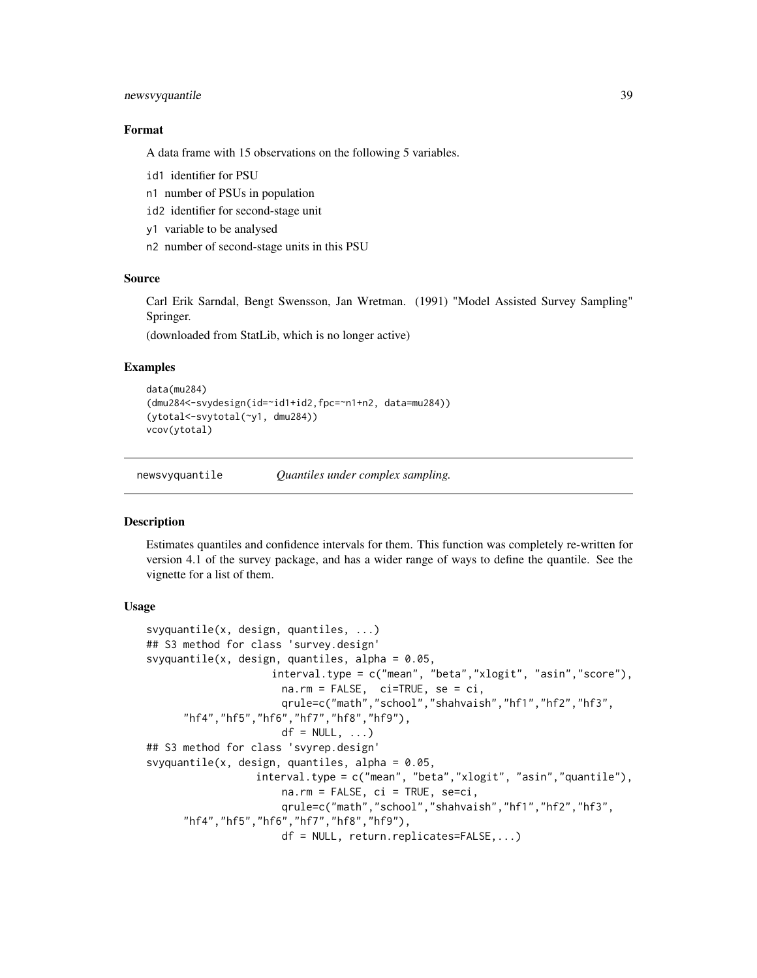# newsvyquantile 39

## Format

A data frame with 15 observations on the following 5 variables.

- id1 identifier for PSU
- n1 number of PSUs in population
- id2 identifier for second-stage unit
- y1 variable to be analysed
- n2 number of second-stage units in this PSU

## Source

Carl Erik Sarndal, Bengt Swensson, Jan Wretman. (1991) "Model Assisted Survey Sampling" Springer.

(downloaded from StatLib, which is no longer active)

## Examples

```
data(mu284)
(dmu284<-svydesign(id=~id1+id2,fpc=~n1+n2, data=mu284))
(ytotal<-svytotal(~y1, dmu284))
vcov(ytotal)
```
newsvyquantile *Quantiles under complex sampling.*

## <span id="page-38-0"></span>**Description**

Estimates quantiles and confidence intervals for them. This function was completely re-written for version 4.1 of the survey package, and has a wider range of ways to define the quantile. See the vignette for a list of them.

#### Usage

```
svyquantile(x, design, quantiles, ...)
## S3 method for class 'survey.design'
svyquantile(x, design, quantiles, alpha = 0.05,
                    interval.type = c("mean", "beta","xlogit", "asin","score"),
                      na.rm = FALSE, ci=TRUE, se = ci,
                      qrule=c("math","school","shahvaish","hf1","hf2","hf3",
      "hf4","hf5","hf6","hf7","hf8","hf9"),
                      df = NULL, ...## S3 method for class 'svyrep.design'
svyquantile(x, design, quantiles, alpha = 0.05,
                  interval.type = c("mean", "beta","xlogit", "asin","quantile"),
                      na.rm = FALSE, ci = TRUE, sec=ci,qrule=c("math","school","shahvaish","hf1","hf2","hf3",
      "hf4","hf5","hf6","hf7","hf8","hf9"),
                      df = NULL, return.replicates=FALSE,...)
```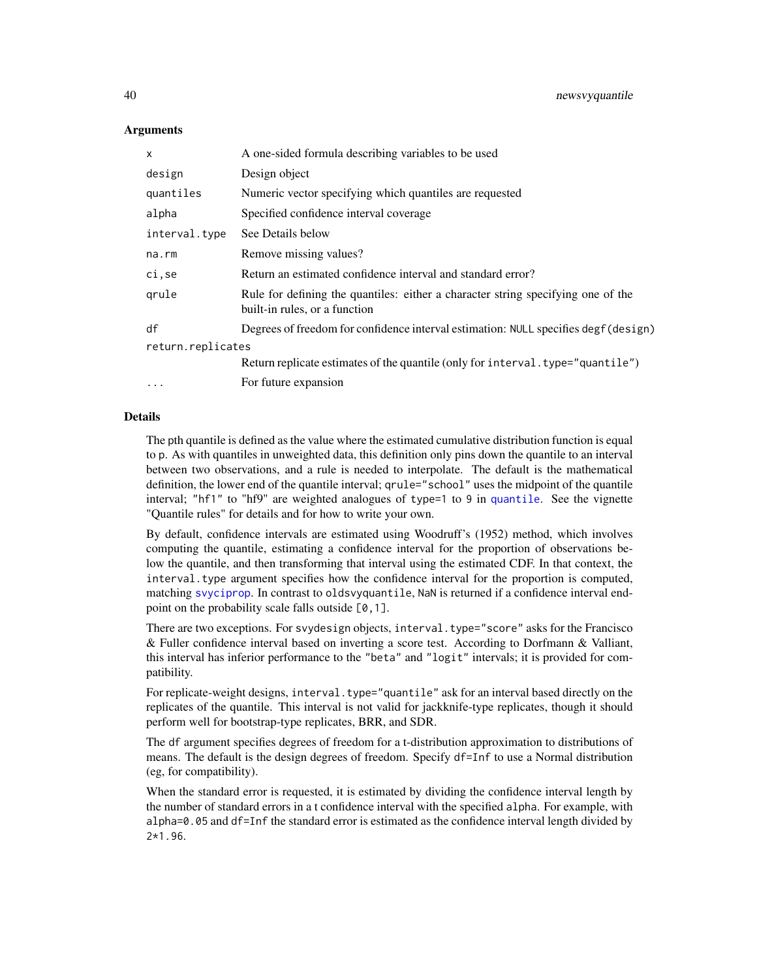## **Arguments**

| X                 | A one-sided formula describing variables to be used                                                               |
|-------------------|-------------------------------------------------------------------------------------------------------------------|
| design            | Design object                                                                                                     |
| quantiles         | Numeric vector specifying which quantiles are requested                                                           |
| alpha             | Specified confidence interval coverage                                                                            |
| interval.type     | See Details below                                                                                                 |
| na.rm             | Remove missing values?                                                                                            |
| ci, se            | Return an estimated confidence interval and standard error?                                                       |
| qrule             | Rule for defining the quantiles: either a character string specifying one of the<br>built-in rules, or a function |
| df                | Degrees of freedom for confidence interval estimation: NULL specifies degf (design)                               |
| return.replicates |                                                                                                                   |
|                   | Return replicate estimates of the quantile (only for interval. type="quantile")                                   |
| $\cdots$          | For future expansion                                                                                              |

#### Details

The pth quantile is defined as the value where the estimated cumulative distribution function is equal to p. As with quantiles in unweighted data, this definition only pins down the quantile to an interval between two observations, and a rule is needed to interpolate. The default is the mathematical definition, the lower end of the quantile interval; qrule="school" uses the midpoint of the quantile interval; "hf1" to "hf9" are weighted analogues of type=1 to 9 in [quantile](#page-0-0). See the vignette "Quantile rules" for details and for how to write your own.

By default, confidence intervals are estimated using Woodruff's (1952) method, which involves computing the quantile, estimating a confidence interval for the proportion of observations below the quantile, and then transforming that interval using the estimated CDF. In that context, the interval.type argument specifies how the confidence interval for the proportion is computed, matching [svyciprop](#page-76-0). In contrast to oldsvyquantile, NaN is returned if a confidence interval endpoint on the probability scale falls outside  $[0, 1]$ .

There are two exceptions. For svydesign objects, interval.type="score" asks for the Francisco & Fuller confidence interval based on inverting a score test. According to Dorfmann & Valliant, this interval has inferior performance to the "beta" and "logit" intervals; it is provided for compatibility.

For replicate-weight designs, interval.type="quantile" ask for an interval based directly on the replicates of the quantile. This interval is not valid for jackknife-type replicates, though it should perform well for bootstrap-type replicates, BRR, and SDR.

The df argument specifies degrees of freedom for a t-distribution approximation to distributions of means. The default is the design degrees of freedom. Specify df=Inf to use a Normal distribution (eg, for compatibility).

When the standard error is requested, it is estimated by dividing the confidence interval length by the number of standard errors in a t confidence interval with the specified alpha. For example, with alpha=0.05 and df=Inf the standard error is estimated as the confidence interval length divided by  $2*1.96.$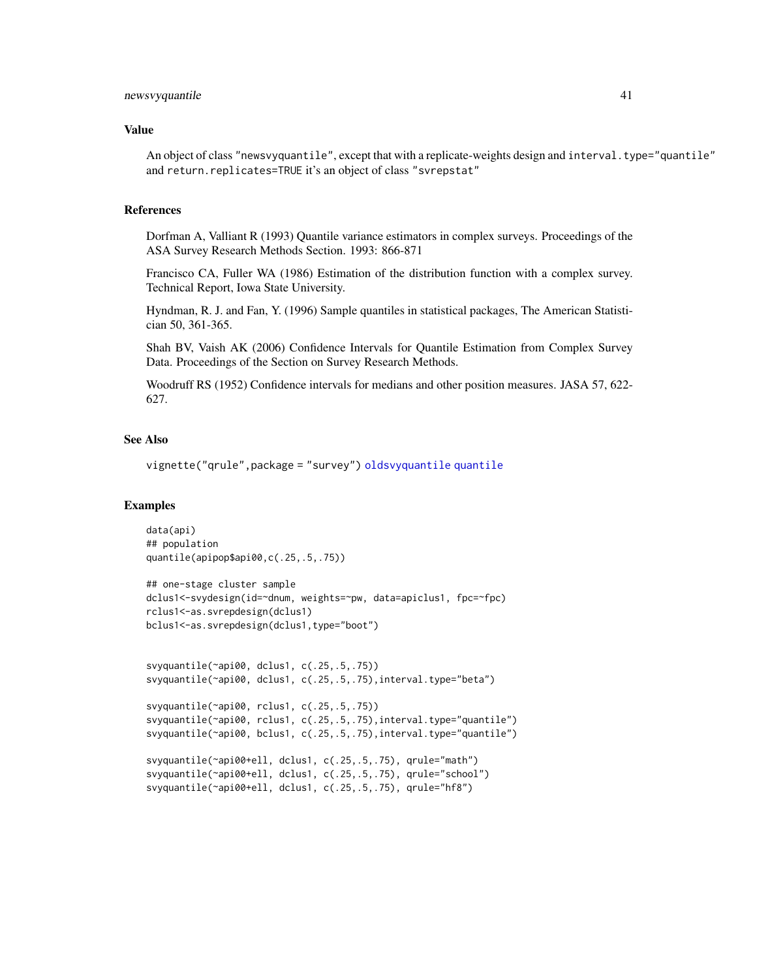#### newsvyquantile 41

## Value

An object of class "newsvyquantile", except that with a replicate-weights design and interval.type="quantile" and return.replicates=TRUE it's an object of class "svrepstat"

# References

Dorfman A, Valliant R (1993) Quantile variance estimators in complex surveys. Proceedings of the ASA Survey Research Methods Section. 1993: 866-871

Francisco CA, Fuller WA (1986) Estimation of the distribution function with a complex survey. Technical Report, Iowa State University.

Hyndman, R. J. and Fan, Y. (1996) Sample quantiles in statistical packages, The American Statistician 50, 361-365.

Shah BV, Vaish AK (2006) Confidence Intervals for Quantile Estimation from Complex Survey Data. Proceedings of the Section on Survey Research Methods.

Woodruff RS (1952) Confidence intervals for medians and other position measures. JASA 57, 622- 627.

#### See Also

vignette("qrule",package = "survey") [oldsvyquantile](#page-43-0) [quantile](#page-0-0)

#### Examples

```
data(api)
## population
quantile(apipop$api00,c(.25,.5,.75))
## one-stage cluster sample
dclus1<-svydesign(id=~dnum, weights=~pw, data=apiclus1, fpc=~fpc)
rclus1<-as.svrepdesign(dclus1)
bclus1<-as.svrepdesign(dclus1,type="boot")
svyquantile(~api00, dclus1, c(.25,.5,.75))
svyquantile(~api00, dclus1, c(.25,.5,.75),interval.type="beta")
svyquantile(~api00, rclus1, c(.25,.5,.75))
svyquantile(~api00, rclus1, c(.25,.5,.75),interval.type="quantile")
svyquantile(~api00, bclus1, c(.25,.5,.75),interval.type="quantile")
svyquantile(~api00+ell, dclus1, c(.25,.5,.75), qrule="math")
svyquantile(~api00+ell, dclus1, c(.25,.5,.75), qrule="school")
svyquantile(~api00+ell, dclus1, c(.25,.5,.75), qrule="hf8")
```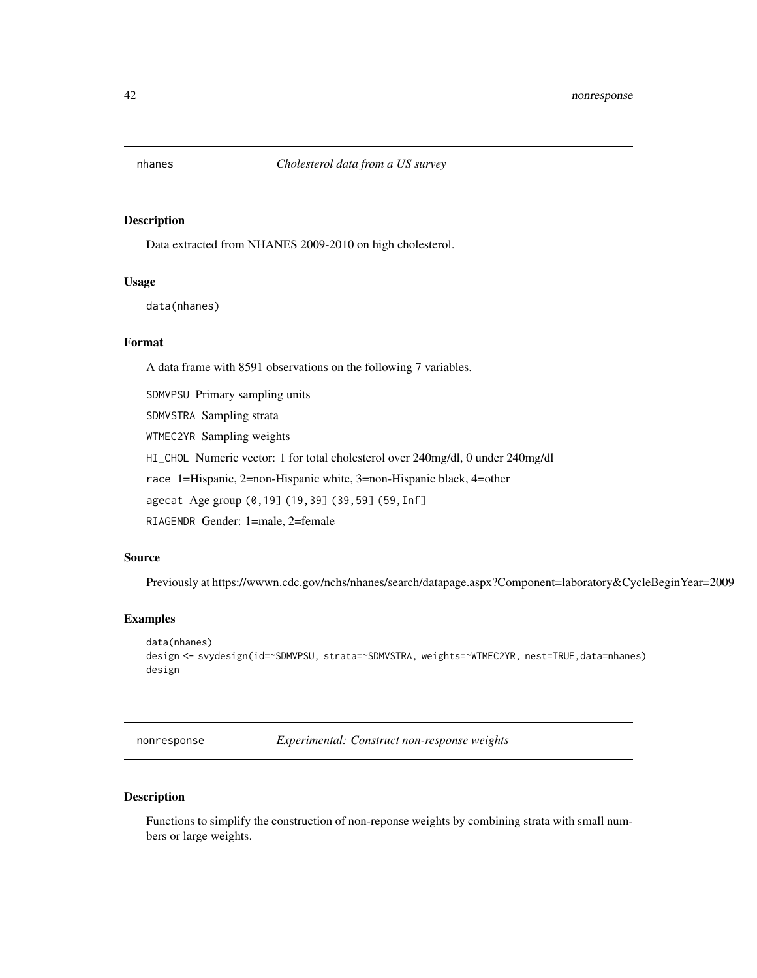# Description

Data extracted from NHANES 2009-2010 on high cholesterol.

## Usage

data(nhanes)

#### Format

A data frame with 8591 observations on the following 7 variables.

SDMVPSU Primary sampling units

SDMVSTRA Sampling strata

WTMEC2YR Sampling weights

HI\_CHOL Numeric vector: 1 for total cholesterol over 240mg/dl, 0 under 240mg/dl

race 1=Hispanic, 2=non-Hispanic white, 3=non-Hispanic black, 4=other

agecat Age group (0,19] (19,39] (39,59] (59,Inf]

RIAGENDR Gender: 1=male, 2=female

# Source

Previously at https://wwwn.cdc.gov/nchs/nhanes/search/datapage.aspx?Component=laboratory&CycleBeginYear=2009

# Examples

```
data(nhanes)
design <- svydesign(id=~SDMVPSU, strata=~SDMVSTRA, weights=~WTMEC2YR, nest=TRUE,data=nhanes)
design
```
nonresponse *Experimental: Construct non-response weights*

# Description

Functions to simplify the construction of non-reponse weights by combining strata with small numbers or large weights.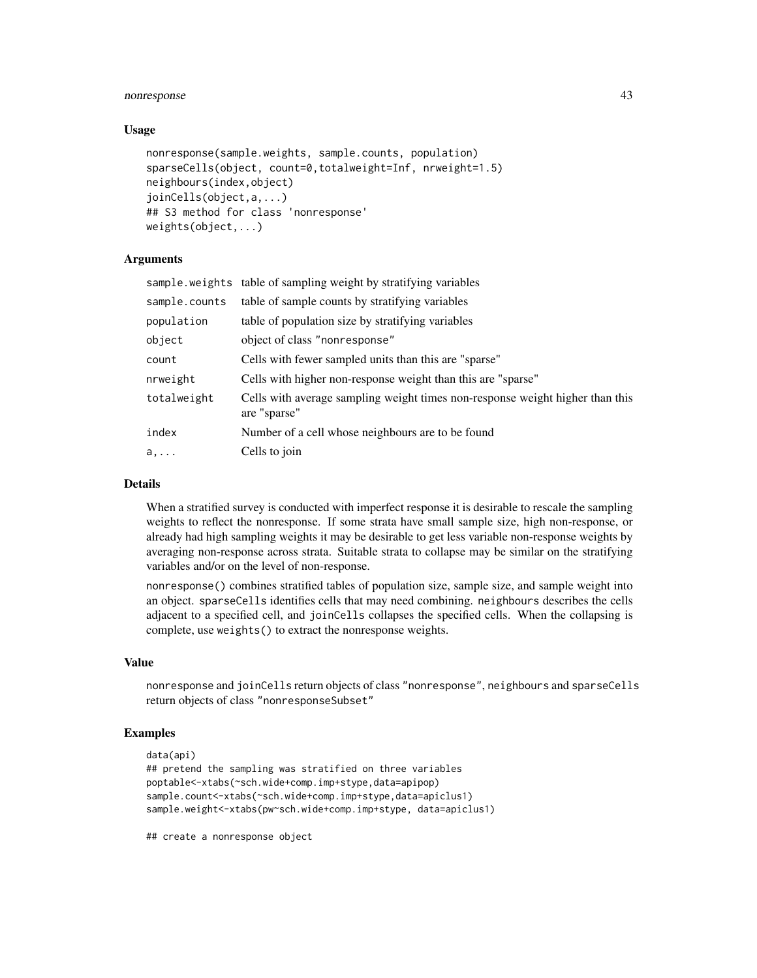# nonresponse 43

## Usage

```
nonresponse(sample.weights, sample.counts, population)
sparseCells(object, count=0,totalweight=Inf, nrweight=1.5)
neighbours(index,object)
joinCells(object,a,...)
## S3 method for class 'nonresponse'
weights(object,...)
```
# Arguments

|               | sample.weights table of sampling weight by stratifying variables                              |
|---------------|-----------------------------------------------------------------------------------------------|
| sample.counts | table of sample counts by stratifying variables                                               |
| population    | table of population size by stratifying variables                                             |
| object        | object of class "nonresponse"                                                                 |
| count         | Cells with fewer sampled units than this are "sparse"                                         |
| nrweight      | Cells with higher non-response weight than this are "sparse"                                  |
| totalweight   | Cells with average sampling weight times non-response weight higher than this<br>are "sparse" |
| index         | Number of a cell whose neighbours are to be found                                             |
| a,            | Cells to join                                                                                 |

# Details

When a stratified survey is conducted with imperfect response it is desirable to rescale the sampling weights to reflect the nonresponse. If some strata have small sample size, high non-response, or already had high sampling weights it may be desirable to get less variable non-response weights by averaging non-response across strata. Suitable strata to collapse may be similar on the stratifying variables and/or on the level of non-response.

nonresponse() combines stratified tables of population size, sample size, and sample weight into an object. sparseCells identifies cells that may need combining. neighbours describes the cells adjacent to a specified cell, and joinCells collapses the specified cells. When the collapsing is complete, use weights() to extract the nonresponse weights.

# Value

nonresponse and joinCells return objects of class "nonresponse", neighbours and sparseCells return objects of class "nonresponseSubset"

# Examples

```
data(api)
## pretend the sampling was stratified on three variables
poptable<-xtabs(~sch.wide+comp.imp+stype,data=apipop)
sample.count<-xtabs(~sch.wide+comp.imp+stype,data=apiclus1)
sample.weight<-xtabs(pw~sch.wide+comp.imp+stype, data=apiclus1)
```
## create a nonresponse object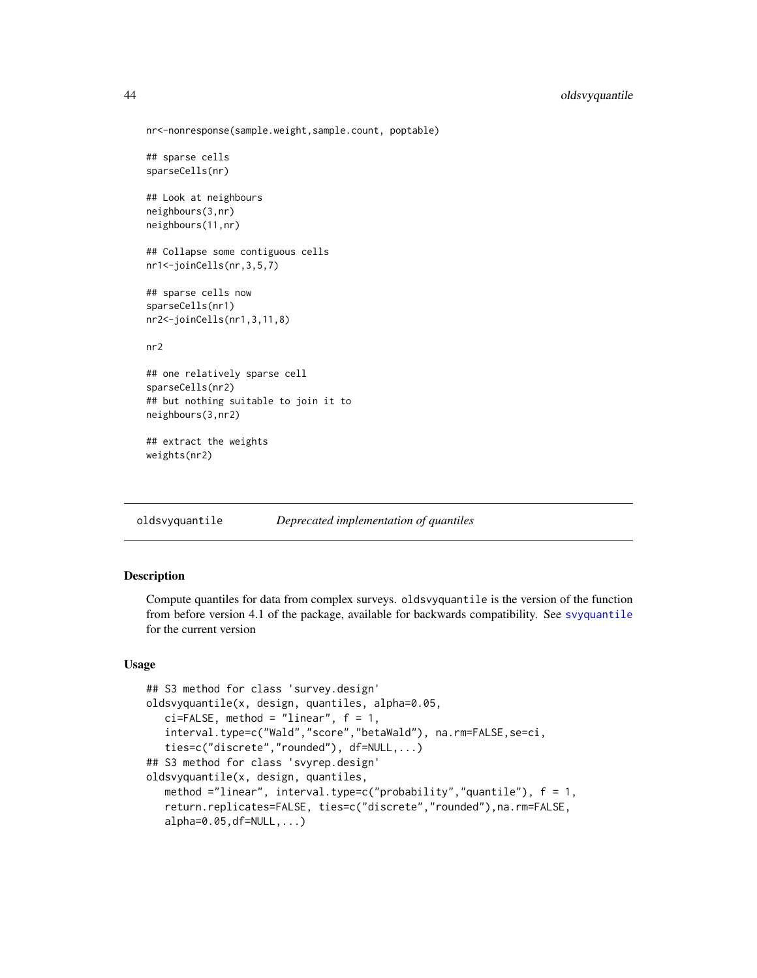```
nr<-nonresponse(sample.weight,sample.count, poptable)
## sparse cells
sparseCells(nr)
## Look at neighbours
neighbours(3,nr)
neighbours(11,nr)
## Collapse some contiguous cells
nr1<-joinCells(nr,3,5,7)
## sparse cells now
sparseCells(nr1)
nr2<-joinCells(nr1,3,11,8)
nr2
## one relatively sparse cell
sparseCells(nr2)
## but nothing suitable to join it to
neighbours(3,nr2)
## extract the weights
weights(nr2)
```
<span id="page-43-0"></span>oldsvyquantile *Deprecated implementation of quantiles*

## Description

Compute quantiles for data from complex surveys. oldsvyquantile is the version of the function from before version 4.1 of the package, available for backwards compatibility. See [svyquantile](#page-38-0) for the current version

# Usage

```
## S3 method for class 'survey.design'
oldsvyquantile(x, design, quantiles, alpha=0.05,
  ci = FALSE, method = "linear", f = 1,interval.type=c("Wald","score","betaWald"), na.rm=FALSE,se=ci,
   ties=c("discrete","rounded"), df=NULL,...)
## S3 method for class 'svyrep.design'
oldsvyquantile(x, design, quantiles,
   method ="linear", interval.type=c("probability","quantile"), f = 1,
   return.replicates=FALSE, ties=c("discrete","rounded"),na.rm=FALSE,
   alpha=0.05, df=NULL, ...)
```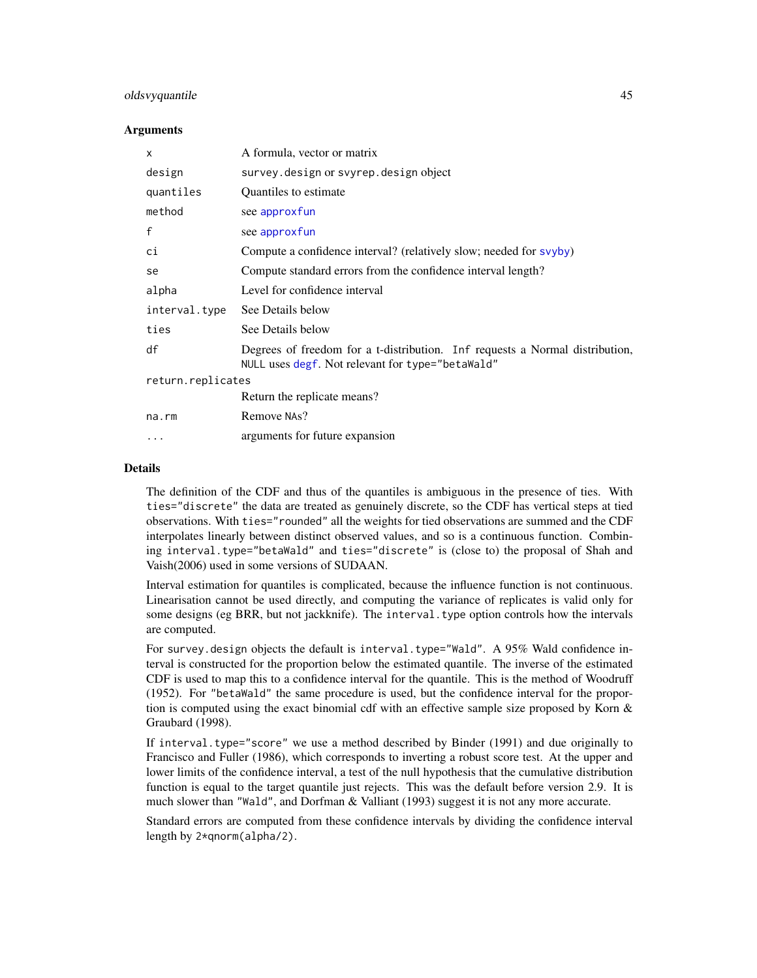# oldsvyquantile 45

#### **Arguments**

| $\mathsf{x}$      | A formula, vector or matrix                                                                                                      |
|-------------------|----------------------------------------------------------------------------------------------------------------------------------|
| design            | survey.design or svyrep.design object                                                                                            |
| quantiles         | Quantiles to estimate                                                                                                            |
| method            | see approxfun                                                                                                                    |
| $\mathsf{f}$      | see approxfun                                                                                                                    |
| сi                | Compute a confidence interval? (relatively slow; needed for svyby)                                                               |
| se                | Compute standard errors from the confidence interval length?                                                                     |
| alpha             | Level for confidence interval                                                                                                    |
| interval.type     | See Details below                                                                                                                |
| ties              | See Details below                                                                                                                |
| df                | Degrees of freedom for a t-distribution. Inf requests a Normal distribution,<br>NULL uses degf. Not relevant for type="betaWald" |
| return.replicates |                                                                                                                                  |
|                   | Return the replicate means?                                                                                                      |
| na.rm             | Remove NAs?                                                                                                                      |
| $\cdots$          | arguments for future expansion                                                                                                   |

# Details

The definition of the CDF and thus of the quantiles is ambiguous in the presence of ties. With ties="discrete" the data are treated as genuinely discrete, so the CDF has vertical steps at tied observations. With ties="rounded" all the weights for tied observations are summed and the CDF interpolates linearly between distinct observed values, and so is a continuous function. Combining interval.type="betaWald" and ties="discrete" is (close to) the proposal of Shah and Vaish(2006) used in some versions of SUDAAN.

Interval estimation for quantiles is complicated, because the influence function is not continuous. Linearisation cannot be used directly, and computing the variance of replicates is valid only for some designs (eg BRR, but not jackknife). The interval.type option controls how the intervals are computed.

For survey.design objects the default is interval.type="Wald". A 95% Wald confidence interval is constructed for the proportion below the estimated quantile. The inverse of the estimated CDF is used to map this to a confidence interval for the quantile. This is the method of Woodruff (1952). For "betaWald" the same procedure is used, but the confidence interval for the proportion is computed using the exact binomial cdf with an effective sample size proposed by Korn  $\&$ Graubard (1998).

If interval.type="score" we use a method described by Binder (1991) and due originally to Francisco and Fuller (1986), which corresponds to inverting a robust score test. At the upper and lower limits of the confidence interval, a test of the null hypothesis that the cumulative distribution function is equal to the target quantile just rejects. This was the default before version 2.9. It is much slower than "Wald", and Dorfman & Valliant (1993) suggest it is not any more accurate.

Standard errors are computed from these confidence intervals by dividing the confidence interval length by 2\*qnorm(alpha/2).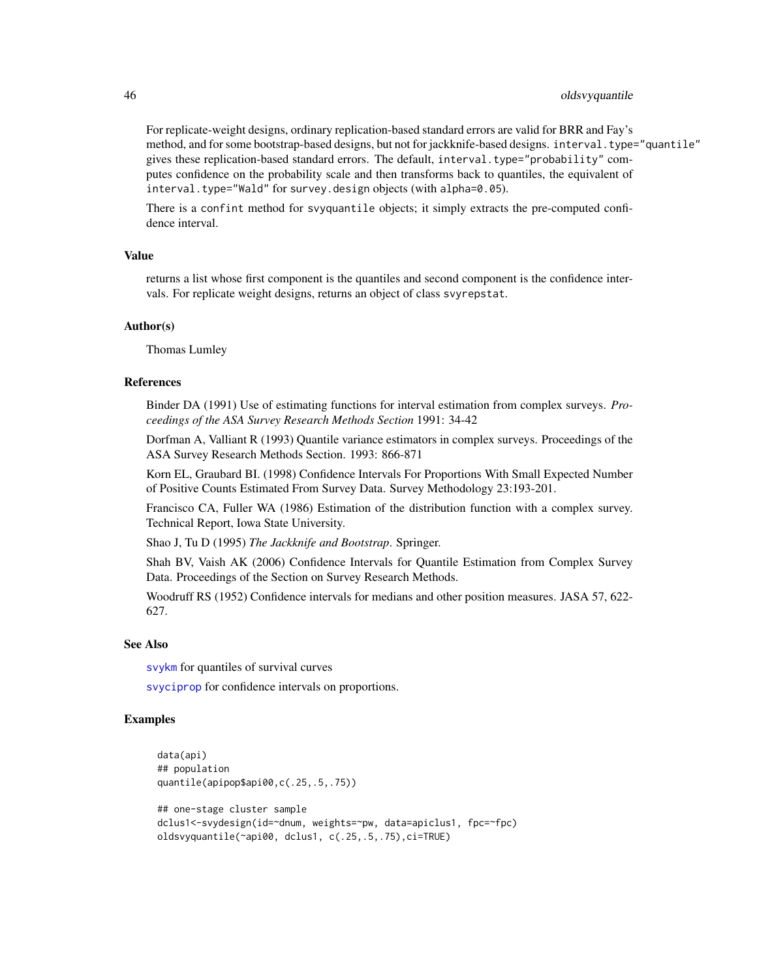## 46 oldsvyquantile

For replicate-weight designs, ordinary replication-based standard errors are valid for BRR and Fay's method, and for some bootstrap-based designs, but not for jackknife-based designs. interval.type="quantile" gives these replication-based standard errors. The default, interval.type="probability" computes confidence on the probability scale and then transforms back to quantiles, the equivalent of interval.type="Wald" for survey.design objects (with alpha=0.05).

There is a confint method for svyquantile objects; it simply extracts the pre-computed confidence interval.

#### Value

returns a list whose first component is the quantiles and second component is the confidence intervals. For replicate weight designs, returns an object of class svyrepstat.

#### Author(s)

Thomas Lumley

## References

Binder DA (1991) Use of estimating functions for interval estimation from complex surveys. *Proceedings of the ASA Survey Research Methods Section* 1991: 34-42

Dorfman A, Valliant R (1993) Quantile variance estimators in complex surveys. Proceedings of the ASA Survey Research Methods Section. 1993: 866-871

Korn EL, Graubard BI. (1998) Confidence Intervals For Proportions With Small Expected Number of Positive Counts Estimated From Survey Data. Survey Methodology 23:193-201.

Francisco CA, Fuller WA (1986) Estimation of the distribution function with a complex survey. Technical Report, Iowa State University.

Shao J, Tu D (1995) *The Jackknife and Bootstrap*. Springer.

Shah BV, Vaish AK (2006) Confidence Intervals for Quantile Estimation from Complex Survey Data. Proceedings of the Section on Survey Research Methods.

Woodruff RS (1952) Confidence intervals for medians and other position measures. JASA 57, 622- 627.

## See Also

[svykm](#page-98-0) for quantiles of survival curves

[svyciprop](#page-76-0) for confidence intervals on proportions.

## Examples

```
data(api)
## population
quantile(apipop$api00,c(.25,.5,.75))
## one-stage cluster sample
dclus1<-svydesign(id=~dnum, weights=~pw, data=apiclus1, fpc=~fpc)
oldsvyquantile(~api00, dclus1, c(.25,.5,.75),ci=TRUE)
```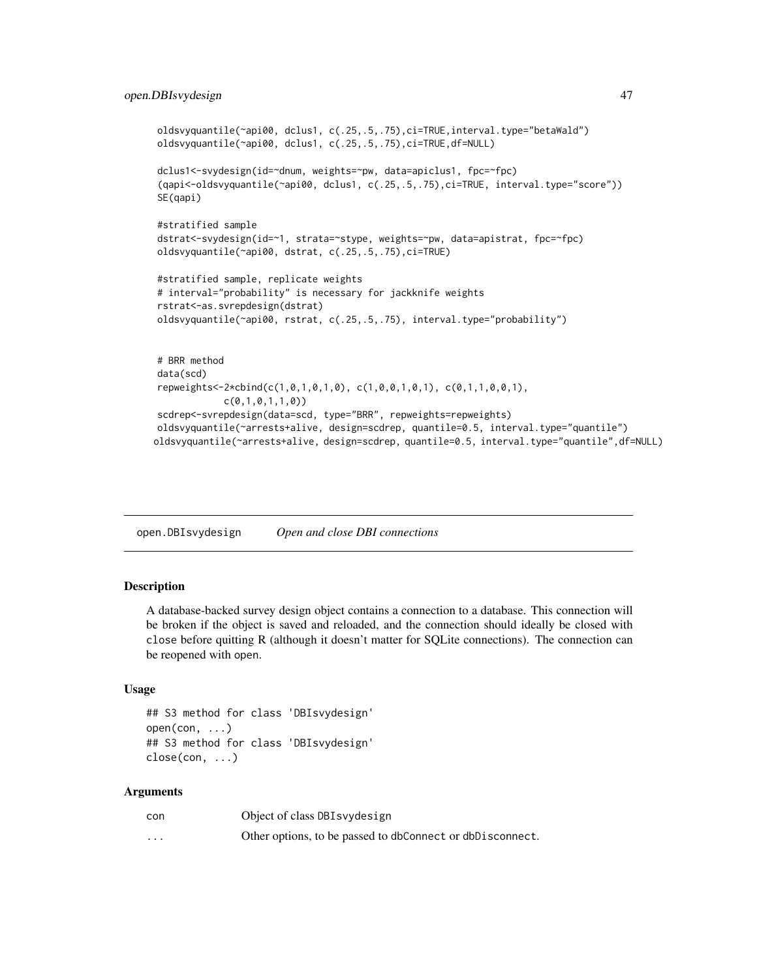```
oldsvyquantile(~api00, dclus1, c(.25,.5,.75),ci=TRUE,interval.type="betaWald")
oldsvyquantile(~api00, dclus1, c(.25,.5,.75),ci=TRUE,df=NULL)
dclus1<-svydesign(id=~dnum, weights=~pw, data=apiclus1, fpc=~fpc)
(qapi<-oldsvyquantile(~api00, dclus1, c(.25,.5,.75),ci=TRUE, interval.type="score"))
SE(qapi)
#stratified sample
dstrat<-svydesign(id=~1, strata=~stype, weights=~pw, data=apistrat, fpc=~fpc)
oldsvyquantile(~api00, dstrat, c(.25,.5,.75),ci=TRUE)
#stratified sample, replicate weights
# interval="probability" is necessary for jackknife weights
rstrat<-as.svrepdesign(dstrat)
oldsvyquantile(~api00, rstrat, c(.25,.5,.75), interval.type="probability")
# BRR method
data(scd)
repweights<-2*cbind(c(1,0,1,0,1,0), c(1,0,0,1,0,1), c(0,1,1,0,0,1),
            c(0,1,0,1,1,0))
scdrep<-svrepdesign(data=scd, type="BRR", repweights=repweights)
oldsvyquantile(~arrests+alive, design=scdrep, quantile=0.5, interval.type="quantile")
oldsvyquantile(~arrests+alive, design=scdrep, quantile=0.5, interval.type="quantile",df=NULL)
```
<span id="page-46-1"></span>open.DBIsvydesign *Open and close DBI connections*

## <span id="page-46-0"></span>Description

A database-backed survey design object contains a connection to a database. This connection will be broken if the object is saved and reloaded, and the connection should ideally be closed with close before quitting R (although it doesn't matter for SQLite connections). The connection can be reopened with open.

## Usage

```
## S3 method for class 'DBIsvydesign'
open(con, ...)
## S3 method for class 'DBIsvydesign'
close(con, ...)
```
#### Arguments

| con      | Object of class DBI svydesign                             |
|----------|-----------------------------------------------------------|
| $\cdots$ | Other options, to be passed to dbConnect or dbDisconnect. |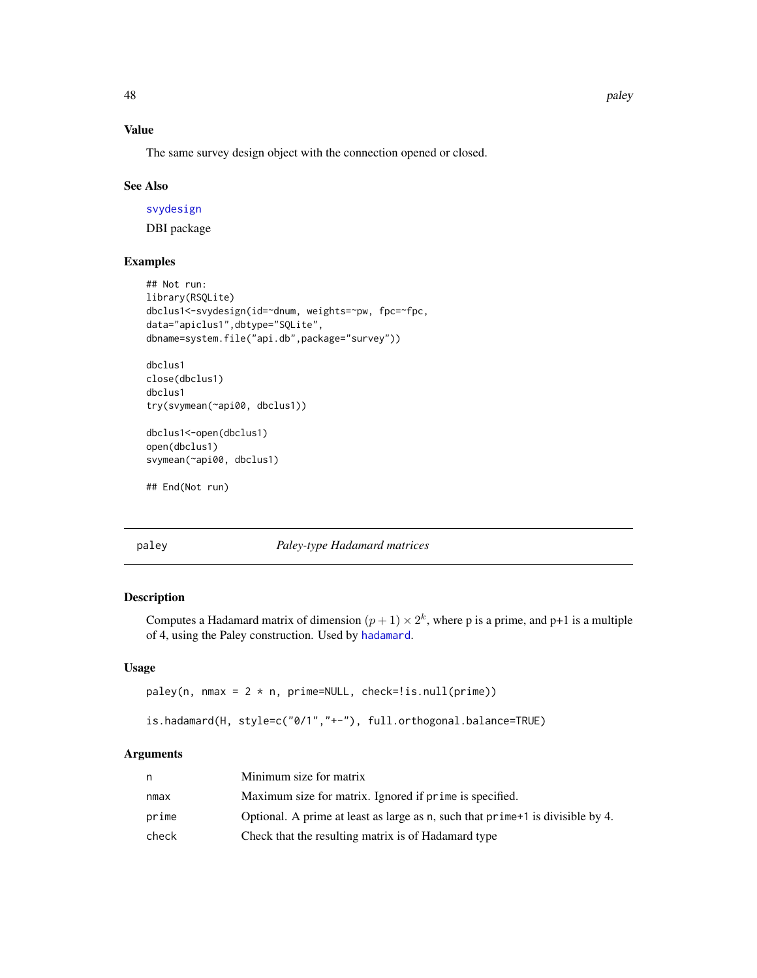# Value

The same survey design object with the connection opened or closed.

#### See Also

[svydesign](#page-86-0)

DBI package

## Examples

```
## Not run:
library(RSQLite)
dbclus1<-svydesign(id=~dnum, weights=~pw, fpc=~fpc,
data="apiclus1",dbtype="SQLite",
dbname=system.file("api.db",package="survey"))
dbclus1
close(dbclus1)
dbclus1
```
try(svymean(~api00, dbclus1))

dbclus1<-open(dbclus1) open(dbclus1) svymean(~api00, dbclus1)

## End(Not run)

## paley *Paley-type Hadamard matrices*

# Description

Computes a Hadamard matrix of dimension  $(p+1) \times 2^k$ , where p is a prime, and p+1 is a multiple of 4, using the Paley construction. Used by [hadamard](#page-31-0).

## Usage

paley(n, nmax = 2 \* n, prime=NULL, check=!is.null(prime))

is.hadamard(H, style=c("0/1","+-"), full.orthogonal.balance=TRUE)

# Arguments

| n     | Minimum size for matrix                                                         |
|-------|---------------------------------------------------------------------------------|
| nmax  | Maximum size for matrix. Ignored if prime is specified.                         |
| prime | Optional. A prime at least as large as n, such that prime +1 is divisible by 4. |
| check | Check that the resulting matrix is of Hadamard type                             |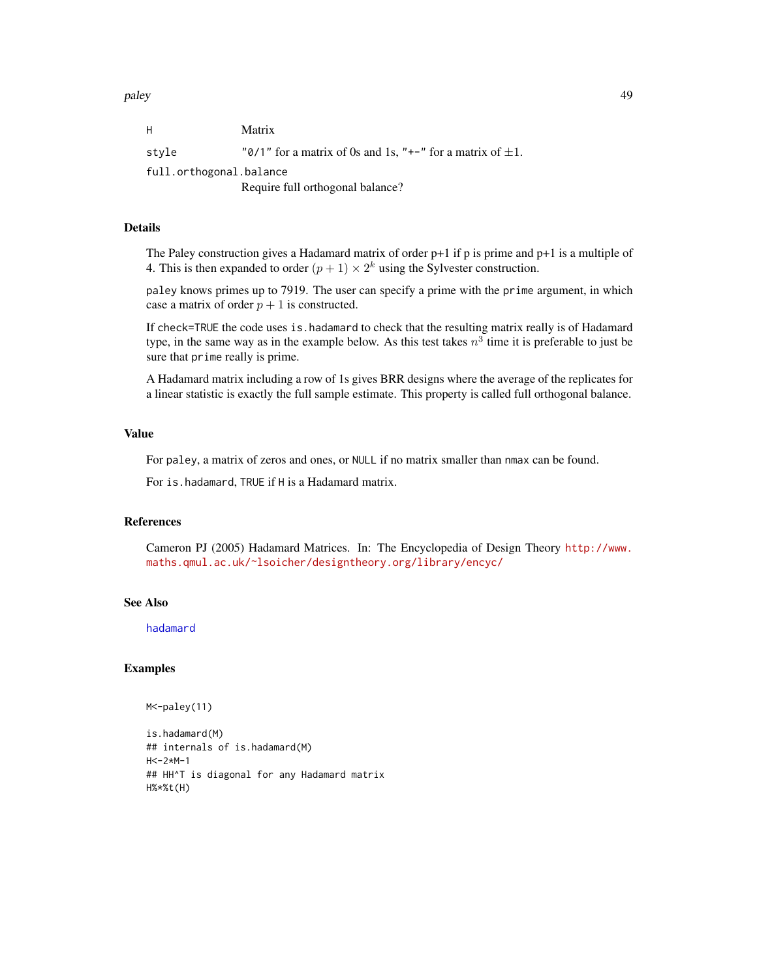paley the contract of the contract of the contract of the contract of the contract of the contract of the contract of the contract of the contract of the contract of the contract of the contract of the contract of the cont

| H                       | Matrix                                                          |
|-------------------------|-----------------------------------------------------------------|
| style                   | "0/1" for a matrix of 0s and 1s, "+-" for a matrix of $\pm 1$ . |
| full.orthogonal.balance |                                                                 |
|                         | Require full orthogonal balance?                                |

## Details

The Paley construction gives a Hadamard matrix of order  $p+1$  if p is prime and  $p+1$  is a multiple of 4. This is then expanded to order  $(p+1) \times 2^k$  using the Sylvester construction.

paley knows primes up to 7919. The user can specify a prime with the prime argument, in which case a matrix of order  $p + 1$  is constructed.

If check=TRUE the code uses is.hadamard to check that the resulting matrix really is of Hadamard type, in the same way as in the example below. As this test takes  $n^3$  time it is preferable to just be sure that prime really is prime.

A Hadamard matrix including a row of 1s gives BRR designs where the average of the replicates for a linear statistic is exactly the full sample estimate. This property is called full orthogonal balance.

# Value

For paley, a matrix of zeros and ones, or NULL if no matrix smaller than nmax can be found.

For is.hadamard, TRUE if H is a Hadamard matrix.

# References

Cameron PJ (2005) Hadamard Matrices. In: The Encyclopedia of Design Theory [http://www.](http://www.maths.qmul.ac.uk/~lsoicher/designtheory.org/library/encyc/) [maths.qmul.ac.uk/~lsoicher/designtheory.org/library/encyc/](http://www.maths.qmul.ac.uk/~lsoicher/designtheory.org/library/encyc/)

## See Also

[hadamard](#page-31-0)

#### Examples

```
M<-paley(11)
```
is.hadamard(M) ## internals of is.hadamard(M)  $H < -2*M - 1$ ## HH^T is diagonal for any Hadamard matrix H%\*%t(H)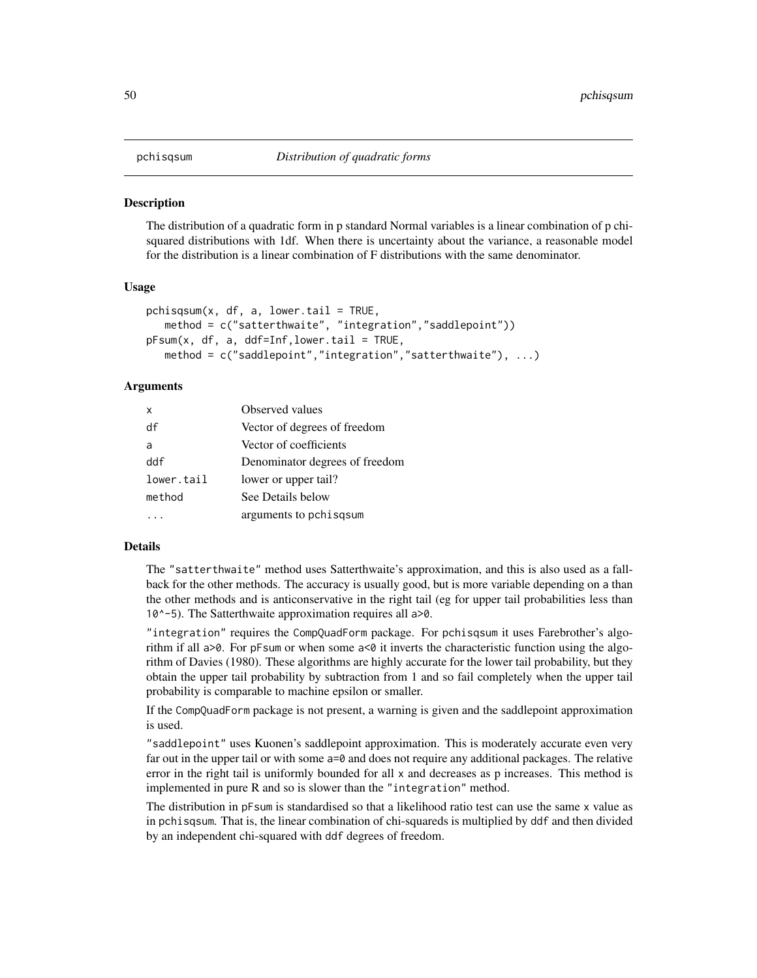## <span id="page-49-0"></span>**Description**

The distribution of a quadratic form in p standard Normal variables is a linear combination of p chisquared distributions with 1df. When there is uncertainty about the variance, a reasonable model for the distribution is a linear combination of F distributions with the same denominator.

#### Usage

```
pchisqsum(x, df, a, lower.tail = TRUE,method = c("satterthwaite", "integration","saddlepoint"))
pFsum(x, df, a, ddf=Inf,lower.tail = TRUE,
   method = c("saddlepoint","integration","satterthwaite"), ...)
```
# Arguments

| x          | Observed values                |
|------------|--------------------------------|
| df         | Vector of degrees of freedom   |
| a          | Vector of coefficients         |
| ddf        | Denominator degrees of freedom |
| lower.tail | lower or upper tail?           |
| method     | See Details below              |
|            | arguments to pchisqsum         |

#### Details

The "satterthwaite" method uses Satterthwaite's approximation, and this is also used as a fallback for the other methods. The accuracy is usually good, but is more variable depending on a than the other methods and is anticonservative in the right tail (eg for upper tail probabilities less than 10^-5). The Satterthwaite approximation requires all a>0.

"integration" requires the CompQuadForm package. For pchisqsum it uses Farebrother's algorithm if all a>0. For pFsum or when some a<0 it inverts the characteristic function using the algorithm of Davies (1980). These algorithms are highly accurate for the lower tail probability, but they obtain the upper tail probability by subtraction from 1 and so fail completely when the upper tail probability is comparable to machine epsilon or smaller.

If the CompQuadForm package is not present, a warning is given and the saddlepoint approximation is used.

"saddlepoint" uses Kuonen's saddlepoint approximation. This is moderately accurate even very far out in the upper tail or with some a=0 and does not require any additional packages. The relative error in the right tail is uniformly bounded for all x and decreases as p increases. This method is implemented in pure R and so is slower than the "integration" method.

The distribution in pFsum is standardised so that a likelihood ratio test can use the same x value as in pchisqsum. That is, the linear combination of chi-squareds is multiplied by ddf and then divided by an independent chi-squared with ddf degrees of freedom.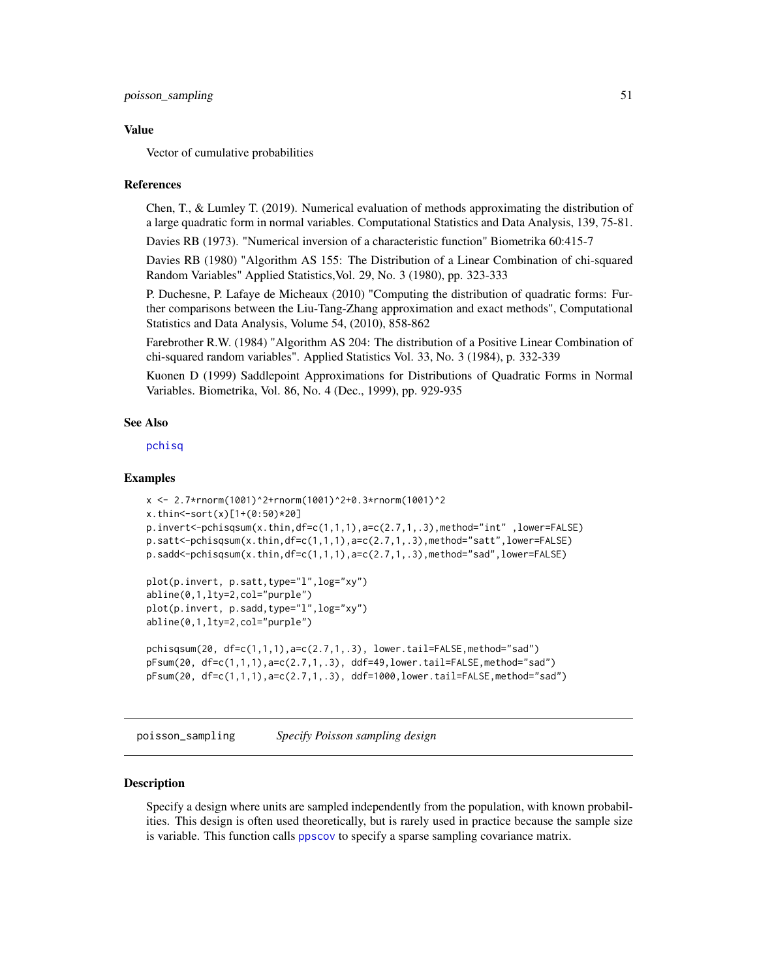#### Value

Vector of cumulative probabilities

#### References

Chen, T., & Lumley T. (2019). Numerical evaluation of methods approximating the distribution of a large quadratic form in normal variables. Computational Statistics and Data Analysis, 139, 75-81.

Davies RB (1973). "Numerical inversion of a characteristic function" Biometrika 60:415-7

Davies RB (1980) "Algorithm AS 155: The Distribution of a Linear Combination of chi-squared Random Variables" Applied Statistics,Vol. 29, No. 3 (1980), pp. 323-333

P. Duchesne, P. Lafaye de Micheaux (2010) "Computing the distribution of quadratic forms: Further comparisons between the Liu-Tang-Zhang approximation and exact methods", Computational Statistics and Data Analysis, Volume 54, (2010), 858-862

Farebrother R.W. (1984) "Algorithm AS 204: The distribution of a Positive Linear Combination of chi-squared random variables". Applied Statistics Vol. 33, No. 3 (1984), p. 332-339

Kuonen D (1999) Saddlepoint Approximations for Distributions of Quadratic Forms in Normal Variables. Biometrika, Vol. 86, No. 4 (Dec., 1999), pp. 929-935

## See Also

[pchisq](#page-0-0)

## Examples

```
x <- 2.7*rnorm(1001)^2+rnorm(1001)^2+0.3*rnorm(1001)^2
x.thin<-sort(x)[1+(0:50)*20]
p.invert<-pchisqsum(x.thin,df=c(1,1,1),a=c(2.7,1,.3),method="int" ,lower=FALSE)
p.satt<-pchisqsum(x.thin,df=c(1,1,1),a=c(2.7,1,.3),method="satt",lower=FALSE)
p.sadd < -pchisqsum(x.thin,df=c(1,1,1),a=c(2.7,1,.3)), method="sad", lower=FALSE)
plot(p.invert, p.satt,type="l",log="xy")
```

```
abline(0,1,lty=2,col="purple")
plot(p.invert, p.sadd,type="l",log="xy")
abline(0,1,lty=2,col="purple")
```

```
pchisqsum(20, df=c(1,1,1),a=c(2.7,1,.3), lower.tail=FALSE,method="sad")
pFsum(20, df=c(1,1,1),a=c(2.7,1,.3), ddf=49,lower.tail=FALSE,method="sad")
pFsum(20, df=c(1,1,1),a=c(2.7,1,.3), ddf=1000,lower.tail=FALSE,method="sad")
```
poisson\_sampling *Specify Poisson sampling design*

## **Description**

Specify a design where units are sampled independently from the population, with known probabilities. This design is often used theoretically, but is rarely used in practice because the sample size is variable. This function calls [ppscov](#page-34-0) to specify a sparse sampling covariance matrix.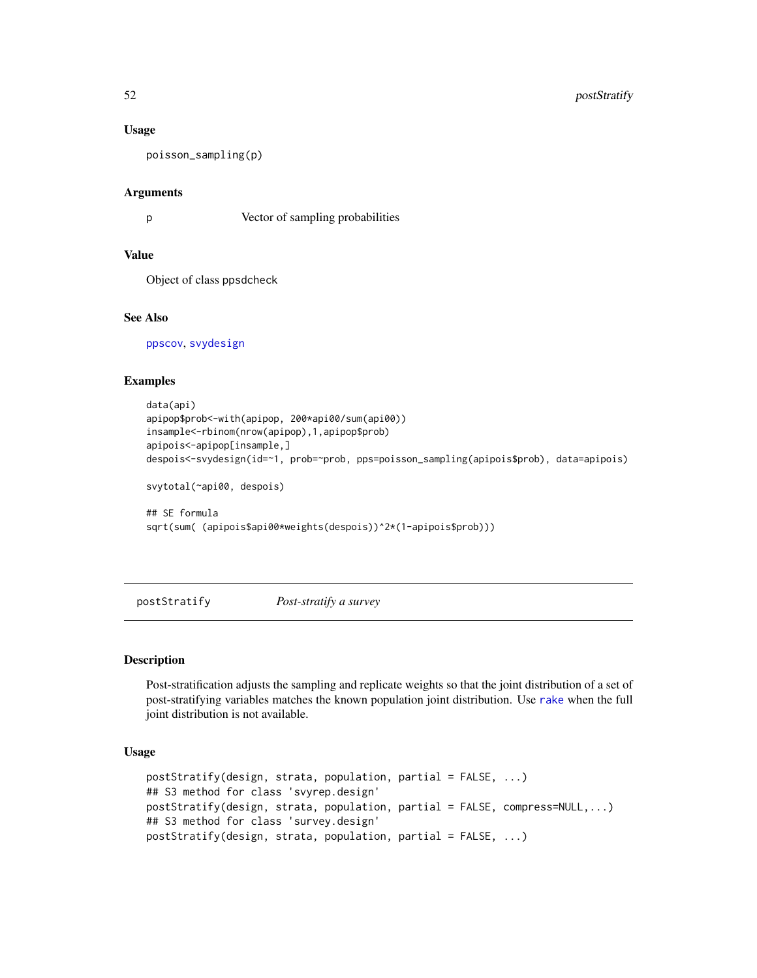#### Usage

poisson\_sampling(p)

#### Arguments

p Vector of sampling probabilities

# Value

Object of class ppsdcheck

# See Also

[ppscov](#page-34-0), [svydesign](#page-86-0)

## Examples

```
data(api)
apipop$prob<-with(apipop, 200*api00/sum(api00))
insample<-rbinom(nrow(apipop),1,apipop$prob)
apipois<-apipop[insample,]
despois<-svydesign(id=~1, prob=~prob, pps=poisson_sampling(apipois$prob), data=apipois)
svytotal(~api00, despois)
## SE formula
sqrt(sum( (apipois$api00*weights(despois))^2*(1-apipois$prob)))
```
<span id="page-51-0"></span>postStratify *Post-stratify a survey*

# Description

Post-stratification adjusts the sampling and replicate weights so that the joint distribution of a set of post-stratifying variables matches the known population joint distribution. Use [rake](#page-54-0) when the full joint distribution is not available.

#### Usage

```
postStratify(design, strata, population, partial = FALSE, ...)
## S3 method for class 'svyrep.design'
postStratify(design, strata, population, partial = FALSE, compress=NULL,...)
## S3 method for class 'survey.design'
postStratify(design, strata, population, partial = FALSE, ...)
```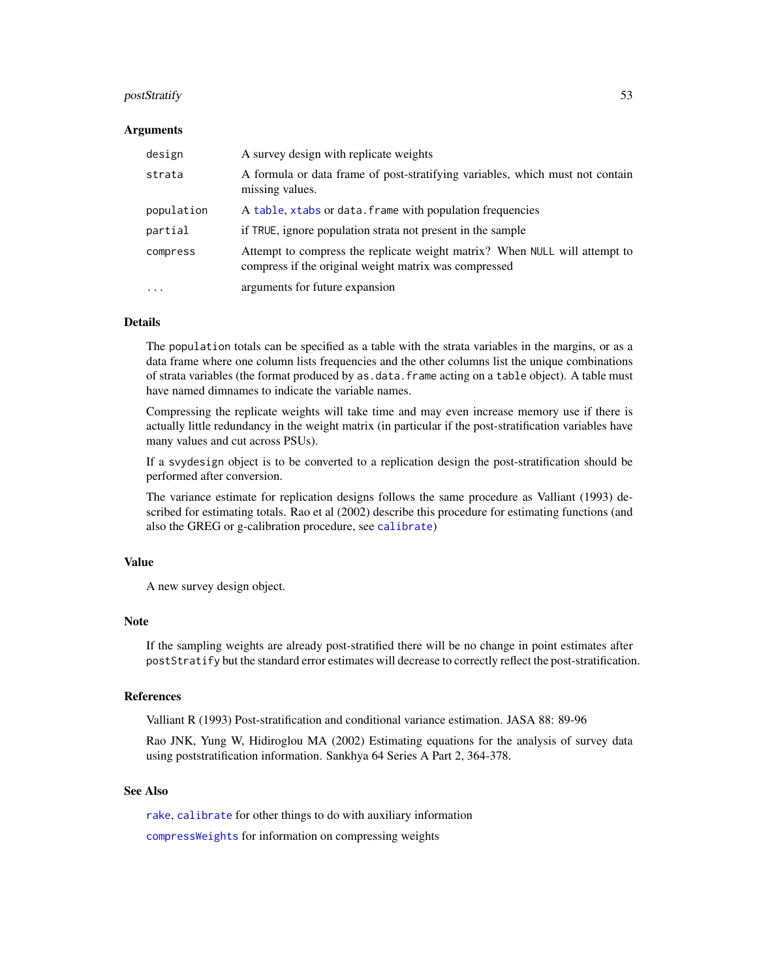## postStratify 53

#### Arguments

| design     | A survey design with replicate weights                                                                                              |
|------------|-------------------------------------------------------------------------------------------------------------------------------------|
| strata     | A formula or data frame of post-stratifying variables, which must not contain<br>missing values.                                    |
| population | A table, xtabs or data. frame with population frequencies                                                                           |
| partial    | if TRUE, ignore population strata not present in the sample                                                                         |
| compress   | Attempt to compress the replicate weight matrix? When NULL will attempt to<br>compress if the original weight matrix was compressed |
| $\ddotsc$  | arguments for future expansion                                                                                                      |

## Details

The population totals can be specified as a table with the strata variables in the margins, or as a data frame where one column lists frequencies and the other columns list the unique combinations of strata variables (the format produced by as.data.frame acting on a table object). A table must have named dimnames to indicate the variable names.

Compressing the replicate weights will take time and may even increase memory use if there is actually little redundancy in the weight matrix (in particular if the post-stratification variables have many values and cut across PSUs).

If a svydesign object is to be converted to a replication design the post-stratification should be performed after conversion.

The variance estimate for replication designs follows the same procedure as Valliant (1993) described for estimating totals. Rao et al (2002) describe this procedure for estimating functions (and also the GREG or g-calibration procedure, see [calibrate](#page-16-0))

#### Value

A new survey design object.

#### **Note**

If the sampling weights are already post-stratified there will be no change in point estimates after postStratify but the standard error estimates will decrease to correctly reflect the post-stratification.

#### References

Valliant R (1993) Post-stratification and conditional variance estimation. JASA 88: 89-96

Rao JNK, Yung W, Hidiroglou MA (2002) Estimating equations for the analysis of survey data using poststratification information. Sankhya 64 Series A Part 2, 364-378.

# See Also

[rake](#page-54-0), [calibrate](#page-16-0) for other things to do with auxiliary information [compressWeights](#page-22-0) for information on compressing weights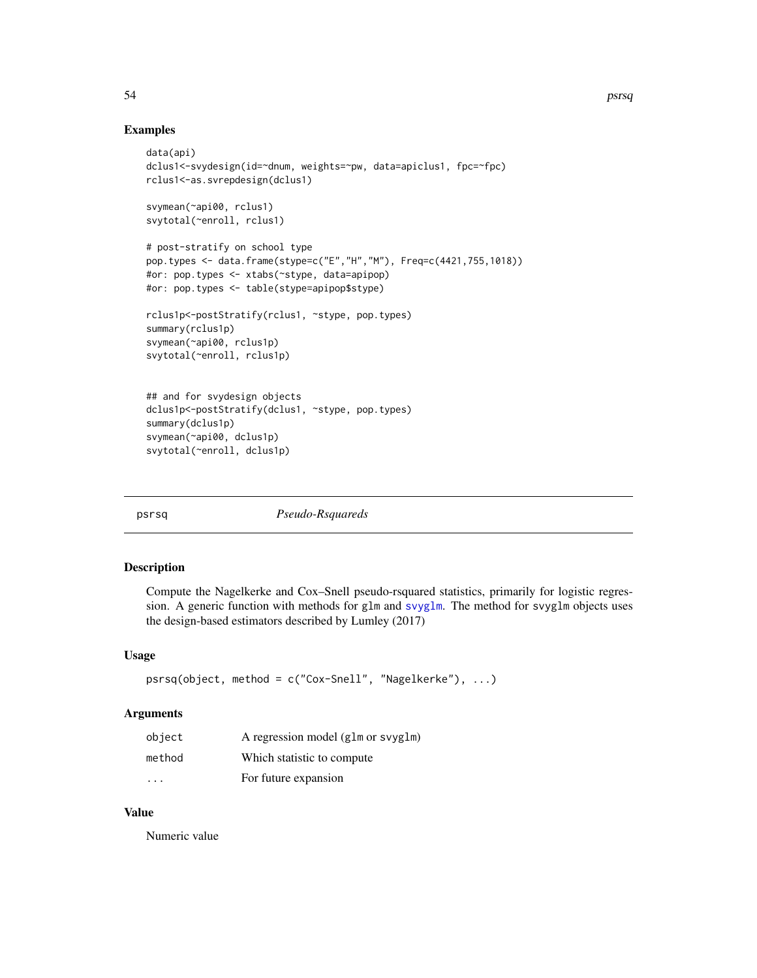## Examples

```
data(api)
dclus1<-svydesign(id=~dnum, weights=~pw, data=apiclus1, fpc=~fpc)
rclus1<-as.svrepdesign(dclus1)
svymean(~api00, rclus1)
svytotal(~enroll, rclus1)
# post-stratify on school type
pop.types <- data.frame(stype=c("E","H","M"), Freq=c(4421,755,1018))
#or: pop.types <- xtabs(~stype, data=apipop)
#or: pop.types <- table(stype=apipop$stype)
rclus1p<-postStratify(rclus1, ~stype, pop.types)
summary(rclus1p)
svymean(~api00, rclus1p)
svytotal(~enroll, rclus1p)
## and for svydesign objects
dclus1p<-postStratify(dclus1, ~stype, pop.types)
summary(dclus1p)
svymean(~api00, dclus1p)
svytotal(~enroll, dclus1p)
```
psrsq *Pseudo-Rsquareds*

#### Description

Compute the Nagelkerke and Cox–Snell pseudo-rsquared statistics, primarily for logistic regression. A generic function with methods for glm and [svyglm](#page-90-0). The method for svyglm objects uses the design-based estimators described by Lumley (2017)

#### Usage

```
psrsq(object, method = c("Cox-Snell", "Nagelkerke"), ...)
```
#### Arguments

| object                  | A regression model (glm or svyglm) |
|-------------------------|------------------------------------|
| method                  | Which statistic to compute.        |
| $\cdot$ $\cdot$ $\cdot$ | For future expansion               |

# Value

Numeric value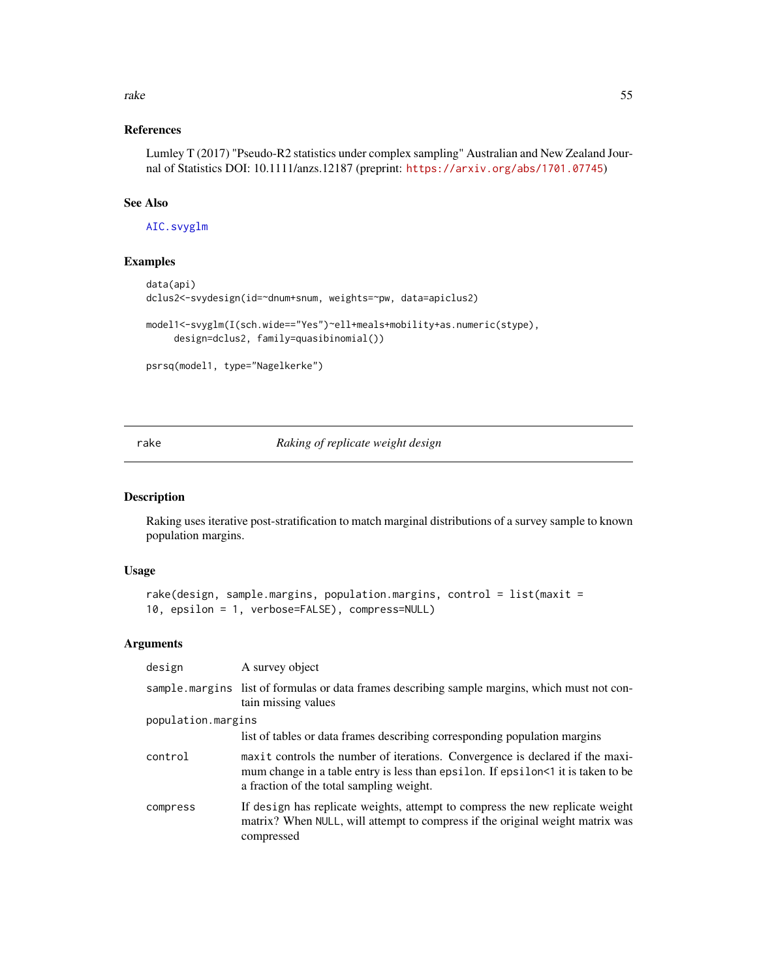#### rake 55

# References

Lumley T (2017) "Pseudo-R2 statistics under complex sampling" Australian and New Zealand Journal of Statistics DOI: 10.1111/anzs.12187 (preprint: <https://arxiv.org/abs/1701.07745>)

# See Also

[AIC.svyglm](#page-2-0)

# Examples

```
data(api)
dclus2<-svydesign(id=~dnum+snum, weights=~pw, data=apiclus2)
model1<-svyglm(I(sch.wide=="Yes")~ell+meals+mobility+as.numeric(stype),
     design=dclus2, family=quasibinomial())
```

```
psrsq(model1, type="Nagelkerke")
```
<span id="page-54-0"></span>rake *Raking of replicate weight design*

# Description

Raking uses iterative post-stratification to match marginal distributions of a survey sample to known population margins.

## Usage

```
rake(design, sample.margins, population.margins, control = list(maxit =
10, epsilon = 1, verbose=FALSE), compress=NULL)
```
## Arguments

| design             | A survey object                                                                                                                                                                                               |
|--------------------|---------------------------------------------------------------------------------------------------------------------------------------------------------------------------------------------------------------|
|                    | sample margins list of formulas or data frames describing sample margins, which must not con-<br>tain missing values                                                                                          |
| population.margins |                                                                                                                                                                                                               |
|                    | list of tables or data frames describing corresponding population margins                                                                                                                                     |
| control            | maxit controls the number of iterations. Convergence is declared if the maxi-<br>mum change in a table entry is less than epsilon. If epsilon<1 it is taken to be<br>a fraction of the total sampling weight. |
| compress           | If design has replicate weights, attempt to compress the new replicate weight<br>matrix? When NULL, will attempt to compress if the original weight matrix was<br>compressed                                  |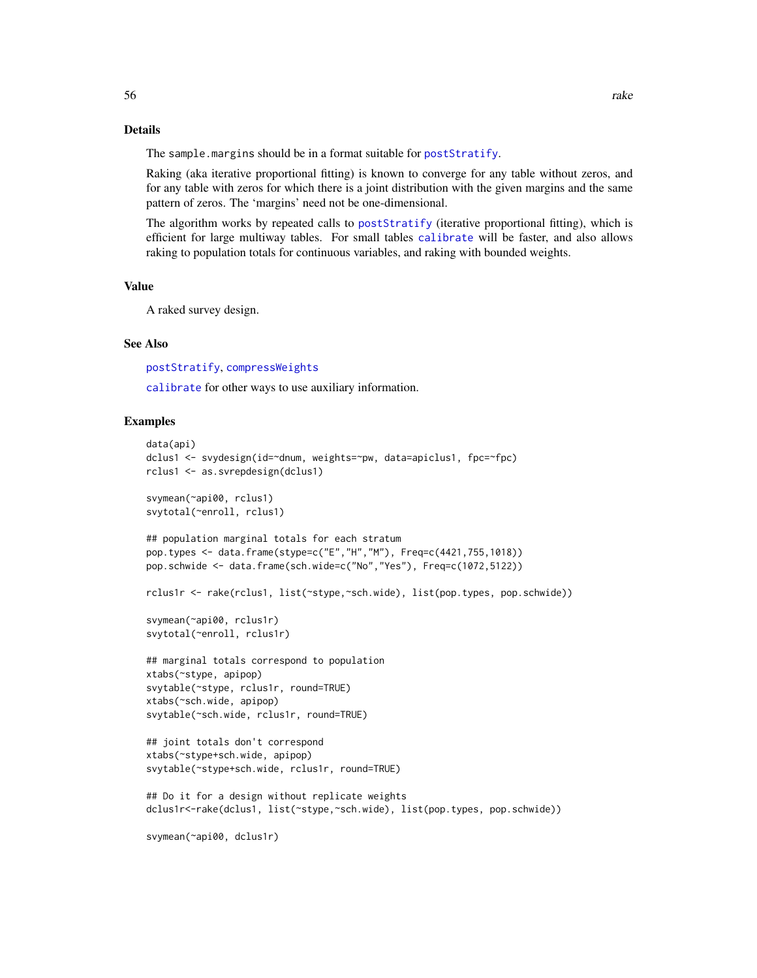#### Details

The sample.margins should be in a format suitable for [postStratify](#page-51-0).

Raking (aka iterative proportional fitting) is known to converge for any table without zeros, and for any table with zeros for which there is a joint distribution with the given margins and the same pattern of zeros. The 'margins' need not be one-dimensional.

The algorithm works by repeated calls to [postStratify](#page-51-0) (iterative proportional fitting), which is efficient for large multiway tables. For small tables [calibrate](#page-16-0) will be faster, and also allows raking to population totals for continuous variables, and raking with bounded weights.

## Value

A raked survey design.

## See Also

[postStratify](#page-51-0), [compressWeights](#page-22-0)

[calibrate](#page-16-0) for other ways to use auxiliary information.

## Examples

```
data(api)
dclus1 <- svydesign(id=~dnum, weights=~pw, data=apiclus1, fpc=~fpc)
rclus1 <- as.svrepdesign(dclus1)
svymean(~api00, rclus1)
svytotal(~enroll, rclus1)
## population marginal totals for each stratum
pop.types <- data.frame(stype=c("E","H","M"), Freq=c(4421,755,1018))
pop.schwide <- data.frame(sch.wide=c("No","Yes"), Freq=c(1072,5122))
rclus1r <- rake(rclus1, list(~stype,~sch.wide), list(pop.types, pop.schwide))
svymean(~api00, rclus1r)
svytotal(~enroll, rclus1r)
## marginal totals correspond to population
xtabs(~stype, apipop)
svytable(~stype, rclus1r, round=TRUE)
xtabs(~sch.wide, apipop)
svytable(~sch.wide, rclus1r, round=TRUE)
## joint totals don't correspond
xtabs(~stype+sch.wide, apipop)
svytable(~stype+sch.wide, rclus1r, round=TRUE)
## Do it for a design without replicate weights
dclus1r<-rake(dclus1, list(~stype,~sch.wide), list(pop.types, pop.schwide))
svymean(~api00, dclus1r)
```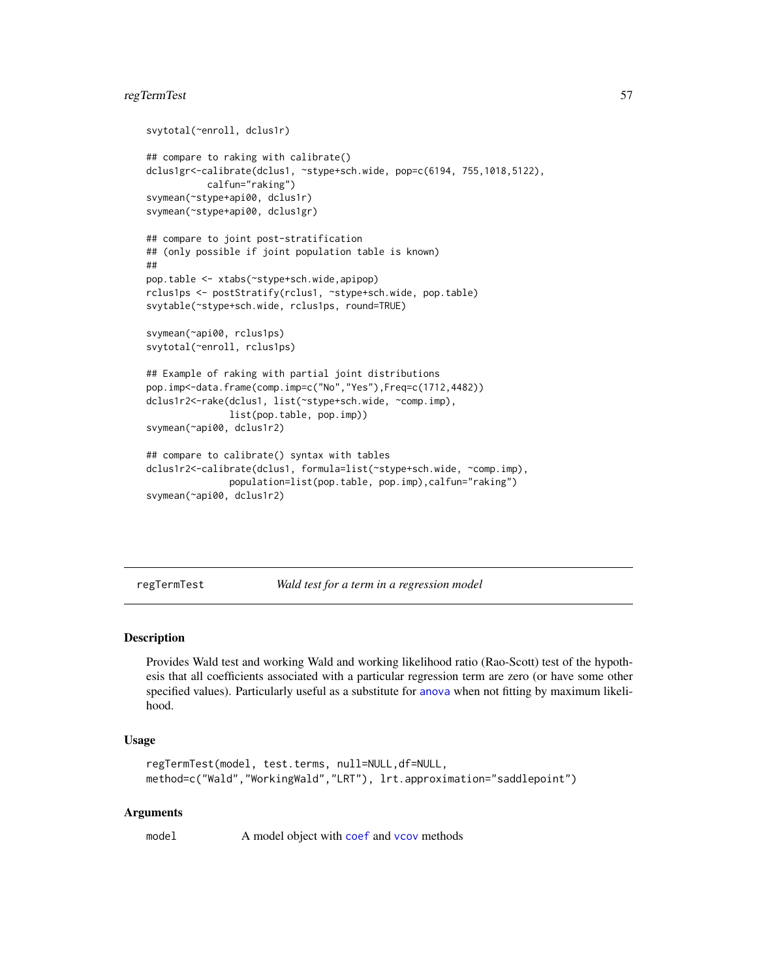# regTermTest 57

```
svytotal(~enroll, dclus1r)
## compare to raking with calibrate()
dclus1gr<-calibrate(dclus1, ~stype+sch.wide, pop=c(6194, 755,1018,5122),
           calfun="raking")
svymean(~stype+api00, dclus1r)
svymean(~stype+api00, dclus1gr)
## compare to joint post-stratification
## (only possible if joint population table is known)
##
pop.table <- xtabs(~stype+sch.wide,apipop)
rclus1ps <- postStratify(rclus1, ~stype+sch.wide, pop.table)
svytable(~stype+sch.wide, rclus1ps, round=TRUE)
svymean(~api00, rclus1ps)
svytotal(~enroll, rclus1ps)
## Example of raking with partial joint distributions
pop.imp<-data.frame(comp.imp=c("No","Yes"),Freq=c(1712,4482))
dclus1r2<-rake(dclus1, list(~stype+sch.wide, ~comp.imp),
               list(pop.table, pop.imp))
svymean(~api00, dclus1r2)
## compare to calibrate() syntax with tables
dclus1r2<-calibrate(dclus1, formula=list(~stype+sch.wide, ~comp.imp),
               population=list(pop.table, pop.imp),calfun="raking")
svymean(~api00, dclus1r2)
```
regTermTest *Wald test for a term in a regression model*

#### Description

Provides Wald test and working Wald and working likelihood ratio (Rao-Scott) test of the hypothesis that all coefficients associated with a particular regression term are zero (or have some other specified values). Particularly useful as a substitute for [anova](#page-0-0) when not fitting by maximum likelihood.

## Usage

```
regTermTest(model, test.terms, null=NULL,df=NULL,
method=c("Wald","WorkingWald","LRT"), lrt.approximation="saddlepoint")
```
## Arguments

model A model object with [coef](#page-0-0) and [vcov](#page-0-0) methods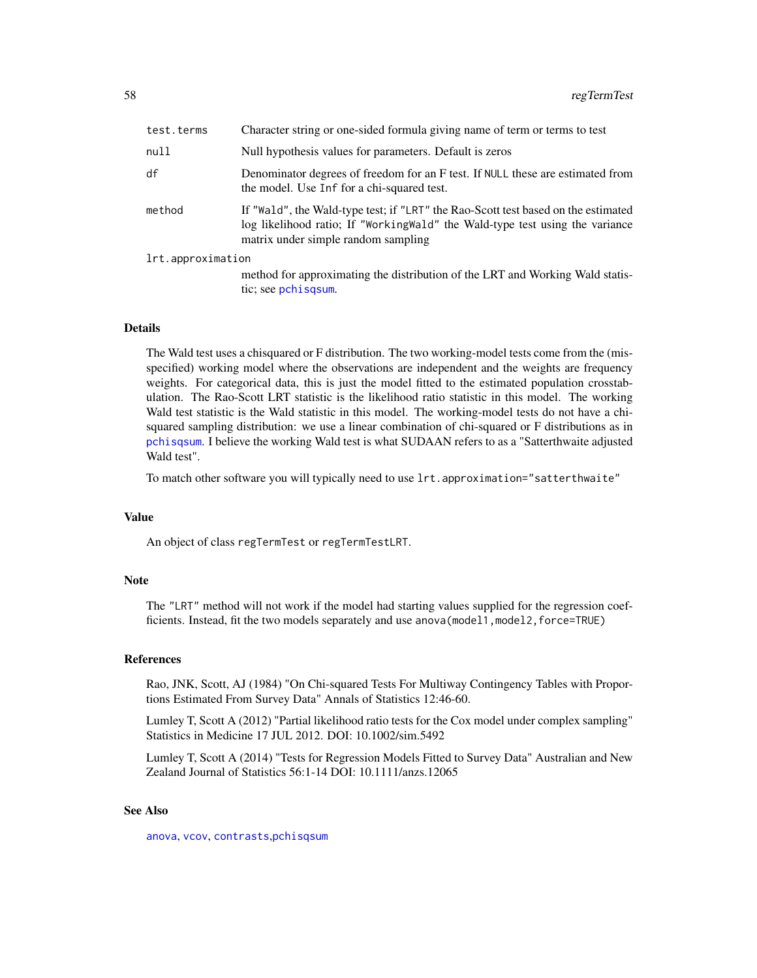| test.terms        | Character string or one-sided formula giving name of term or terms to test                                                                                                                               |  |
|-------------------|----------------------------------------------------------------------------------------------------------------------------------------------------------------------------------------------------------|--|
| null              | Null hypothesis values for parameters. Default is zeros                                                                                                                                                  |  |
| df                | Denominator degrees of freedom for an F test. If NULL these are estimated from<br>the model. Use Inf for a chi-squared test.                                                                             |  |
| method            | If "Wald", the Wald-type test; if "LRT" the Rao-Scott test based on the estimated<br>log likelihood ratio; If "WorkingWald" the Wald-type test using the variance<br>matrix under simple random sampling |  |
| lrt.approximation |                                                                                                                                                                                                          |  |
|                   | method for approximating the distribution of the LRT and Working Wald statis-<br>tic; see pchisqsum.                                                                                                     |  |

#### Details

The Wald test uses a chisquared or F distribution. The two working-model tests come from the (misspecified) working model where the observations are independent and the weights are frequency weights. For categorical data, this is just the model fitted to the estimated population crosstabulation. The Rao-Scott LRT statistic is the likelihood ratio statistic in this model. The working Wald test statistic is the Wald statistic in this model. The working-model tests do not have a chisquared sampling distribution: we use a linear combination of chi-squared or F distributions as in [pchisqsum](#page-49-0). I believe the working Wald test is what SUDAAN refers to as a "Satterthwaite adjusted Wald test".

To match other software you will typically need to use lrt.approximation="satterthwaite"

#### Value

An object of class regTermTest or regTermTestLRT.

#### **Note**

The "LRT" method will not work if the model had starting values supplied for the regression coefficients. Instead, fit the two models separately and use anova (model1, model2, force=TRUE)

# References

Rao, JNK, Scott, AJ (1984) "On Chi-squared Tests For Multiway Contingency Tables with Proportions Estimated From Survey Data" Annals of Statistics 12:46-60.

Lumley T, Scott A (2012) "Partial likelihood ratio tests for the Cox model under complex sampling" Statistics in Medicine 17 JUL 2012. DOI: 10.1002/sim.5492

Lumley T, Scott A (2014) "Tests for Regression Models Fitted to Survey Data" Australian and New Zealand Journal of Statistics 56:1-14 DOI: 10.1111/anzs.12065

## See Also

[anova](#page-0-0), [vcov](#page-0-0), [contrasts](#page-0-0),[pchisqsum](#page-49-0)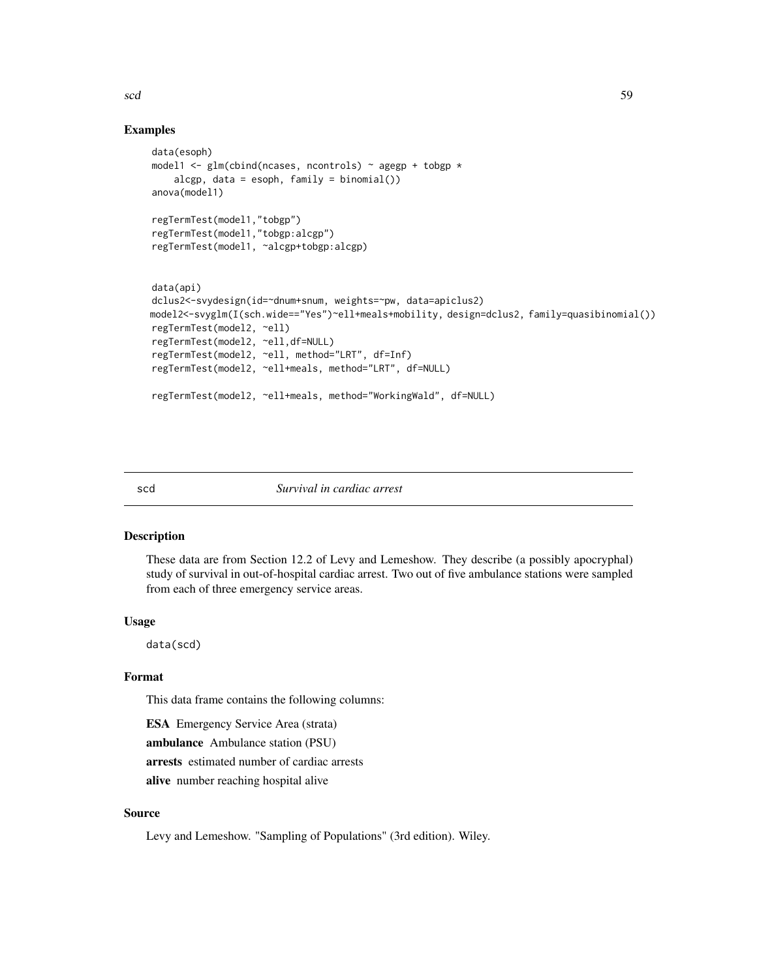# Examples

```
data(esoph)
model1 <- glm(clnclncln (ncases, ncontrols) ~ agegp + tobgp *
    alcgp, data = esoph, family = binomial()anova(model1)
regTermTest(model1,"tobgp")
regTermTest(model1,"tobgp:alcgp")
regTermTest(model1, ~alcgp+tobgp:alcgp)
data(api)
dclus2<-svydesign(id=~dnum+snum, weights=~pw, data=apiclus2)
model2<-svyglm(I(sch.wide=="Yes")~ell+meals+mobility, design=dclus2, family=quasibinomial())
regTermTest(model2, ~ell)
regTermTest(model2, ~ell,df=NULL)
regTermTest(model2, ~ell, method="LRT", df=Inf)
regTermTest(model2, ~ell+meals, method="LRT", df=NULL)
regTermTest(model2, ~ell+meals, method="WorkingWald", df=NULL)
```
#### scd *Survival in cardiac arrest*

# Description

These data are from Section 12.2 of Levy and Lemeshow. They describe (a possibly apocryphal) study of survival in out-of-hospital cardiac arrest. Two out of five ambulance stations were sampled from each of three emergency service areas.

#### Usage

data(scd)

## Format

This data frame contains the following columns:

ESA Emergency Service Area (strata)

ambulance Ambulance station (PSU)

arrests estimated number of cardiac arrests

alive number reaching hospital alive

# Source

Levy and Lemeshow. "Sampling of Populations" (3rd edition). Wiley.

scd 59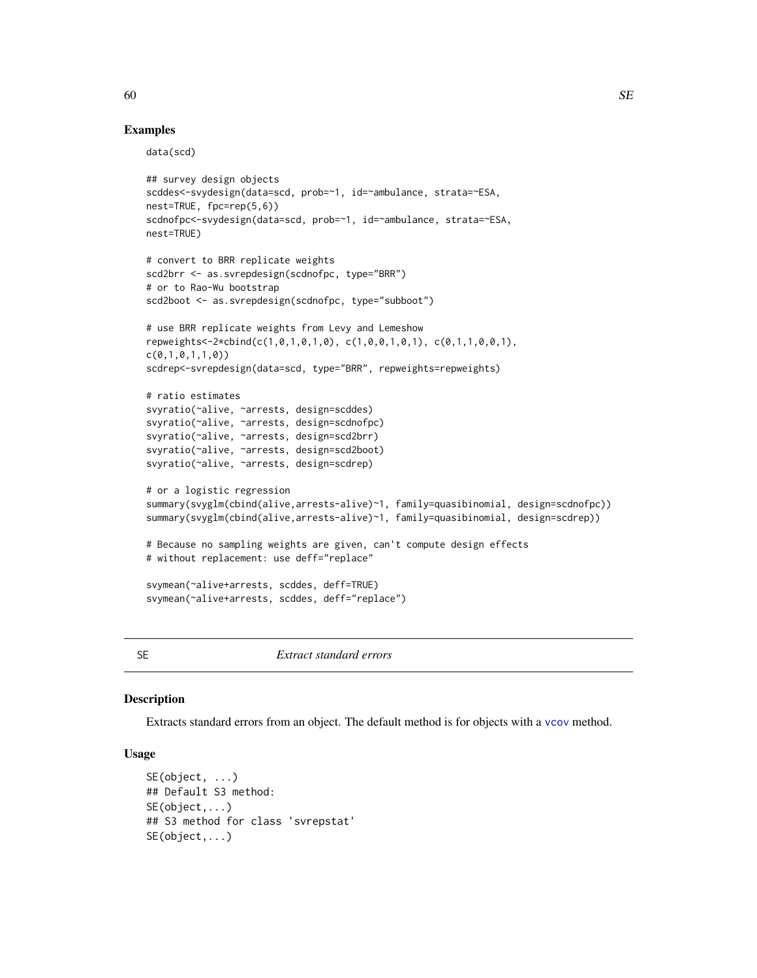## Examples

data(scd)

```
## survey design objects
scddes<-svydesign(data=scd, prob=~1, id=~ambulance, strata=~ESA,
nest=TRUE, fpc=rep(5,6))
scdnofpc<-svydesign(data=scd, prob=~1, id=~ambulance, strata=~ESA,
nest=TRUE)
# convert to BRR replicate weights
scd2brr <- as.svrepdesign(scdnofpc, type="BRR")
# or to Rao-Wu bootstrap
scd2boot <- as.svrepdesign(scdnofpc, type="subboot")
# use BRR replicate weights from Levy and Lemeshow
repweights<-2*cbind(c(1,0,1,0,1,0), c(1,0,0,1,0,1), c(0,1,1,0,0,1),
c(0,1,0,1,1,0))
scdrep<-svrepdesign(data=scd, type="BRR", repweights=repweights)
# ratio estimates
svyratio(~alive, ~arrests, design=scddes)
svyratio(~alive, ~arrests, design=scdnofpc)
svyratio(~alive, ~arrests, design=scd2brr)
svyratio(~alive, ~arrests, design=scd2boot)
svyratio(~alive, ~arrests, design=scdrep)
# or a logistic regression
summary(svyglm(cbind(alive,arrests-alive)~1, family=quasibinomial, design=scdnofpc))
summary(svyglm(cbind(alive,arrests-alive)~1, family=quasibinomial, design=scdrep))
# Because no sampling weights are given, can't compute design effects
# without replacement: use deff="replace"
svymean(~alive+arrests, scddes, deff=TRUE)
svymean(~alive+arrests, scddes, deff="replace")
```
SE *Extract standard errors*

#### Description

Extracts standard errors from an object. The default method is for objects with a [vcov](#page-0-0) method.

## Usage

```
SE(object, ...)
## Default S3 method:
SE(object,...)
## S3 method for class 'svrepstat'
SE(object,...)
```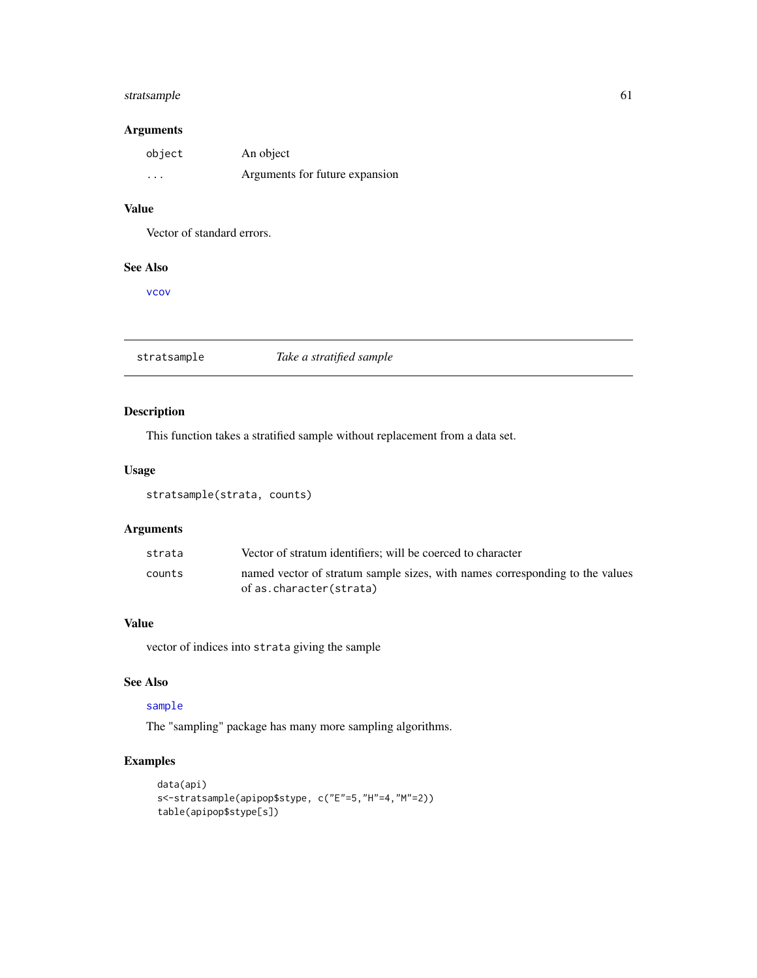# stratsample 61

# Arguments

| object   | An object                      |
|----------|--------------------------------|
| $\cdots$ | Arguments for future expansion |

# Value

Vector of standard errors.

# See Also

[vcov](#page-0-0)

stratsample *Take a stratified sample*

# Description

This function takes a stratified sample without replacement from a data set.

# Usage

stratsample(strata, counts)

# Arguments

| strata | Vector of stratum identifiers; will be coerced to character                                             |
|--------|---------------------------------------------------------------------------------------------------------|
| counts | named vector of stratum sample sizes, with names corresponding to the values<br>of as.character(strata) |

# Value

vector of indices into strata giving the sample

# See Also

# [sample](#page-0-0)

The "sampling" package has many more sampling algorithms.

# Examples

```
data(api)
s<-stratsample(apipop$stype, c("E"=5,"H"=4,"M"=2))
table(apipop$stype[s])
```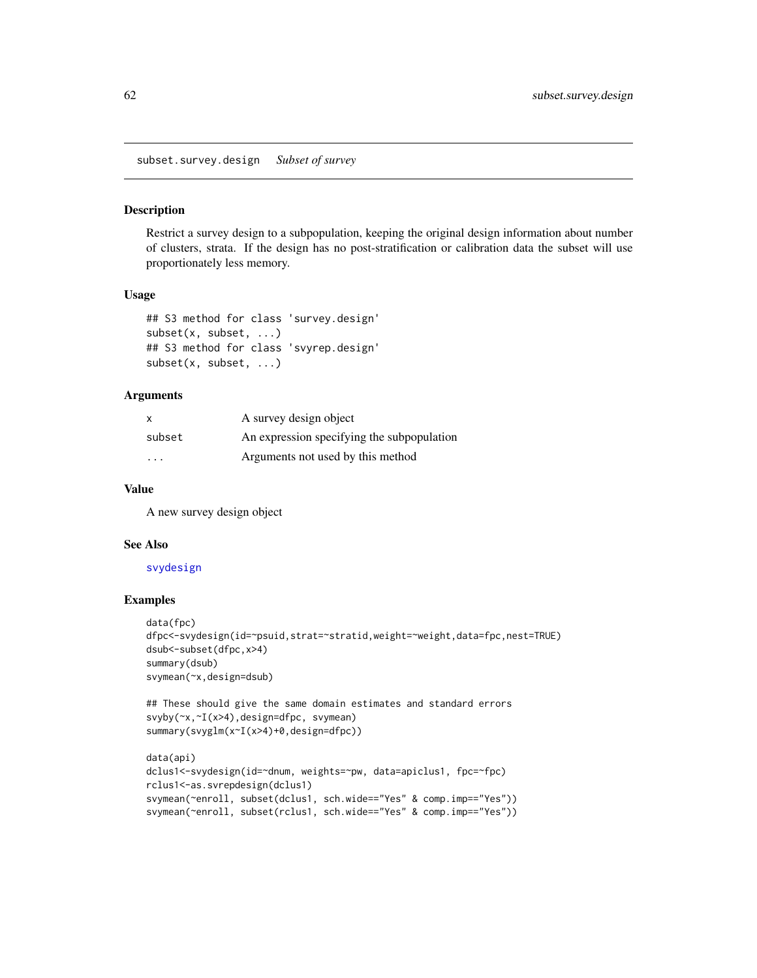subset.survey.design *Subset of survey*

## Description

Restrict a survey design to a subpopulation, keeping the original design information about number of clusters, strata. If the design has no post-stratification or calibration data the subset will use proportionately less memory.

#### Usage

```
## S3 method for class 'survey.design'
subset(x, subset, ...)
## S3 method for class 'svyrep.design'
subset(x, subset, ...)
```
## Arguments

| $\boldsymbol{\mathsf{x}}$ | A survey design object                     |
|---------------------------|--------------------------------------------|
| subset                    | An expression specifying the subpopulation |
| .                         | Arguments not used by this method          |

## Value

A new survey design object

#### See Also

## [svydesign](#page-86-0)

## Examples

```
data(fpc)
dfpc<-svydesign(id=~psuid,strat=~stratid,weight=~weight,data=fpc,nest=TRUE)
dsub<-subset(dfpc,x>4)
summary(dsub)
svymean(~x,design=dsub)
```

```
## These should give the same domain estimates and standard errors
svyby(~x,~I(x>4),design=dfpc, svymean)
summary(svyglm(x~I(x>4)+0,design=dfpc))
```

```
data(api)
dclus1<-svydesign(id=~dnum, weights=~pw, data=apiclus1, fpc=~fpc)
rclus1<-as.svrepdesign(dclus1)
svymean(~enroll, subset(dclus1, sch.wide=="Yes" & comp.imp=="Yes"))
svymean(~enroll, subset(rclus1, sch.wide=="Yes" & comp.imp=="Yes"))
```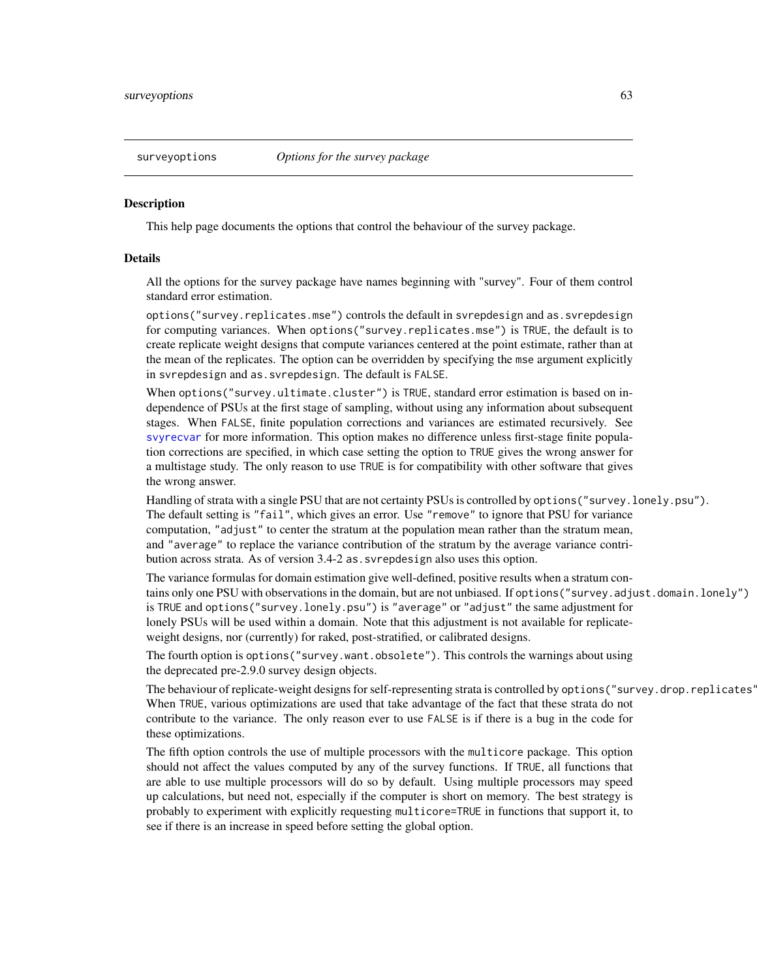# **Description**

This help page documents the options that control the behaviour of the survey package.

## Details

All the options for the survey package have names beginning with "survey". Four of them control standard error estimation.

options("survey.replicates.mse") controls the default in svrepdesign and as.svrepdesign for computing variances. When options("survey.replicates.mse") is TRUE, the default is to create replicate weight designs that compute variances centered at the point estimate, rather than at the mean of the replicates. The option can be overridden by specifying the mse argument explicitly in svrepdesign and as.svrepdesign. The default is FALSE.

When options("survey.ultimate.cluster") is TRUE, standard error estimation is based on independence of PSUs at the first stage of sampling, without using any information about subsequent stages. When FALSE, finite population corrections and variances are estimated recursively. See [svyrecvar](#page-119-0) for more information. This option makes no difference unless first-stage finite population corrections are specified, in which case setting the option to TRUE gives the wrong answer for a multistage study. The only reason to use TRUE is for compatibility with other software that gives the wrong answer.

Handling of strata with a single PSU that are not certainty PSUs is controlled by options("survey.lonely.psu"). The default setting is "fail", which gives an error. Use "remove" to ignore that PSU for variance computation, "adjust" to center the stratum at the population mean rather than the stratum mean, and "average" to replace the variance contribution of the stratum by the average variance contribution across strata. As of version 3.4-2 as.svrepdesign also uses this option.

The variance formulas for domain estimation give well-defined, positive results when a stratum contains only one PSU with observations in the domain, but are not unbiased. If options("survey.adjust.domain.lonely") is TRUE and options("survey.lonely.psu") is "average" or "adjust" the same adjustment for lonely PSUs will be used within a domain. Note that this adjustment is not available for replicateweight designs, nor (currently) for raked, post-stratified, or calibrated designs.

The fourth option is options("survey.want.obsolete"). This controls the warnings about using the deprecated pre-2.9.0 survey design objects.

The behaviour of replicate-weight designs for self-representing strata is controlled by options ("survey.drop.replicates' When TRUE, various optimizations are used that take advantage of the fact that these strata do not contribute to the variance. The only reason ever to use FALSE is if there is a bug in the code for these optimizations.

The fifth option controls the use of multiple processors with the multicore package. This option should not affect the values computed by any of the survey functions. If TRUE, all functions that are able to use multiple processors will do so by default. Using multiple processors may speed up calculations, but need not, especially if the computer is short on memory. The best strategy is probably to experiment with explicitly requesting multicore=TRUE in functions that support it, to see if there is an increase in speed before setting the global option.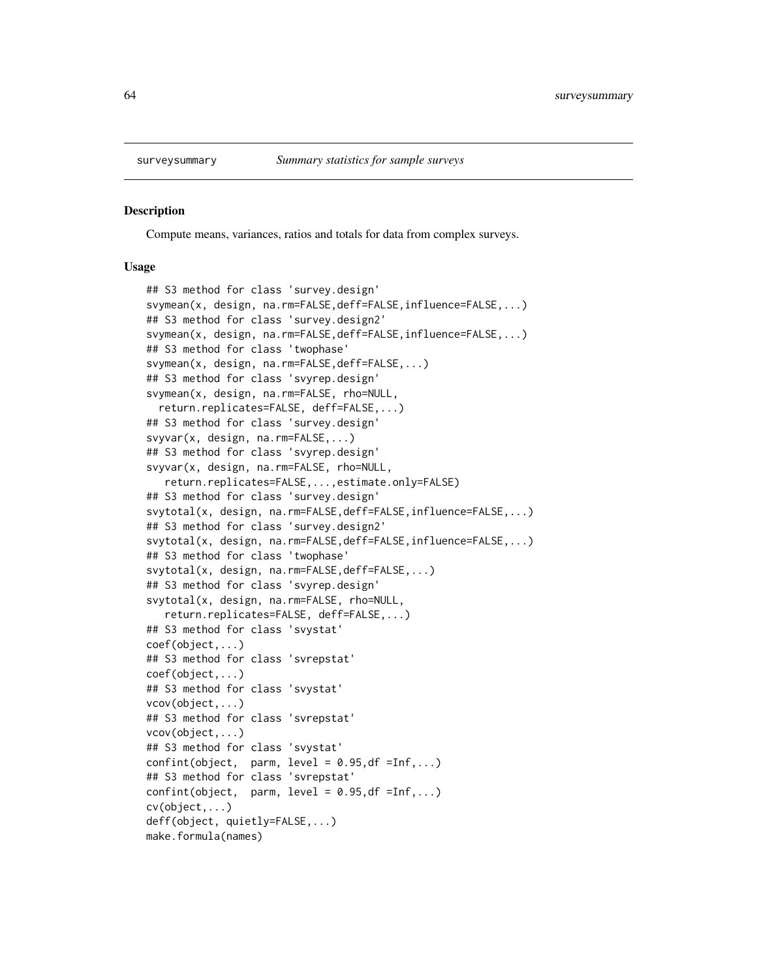#### Description

Compute means, variances, ratios and totals for data from complex surveys.

#### Usage

## S3 method for class 'survey.design' svymean(x, design, na.rm=FALSE,deff=FALSE,influence=FALSE,...) ## S3 method for class 'survey.design2' svymean(x, design, na.rm=FALSE,deff=FALSE,influence=FALSE,...) ## S3 method for class 'twophase' svymean(x, design, na.rm=FALSE,deff=FALSE,...) ## S3 method for class 'svyrep.design' svymean(x, design, na.rm=FALSE, rho=NULL, return.replicates=FALSE, deff=FALSE,...) ## S3 method for class 'survey.design' svyvar(x, design, na.rm=FALSE,...) ## S3 method for class 'svyrep.design' svyvar(x, design, na.rm=FALSE, rho=NULL, return.replicates=FALSE,...,estimate.only=FALSE) ## S3 method for class 'survey.design' svytotal(x, design, na.rm=FALSE,deff=FALSE,influence=FALSE,...) ## S3 method for class 'survey.design2' svytotal(x, design, na.rm=FALSE,deff=FALSE,influence=FALSE,...) ## S3 method for class 'twophase' svytotal(x, design, na.rm=FALSE,deff=FALSE,...) ## S3 method for class 'svyrep.design' svytotal(x, design, na.rm=FALSE, rho=NULL, return.replicates=FALSE, deff=FALSE,...) ## S3 method for class 'svystat' coef(object,...) ## S3 method for class 'svrepstat' coef(object,...) ## S3 method for class 'svystat' vcov(object,...) ## S3 method for class 'svrepstat' vcov(object,...) ## S3 method for class 'svystat'  $confint(object, parm, level = 0.95, df = Inf, ...)$ ## S3 method for class 'svrepstat'  $confint(object, parm, level = 0.95, df = Inf, ...)$ cv(object,...) deff(object, quietly=FALSE,...) make.formula(names)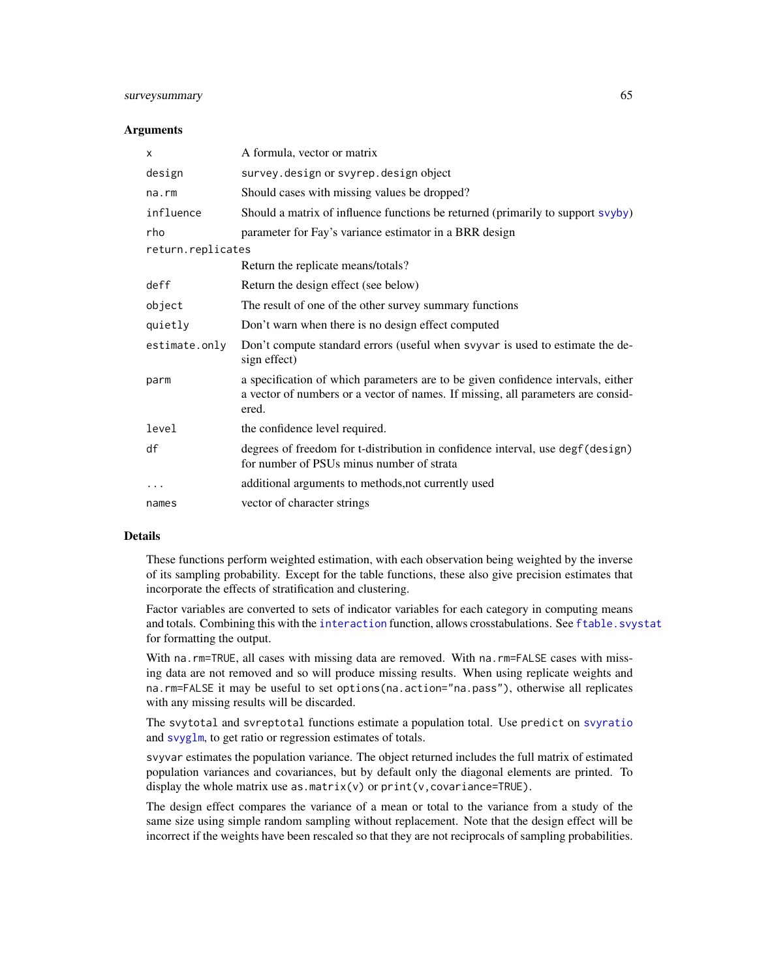# surveysummary 65

#### **Arguments**

| X                 | A formula, vector or matrix                                                                                                                                                   |  |
|-------------------|-------------------------------------------------------------------------------------------------------------------------------------------------------------------------------|--|
| design            | survey.design or svyrep.design object                                                                                                                                         |  |
| na.rm             | Should cases with missing values be dropped?                                                                                                                                  |  |
| influence         | Should a matrix of influence functions be returned (primarily to support svyby)                                                                                               |  |
| rho               | parameter for Fay's variance estimator in a BRR design                                                                                                                        |  |
| return.replicates |                                                                                                                                                                               |  |
|                   | Return the replicate means/totals?                                                                                                                                            |  |
| deff              | Return the design effect (see below)                                                                                                                                          |  |
| object            | The result of one of the other survey summary functions                                                                                                                       |  |
| quietly           | Don't warn when there is no design effect computed                                                                                                                            |  |
| estimate.only     | Don't compute standard errors (useful when svyvar is used to estimate the de-<br>sign effect)                                                                                 |  |
| parm              | a specification of which parameters are to be given confidence intervals, either<br>a vector of numbers or a vector of names. If missing, all parameters are consid-<br>ered. |  |
| level             | the confidence level required.                                                                                                                                                |  |
| df                | degrees of freedom for t-distribution in confidence interval, use degf (design)<br>for number of PSUs minus number of strata                                                  |  |
|                   | additional arguments to methods, not currently used                                                                                                                           |  |
| names             | vector of character strings                                                                                                                                                   |  |

# Details

These functions perform weighted estimation, with each observation being weighted by the inverse of its sampling probability. Except for the table functions, these also give precision estimates that incorporate the effects of stratification and clustering.

Factor variables are converted to sets of indicator variables for each category in computing means and totals. Combining this with the [interaction](#page-0-0) function, allows crosstabulations. See [ftable.svystat](#page-30-0) for formatting the output.

With na.rm=TRUE, all cases with missing data are removed. With na.rm=FALSE cases with missing data are not removed and so will produce missing results. When using replicate weights and na.rm=FALSE it may be useful to set options(na.action="na.pass"), otherwise all replicates with any missing results will be discarded.

The svytotal and svreptotal functions estimate a population total. Use predict on [svyratio](#page-116-0) and [svyglm](#page-90-0), to get ratio or regression estimates of totals.

svyvar estimates the population variance. The object returned includes the full matrix of estimated population variances and covariances, but by default only the diagonal elements are printed. To display the whole matrix use as.matrix(v) or  $print(v, covariance=TRUE)$ .

The design effect compares the variance of a mean or total to the variance from a study of the same size using simple random sampling without replacement. Note that the design effect will be incorrect if the weights have been rescaled so that they are not reciprocals of sampling probabilities.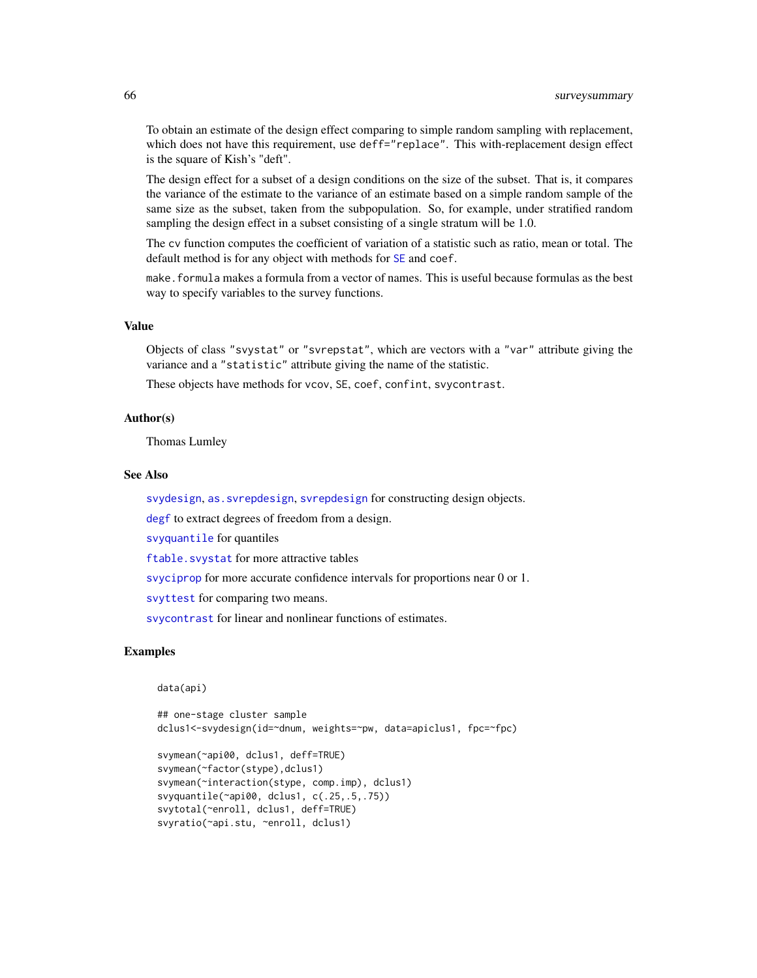To obtain an estimate of the design effect comparing to simple random sampling with replacement, which does not have this requirement, use deff="replace". This with-replacement design effect is the square of Kish's "deft".

The design effect for a subset of a design conditions on the size of the subset. That is, it compares the variance of the estimate to the variance of an estimate based on a simple random sample of the same size as the subset, taken from the subpopulation. So, for example, under stratified random sampling the design effect in a subset consisting of a single stratum will be 1.0.

The cv function computes the coefficient of variation of a statistic such as ratio, mean or total. The default method is for any object with methods for [SE](#page-59-0) and coef.

make.formula makes a formula from a vector of names. This is useful because formulas as the best way to specify variables to the survey functions.

## Value

Objects of class "svystat" or "svrepstat", which are vectors with a "var" attribute giving the variance and a "statistic" attribute giving the name of the statistic.

These objects have methods for vcov, SE, coef, confint, svycontrast.

#### Author(s)

Thomas Lumley

# See Also

[svydesign](#page-86-0), [as.svrepdesign](#page-8-0), [svrepdesign](#page-66-0) for constructing design objects.

[degf](#page-125-0) to extract degrees of freedom from a design.

[svyquantile](#page-38-0) for quantiles

[ftable.svystat](#page-30-0) for more attractive tables

[svyciprop](#page-76-0) for more accurate confidence intervals for proportions near 0 or 1.

[svyttest](#page-128-0) for comparing two means.

[svycontrast](#page-78-0) for linear and nonlinear functions of estimates.

## Examples

data(api)

```
## one-stage cluster sample
dclus1<-svydesign(id=~dnum, weights=~pw, data=apiclus1, fpc=~fpc)
svymean(~api00, dclus1, deff=TRUE)
svymean(~factor(stype),dclus1)
svymean(~interaction(stype, comp.imp), dclus1)
svyquantile(~api00, dclus1, c(.25,.5,.75))
svytotal(~enroll, dclus1, deff=TRUE)
svyratio(~api.stu, ~enroll, dclus1)
```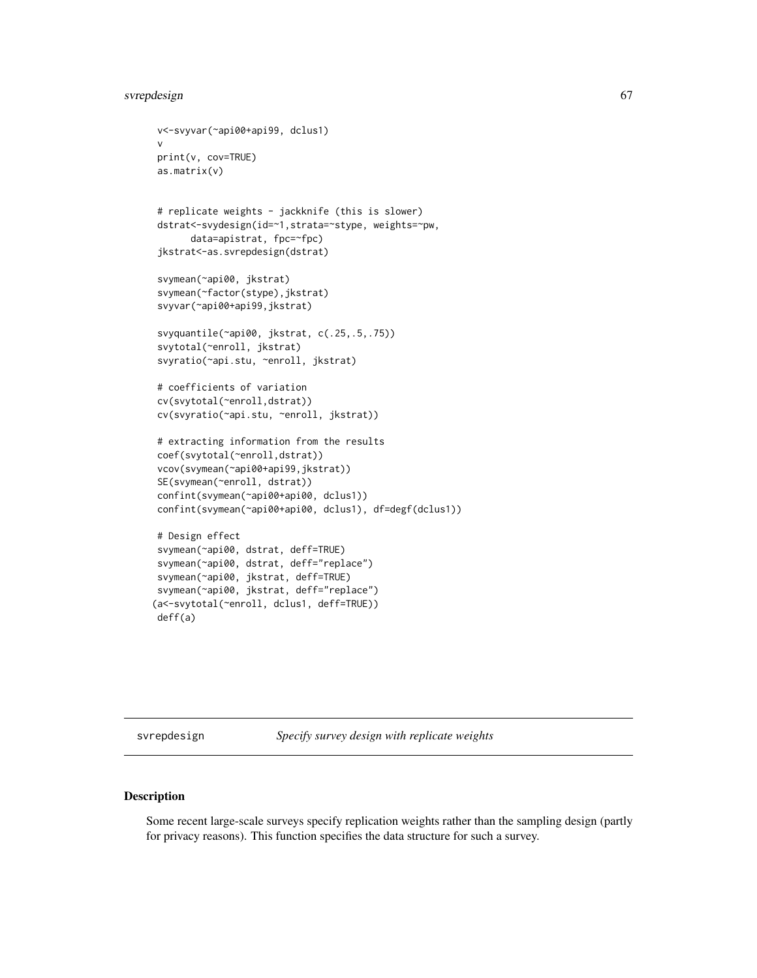# svrepdesign 67

```
v<-svyvar(~api00+api99, dclus1)
 v
print(v, cov=TRUE)
as.matrix(v)
# replicate weights - jackknife (this is slower)
dstrat<-svydesign(id=~1,strata=~stype, weights=~pw,
      data=apistrat, fpc=~fpc)
jkstrat<-as.svrepdesign(dstrat)
svymean(~api00, jkstrat)
svymean(~factor(stype),jkstrat)
svyvar(~api00+api99,jkstrat)
svyquantile(~api00, jkstrat, c(.25,.5,.75))
svytotal(~enroll, jkstrat)
svyratio(~api.stu, ~enroll, jkstrat)
# coefficients of variation
cv(svytotal(~enroll,dstrat))
cv(svyratio(~api.stu, ~enroll, jkstrat))
# extracting information from the results
coef(svytotal(~enroll,dstrat))
vcov(svymean(~api00+api99,jkstrat))
SE(svymean(~enroll, dstrat))
confint(svymean(~api00+api00, dclus1))
confint(svymean(~api00+api00, dclus1), df=degf(dclus1))
# Design effect
svymean(~api00, dstrat, deff=TRUE)
svymean(~api00, dstrat, deff="replace")
svymean(~api00, jkstrat, deff=TRUE)
svymean(~api00, jkstrat, deff="replace")
(a<-svytotal(~enroll, dclus1, deff=TRUE))
deff(a)
```
<span id="page-66-0"></span>svrepdesign *Specify survey design with replicate weights*

# Description

Some recent large-scale surveys specify replication weights rather than the sampling design (partly for privacy reasons). This function specifies the data structure for such a survey.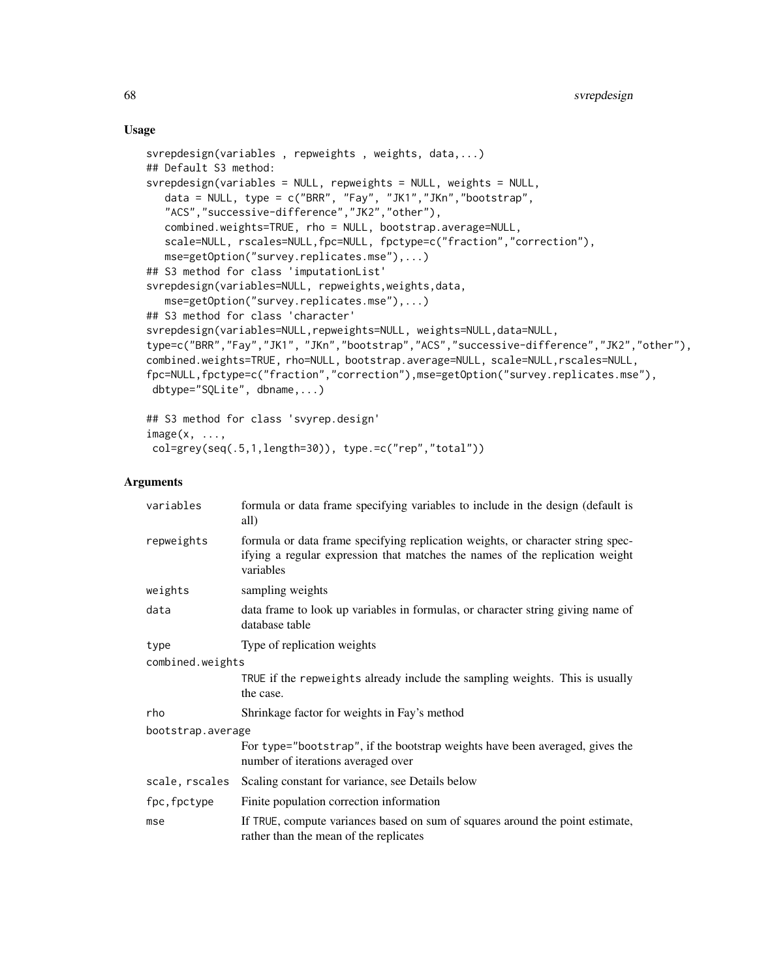# Usage

```
svrepdesign(variables , repweights , weights, data,...)
## Default S3 method:
svrepdesign(variables = NULL, repweights = NULL, weights = NULL,
   data = NULL, type = c("BRR", "Fay", "JK1","JKn","bootstrap",
   "ACS","successive-difference","JK2","other"),
   combined.weights=TRUE, rho = NULL, bootstrap.average=NULL,
   scale=NULL, rscales=NULL,fpc=NULL, fpctype=c("fraction","correction"),
   mse=getOption("survey.replicates.mse"),...)
## S3 method for class 'imputationList'
svrepdesign(variables=NULL, repweights,weights,data,
   mse=getOption("survey.replicates.mse"),...)
## S3 method for class 'character'
svrepdesign(variables=NULL,repweights=NULL, weights=NULL,data=NULL,
type=c("BRR","Fay","JK1", "JKn","bootstrap","ACS","successive-difference","JK2","other"),
combined.weights=TRUE, rho=NULL, bootstrap.average=NULL, scale=NULL,rscales=NULL,
fpc=NULL,fpctype=c("fraction","correction"),mse=getOption("survey.replicates.mse"),
dbtype="SQLite", dbname,...)
```

```
## S3 method for class 'svyrep.design'
image(x, ...,
col=grey(seq(.5,1,length=30)), type.=c("rep","total"))
```
# **Arguments**

| variables         | formula or data frame specifying variables to include in the design (default is<br>all)                                                                                      |  |
|-------------------|------------------------------------------------------------------------------------------------------------------------------------------------------------------------------|--|
| repweights        | formula or data frame specifying replication weights, or character string spec-<br>ifying a regular expression that matches the names of the replication weight<br>variables |  |
| weights           | sampling weights                                                                                                                                                             |  |
| data              | data frame to look up variables in formulas, or character string giving name of<br>database table                                                                            |  |
| type              | Type of replication weights                                                                                                                                                  |  |
| combined.weights  |                                                                                                                                                                              |  |
|                   | TRUE if the repweights already include the sampling weights. This is usually<br>the case.                                                                                    |  |
| rho               | Shrinkage factor for weights in Fay's method                                                                                                                                 |  |
| bootstrap.average |                                                                                                                                                                              |  |
|                   | For type="bootstrap", if the bootstrap weights have been averaged, gives the<br>number of iterations averaged over                                                           |  |
| scale, rscales    | Scaling constant for variance, see Details below                                                                                                                             |  |
| fpc, fpctype      | Finite population correction information                                                                                                                                     |  |
| mse               | If TRUE, compute variances based on sum of squares around the point estimate,<br>rather than the mean of the replicates                                                      |  |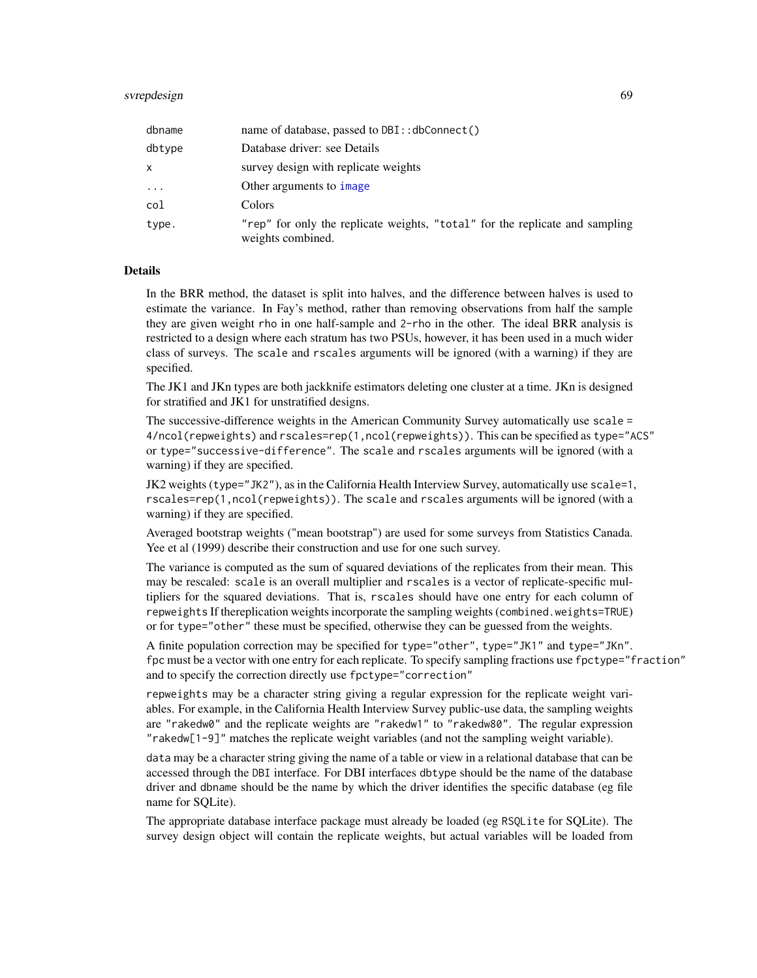| dbname     | name of database, passed to DBI:: dbConnect()                                                     |
|------------|---------------------------------------------------------------------------------------------------|
| dbtype     | Database driver: see Details                                                                      |
| x          | survey design with replicate weights                                                              |
| $\ddots$ . | Other arguments to <i>image</i>                                                                   |
| col        | Colors                                                                                            |
| type.      | "rep" for only the replicate weights, "total" for the replicate and sampling<br>weights combined. |

# Details

In the BRR method, the dataset is split into halves, and the difference between halves is used to estimate the variance. In Fay's method, rather than removing observations from half the sample they are given weight rho in one half-sample and 2-rho in the other. The ideal BRR analysis is restricted to a design where each stratum has two PSUs, however, it has been used in a much wider class of surveys. The scale and rscales arguments will be ignored (with a warning) if they are specified.

The JK1 and JKn types are both jackknife estimators deleting one cluster at a time. JKn is designed for stratified and JK1 for unstratified designs.

The successive-difference weights in the American Community Survey automatically use scale = 4/ncol(repweights) and rscales=rep(1,ncol(repweights)). This can be specified as type="ACS" or type="successive-difference". The scale and rscales arguments will be ignored (with a warning) if they are specified.

JK2 weights (type="JK2"), as in the California Health Interview Survey, automatically use scale=1, rscales=rep(1,ncol(repweights)). The scale and rscales arguments will be ignored (with a warning) if they are specified.

Averaged bootstrap weights ("mean bootstrap") are used for some surveys from Statistics Canada. Yee et al (1999) describe their construction and use for one such survey.

The variance is computed as the sum of squared deviations of the replicates from their mean. This may be rescaled: scale is an overall multiplier and rscales is a vector of replicate-specific multipliers for the squared deviations. That is, rscales should have one entry for each column of repweights If thereplication weights incorporate the sampling weights (combined.weights=TRUE) or for type="other" these must be specified, otherwise they can be guessed from the weights.

A finite population correction may be specified for type="other", type="JK1" and type="JKn". fpc must be a vector with one entry for each replicate. To specify sampling fractions use fpctype="fraction" and to specify the correction directly use fpctype="correction"

repweights may be a character string giving a regular expression for the replicate weight variables. For example, in the California Health Interview Survey public-use data, the sampling weights are "rakedw0" and the replicate weights are "rakedw1" to "rakedw80". The regular expression "rakedw[1-9]" matches the replicate weight variables (and not the sampling weight variable).

data may be a character string giving the name of a table or view in a relational database that can be accessed through the DBI interface. For DBI interfaces dbtype should be the name of the database driver and dbname should be the name by which the driver identifies the specific database (eg file name for SQLite).

The appropriate database interface package must already be loaded (eg RSQLite for SQLite). The survey design object will contain the replicate weights, but actual variables will be loaded from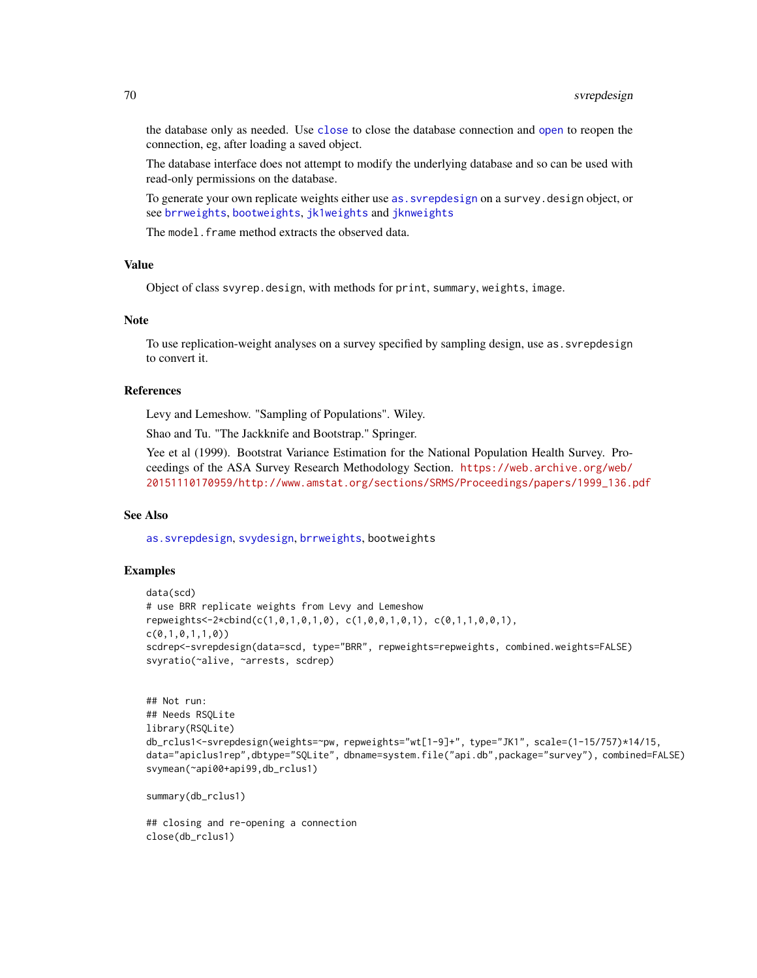the database only as needed. Use [close](#page-46-0) to close the database connection and [open](#page-46-1) to reopen the connection, eg, after loading a saved object.

The database interface does not attempt to modify the underlying database and so can be used with read-only permissions on the database.

To generate your own replicate weights either use [as.svrepdesign](#page-8-0) on a survey.design object, or see [brrweights](#page-13-0), [bootweights](#page-12-0), [jk1weights](#page-13-1) and [jknweights](#page-13-1)

The model. frame method extracts the observed data.

# Value

Object of class svyrep.design, with methods for print, summary, weights, image.

## Note

To use replication-weight analyses on a survey specified by sampling design, use as.svrepdesign to convert it.

#### References

Levy and Lemeshow. "Sampling of Populations". Wiley.

Shao and Tu. "The Jackknife and Bootstrap." Springer.

Yee et al (1999). Bootstrat Variance Estimation for the National Population Health Survey. Proceedings of the ASA Survey Research Methodology Section. [https://web.archive.org/web/](https://web.archive.org/web/20151110170959/http://www.amstat.org/sections/SRMS/Proceedings/papers/1999_136.pdf) [20151110170959/http://www.amstat.org/sections/SRMS/Proceedings/papers/1999\\_136.pdf](https://web.archive.org/web/20151110170959/http://www.amstat.org/sections/SRMS/Proceedings/papers/1999_136.pdf)

## See Also

[as.svrepdesign](#page-8-0), [svydesign](#page-86-0), [brrweights](#page-13-0), bootweights

## Examples

```
data(scd)
# use BRR replicate weights from Levy and Lemeshow
repweights<-2*cbind(c(1,0,1,0,1,0), c(1,0,0,1,0,1), c(0,1,1,0,0,1),
c(0,1,0,1,1,0))
scdrep<-svrepdesign(data=scd, type="BRR", repweights=repweights, combined.weights=FALSE)
svyratio(~alive, ~arrests, scdrep)
```

```
## Not run:
## Needs RSQLite
library(RSQLite)
db_rclus1<-svrepdesign(weights=~pw, repweights="wt[1-9]+", type="JK1", scale=(1-15/757)*14/15,
data="apiclus1rep",dbtype="SQLite", dbname=system.file("api.db",package="survey"), combined=FALSE)
svymean(~api00+api99,db_rclus1)
```
summary(db\_rclus1)

## closing and re-opening a connection close(db\_rclus1)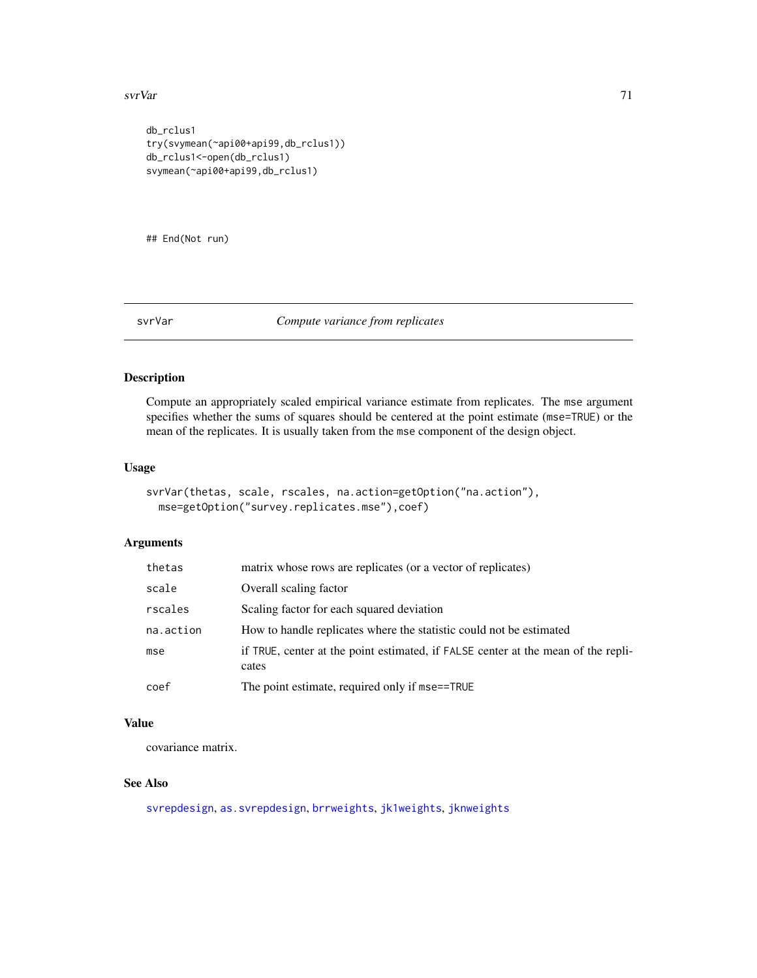#### svrVar 11. utv. 1999. godine 1999. godine 1999. godine 1999. godine 1999. godine 1999. godine 1999. godine 199

```
db_rclus1
try(svymean(~api00+api99,db_rclus1))
db_rclus1<-open(db_rclus1)
svymean(~api00+api99,db_rclus1)
```
## End(Not run)

## svrVar *Compute variance from replicates*

# Description

Compute an appropriately scaled empirical variance estimate from replicates. The mse argument specifies whether the sums of squares should be centered at the point estimate (mse=TRUE) or the mean of the replicates. It is usually taken from the mse component of the design object.

# Usage

```
svrVar(thetas, scale, rscales, na.action=getOption("na.action"),
 mse=getOption("survey.replicates.mse"),coef)
```
# Arguments

| thetas    | matrix whose rows are replicates (or a vector of replicates)                               |
|-----------|--------------------------------------------------------------------------------------------|
| scale     | Overall scaling factor                                                                     |
| rscales   | Scaling factor for each squared deviation                                                  |
| na.action | How to handle replicates where the statistic could not be estimated                        |
| mse       | if TRUE, center at the point estimated, if FALSE center at the mean of the repli-<br>cates |
| coef      | The point estimate, required only if mse==TRUE                                             |

## Value

covariance matrix.

# See Also

[svrepdesign](#page-66-0), [as.svrepdesign](#page-8-0), [brrweights](#page-13-0), [jk1weights](#page-13-1), [jknweights](#page-13-1)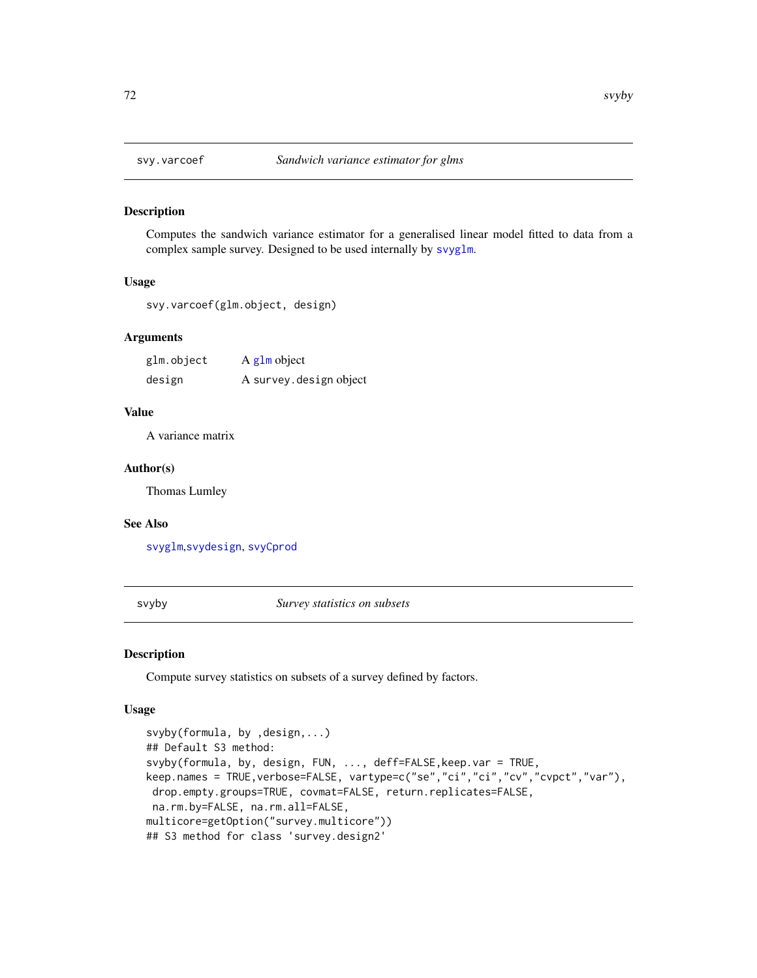# Description

Computes the sandwich variance estimator for a generalised linear model fitted to data from a complex sample survey. Designed to be used internally by [svyglm](#page-90-0).

## Usage

svy.varcoef(glm.object, design)

## Arguments

| glm.object | A glm object            |
|------------|-------------------------|
| design     | A survey. design object |

## Value

A variance matrix

#### Author(s)

Thomas Lumley

#### See Also

[svyglm](#page-90-0),[svydesign](#page-86-0), [svyCprod](#page-83-0)

<span id="page-71-0"></span>svyby *Survey statistics on subsets*

# Description

Compute survey statistics on subsets of a survey defined by factors.

# Usage

```
svyby(formula, by ,design,...)
## Default S3 method:
svyby(formula, by, design, FUN, ..., deff=FALSE,keep.var = TRUE,
keep.names = TRUE,verbose=FALSE, vartype=c("se","ci","ci","cv","cvpct","var"),
drop.empty.groups=TRUE, covmat=FALSE, return.replicates=FALSE,
na.rm.by=FALSE, na.rm.all=FALSE,
multicore=getOption("survey.multicore"))
## S3 method for class 'survey.design2'
```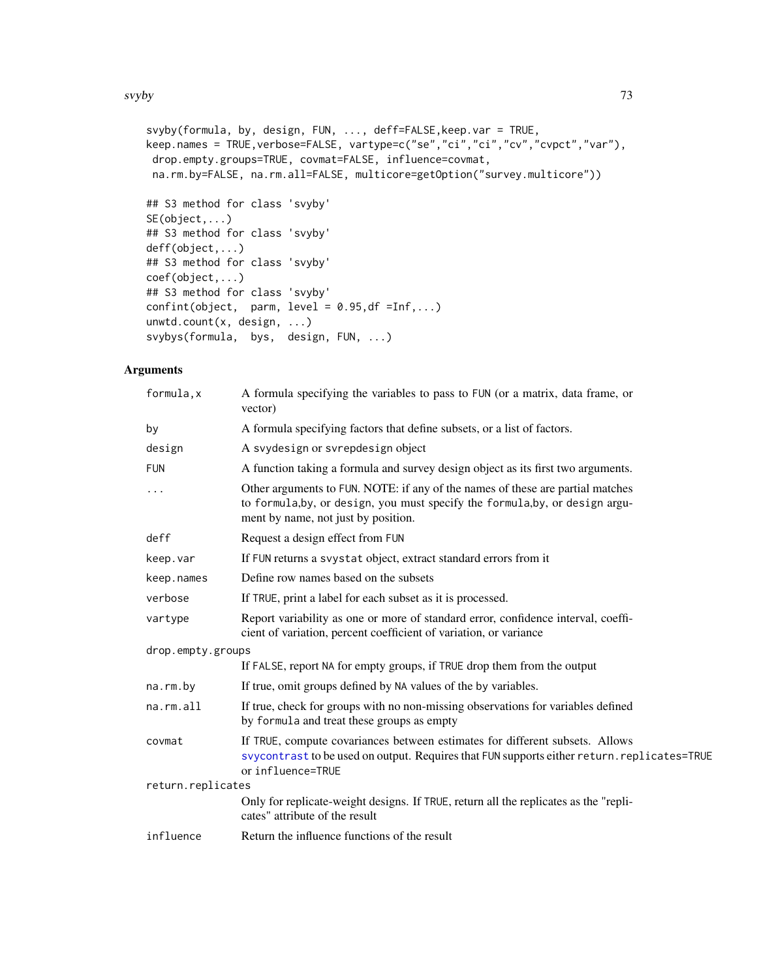svyby and the state of the state of the state of the state of the state of the state of the state of the state of the state of the state of the state of the state of the state of the state of the state of the state of the

```
svyby(formula, by, design, FUN, ..., deff=FALSE,keep.var = TRUE,
keep.names = TRUE,verbose=FALSE, vartype=c("se","ci","ci","cv","cvpct","var"),
drop.empty.groups=TRUE, covmat=FALSE, influence=covmat,
na.rm.by=FALSE, na.rm.all=FALSE, multicore=getOption("survey.multicore"))
## S3 method for class 'svyby'
SE(object,...)
## S3 method for class 'svyby'
deff(object,...)
## S3 method for class 'svyby'
coef(object,...)
## S3 method for class 'svyby'
confint(object, parm, level = 0.95, df = Inf, ...)
unwtd.count(x, design, ...)
svybys(formula, bys, design, FUN, ...)
```

| formula, x        | A formula specifying the variables to pass to FUN (or a matrix, data frame, or<br>vector)                                                                                                             |
|-------------------|-------------------------------------------------------------------------------------------------------------------------------------------------------------------------------------------------------|
| by                | A formula specifying factors that define subsets, or a list of factors.                                                                                                                               |
| design            | A svydesign or svrepdesign object                                                                                                                                                                     |
| <b>FUN</b>        | A function taking a formula and survey design object as its first two arguments.                                                                                                                      |
| .                 | Other arguments to FUN. NOTE: if any of the names of these are partial matches<br>to formula, by, or design, you must specify the formula, by, or design argu-<br>ment by name, not just by position. |
| deff              | Request a design effect from FUN                                                                                                                                                                      |
| keep.var          | If FUN returns a svystat object, extract standard errors from it                                                                                                                                      |
| keep.names        | Define row names based on the subsets                                                                                                                                                                 |
| verbose           | If TRUE, print a label for each subset as it is processed.                                                                                                                                            |
| vartype           | Report variability as one or more of standard error, confidence interval, coeffi-<br>cient of variation, percent coefficient of variation, or variance                                                |
| drop.empty.groups |                                                                                                                                                                                                       |
|                   | If FALSE, report NA for empty groups, if TRUE drop them from the output                                                                                                                               |
| na.rm.by          | If true, omit groups defined by NA values of the by variables.                                                                                                                                        |
| na.rm.all         | If true, check for groups with no non-missing observations for variables defined<br>by formula and treat these groups as empty                                                                        |
| covmat            | If TRUE, compute covariances between estimates for different subsets. Allows<br>svycontrast to be used on output. Requires that FUN supports either return.replicates=TRUE<br>or influence=TRUE       |
| return.replicates |                                                                                                                                                                                                       |
|                   | Only for replicate-weight designs. If TRUE, return all the replicates as the "repli-<br>cates" attribute of the result                                                                                |
| influence         | Return the influence functions of the result                                                                                                                                                          |
|                   |                                                                                                                                                                                                       |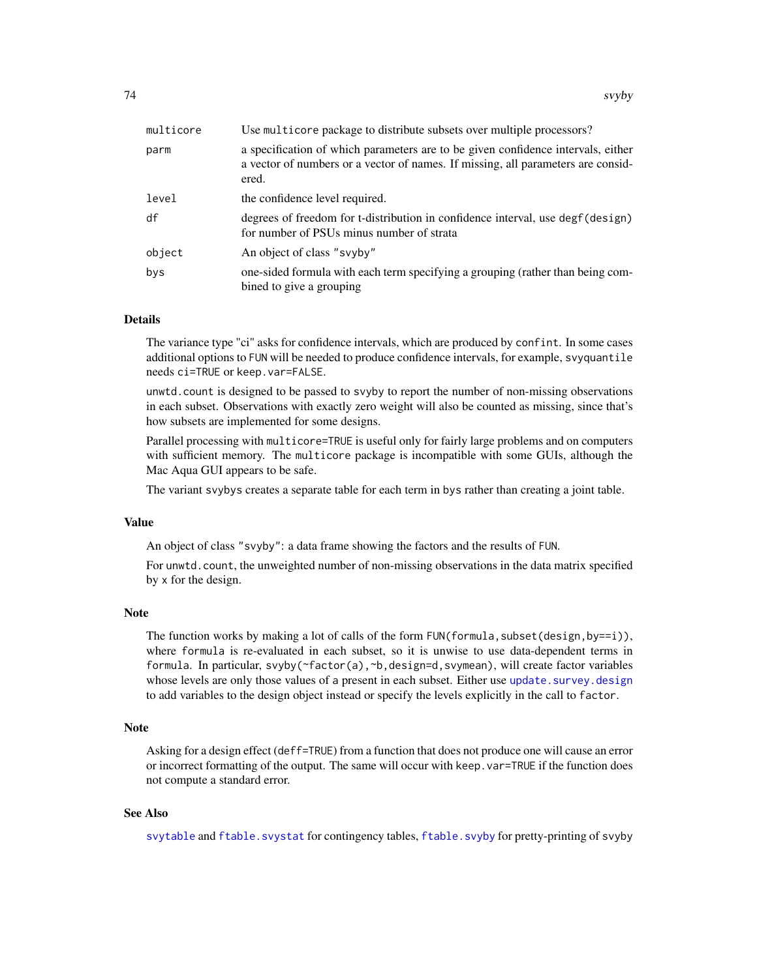| multicore | Use multicore package to distribute subsets over multiple processors?                                                                                                         |
|-----------|-------------------------------------------------------------------------------------------------------------------------------------------------------------------------------|
| parm      | a specification of which parameters are to be given confidence intervals, either<br>a vector of numbers or a vector of names. If missing, all parameters are consid-<br>ered. |
| level     | the confidence level required.                                                                                                                                                |
| df        | degrees of freedom for t-distribution in confidence interval, use degf (design)<br>for number of PSUs minus number of strata                                                  |
| object    | An object of class "svyby"                                                                                                                                                    |
| bys       | one-sided formula with each term specifying a grouping (rather than being com-<br>bined to give a grouping                                                                    |

#### Details

The variance type "ci" asks for confidence intervals, which are produced by confint. In some cases additional options to FUN will be needed to produce confidence intervals, for example, svyquantile needs ci=TRUE or keep.var=FALSE.

unwtd.count is designed to be passed to svyby to report the number of non-missing observations in each subset. Observations with exactly zero weight will also be counted as missing, since that's how subsets are implemented for some designs.

Parallel processing with multicore=TRUE is useful only for fairly large problems and on computers with sufficient memory. The multicore package is incompatible with some GUIs, although the Mac Aqua GUI appears to be safe.

The variant svybys creates a separate table for each term in bys rather than creating a joint table.

# Value

An object of class "svyby": a data frame showing the factors and the results of FUN.

For unwtd.count, the unweighted number of non-missing observations in the data matrix specified by x for the design.

#### Note

The function works by making a lot of calls of the form  $FUN(formula, subset(design, by==i)),$ where formula is re-evaluated in each subset, so it is unwise to use data-dependent terms in formula. In particular, svyby(~factor(a),~b,design=d,svymean), will create factor variables whose levels are only those values of a present in each subset. Either use update. survey. design to add variables to the design object instead or specify the levels explicitly in the call to factor.

# Note

Asking for a design effect (deff=TRUE) from a function that does not produce one will cause an error or incorrect formatting of the output. The same will occur with keep.var=TRUE if the function does not compute a standard error.

# See Also

[svytable](#page-125-0) and [ftable.svystat](#page-30-0) for contingency tables, [ftable.svyby](#page-30-1) for pretty-printing of svyby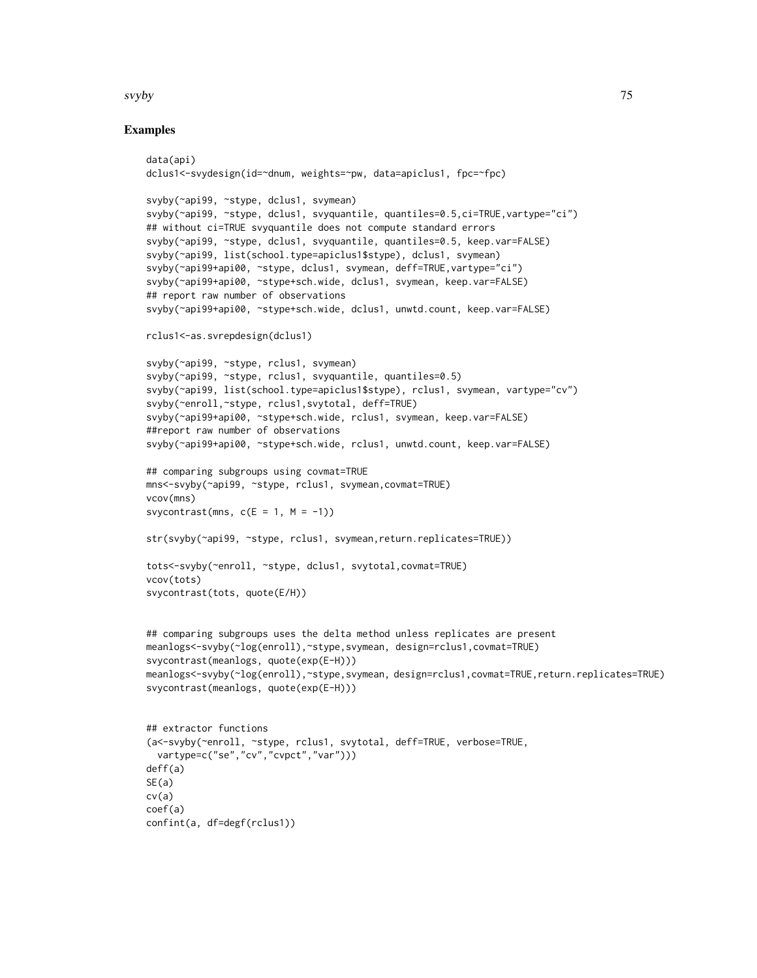#### svyby 75

```
data(api)
dclus1<-svydesign(id=~dnum, weights=~pw, data=apiclus1, fpc=~fpc)
svyby(~api99, ~stype, dclus1, svymean)
svyby(~api99, ~stype, dclus1, svyquantile, quantiles=0.5,ci=TRUE,vartype="ci")
## without ci=TRUE svyquantile does not compute standard errors
svyby(~api99, ~stype, dclus1, svyquantile, quantiles=0.5, keep.var=FALSE)
svyby(~api99, list(school.type=apiclus1$stype), dclus1, svymean)
svyby(~api99+api00, ~stype, dclus1, svymean, deff=TRUE,vartype="ci")
svyby(~api99+api00, ~stype+sch.wide, dclus1, svymean, keep.var=FALSE)
## report raw number of observations
svyby(~api99+api00, ~stype+sch.wide, dclus1, unwtd.count, keep.var=FALSE)
rclus1<-as.svrepdesign(dclus1)
svyby(~api99, ~stype, rclus1, svymean)
svyby(~api99, ~stype, rclus1, svyquantile, quantiles=0.5)
svyby(~api99, list(school.type=apiclus1$stype), rclus1, svymean, vartype="cv")
svyby(~enroll,~stype, rclus1,svytotal, deff=TRUE)
svyby(~api99+api00, ~stype+sch.wide, rclus1, svymean, keep.var=FALSE)
##report raw number of observations
svyby(~api99+api00, ~stype+sch.wide, rclus1, unwtd.count, keep.var=FALSE)
## comparing subgroups using covmat=TRUE
mns<-svyby(~api99, ~stype, rclus1, svymean,covmat=TRUE)
vcov(mns)
svycontrast(mns, c(E = 1, M = -1))
str(svyby(~api99, ~stype, rclus1, svymean,return.replicates=TRUE))
tots<-svyby(~enroll, ~stype, dclus1, svytotal,covmat=TRUE)
vcov(tots)
svycontrast(tots, quote(E/H))
## comparing subgroups uses the delta method unless replicates are present
meanlogs<-svyby(~log(enroll),~stype,svymean, design=rclus1,covmat=TRUE)
svycontrast(meanlogs, quote(exp(E-H)))
meanlogs<-svyby(~log(enroll),~stype,svymean, design=rclus1,covmat=TRUE,return.replicates=TRUE)
svycontrast(meanlogs, quote(exp(E-H)))
## extractor functions
(a<-svyby(~enroll, ~stype, rclus1, svytotal, deff=TRUE, verbose=TRUE,
  vartype=c("se","cv","cvpct","var")))
deff(a)
SE(a)cv(a)
coef(a)
confint(a, df=degf(rclus1))
```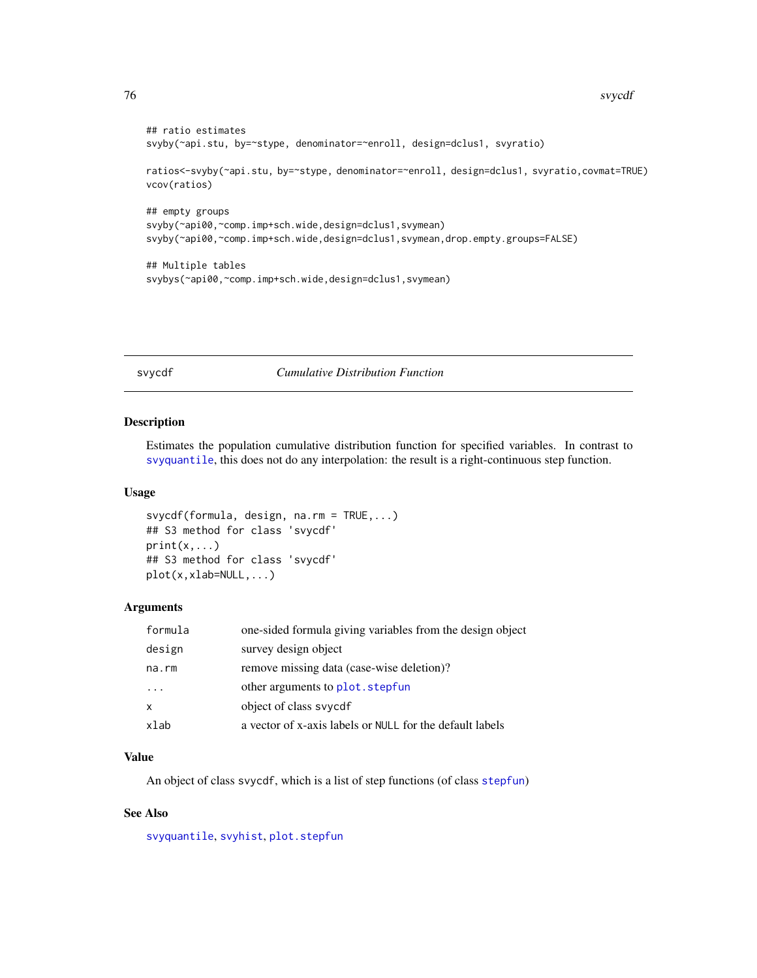```
## ratio estimates
svyby(~api.stu, by=~stype, denominator=~enroll, design=dclus1, svyratio)
ratios<-svyby(~api.stu, by=~stype, denominator=~enroll, design=dclus1, svyratio,covmat=TRUE)
vcov(ratios)
## empty groups
svyby(~api00,~comp.imp+sch.wide,design=dclus1,svymean)
svyby(~api00,~comp.imp+sch.wide,design=dclus1,svymean,drop.empty.groups=FALSE)
## Multiple tables
svybys(~api00,~comp.imp+sch.wide,design=dclus1,svymean)
```
svycdf *Cumulative Distribution Function*

#### Description

Estimates the population cumulative distribution function for specified variables. In contrast to [svyquantile](#page-38-0), this does not do any interpolation: the result is a right-continuous step function.

#### Usage

```
svycdf(formula, design, na.rm = TRUE,...)
## S3 method for class 'svycdf'
print(x, \ldots)## S3 method for class 'svycdf'
plot(x,xlab=NULL,...)
```
### Arguments

| formula      | one-sided formula giving variables from the design object |
|--------------|-----------------------------------------------------------|
| design       | survey design object                                      |
| na.rm        | remove missing data (case-wise deletion)?                 |
| $\cdot$      | other arguments to plot. stepfun                          |
| $\mathsf{x}$ | object of class syyedf                                    |
| xlab         | a vector of x-axis labels or NULL for the default labels  |

# Value

An object of class svycdf, which is a list of step functions (of class [stepfun](#page-0-0))

# See Also

[svyquantile](#page-38-0), [svyhist](#page-95-0), [plot.stepfun](#page-0-0)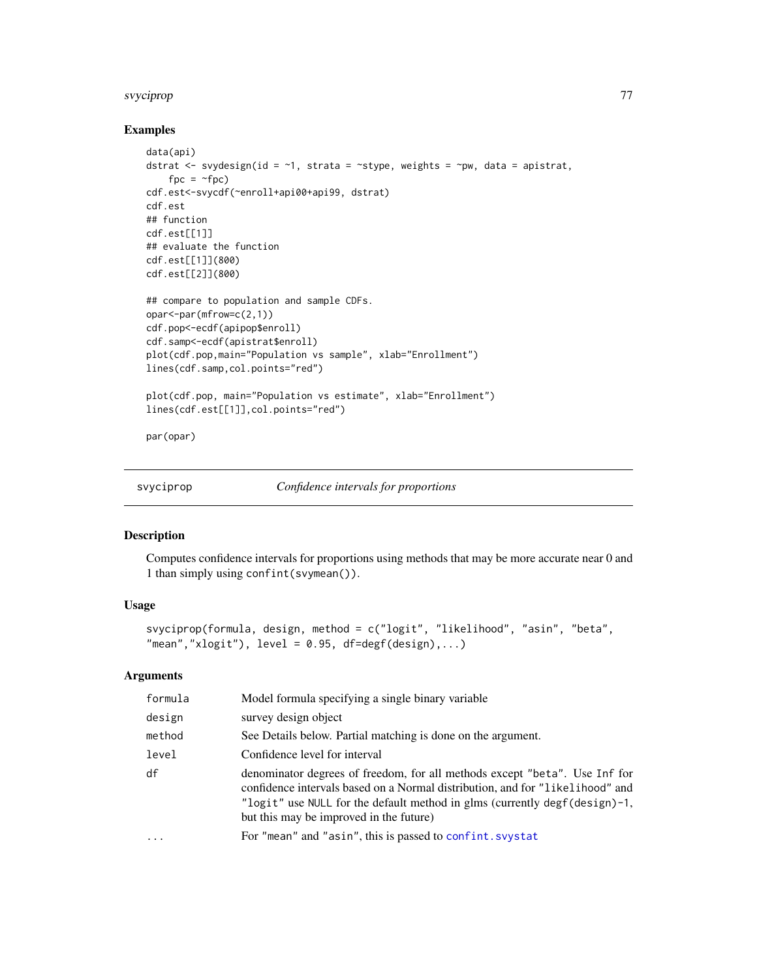#### svyciprop 177 (1999) and 1999 and 1999 and 1999 and 1999 and 1999 and 1999 and 1999 and 1999 and 1999 and 1999

### Examples

```
data(api)
dstrat <- svydesign(id = ~1, strata = ~stype, weights = ~pw, data = apistrat,
   fpc = ~fpc)
cdf.est<-svycdf(~enroll+api00+api99, dstrat)
cdf.est
## function
cdf.est[[1]]
## evaluate the function
cdf.est[[1]](800)
cdf.est[[2]](800)
## compare to population and sample CDFs.
opar<-par(mfrow=c(2,1))
cdf.pop<-ecdf(apipop$enroll)
cdf.samp<-ecdf(apistrat$enroll)
plot(cdf.pop,main="Population vs sample", xlab="Enrollment")
lines(cdf.samp,col.points="red")
plot(cdf.pop, main="Population vs estimate", xlab="Enrollment")
lines(cdf.est[[1]],col.points="red")
par(opar)
```
svyciprop *Confidence intervals for proportions*

# Description

Computes confidence intervals for proportions using methods that may be more accurate near 0 and 1 than simply using confint(svymean()).

### Usage

```
svyciprop(formula, design, method = c("logit", "likelihood", "asin", "beta",
"mean","xlogit"), level = 0.95, df=degf(design),...)
```

| formula | Model formula specifying a single binary variable                                                                                                                                                                                                                                    |
|---------|--------------------------------------------------------------------------------------------------------------------------------------------------------------------------------------------------------------------------------------------------------------------------------------|
| design  | survey design object                                                                                                                                                                                                                                                                 |
| method  | See Details below. Partial matching is done on the argument.                                                                                                                                                                                                                         |
| level   | Confidence level for interval                                                                                                                                                                                                                                                        |
| df      | denominator degrees of freedom, for all methods except "beta". Use Inf for<br>confidence intervals based on a Normal distribution, and for "likelihood" and<br>"logit" use NULL for the default method in glms (currently degf(design)-1,<br>but this may be improved in the future) |
| .       | For "mean" and "asin", this is passed to confint. svystat                                                                                                                                                                                                                            |
|         |                                                                                                                                                                                                                                                                                      |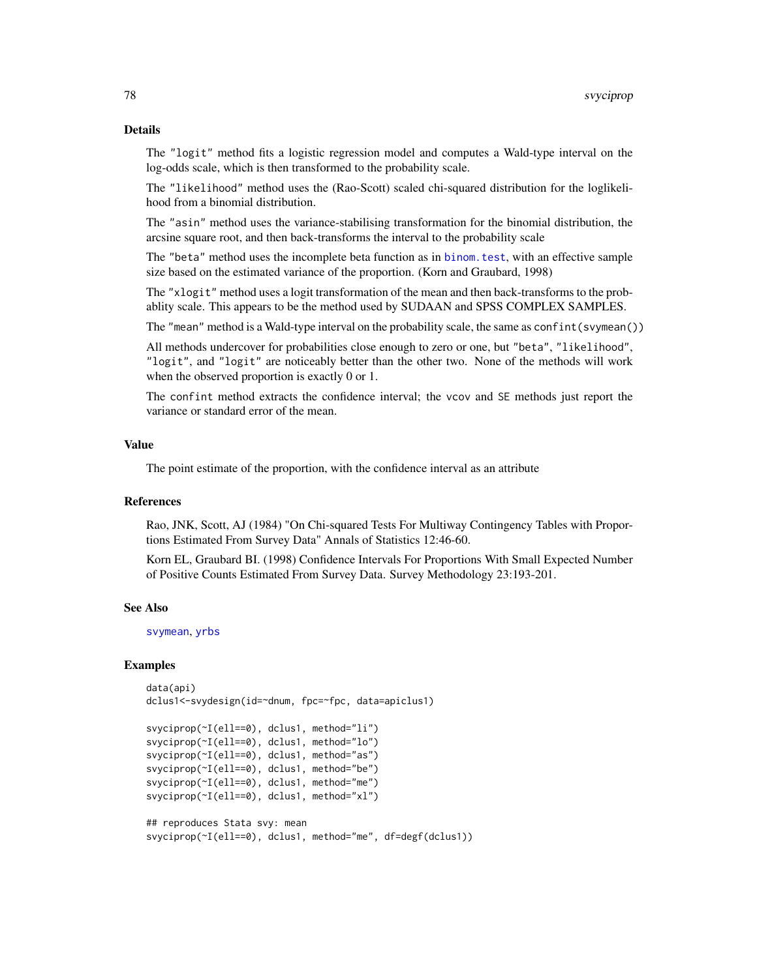### Details

The "logit" method fits a logistic regression model and computes a Wald-type interval on the log-odds scale, which is then transformed to the probability scale.

The "likelihood" method uses the (Rao-Scott) scaled chi-squared distribution for the loglikelihood from a binomial distribution.

The "asin" method uses the variance-stabilising transformation for the binomial distribution, the arcsine square root, and then back-transforms the interval to the probability scale

The "beta" method uses the incomplete beta function as in [binom.test](#page-0-0), with an effective sample size based on the estimated variance of the proportion. (Korn and Graubard, 1998)

The "xlogit" method uses a logit transformation of the mean and then back-transforms to the probablity scale. This appears to be the method used by SUDAAN and SPSS COMPLEX SAMPLES.

The "mean" method is a Wald-type interval on the probability scale, the same as confint(svymean())

All methods undercover for probabilities close enough to zero or one, but "beta", "likelihood", "logit", and "logit" are noticeably better than the other two. None of the methods will work when the observed proportion is exactly 0 or 1.

The confint method extracts the confidence interval; the vcov and SE methods just report the variance or standard error of the mean.

#### Value

The point estimate of the proportion, with the confidence interval as an attribute

#### References

Rao, JNK, Scott, AJ (1984) "On Chi-squared Tests For Multiway Contingency Tables with Proportions Estimated From Survey Data" Annals of Statistics 12:46-60.

Korn EL, Graubard BI. (1998) Confidence Intervals For Proportions With Small Expected Number of Positive Counts Estimated From Survey Data. Survey Methodology 23:193-201.

#### See Also

[svymean](#page-63-0), [yrbs](#page-141-0)

```
data(api)
dclus1<-svydesign(id=~dnum, fpc=~fpc, data=apiclus1)
```

```
svyciprop(~I(ell==0), dclus1, method="li")
svyciprop(~I(ell==0), dclus1, method="lo")
svyciprop(~I(ell==0), dclus1, method="as")
svyciprop(~I(ell==0), dclus1, method="be")
svyciprop(~I(ell==0), dclus1, method="me")
svyciprop(~I(ell==0), dclus1, method="xl")
## reproduces Stata svy: mean
```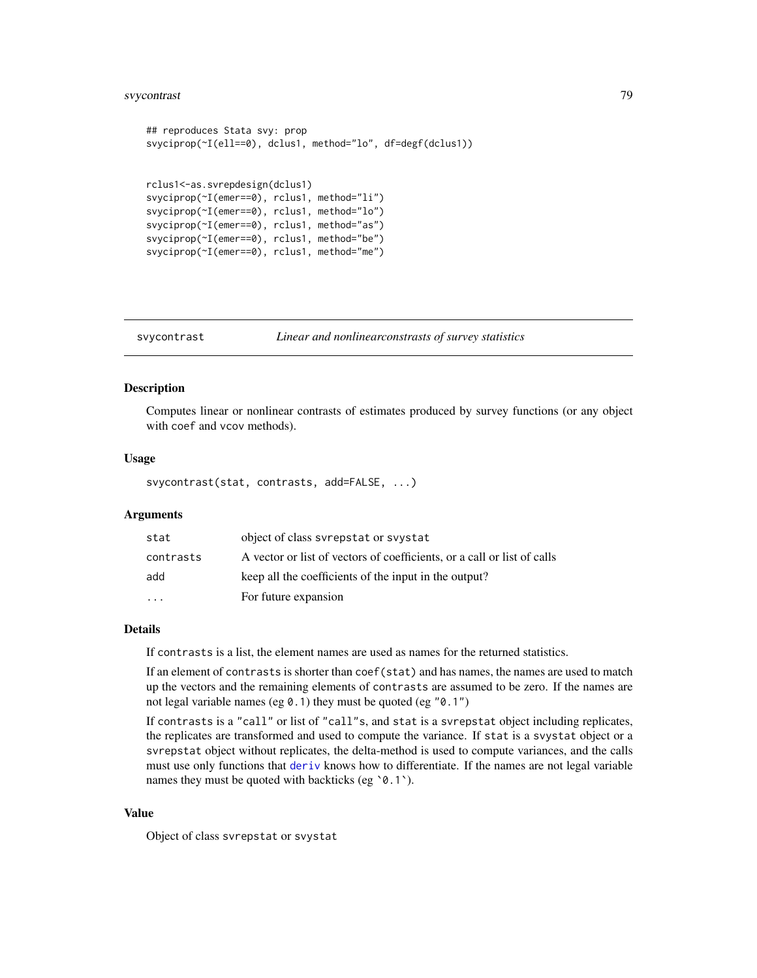# svycontrast 79

```
## reproduces Stata svy: prop
svyciprop(~I(ell==0), dclus1, method="lo", df=degf(dclus1))
rclus1<-as.svrepdesign(dclus1)
svyciprop(~I(emer==0), rclus1, method="li")
svyciprop(~I(emer==0), rclus1, method="lo")
svyciprop(~I(emer==0), rclus1, method="as")
svyciprop(~I(emer==0), rclus1, method="be")
svyciprop(~I(emer==0), rclus1, method="me")
```
<span id="page-78-0"></span>svycontrast *Linear and nonlinearconstrasts of survey statistics*

# Description

Computes linear or nonlinear contrasts of estimates produced by survey functions (or any object with coef and vcov methods).

#### Usage

svycontrast(stat, contrasts, add=FALSE, ...)

### Arguments

| stat      | object of class syrepstat or syystat                                    |
|-----------|-------------------------------------------------------------------------|
| contrasts | A vector or list of vectors of coefficients, or a call or list of calls |
| add       | keep all the coefficients of the input in the output?                   |
| $\cdot$   | For future expansion                                                    |

#### Details

If contrasts is a list, the element names are used as names for the returned statistics.

If an element of contrasts is shorter than coef(stat) and has names, the names are used to match up the vectors and the remaining elements of contrasts are assumed to be zero. If the names are not legal variable names (eg  $0.1$ ) they must be quoted (eg " $0.1$ ")

If contrasts is a "call" or list of "call"s, and stat is a svrepstat object including replicates, the replicates are transformed and used to compute the variance. If stat is a svystat object or a svrepstat object without replicates, the delta-method is used to compute variances, and the calls must use only functions that [deriv](#page-0-0) knows how to differentiate. If the names are not legal variable names they must be quoted with backticks (eg '0.1').

#### Value

Object of class svrepstat or svystat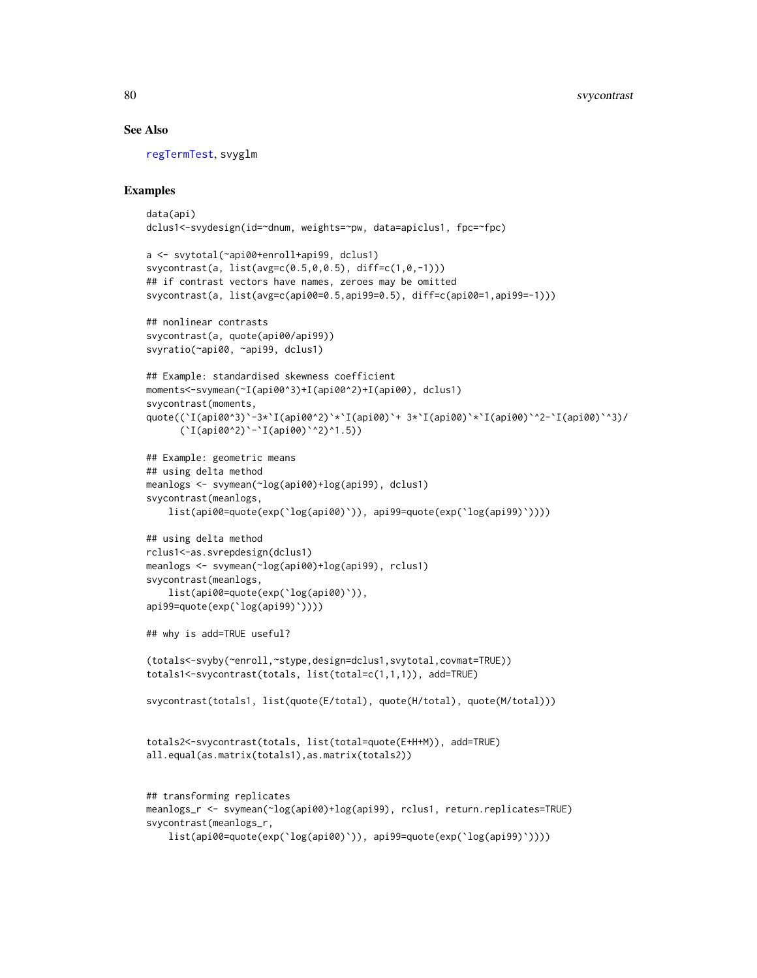### See Also

[regTermTest](#page-56-0), svyglm

```
data(api)
dclus1<-svydesign(id=~dnum, weights=~pw, data=apiclus1, fpc=~fpc)
a <- svytotal(~api00+enroll+api99, dclus1)
svycontrast(a, list(avg=c(0.5,0,0.5), diff=c(1,0,-1)))
## if contrast vectors have names, zeroes may be omitted
svycontrast(a, list(avg=c(api00=0.5,api99=0.5), diff=c(api00=1,api99=-1)))
## nonlinear contrasts
svycontrast(a, quote(api00/api99))
svyratio(~api00, ~api99, dclus1)
## Example: standardised skewness coefficient
moments<-svymean(~I(api00^3)+I(api00^2)+I(api00), dclus1)
svycontrast(moments,
quote((`I(api00^3)`-3*`I(api00^2)`*`I(api00)`+ 3*`I(api00)`*`I(api00)`^2-`I(api00)`^3)/
      (`I(api00^2)`-`I(api00)`^2)^1.5))
## Example: geometric means
## using delta method
meanlogs <- svymean(~log(api00)+log(api99), dclus1)
svycontrast(meanlogs,
    list(api00=quote(exp(`log(api00)`)), api99=quote(exp(`log(api99)`))))
## using delta method
rclus1<-as.svrepdesign(dclus1)
meanlogs <- svymean(~log(api00)+log(api99), rclus1)
svycontrast(meanlogs,
    list(api00=quote(exp(`log(api00)`)),
api99=quote(exp(`log(api99)`))))
## why is add=TRUE useful?
(totals<-svyby(~enroll,~stype,design=dclus1,svytotal,covmat=TRUE))
totals1<-svycontrast(totals, list(total=c(1,1,1)), add=TRUE)
svycontrast(totals1, list(quote(E/total), quote(H/total), quote(M/total)))
totals2<-svycontrast(totals, list(total=quote(E+H+M)), add=TRUE)
all.equal(as.matrix(totals1),as.matrix(totals2))
## transforming replicates
meanlogs_r <- svymean(~log(api00)+log(api99), rclus1, return.replicates=TRUE)
svycontrast(meanlogs_r,
    list(api00=quote(exp(`log(api00)`)), api99=quote(exp(`log(api99)`))))
```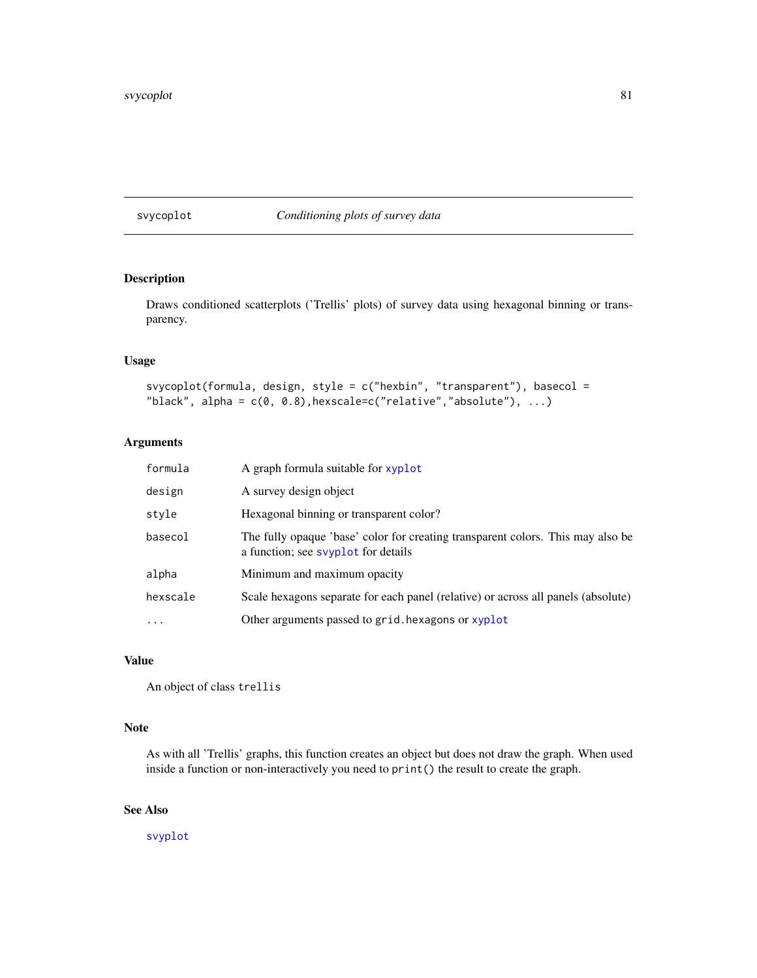## svycoplot *Conditioning plots of survey data*

# Description

Draws conditioned scatterplots ('Trellis' plots) of survey data using hexagonal binning or transparency.

# Usage

```
svycoplot(formula, design, style = c("hexbin", "transparent"), basecol =
"black", alpha = c(0, 0.8), hexscale=c("relative","absolute"), ...)
```
# Arguments

| formula   | A graph formula suitable for xyplot                                                                                   |
|-----------|-----------------------------------------------------------------------------------------------------------------------|
| design    | A survey design object                                                                                                |
| style     | Hexagonal binning or transparent color?                                                                               |
| basecol   | The fully opaque 'base' color for creating transparent colors. This may also be<br>a function; see syplot for details |
| alpha     | Minimum and maximum opacity                                                                                           |
| hexscale  | Scale hexagons separate for each panel (relative) or across all panels (absolute)                                     |
| $\ddotsc$ | Other arguments passed to grid. hexagons or xyplot                                                                    |

# Value

An object of class trellis

# Note

As with all 'Trellis' graphs, this function creates an object but does not draw the graph. When used inside a function or non-interactively you need to print() the result to create the graph.

# See Also

[svyplot](#page-109-0)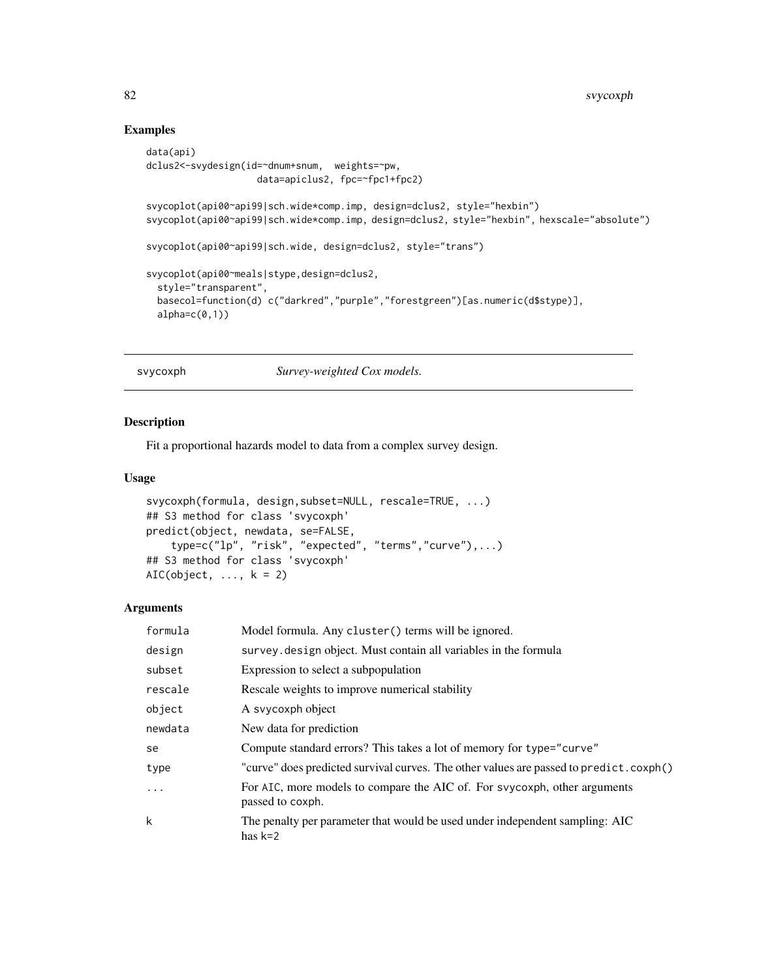# Examples

```
data(api)
dclus2<-svydesign(id=~dnum+snum, weights=~pw,
                   data=apiclus2, fpc=~fpc1+fpc2)
svycoplot(api00~api99|sch.wide*comp.imp, design=dclus2, style="hexbin")
svycoplot(api00~api99|sch.wide*comp.imp, design=dclus2, style="hexbin", hexscale="absolute")
svycoplot(api00~api99|sch.wide, design=dclus2, style="trans")
svycoplot(api00~meals|stype,design=dclus2,
 style="transparent",
 basecol=function(d) c("darkred","purple","forestgreen")[as.numeric(d$stype)],
 alpha=c(0,1))
```
<span id="page-81-1"></span>svycoxph *Survey-weighted Cox models.*

# <span id="page-81-0"></span>Description

Fit a proportional hazards model to data from a complex survey design.

#### Usage

```
svycoxph(formula, design,subset=NULL, rescale=TRUE, ...)
## S3 method for class 'svycoxph'
predict(object, newdata, se=FALSE,
    type=c("lp", "risk", "expected", "terms","curve"),...)
## S3 method for class 'svycoxph'
AIC(object, ..., k = 2)
```

| formula    | Model formula. Any cluster () terms will be ignored.                                          |
|------------|-----------------------------------------------------------------------------------------------|
| design     | survey. design object. Must contain all variables in the formula                              |
| subset     | Expression to select a subpopulation                                                          |
| rescale    | Rescale weights to improve numerical stability                                                |
| object     | A svycoxph object                                                                             |
| newdata    | New data for prediction                                                                       |
| se         | Compute standard errors? This takes a lot of memory for type="curve"                          |
| type       | "curve" does predicted survival curves. The other values are passed to predict.coxph()        |
| $\ddots$ . | For AIC, more models to compare the AIC of. For svycoxph, other arguments<br>passed to coxph. |
| k          | The penalty per parameter that would be used under independent sampling: AIC<br>has $k=2$     |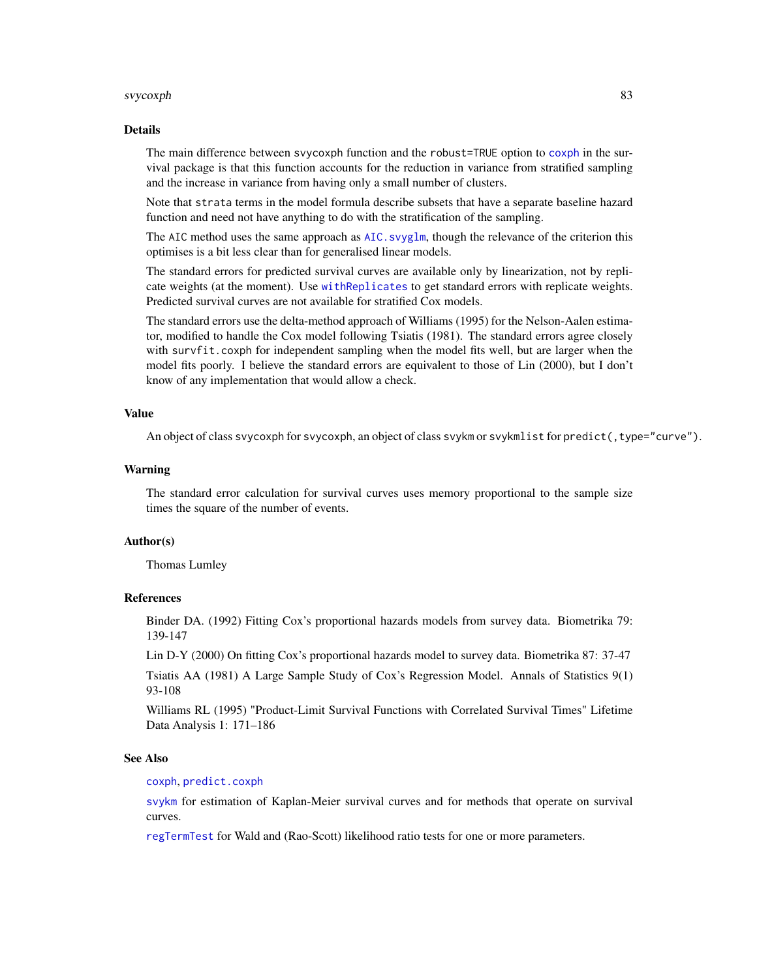#### svycoxph 83

#### Details

The main difference between svycoxph function and the robust=TRUE option to [coxph](#page-0-0) in the survival package is that this function accounts for the reduction in variance from stratified sampling and the increase in variance from having only a small number of clusters.

Note that strata terms in the model formula describe subsets that have a separate baseline hazard function and need not have anything to do with the stratification of the sampling.

The AIC method uses the same approach as AIC. svyglm, though the relevance of the criterion this optimises is a bit less clear than for generalised linear models.

The standard errors for predicted survival curves are available only by linearization, not by replicate weights (at the moment). Use [withReplicates](#page-138-0) to get standard errors with replicate weights. Predicted survival curves are not available for stratified Cox models.

The standard errors use the delta-method approach of Williams (1995) for the Nelson-Aalen estimator, modified to handle the Cox model following Tsiatis (1981). The standard errors agree closely with survfit.coxph for independent sampling when the model fits well, but are larger when the model fits poorly. I believe the standard errors are equivalent to those of Lin (2000), but I don't know of any implementation that would allow a check.

#### Value

An object of class svycoxph for svycoxph, an object of class svykm or svykmlist for predict(, type="curve").

#### Warning

The standard error calculation for survival curves uses memory proportional to the sample size times the square of the number of events.

# Author(s)

Thomas Lumley

### References

Binder DA. (1992) Fitting Cox's proportional hazards models from survey data. Biometrika 79: 139-147

Lin D-Y (2000) On fitting Cox's proportional hazards model to survey data. Biometrika 87: 37-47

Tsiatis AA (1981) A Large Sample Study of Cox's Regression Model. Annals of Statistics 9(1) 93-108

Williams RL (1995) "Product-Limit Survival Functions with Correlated Survival Times" Lifetime Data Analysis 1: 171–186

#### See Also

#### [coxph](#page-0-0), [predict.coxph](#page-0-0)

[svykm](#page-98-0) for estimation of Kaplan-Meier survival curves and for methods that operate on survival curves.

[regTermTest](#page-56-0) for Wald and (Rao-Scott) likelihood ratio tests for one or more parameters.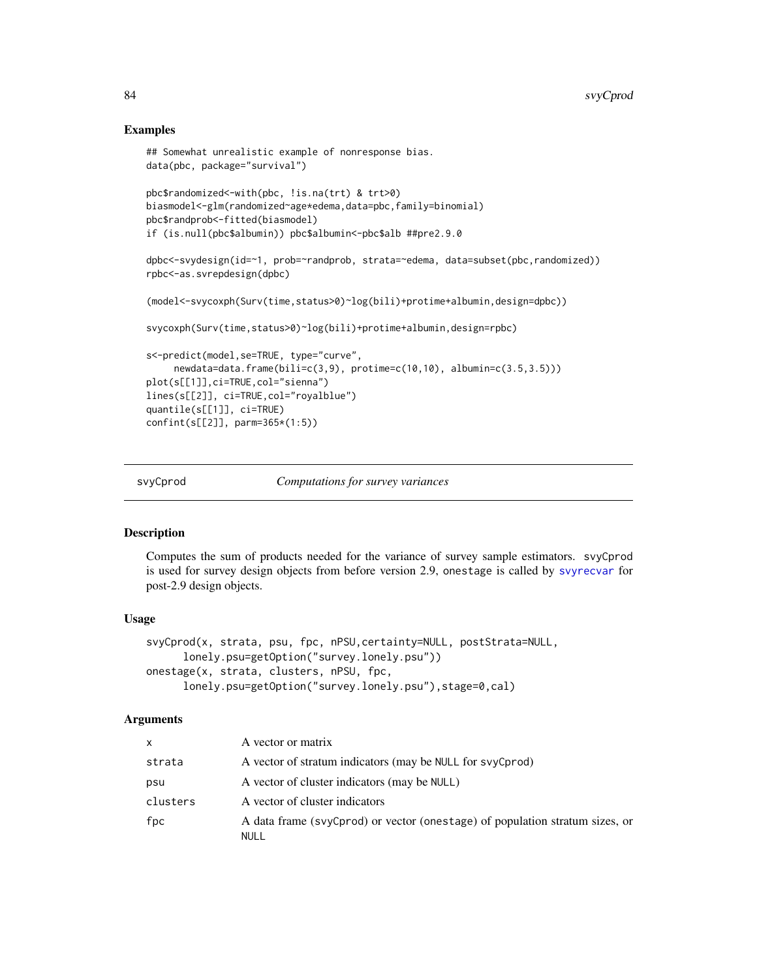# Examples

```
## Somewhat unrealistic example of nonresponse bias.
data(pbc, package="survival")
pbc$randomized<-with(pbc, !is.na(trt) & trt>0)
biasmodel<-glm(randomized~age*edema,data=pbc,family=binomial)
pbc$randprob<-fitted(biasmodel)
if (is.null(pbc$albumin)) pbc$albumin<-pbc$alb ##pre2.9.0
dpbc<-svydesign(id=~1, prob=~randprob, strata=~edema, data=subset(pbc,randomized))
rpbc<-as.svrepdesign(dpbc)
(model<-svycoxph(Surv(time,status>0)~log(bili)+protime+albumin,design=dpbc))
svycoxph(Surv(time,status>0)~log(bili)+protime+albumin,design=rpbc)
s<-predict(model,se=TRUE, type="curve",
     newdata=data.frame(bili=c(3,9), protime=c(10,10), albumin=c(3.5,3.5)))
plot(s[[1]],ci=TRUE,col="sienna")
lines(s[[2]], ci=TRUE,col="royalblue")
quantile(s[[1]], ci=TRUE)
confint(s[[2]], parm=365*(1:5))
```
<span id="page-83-0"></span>

svyCprod *Computations for survey variances*

#### Description

Computes the sum of products needed for the variance of survey sample estimators. svyCprod is used for survey design objects from before version 2.9, onestage is called by [svyrecvar](#page-119-0) for post-2.9 design objects.

#### Usage

```
svyCprod(x, strata, psu, fpc, nPSU,certainty=NULL, postStrata=NULL,
     lonely.psu=getOption("survey.lonely.psu"))
onestage(x, strata, clusters, nPSU, fpc,
     lonely.psu=getOption("survey.lonely.psu"),stage=0,cal)
```

| $\mathsf{x}$ | A vector or matrix                                                                   |
|--------------|--------------------------------------------------------------------------------------|
| strata       | A vector of stratum indicators (may be NULL for svyCprod)                            |
| psu          | A vector of cluster indicators (may be NULL)                                         |
| clusters     | A vector of cluster indicators                                                       |
| fpc          | A data frame (svyCprod) or vector (onestage) of population stratum sizes, or<br>NULL |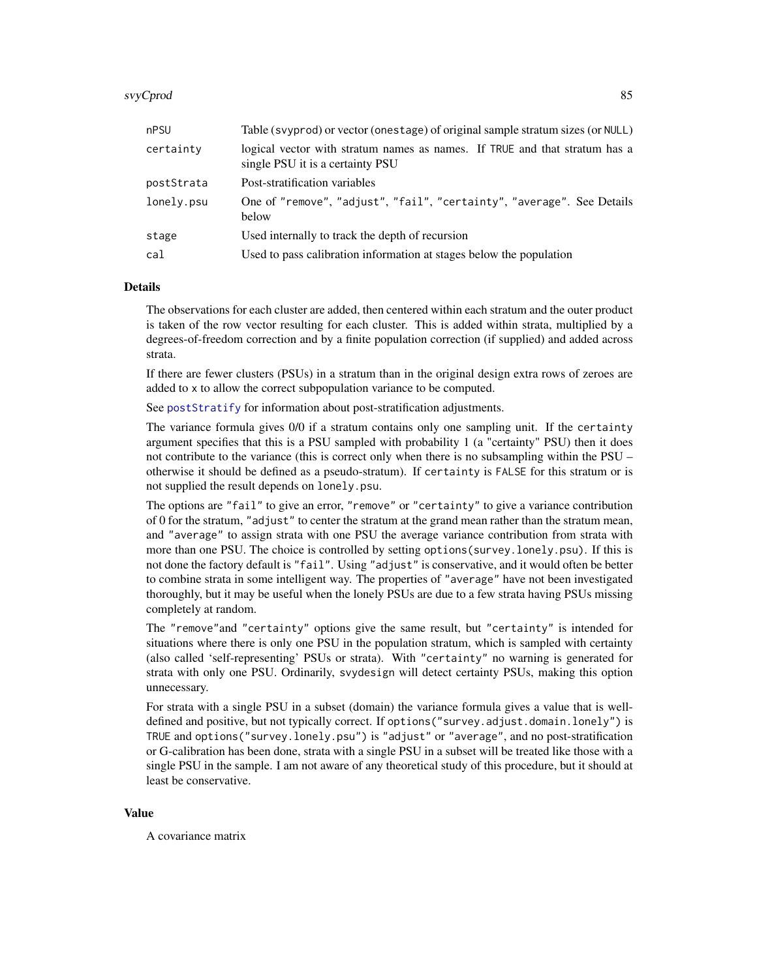#### svyCprod 85

| nPSU       | Table (svyprod) or vector (onestage) of original sample stratum sizes (or NULL)                                |
|------------|----------------------------------------------------------------------------------------------------------------|
| certainty  | logical vector with stratum names as names. If TRUE and that stratum has a<br>single PSU it is a certainty PSU |
| postStrata | Post-stratification variables                                                                                  |
| lonely.psu | One of "remove", "adjust", "fail", "certainty", "average". See Details<br>below                                |
| stage      | Used internally to track the depth of recursion                                                                |
| cal        | Used to pass calibration information at stages below the population                                            |

#### Details

The observations for each cluster are added, then centered within each stratum and the outer product is taken of the row vector resulting for each cluster. This is added within strata, multiplied by a degrees-of-freedom correction and by a finite population correction (if supplied) and added across strata.

If there are fewer clusters (PSUs) in a stratum than in the original design extra rows of zeroes are added to x to allow the correct subpopulation variance to be computed.

See [postStratify](#page-51-0) for information about post-stratification adjustments.

The variance formula gives 0/0 if a stratum contains only one sampling unit. If the certainty argument specifies that this is a PSU sampled with probability 1 (a "certainty" PSU) then it does not contribute to the variance (this is correct only when there is no subsampling within the PSU – otherwise it should be defined as a pseudo-stratum). If certainty is FALSE for this stratum or is not supplied the result depends on lonely.psu.

The options are "fail" to give an error, "remove" or "certainty" to give a variance contribution of 0 for the stratum, "adjust" to center the stratum at the grand mean rather than the stratum mean, and "average" to assign strata with one PSU the average variance contribution from strata with more than one PSU. The choice is controlled by setting options(survey.lonely.psu). If this is not done the factory default is "fail". Using "adjust" is conservative, and it would often be better to combine strata in some intelligent way. The properties of "average" have not been investigated thoroughly, but it may be useful when the lonely PSUs are due to a few strata having PSUs missing completely at random.

The "remove"and "certainty" options give the same result, but "certainty" is intended for situations where there is only one PSU in the population stratum, which is sampled with certainty (also called 'self-representing' PSUs or strata). With "certainty" no warning is generated for strata with only one PSU. Ordinarily, svydesign will detect certainty PSUs, making this option unnecessary.

For strata with a single PSU in a subset (domain) the variance formula gives a value that is welldefined and positive, but not typically correct. If options("survey.adjust.domain.lonely") is TRUE and options("survey.lonely.psu") is "adjust" or "average", and no post-stratification or G-calibration has been done, strata with a single PSU in a subset will be treated like those with a single PSU in the sample. I am not aware of any theoretical study of this procedure, but it should at least be conservative.

#### Value

A covariance matrix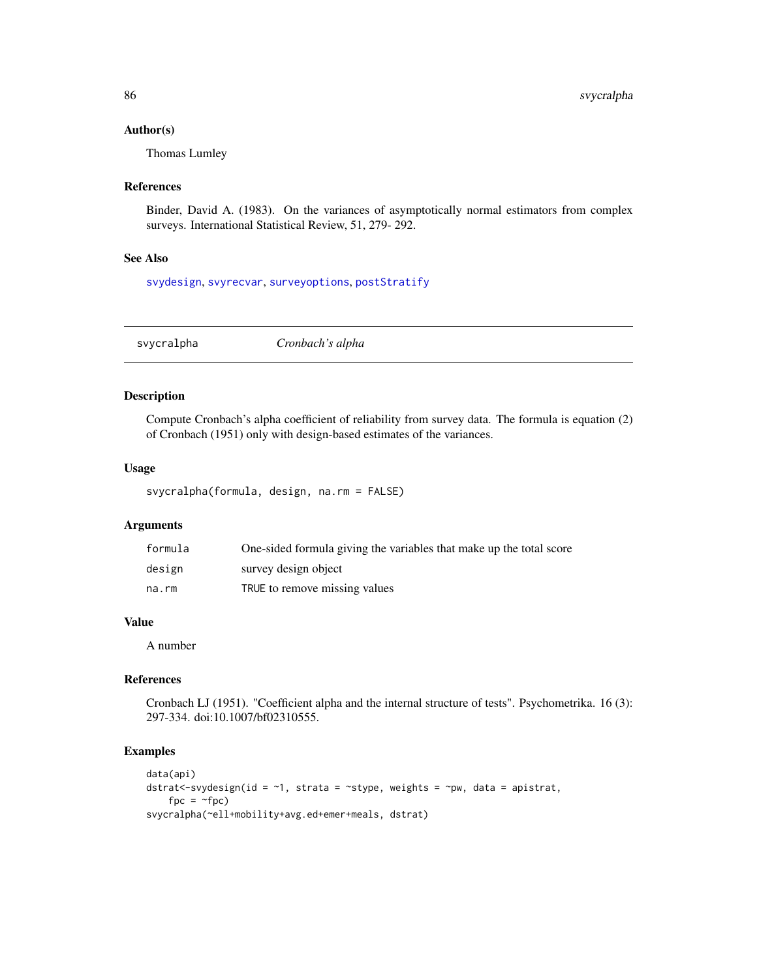#### Author(s)

Thomas Lumley

# References

Binder, David A. (1983). On the variances of asymptotically normal estimators from complex surveys. International Statistical Review, 51, 279- 292.

# See Also

[svydesign](#page-86-0), [svyrecvar](#page-119-0), [surveyoptions](#page-62-0), [postStratify](#page-51-0)

svycralpha *Cronbach's alpha*

# Description

Compute Cronbach's alpha coefficient of reliability from survey data. The formula is equation (2) of Cronbach (1951) only with design-based estimates of the variances.

### Usage

```
svycralpha(formula, design, na.rm = FALSE)
```
#### Arguments

| formula | One-sided formula giving the variables that make up the total score |
|---------|---------------------------------------------------------------------|
| design  | survey design object                                                |
| na.rm   | TRUE to remove missing values                                       |

#### Value

A number

# References

Cronbach LJ (1951). "Coefficient alpha and the internal structure of tests". Psychometrika. 16 (3): 297-334. doi:10.1007/bf02310555.

```
data(api)
dstrat <- svydesign(id = \sim 1, strata = \sim stype, weights = \sim pw, data = apistrat,
    fpc = ~fpc)
svycralpha(~ell+mobility+avg.ed+emer+meals, dstrat)
```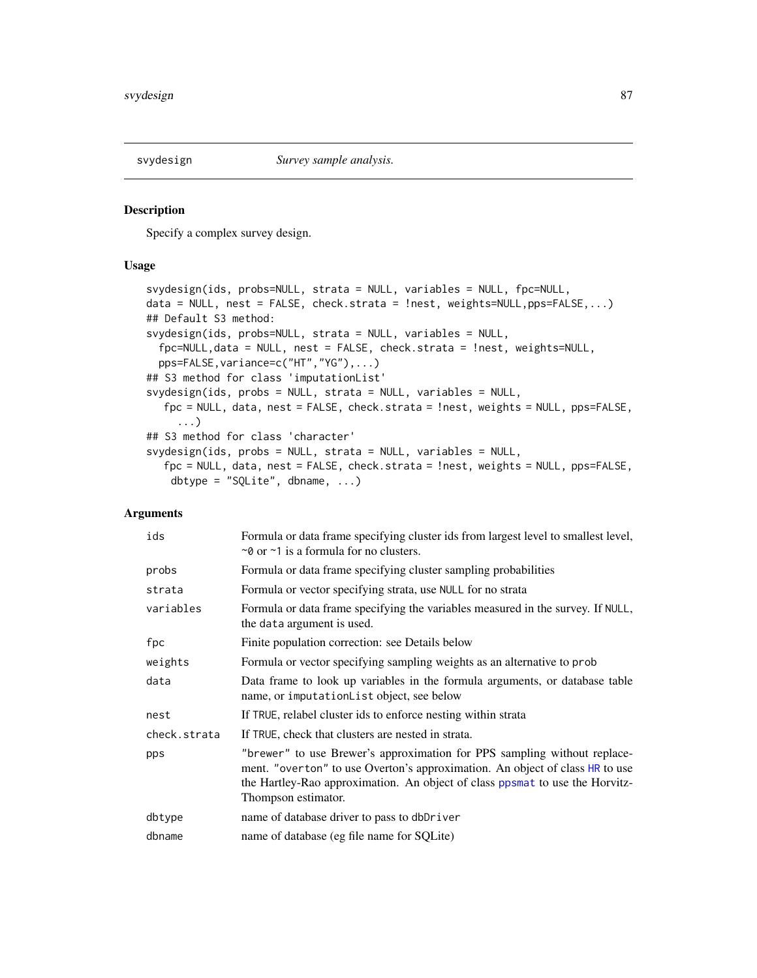<span id="page-86-0"></span>

### Description

Specify a complex survey design.

# Usage

```
svydesign(ids, probs=NULL, strata = NULL, variables = NULL, fpc=NULL,
data = NULL, nest = FALSE, check.strata = !nest, weights=NULL,pps=FALSE,...)
## Default S3 method:
svydesign(ids, probs=NULL, strata = NULL, variables = NULL,
  fpc=NULL,data = NULL, nest = FALSE, check.strata = !nest, weights=NULL,
  pps=FALSE,variance=c("HT","YG"),...)
## S3 method for class 'imputationList'
svydesign(ids, probs = NULL, strata = NULL, variables = NULL,
   fpc = NULL, data, nest = FALSE, check.strata = !nest, weights = NULL, pps=FALSE,
     ...)
## S3 method for class 'character'
svydesign(ids, probs = NULL, strata = NULL, variables = NULL,
   fpc = NULL, data, nest = FALSE, check.strata = !nest, weights = NULL, pps=FALSE,
    dbtype = "SQLite", dbname, ...)
```

| ids          | Formula or data frame specifying cluster ids from largest level to smallest level,<br>$\sim$ 0 or $\sim$ 1 is a formula for no clusters.                                                                                                                        |
|--------------|-----------------------------------------------------------------------------------------------------------------------------------------------------------------------------------------------------------------------------------------------------------------|
| probs        | Formula or data frame specifying cluster sampling probabilities                                                                                                                                                                                                 |
| strata       | Formula or vector specifying strata, use NULL for no strata                                                                                                                                                                                                     |
| variables    | Formula or data frame specifying the variables measured in the survey. If NULL,<br>the data argument is used.                                                                                                                                                   |
| fpc          | Finite population correction: see Details below                                                                                                                                                                                                                 |
| weights      | Formula or vector specifying sampling weights as an alternative to prob                                                                                                                                                                                         |
| data         | Data frame to look up variables in the formula arguments, or database table<br>name, or imputation List object, see below                                                                                                                                       |
| nest         | If TRUE, relabel cluster ids to enforce nesting within strata                                                                                                                                                                                                   |
| check.strata | If TRUE, check that clusters are nested in strata.                                                                                                                                                                                                              |
| pps          | "brewer" to use Brewer's approximation for PPS sampling without replace-<br>ment. "overton" to use Overton's approximation. An object of class HR to use<br>the Hartley-Rao approximation. An object of class ppsmat to use the Horvitz-<br>Thompson estimator. |
| dbtype       | name of database driver to pass to dbDriver                                                                                                                                                                                                                     |
| dbname       | name of database (eg file name for SQLite)                                                                                                                                                                                                                      |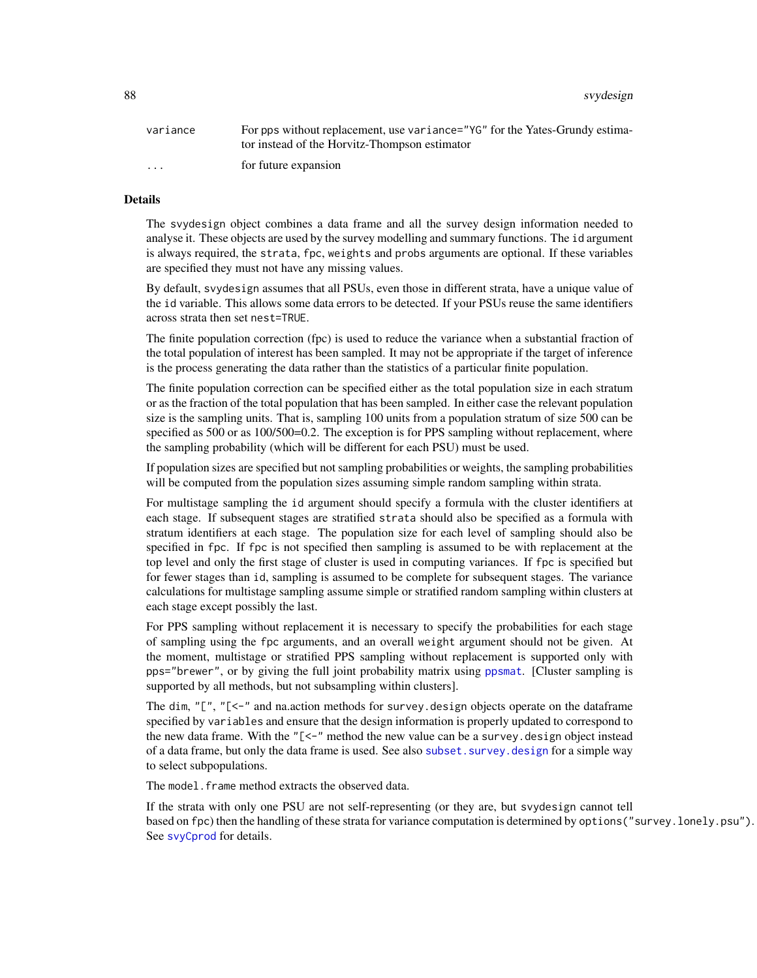88 svydesign

| variance | For pps without replacement, use variance="YG" for the Yates-Grundy estima-<br>tor instead of the Horvitz-Thompson estimator |
|----------|------------------------------------------------------------------------------------------------------------------------------|
| $\cdots$ | for future expansion                                                                                                         |

#### Details

The svydesign object combines a data frame and all the survey design information needed to analyse it. These objects are used by the survey modelling and summary functions. The id argument is always required, the strata, fpc, weights and probs arguments are optional. If these variables are specified they must not have any missing values.

By default, svydesign assumes that all PSUs, even those in different strata, have a unique value of the id variable. This allows some data errors to be detected. If your PSUs reuse the same identifiers across strata then set nest=TRUE.

The finite population correction (fpc) is used to reduce the variance when a substantial fraction of the total population of interest has been sampled. It may not be appropriate if the target of inference is the process generating the data rather than the statistics of a particular finite population.

The finite population correction can be specified either as the total population size in each stratum or as the fraction of the total population that has been sampled. In either case the relevant population size is the sampling units. That is, sampling 100 units from a population stratum of size 500 can be specified as 500 or as 100/500=0.2. The exception is for PPS sampling without replacement, where the sampling probability (which will be different for each PSU) must be used.

If population sizes are specified but not sampling probabilities or weights, the sampling probabilities will be computed from the population sizes assuming simple random sampling within strata.

For multistage sampling the id argument should specify a formula with the cluster identifiers at each stage. If subsequent stages are stratified strata should also be specified as a formula with stratum identifiers at each stage. The population size for each level of sampling should also be specified in fpc. If fpc is not specified then sampling is assumed to be with replacement at the top level and only the first stage of cluster is used in computing variances. If fpc is specified but for fewer stages than id, sampling is assumed to be complete for subsequent stages. The variance calculations for multistage sampling assume simple or stratified random sampling within clusters at each stage except possibly the last.

For PPS sampling without replacement it is necessary to specify the probabilities for each stage of sampling using the fpc arguments, and an overall weight argument should not be given. At the moment, multistage or stratified PPS sampling without replacement is supported only with pps="brewer", or by giving the full joint probability matrix using [ppsmat](#page-34-1). [Cluster sampling is supported by all methods, but not subsampling within clusters].

The dim, " $[$ ", " $[$  <-" and na.action methods for survey. design objects operate on the dataframe specified by variables and ensure that the design information is properly updated to correspond to the new data frame. With the " $\lll$  =" method the new value can be a survey. design object instead of a data frame, but only the data frame is used. See also [subset.survey.design](#page-61-0) for a simple way to select subpopulations.

The model. frame method extracts the observed data.

If the strata with only one PSU are not self-representing (or they are, but svydesign cannot tell based on fpc) then the handling of these strata for variance computation is determined by options("survey.lonely.psu"). See [svyCprod](#page-83-0) for details.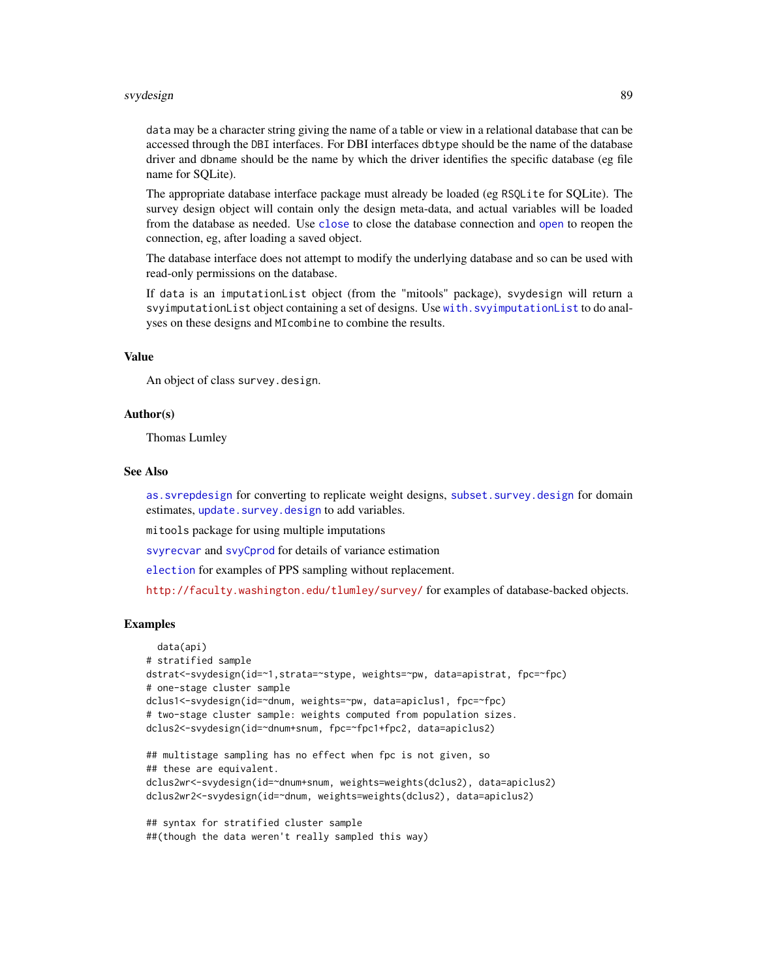#### svydesign 89 stedet i 1999 stedet i 1999 stedet i 1999 stedet i 1999 stedet i 1999 stedet i 1999 stedet i 1999

data may be a character string giving the name of a table or view in a relational database that can be accessed through the DBI interfaces. For DBI interfaces dbtype should be the name of the database driver and dbname should be the name by which the driver identifies the specific database (eg file name for SQLite).

The appropriate database interface package must already be loaded (eg RSQLite for SQLite). The survey design object will contain only the design meta-data, and actual variables will be loaded from the database as needed. Use [close](#page-46-0) to close the database connection and [open](#page-46-1) to reopen the connection, eg, after loading a saved object.

The database interface does not attempt to modify the underlying database and so can be used with read-only permissions on the database.

If data is an imputationList object (from the "mitools" package), svydesign will return a svyimputationList object containing a set of designs. Use [with.svyimputationList](#page-136-0) to do analyses on these designs and MIcombine to combine the results.

### Value

An object of class survey.design.

### Author(s)

Thomas Lumley

#### See Also

[as.svrepdesign](#page-8-0) for converting to replicate weight designs, [subset.survey.design](#page-61-0) for domain estimates, update. survey. design to add variables.

mitools package for using multiple imputations

[svyrecvar](#page-119-0) and [svyCprod](#page-83-0) for details of variance estimation

[election](#page-26-0) for examples of PPS sampling without replacement.

<http://faculty.washington.edu/tlumley/survey/> for examples of database-backed objects.

```
data(api)
# stratified sample
dstrat<-svydesign(id=~1,strata=~stype, weights=~pw, data=apistrat, fpc=~fpc)
# one-stage cluster sample
dclus1<-svydesign(id=~dnum, weights=~pw, data=apiclus1, fpc=~fpc)
# two-stage cluster sample: weights computed from population sizes.
dclus2<-svydesign(id=~dnum+snum, fpc=~fpc1+fpc2, data=apiclus2)
## multistage sampling has no effect when fpc is not given, so
## these are equivalent.
dclus2wr<-svydesign(id=~dnum+snum, weights=weights(dclus2), data=apiclus2)
dclus2wr2<-svydesign(id=~dnum, weights=weights(dclus2), data=apiclus2)
## syntax for stratified cluster sample
```

```
##(though the data weren't really sampled this way)
```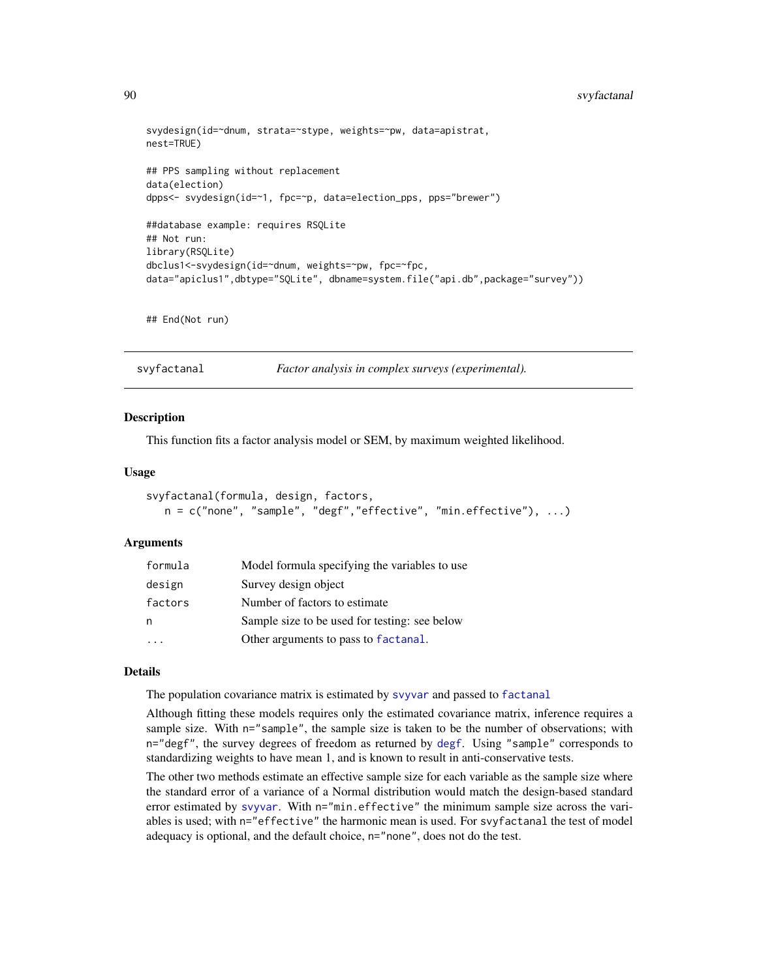# 90 svyfactanal

```
svydesign(id=~dnum, strata=~stype, weights=~pw, data=apistrat,
nest=TRUE)
## PPS sampling without replacement
data(election)
dpps<- svydesign(id=~1, fpc=~p, data=election_pps, pps="brewer")
##database example: requires RSQLite
## Not run:
library(RSQLite)
dbclus1<-svydesign(id=~dnum, weights=~pw, fpc=~fpc,
data="apiclus1",dbtype="SQLite", dbname=system.file("api.db",package="survey"))
```

```
## End(Not run)
```
svyfactanal *Factor analysis in complex surveys (experimental).*

#### Description

This function fits a factor analysis model or SEM, by maximum weighted likelihood.

### Usage

```
svyfactanal(formula, design, factors,
  n = c("none", "sample", "degf", "effective", "min. effective"), ...
```
#### Arguments

| formula | Model formula specifying the variables to use |
|---------|-----------------------------------------------|
| design  | Survey design object                          |
| factors | Number of factors to estimate.                |
| n       | Sample size to be used for testing: see below |
|         | Other arguments to pass to factanal.          |

### Details

The population covariance matrix is estimated by [svyvar](#page-63-0) and passed to [factanal](#page-0-0)

Although fitting these models requires only the estimated covariance matrix, inference requires a sample size. With n="sample", the sample size is taken to be the number of observations; with n="degf", the survey degrees of freedom as returned by [degf](#page-125-1). Using "sample" corresponds to standardizing weights to have mean 1, and is known to result in anti-conservative tests.

The other two methods estimate an effective sample size for each variable as the sample size where the standard error of a variance of a Normal distribution would match the design-based standard error estimated by [svyvar](#page-63-0). With n="min.effective" the minimum sample size across the variables is used; with n="effective" the harmonic mean is used. For svyfactanal the test of model adequacy is optional, and the default choice, n="none", does not do the test.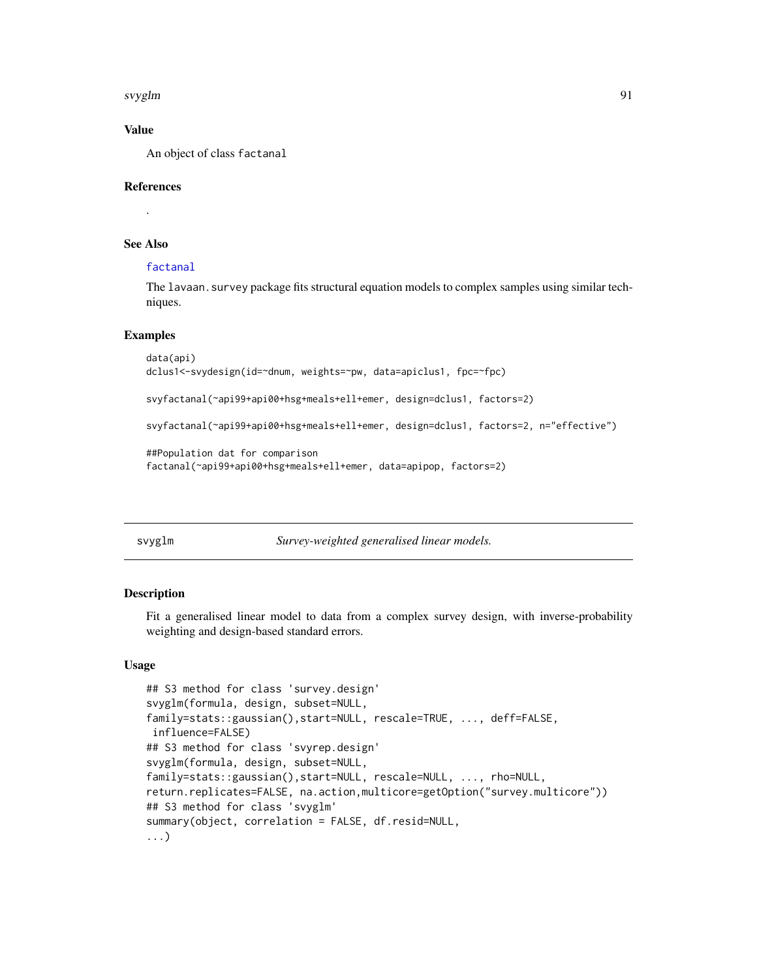svyglm 91

# Value

An object of class factanal

#### References

.

# See Also

# [factanal](#page-0-0)

The lavaan.survey package fits structural equation models to complex samples using similar techniques.

#### Examples

```
data(api)
dclus1<-svydesign(id=~dnum, weights=~pw, data=apiclus1, fpc=~fpc)
svyfactanal(~api99+api00+hsg+meals+ell+emer, design=dclus1, factors=2)
svyfactanal(~api99+api00+hsg+meals+ell+emer, design=dclus1, factors=2, n="effective")
##Population dat for comparison
factanal(~api99+api00+hsg+meals+ell+emer, data=apipop, factors=2)
```
<span id="page-90-0"></span>

|  | vvglm |
|--|-------|
|  |       |

Survey-weighted generalised linear models.

#### **Description**

Fit a generalised linear model to data from a complex survey design, with inverse-probability weighting and design-based standard errors.

### Usage

```
## S3 method for class 'survey.design'
svyglm(formula, design, subset=NULL,
family=stats::gaussian(),start=NULL, rescale=TRUE, ..., deff=FALSE,
influence=FALSE)
## S3 method for class 'svyrep.design'
svyglm(formula, design, subset=NULL,
family=stats::gaussian(),start=NULL, rescale=NULL, ..., rho=NULL,
return.replicates=FALSE, na.action,multicore=getOption("survey.multicore"))
## S3 method for class 'svyglm'
summary(object, correlation = FALSE, df.resid=NULL,
...)
```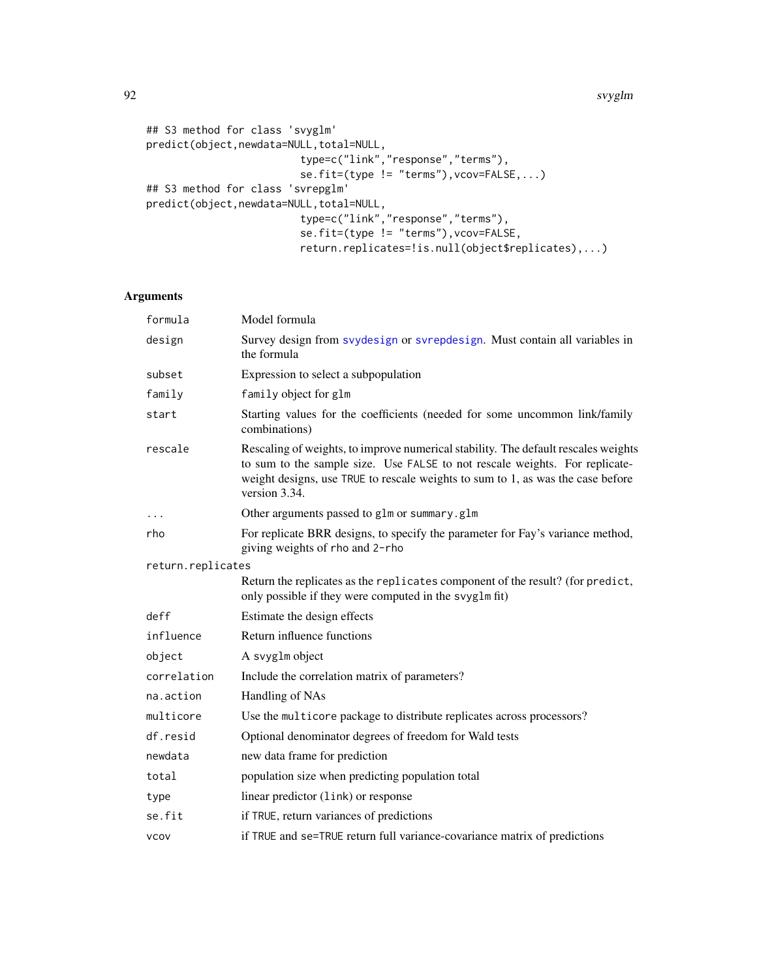92 svyglm

```
## S3 method for class 'svyglm'
predict(object,newdata=NULL,total=NULL,
                         type=c("link","response","terms"),
                         se.fit=(type != "terms"),vcov=FALSE,...)
## S3 method for class 'svrepglm'
predict(object,newdata=NULL,total=NULL,
                         type=c("link","response","terms"),
                         se.fit=(type != "terms"),vcov=FALSE,
                         return.replicates=!is.null(object$replicates),...)
```

| formula           | Model formula                                                                                                                                                                                                                                                         |
|-------------------|-----------------------------------------------------------------------------------------------------------------------------------------------------------------------------------------------------------------------------------------------------------------------|
| design            | Survey design from svydesign or svrepdesign. Must contain all variables in<br>the formula                                                                                                                                                                             |
| subset            | Expression to select a subpopulation                                                                                                                                                                                                                                  |
| family            | family object for glm                                                                                                                                                                                                                                                 |
| start             | Starting values for the coefficients (needed for some uncommon link/family<br>combinations)                                                                                                                                                                           |
| rescale           | Rescaling of weights, to improve numerical stability. The default rescales weights<br>to sum to the sample size. Use FALSE to not rescale weights. For replicate-<br>weight designs, use TRUE to rescale weights to sum to 1, as was the case before<br>version 3.34. |
|                   | Other arguments passed to glm or summary.glm                                                                                                                                                                                                                          |
| rho               | For replicate BRR designs, to specify the parameter for Fay's variance method,<br>giving weights of rho and 2-rho                                                                                                                                                     |
| return.replicates |                                                                                                                                                                                                                                                                       |
|                   | Return the replicates as the replicates component of the result? (for predict,<br>only possible if they were computed in the svyglm fit)                                                                                                                              |
| deff              | Estimate the design effects                                                                                                                                                                                                                                           |
| influence         | Return influence functions                                                                                                                                                                                                                                            |
| object            | A svyglm object                                                                                                                                                                                                                                                       |
| correlation       | Include the correlation matrix of parameters?                                                                                                                                                                                                                         |
| na.action         | Handling of NAs                                                                                                                                                                                                                                                       |
| multicore         | Use the multicore package to distribute replicates across processors?                                                                                                                                                                                                 |
| df.resid          | Optional denominator degrees of freedom for Wald tests                                                                                                                                                                                                                |
| newdata           | new data frame for prediction                                                                                                                                                                                                                                         |
| total             | population size when predicting population total                                                                                                                                                                                                                      |
| type              | linear predictor (1ink) or response                                                                                                                                                                                                                                   |
| se.fit            | if TRUE, return variances of predictions                                                                                                                                                                                                                              |
| <b>VCOV</b>       | if TRUE and se=TRUE return full variance-covariance matrix of predictions                                                                                                                                                                                             |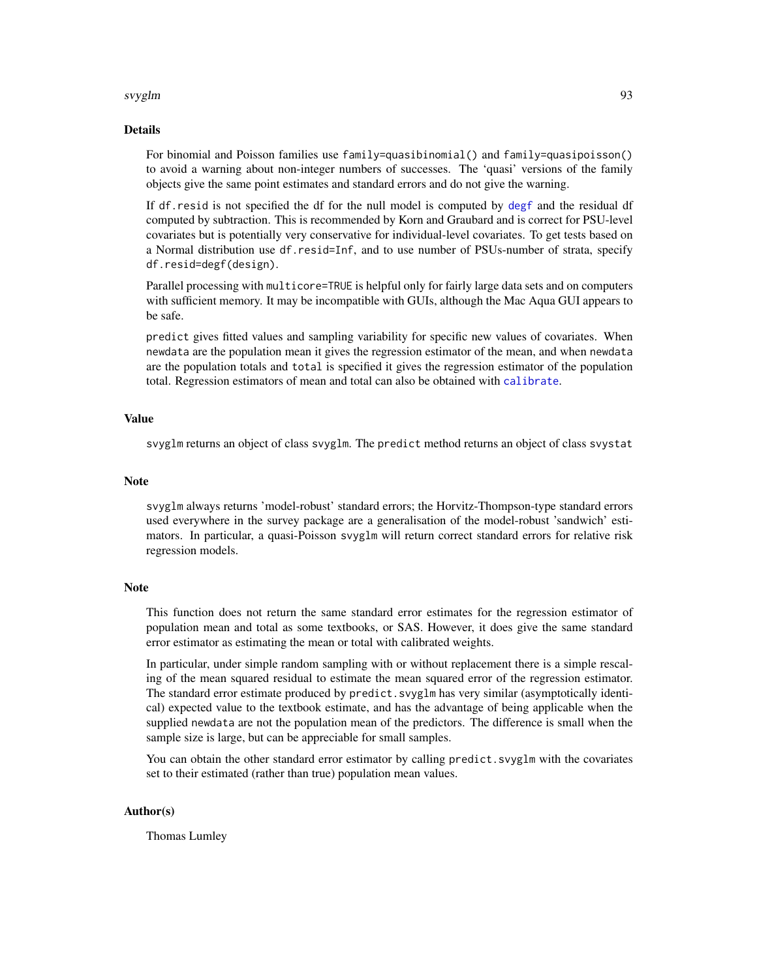#### svyglm 93

#### Details

For binomial and Poisson families use family=quasibinomial() and family=quasipoisson() to avoid a warning about non-integer numbers of successes. The 'quasi' versions of the family objects give the same point estimates and standard errors and do not give the warning.

If df.resid is not specified the df for the null model is computed by [degf](#page-125-1) and the residual df computed by subtraction. This is recommended by Korn and Graubard and is correct for PSU-level covariates but is potentially very conservative for individual-level covariates. To get tests based on a Normal distribution use df.resid=Inf, and to use number of PSUs-number of strata, specify df.resid=degf(design).

Parallel processing with multicore=TRUE is helpful only for fairly large data sets and on computers with sufficient memory. It may be incompatible with GUIs, although the Mac Aqua GUI appears to be safe.

predict gives fitted values and sampling variability for specific new values of covariates. When newdata are the population mean it gives the regression estimator of the mean, and when newdata are the population totals and total is specified it gives the regression estimator of the population total. Regression estimators of mean and total can also be obtained with [calibrate](#page-16-0).

#### Value

svyglm returns an object of class svyglm. The predict method returns an object of class svystat

# Note

svyglm always returns 'model-robust' standard errors; the Horvitz-Thompson-type standard errors used everywhere in the survey package are a generalisation of the model-robust 'sandwich' estimators. In particular, a quasi-Poisson svyglm will return correct standard errors for relative risk regression models.

#### **Note**

This function does not return the same standard error estimates for the regression estimator of population mean and total as some textbooks, or SAS. However, it does give the same standard error estimator as estimating the mean or total with calibrated weights.

In particular, under simple random sampling with or without replacement there is a simple rescaling of the mean squared residual to estimate the mean squared error of the regression estimator. The standard error estimate produced by predict.svyglm has very similar (asymptotically identical) expected value to the textbook estimate, and has the advantage of being applicable when the supplied newdata are not the population mean of the predictors. The difference is small when the sample size is large, but can be appreciable for small samples.

You can obtain the other standard error estimator by calling predict. svyglm with the covariates set to their estimated (rather than true) population mean values.

#### Author(s)

Thomas Lumley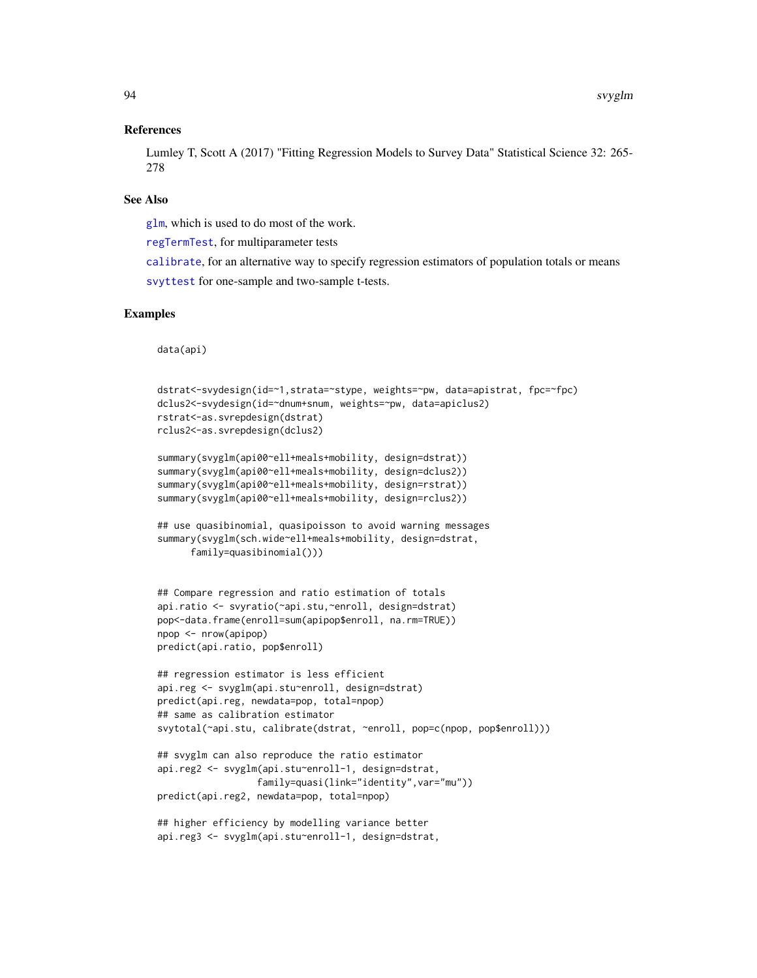### References

Lumley T, Scott A (2017) "Fitting Regression Models to Survey Data" Statistical Science 32: 265- 278

### See Also

[glm](#page-0-0), which is used to do most of the work.

[regTermTest](#page-56-0), for multiparameter tests

[calibrate](#page-16-0), for an alternative way to specify regression estimators of population totals or means [svyttest](#page-128-0) for one-sample and two-sample t-tests.

### Examples

data(api)

```
dstrat<-svydesign(id=~1,strata=~stype, weights=~pw, data=apistrat, fpc=~fpc)
dclus2<-svydesign(id=~dnum+snum, weights=~pw, data=apiclus2)
rstrat<-as.svrepdesign(dstrat)
rclus2<-as.svrepdesign(dclus2)
summary(svyglm(api00~ell+meals+mobility, design=dstrat))
summary(svyglm(api00~ell+meals+mobility, design=dclus2))
summary(svyglm(api00~ell+meals+mobility, design=rstrat))
summary(svyglm(api00~ell+meals+mobility, design=rclus2))
## use quasibinomial, quasipoisson to avoid warning messages
summary(svyglm(sch.wide~ell+meals+mobility, design=dstrat,
      family=quasibinomial()))
## Compare regression and ratio estimation of totals
api.ratio <- svyratio(~api.stu,~enroll, design=dstrat)
pop<-data.frame(enroll=sum(apipop$enroll, na.rm=TRUE))
npop <- nrow(apipop)
predict(api.ratio, pop$enroll)
## regression estimator is less efficient
api.reg <- svyglm(api.stu~enroll, design=dstrat)
predict(api.reg, newdata=pop, total=npop)
## same as calibration estimator
svytotal(~api.stu, calibrate(dstrat, ~enroll, pop=c(npop, pop$enroll)))
## svyglm can also reproduce the ratio estimator
api.reg2 <- svyglm(api.stu~enroll-1, design=dstrat,
                  family=quasi(link="identity",var="mu"))
predict(api.reg2, newdata=pop, total=npop)
## higher efficiency by modelling variance better
```

```
api.reg3 <- svyglm(api.stu~enroll-1, design=dstrat,
```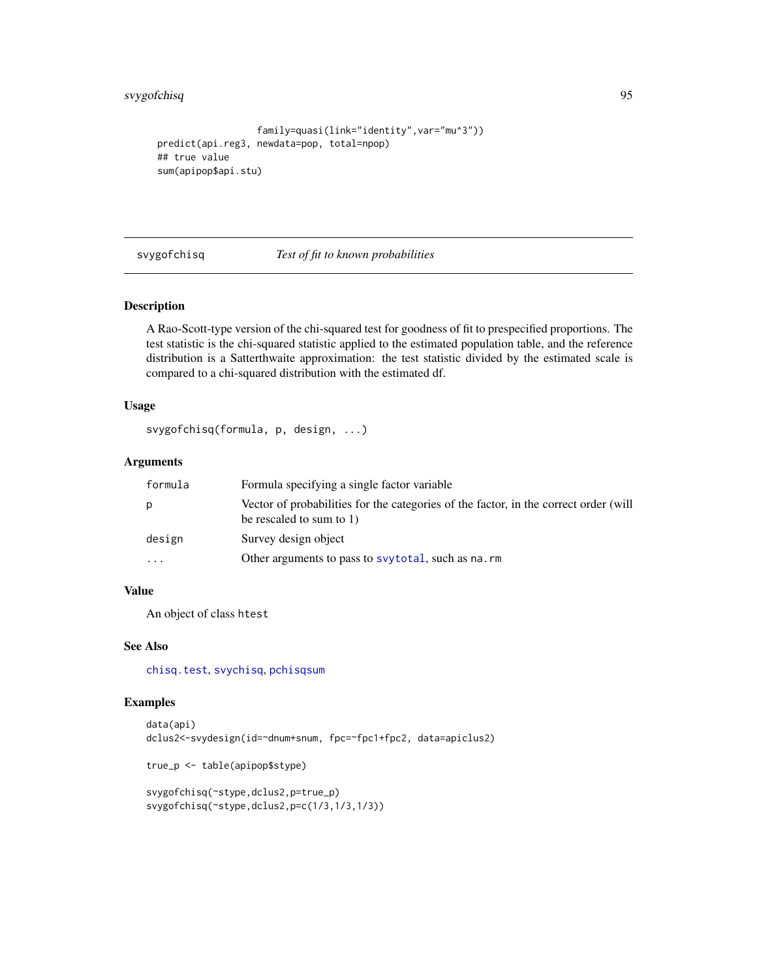```
family=quasi(link="identity",var="mu^3"))
predict(api.reg3, newdata=pop, total=npop)
## true value
sum(apipop$api.stu)
```
svygofchisq *Test of fit to known probabilities*

# Description

A Rao-Scott-type version of the chi-squared test for goodness of fit to prespecified proportions. The test statistic is the chi-squared statistic applied to the estimated population table, and the reference distribution is a Satterthwaite approximation: the test statistic divided by the estimated scale is compared to a chi-squared distribution with the estimated df.

# Usage

svygofchisq(formula, p, design, ...)

# Arguments

| formula  | Formula specifying a single factor variable                                                                      |
|----------|------------------------------------------------------------------------------------------------------------------|
| p        | Vector of probabilities for the categories of the factor, in the correct order (will<br>be rescaled to sum to 1) |
| design   | Survey design object                                                                                             |
| $\cdots$ | Other arguments to pass to syytotal, such as na.rm                                                               |

### Value

An object of class htest

# See Also

[chisq.test](#page-0-0), [svychisq](#page-125-1), [pchisqsum](#page-49-0)

# Examples

```
data(api)
dclus2<-svydesign(id=~dnum+snum, fpc=~fpc1+fpc2, data=apiclus2)
```
true\_p <- table(apipop\$stype)

```
svygofchisq(~stype,dclus2,p=true_p)
svygofchisq(~stype,dclus2,p=c(1/3,1/3,1/3))
```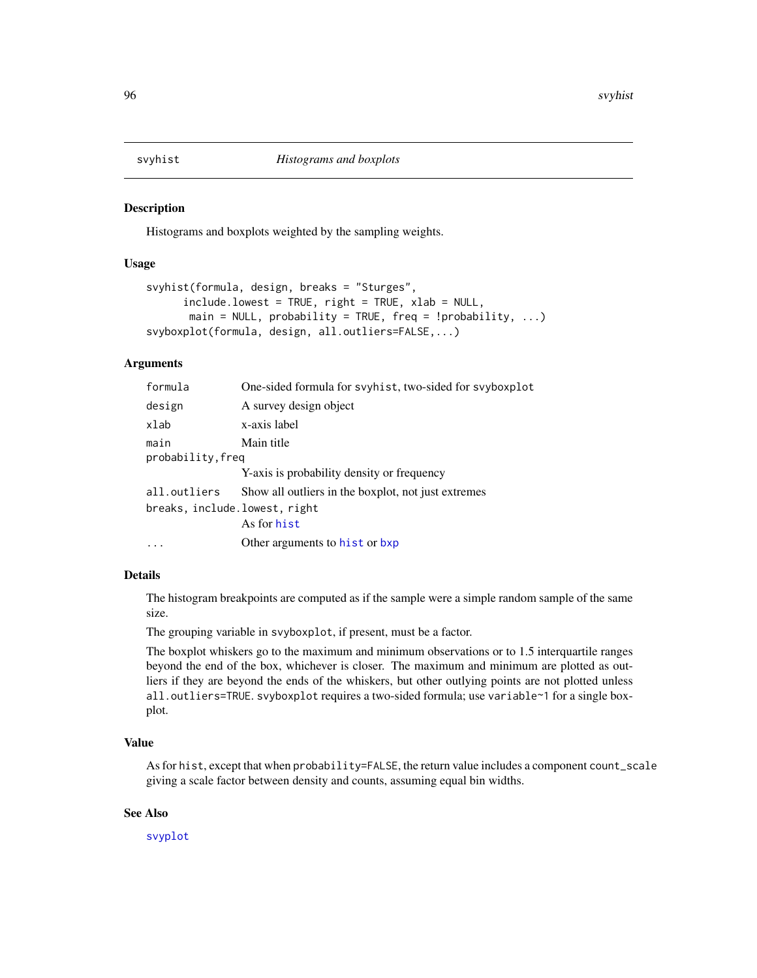<span id="page-95-0"></span>

### **Description**

Histograms and boxplots weighted by the sampling weights.

### Usage

```
svyhist(formula, design, breaks = "Sturges",
      include.lowest = TRUE, right = TRUE, xlab = NULL,
      main = NULL, probability = TRUE, freq = !probability, \dots)
svyboxplot(formula, design, all.outliers=FALSE,...)
```
## Arguments

| formula                       | One-sided formula for svyhist, two-sided for svyboxplot |
|-------------------------------|---------------------------------------------------------|
| design                        | A survey design object                                  |
| xlab                          | x-axis label                                            |
| main<br>probability, freq     | Main title                                              |
|                               | Y-axis is probability density or frequency              |
| all.outliers                  | Show all outliers in the boxplot, not just extremes     |
| breaks, include.lowest, right |                                                         |
|                               | As for hist                                             |
|                               | Other arguments to hist or bxp                          |

### Details

The histogram breakpoints are computed as if the sample were a simple random sample of the same size.

The grouping variable in svyboxplot, if present, must be a factor.

The boxplot whiskers go to the maximum and minimum observations or to 1.5 interquartile ranges beyond the end of the box, whichever is closer. The maximum and minimum are plotted as outliers if they are beyond the ends of the whiskers, but other outlying points are not plotted unless all.outliers=TRUE. svyboxplot requires a two-sided formula; use variable~1 for a single boxplot.

#### Value

As for hist, except that when probability=FALSE, the return value includes a component count\_scale giving a scale factor between density and counts, assuming equal bin widths.

### See Also

[svyplot](#page-109-0)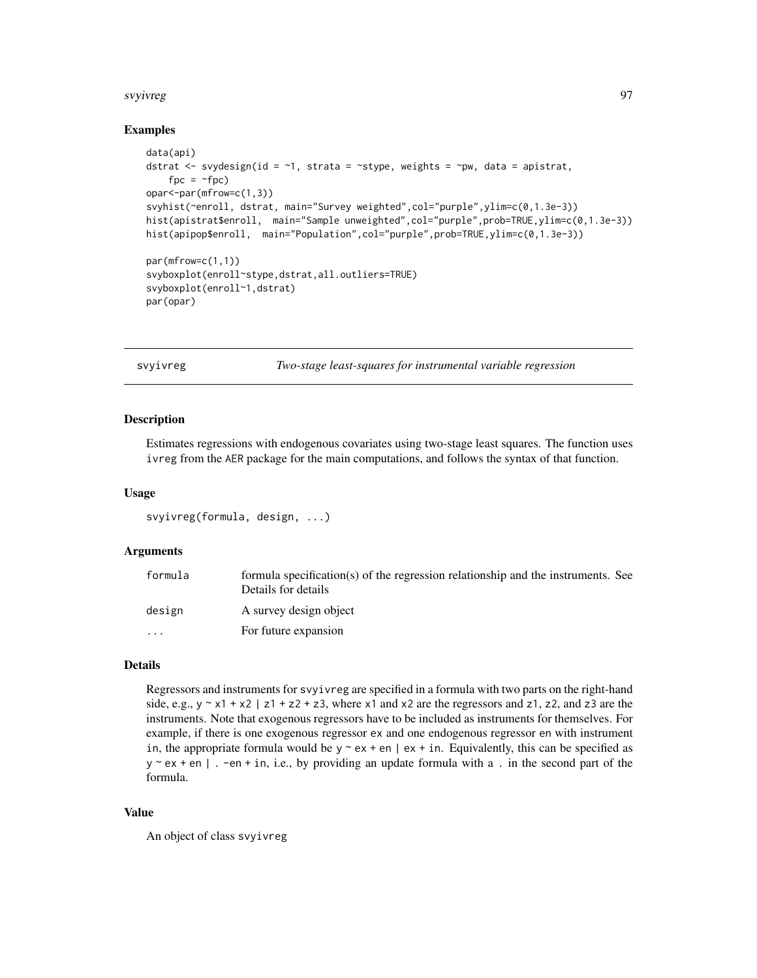#### svyivreg the state of the state of the state of the state of the state of the state of the state of the state o

# Examples

```
data(api)
dstrat \leq svydesign(id = \sim1, strata = \simstype, weights = \simpw, data = apistrat,
   fpc = ~fpc)
opar<-par(mfrow=c(1,3))
svyhist(~enroll, dstrat, main="Survey weighted",col="purple",ylim=c(0,1.3e-3))
hist(apistrat$enroll, main="Sample unweighted",col="purple",prob=TRUE,ylim=c(0,1.3e-3))
hist(apipop$enroll, main="Population",col="purple",prob=TRUE,ylim=c(0,1.3e-3))
par(mfrow=c(1,1))
svyboxplot(enroll~stype,dstrat,all.outliers=TRUE)
svyboxplot(enroll~1,dstrat)
par(opar)
```
svyivreg *Two-stage least-squares for instrumental variable regression*

### Description

Estimates regressions with endogenous covariates using two-stage least squares. The function uses ivreg from the AER package for the main computations, and follows the syntax of that function.

### Usage

```
svyivreg(formula, design, ...)
```
# Arguments

| formula                 | formula specification(s) of the regression relationship and the instruments. See<br>Details for details |
|-------------------------|---------------------------------------------------------------------------------------------------------|
| design                  | A survey design object                                                                                  |
| $\cdot$ $\cdot$ $\cdot$ | For future expansion                                                                                    |

# Details

Regressors and instruments for svyivreg are specified in a formula with two parts on the right-hand side, e.g.,  $y \sim x1 + x2$  | z1 + z2 + z3, where x1 and x2 are the regressors and z1, z2, and z3 are the instruments. Note that exogenous regressors have to be included as instruments for themselves. For example, if there is one exogenous regressor ex and one endogenous regressor en with instrument in, the appropriate formula would be  $y \sim e^{i\phi} + e^{i\phi}$  | ex + in. Equivalently, this can be specified as  $y \sim e^{i\phi}$  + en | . -en + in, i.e., by providing an update formula with a . in the second part of the formula.

### Value

An object of class svyivreg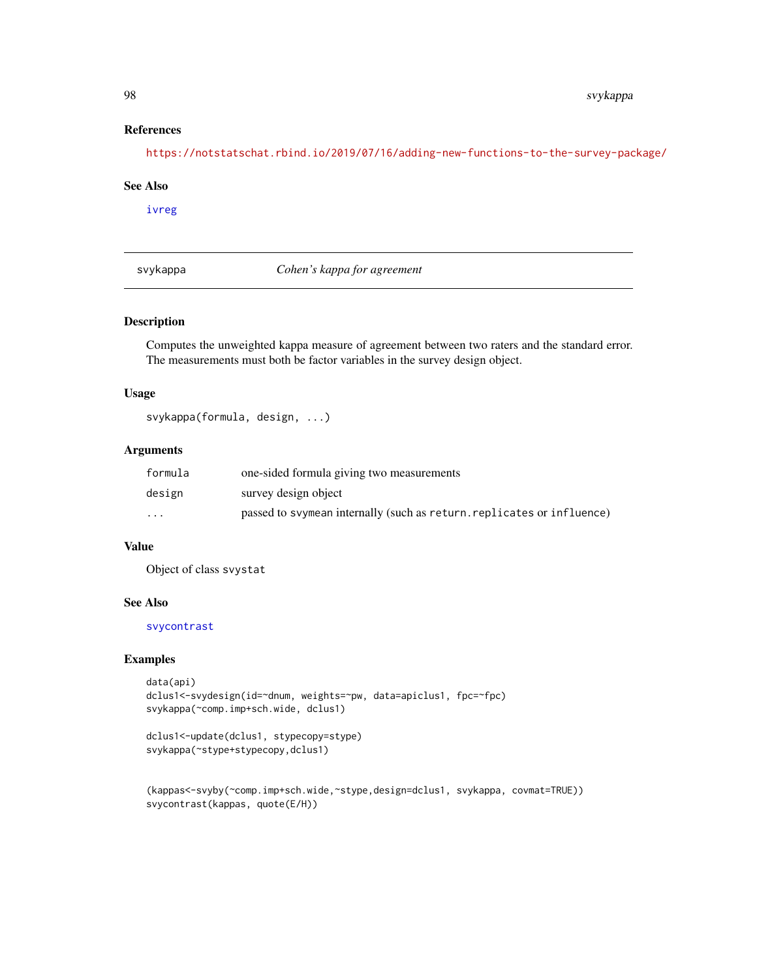# References

<https://notstatschat.rbind.io/2019/07/16/adding-new-functions-to-the-survey-package/>

# See Also

[ivreg](#page-0-0)

svykappa *Cohen's kappa for agreement*

# Description

Computes the unweighted kappa measure of agreement between two raters and the standard error. The measurements must both be factor variables in the survey design object.

# Usage

svykappa(formula, design, ...)

# Arguments

| formula  | one-sided formula giving two measurements                              |
|----------|------------------------------------------------------------------------|
| design   | survey design object                                                   |
| $\cdots$ | passed to syymean internally (such as return, replicates or influence) |

# Value

Object of class svystat

#### See Also

[svycontrast](#page-78-0)

```
data(api)
dclus1<-svydesign(id=~dnum, weights=~pw, data=apiclus1, fpc=~fpc)
svykappa(~comp.imp+sch.wide, dclus1)
```

```
dclus1<-update(dclus1, stypecopy=stype)
svykappa(~stype+stypecopy,dclus1)
```

```
(kappas<-svyby(~comp.imp+sch.wide,~stype,design=dclus1, svykappa, covmat=TRUE))
svycontrast(kappas, quote(E/H))
```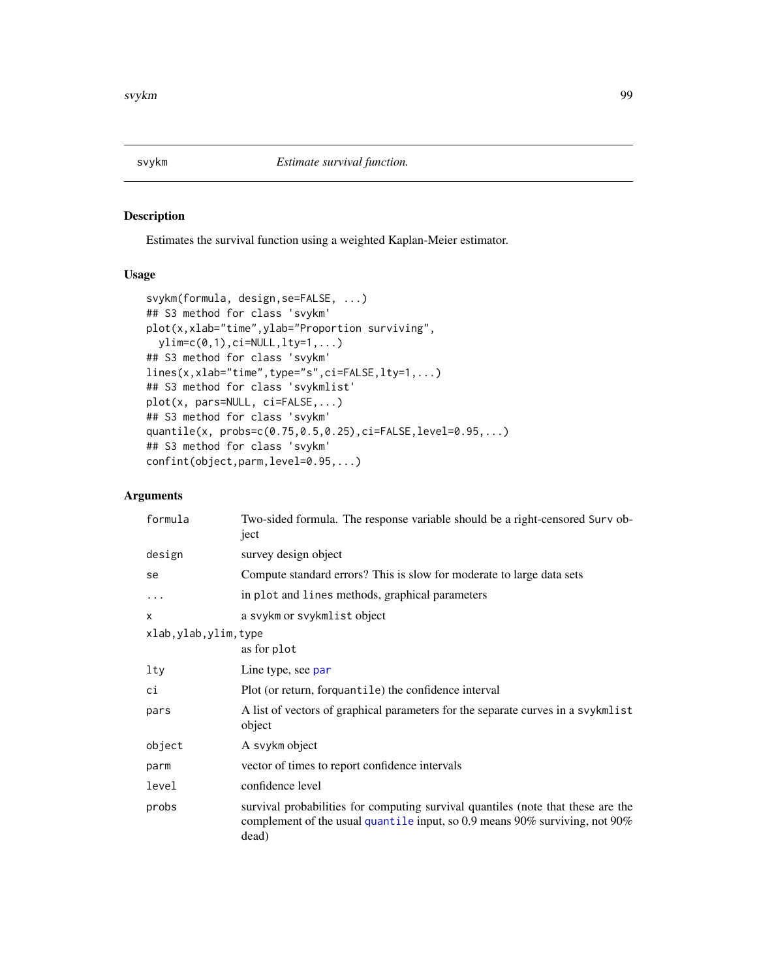<span id="page-98-0"></span>

# Description

Estimates the survival function using a weighted Kaplan-Meier estimator.

# Usage

```
svykm(formula, design,se=FALSE, ...)
## S3 method for class 'svykm'
plot(x,xlab="time",ylab="Proportion surviving",
 ylim=c(0,1),ci=NULL,lty=1,...)
## S3 method for class 'svykm'
lines(x,xlab="time",type="s",ci=FALSE,lty=1,...)
## S3 method for class 'svykmlist'
plot(x, pars=NULL, ci=FALSE,...)
## S3 method for class 'svykm'
quantile(x, probs=c(0.75,0.5,0.25),ci=FALSE,level=0.95,...)
## S3 method for class 'svykm'
confint(object,parm,level=0.95,...)
```

| formula                | Two-sided formula. The response variable should be a right-censored Surv ob-<br>ject                                                                                     |
|------------------------|--------------------------------------------------------------------------------------------------------------------------------------------------------------------------|
| design                 | survey design object                                                                                                                                                     |
| se                     | Compute standard errors? This is slow for moderate to large data sets                                                                                                    |
| .                      | in plot and lines methods, graphical parameters                                                                                                                          |
| X                      | a svykm or svykmlist object                                                                                                                                              |
| xlab, ylab, ylim, type |                                                                                                                                                                          |
|                        | as for plot                                                                                                                                                              |
| lty                    | Line type, see par                                                                                                                                                       |
| сi                     | Plot (or return, forquantile) the confidence interval                                                                                                                    |
| pars                   | A list of vectors of graphical parameters for the separate curves in a svykmlist<br>object                                                                               |
| object                 | A svykm object                                                                                                                                                           |
| parm                   | vector of times to report confidence intervals                                                                                                                           |
| level                  | confidence level                                                                                                                                                         |
| probs                  | survival probabilities for computing survival quantiles (note that these are the<br>complement of the usual quantile input, so 0.9 means 90% surviving, not 90%<br>dead) |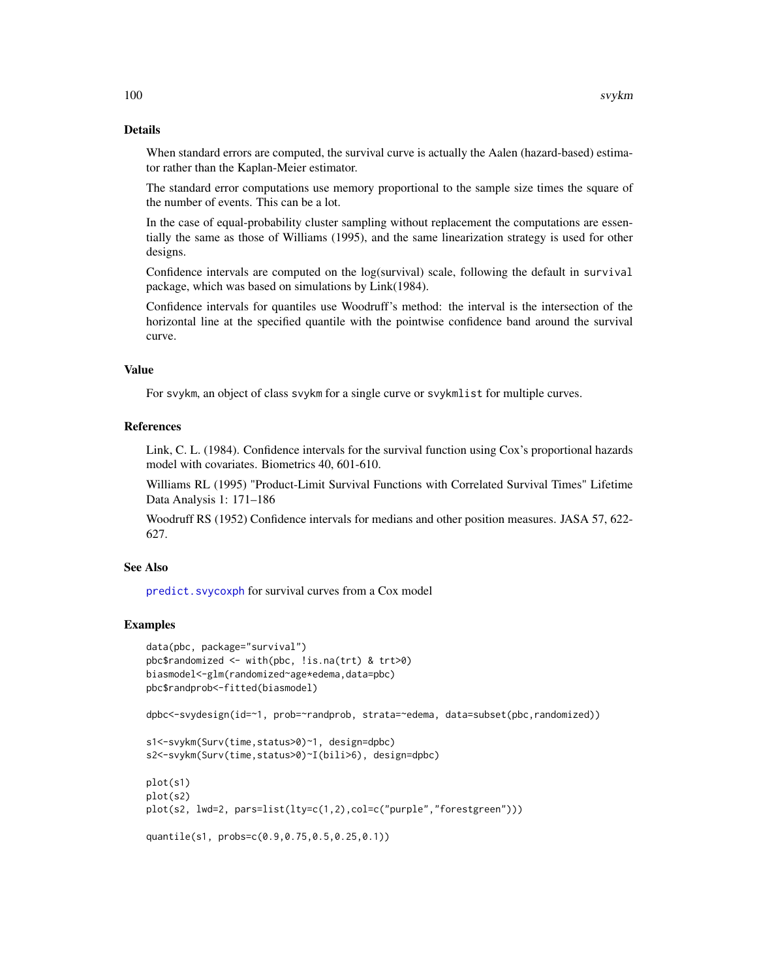# Details

When standard errors are computed, the survival curve is actually the Aalen (hazard-based) estimator rather than the Kaplan-Meier estimator.

The standard error computations use memory proportional to the sample size times the square of the number of events. This can be a lot.

In the case of equal-probability cluster sampling without replacement the computations are essentially the same as those of Williams (1995), and the same linearization strategy is used for other designs.

Confidence intervals are computed on the log(survival) scale, following the default in survival package, which was based on simulations by Link(1984).

Confidence intervals for quantiles use Woodruff's method: the interval is the intersection of the horizontal line at the specified quantile with the pointwise confidence band around the survival curve.

#### Value

For svykm, an object of class svykm for a single curve or svykmlist for multiple curves.

### References

Link, C. L. (1984). Confidence intervals for the survival function using Cox's proportional hazards model with covariates. Biometrics 40, 601-610.

Williams RL (1995) "Product-Limit Survival Functions with Correlated Survival Times" Lifetime Data Analysis 1: 171–186

Woodruff RS (1952) Confidence intervals for medians and other position measures. JASA 57, 622- 627.

# See Also

[predict.svycoxph](#page-81-0) for survival curves from a Cox model

```
data(pbc, package="survival")
pbc$randomized <- with(pbc, !is.na(trt) & trt>0)
biasmodel<-glm(randomized~age*edema,data=pbc)
pbc$randprob<-fitted(biasmodel)
dpbc<-svydesign(id=~1, prob=~randprob, strata=~edema, data=subset(pbc,randomized))
s1<-svykm(Surv(time,status>0)~1, design=dpbc)
s2<-svykm(Surv(time,status>0)~I(bili>6), design=dpbc)
plot(s1)
plot(s2)
plot(s2, lwd=2, pars=list(lty=c(1,2),col=c("purple","forestgreen")))
quantile(s1, probs=c(0.9,0.75,0.5,0.25,0.1))
```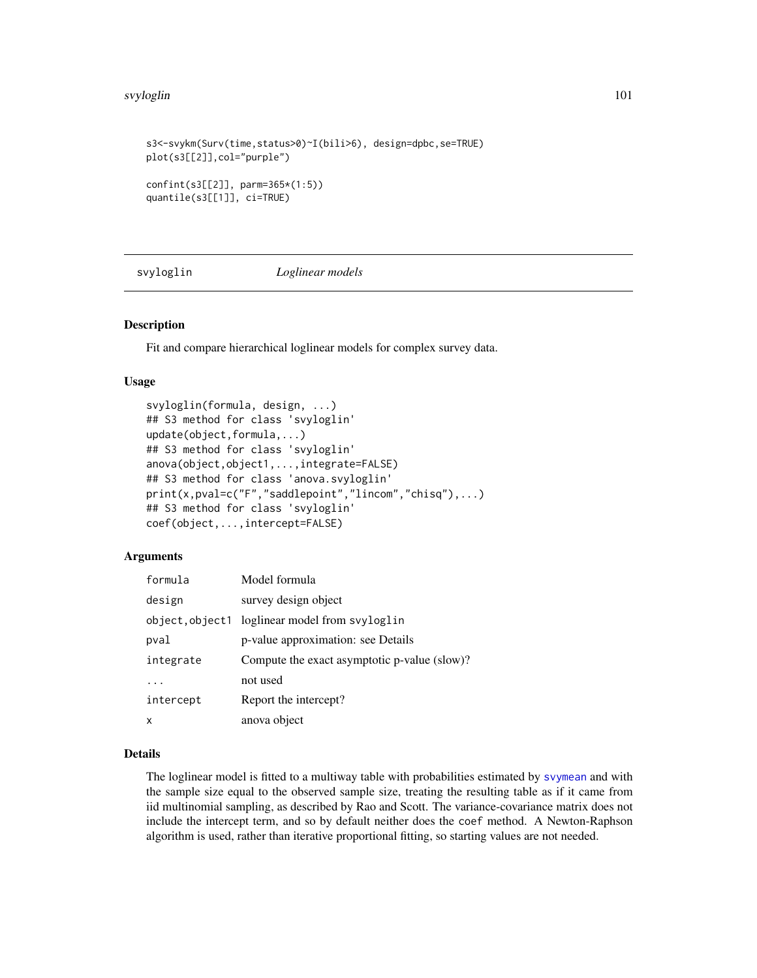#### svyloglin 101

```
s3<-svykm(Surv(time,status>0)~I(bili>6), design=dpbc,se=TRUE)
plot(s3[[2]],col="purple")
confint(s3[[2]], parm=365*(1:5))
quantile(s3[[1]], ci=TRUE)
```
svyloglin *Loglinear models*

# Description

Fit and compare hierarchical loglinear models for complex survey data.

### Usage

```
svyloglin(formula, design, ...)
## S3 method for class 'svyloglin'
update(object,formula,...)
## S3 method for class 'svyloglin'
anova(object,object1,...,integrate=FALSE)
## S3 method for class 'anova.svyloglin'
print(x,pval=c("F","saddlepoint","lincom","chisq"),...)
## S3 method for class 'svyloglin'
coef(object,...,intercept=FALSE)
```
### Arguments

| formula   | Model formula                                  |
|-----------|------------------------------------------------|
| design    | survey design object                           |
|           | object, object1 loglinear model from svyloglin |
| pval      | p-value approximation: see Details             |
| integrate | Compute the exact asymptotic p-value (slow)?   |
|           | not used                                       |
| intercept | Report the intercept?                          |
| X         | anova object                                   |

# Details

The loglinear model is fitted to a multiway table with probabilities estimated by [svymean](#page-63-0) and with the sample size equal to the observed sample size, treating the resulting table as if it came from iid multinomial sampling, as described by Rao and Scott. The variance-covariance matrix does not include the intercept term, and so by default neither does the coef method. A Newton-Raphson algorithm is used, rather than iterative proportional fitting, so starting values are not needed.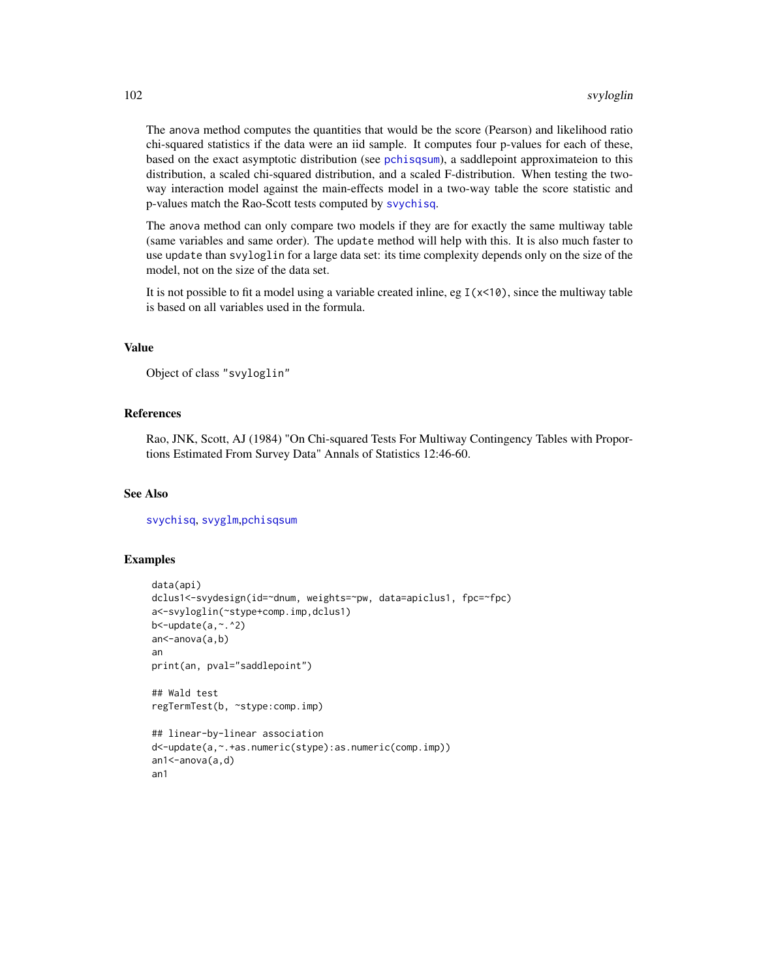The anova method computes the quantities that would be the score (Pearson) and likelihood ratio chi-squared statistics if the data were an iid sample. It computes four p-values for each of these, based on the exact asymptotic distribution (see [pchisqsum](#page-49-0)), a saddlepoint approximateion to this distribution, a scaled chi-squared distribution, and a scaled F-distribution. When testing the twoway interaction model against the main-effects model in a two-way table the score statistic and p-values match the Rao-Scott tests computed by [svychisq](#page-125-1).

The anova method can only compare two models if they are for exactly the same multiway table (same variables and same order). The update method will help with this. It is also much faster to use update than svyloglin for a large data set: its time complexity depends only on the size of the model, not on the size of the data set.

It is not possible to fit a model using a variable created inline, eg  $I(x<10)$ , since the multiway table is based on all variables used in the formula.

### Value

```
Object of class "svyloglin"
```
### References

Rao, JNK, Scott, AJ (1984) "On Chi-squared Tests For Multiway Contingency Tables with Proportions Estimated From Survey Data" Annals of Statistics 12:46-60.

### See Also

[svychisq](#page-125-1), [svyglm](#page-90-0),[pchisqsum](#page-49-0)

```
data(api)
dclus1<-svydesign(id=~dnum, weights=~pw, data=apiclus1, fpc=~fpc)
a<-svyloglin(~stype+comp.imp,dclus1)
b <-update(a, \sim. ^2)
an<-anova(a,b)
an
print(an, pval="saddlepoint")
## Wald test
regTermTest(b, ~stype:comp.imp)
## linear-by-linear association
d<-update(a,~.+as.numeric(stype):as.numeric(comp.imp))
an1<-anova(a,d)
an1
```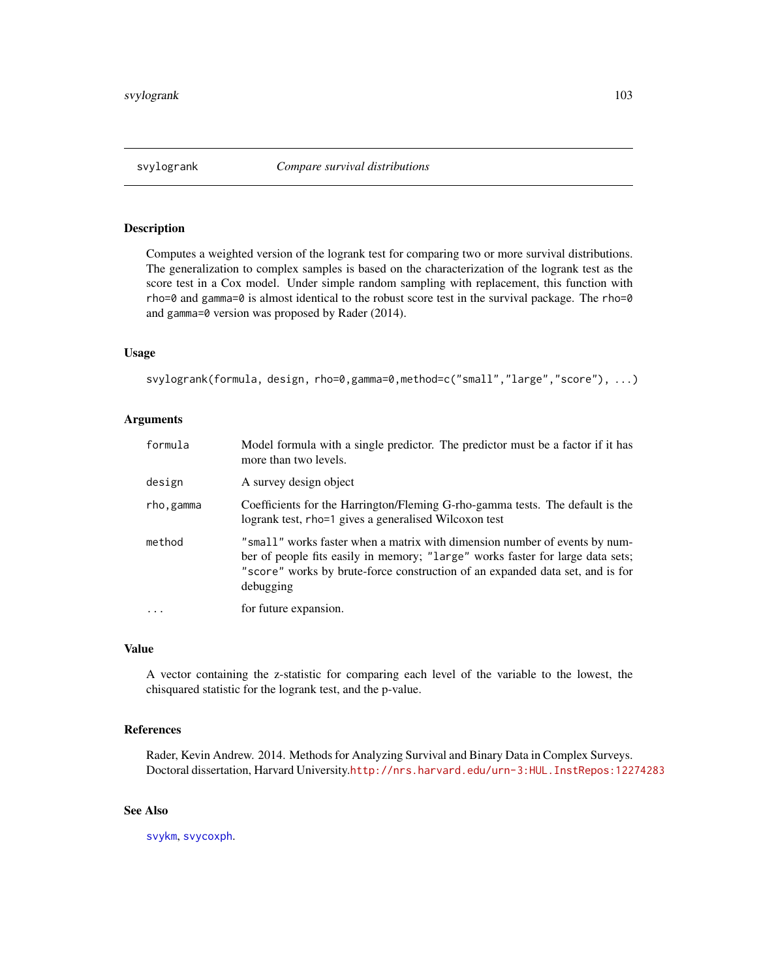### Description

Computes a weighted version of the logrank test for comparing two or more survival distributions. The generalization to complex samples is based on the characterization of the logrank test as the score test in a Cox model. Under simple random sampling with replacement, this function with rho=0 and gamma=0 is almost identical to the robust score test in the survival package. The rho=0 and gamma=0 version was proposed by Rader (2014).

# Usage

svylogrank(formula, design, rho=0,gamma=0,method=c("small","large","score"), ...)

### Arguments

| formula   | Model formula with a single predictor. The predictor must be a factor if it has<br>more than two levels.                                                                                                                                                   |
|-----------|------------------------------------------------------------------------------------------------------------------------------------------------------------------------------------------------------------------------------------------------------------|
| design    | A survey design object                                                                                                                                                                                                                                     |
| rho,gamma | Coefficients for the Harrington/Fleming G-rho-gamma tests. The default is the<br>logrank test, rho=1 gives a generalised Wilcoxon test                                                                                                                     |
| method    | "small" works faster when a matrix with dimension number of events by num-<br>ber of people fits easily in memory; "large" works faster for large data sets;<br>"score" works by brute-force construction of an expanded data set, and is for<br>debugging |
| .         | for future expansion.                                                                                                                                                                                                                                      |

#### Value

A vector containing the z-statistic for comparing each level of the variable to the lowest, the chisquared statistic for the logrank test, and the p-value.

### References

Rader, Kevin Andrew. 2014. Methods for Analyzing Survival and Binary Data in Complex Surveys. Doctoral dissertation, Harvard University.<http://nrs.harvard.edu/urn-3:HUL.InstRepos:12274283>

# See Also

[svykm](#page-98-0), [svycoxph](#page-81-1).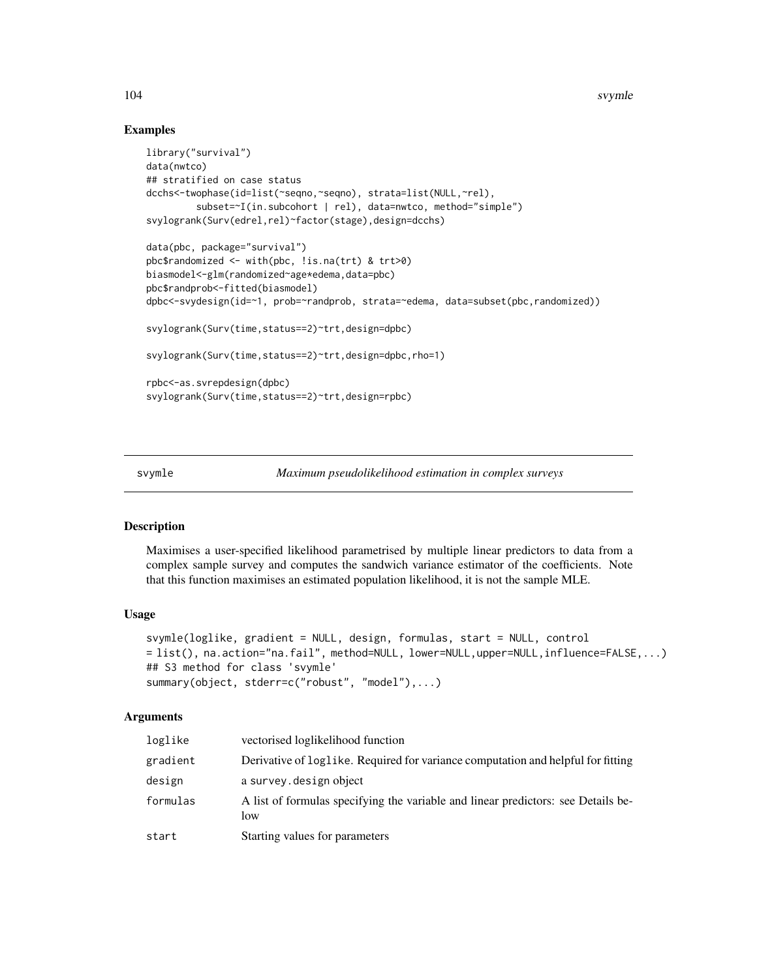104 svymle

### Examples

```
library("survival")
data(nwtco)
## stratified on case status
dcchs<-twophase(id=list(~seqno,~seqno), strata=list(NULL,~rel),
         subset=~I(in.subcohort | rel), data=nwtco, method="simple")
svylogrank(Surv(edrel,rel)~factor(stage),design=dcchs)
data(pbc, package="survival")
pbc$randomized <- with(pbc, !is.na(trt) & trt>0)
biasmodel<-glm(randomized~age*edema,data=pbc)
pbc$randprob<-fitted(biasmodel)
dpbc<-svydesign(id=~1, prob=~randprob, strata=~edema, data=subset(pbc,randomized))
svylogrank(Surv(time,status==2)~trt,design=dpbc)
svylogrank(Surv(time,status==2)~trt,design=dpbc,rho=1)
rpbc<-as.svrepdesign(dpbc)
svylogrank(Surv(time,status==2)~trt,design=rpbc)
```
<span id="page-103-0"></span>

svymle *Maximum pseudolikelihood estimation in complex surveys*

# **Description**

Maximises a user-specified likelihood parametrised by multiple linear predictors to data from a complex sample survey and computes the sandwich variance estimator of the coefficients. Note that this function maximises an estimated population likelihood, it is not the sample MLE.

#### Usage

```
svymle(loglike, gradient = NULL, design, formulas, start = NULL, control
= list(), na.action="na.fail", method=NULL, lower=NULL,upper=NULL,influence=FALSE,...)
## S3 method for class 'svymle'
summary(object, stderr=c("robust", "model"),...)
```

| loglike  | vectorised loglikelihood function                                                        |
|----------|------------------------------------------------------------------------------------------|
| gradient | Derivative of loglike. Required for variance computation and helpful for fitting         |
| design   | a survey. design object                                                                  |
| formulas | A list of formulas specifying the variable and linear predictors: see Details be-<br>low |
| start    | Starting values for parameters                                                           |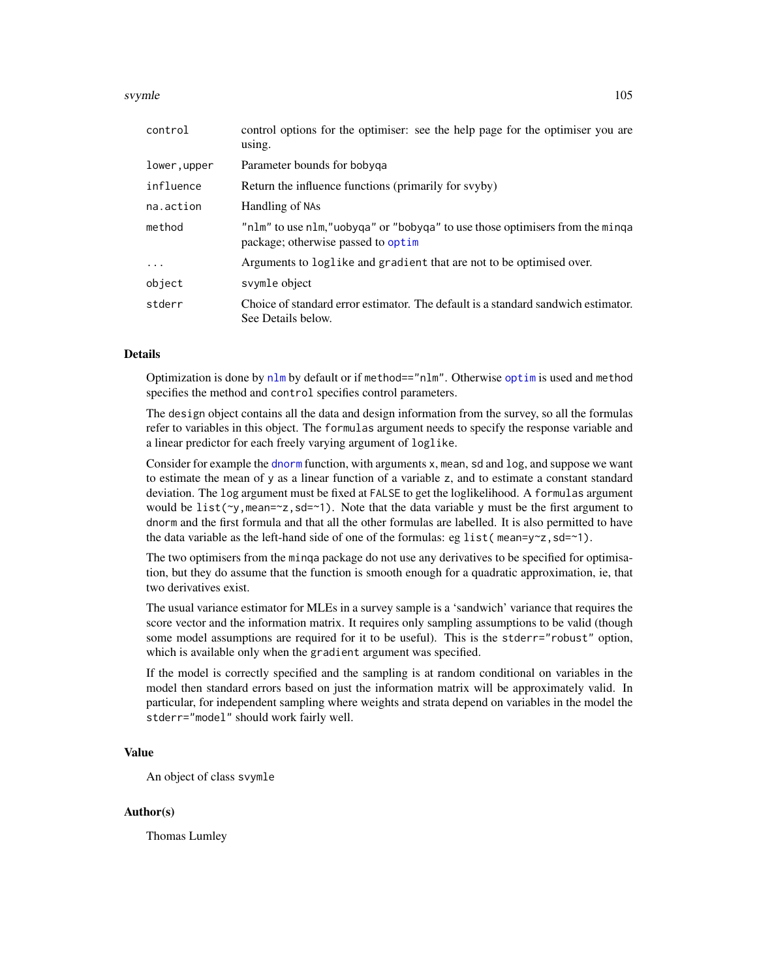#### svymle to the state of the state of the state of the state of the state of the state of the state of the state of the state of the state of the state of the state of the state of the state of the state of the state of the

| control      | control options for the optimiser: see the help page for the optimiser you are<br>using.                           |
|--------------|--------------------------------------------------------------------------------------------------------------------|
| lower, upper | Parameter bounds for bobyga                                                                                        |
| influence    | Return the influence functions (primarily for svyby)                                                               |
| na.action    | Handling of NAs                                                                                                    |
| method       | "nlm" to use nlm,"uobyga" or "bobyga" to use those optimisers from the minga<br>package; otherwise passed to optim |
| $\cdot$      | Arguments to loglike and gradient that are not to be optimised over.                                               |
| object       | svymle object                                                                                                      |
| stderr       | Choice of standard error estimator. The default is a standard sandwich estimator.<br>See Details below.            |

# Details

Optimization is done by [nlm](#page-0-0) by default or if method=="nlm". Otherwise [optim](#page-0-0) is used and method specifies the method and control specifies control parameters.

The design object contains all the data and design information from the survey, so all the formulas refer to variables in this object. The formulas argument needs to specify the response variable and a linear predictor for each freely varying argument of loglike.

Consider for example the [dnorm](#page-0-0) function, with arguments x, mean, sd and log, and suppose we want to estimate the mean of y as a linear function of a variable z, and to estimate a constant standard deviation. The log argument must be fixed at FALSE to get the loglikelihood. A formulas argument would be list( $\gamma$ , mean= $\gamma$ z, sd= $\gamma$ 1). Note that the data variable y must be the first argument to dnorm and the first formula and that all the other formulas are labelled. It is also permitted to have the data variable as the left-hand side of one of the formulas: eg list (mean=y~z, sd=~1).

The two optimisers from the minqa package do not use any derivatives to be specified for optimisation, but they do assume that the function is smooth enough for a quadratic approximation, ie, that two derivatives exist.

The usual variance estimator for MLEs in a survey sample is a 'sandwich' variance that requires the score vector and the information matrix. It requires only sampling assumptions to be valid (though some model assumptions are required for it to be useful). This is the stderr="robust" option, which is available only when the gradient argument was specified.

If the model is correctly specified and the sampling is at random conditional on variables in the model then standard errors based on just the information matrix will be approximately valid. In particular, for independent sampling where weights and strata depend on variables in the model the stderr="model" should work fairly well.

# Value

An object of class svymle

# Author(s)

Thomas Lumley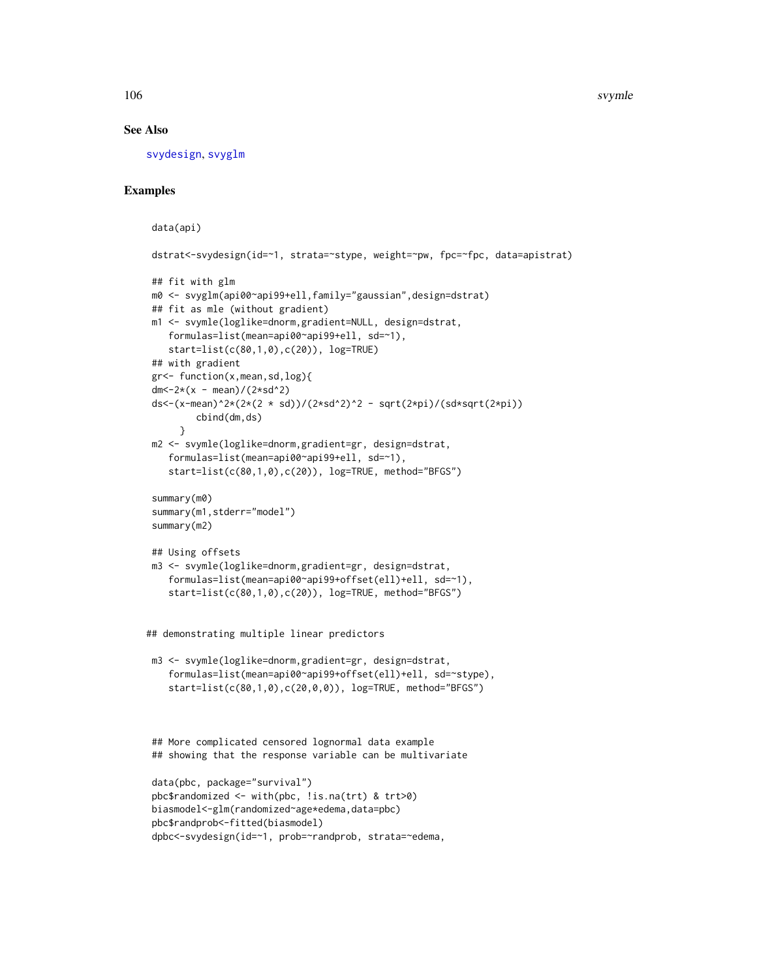### See Also

[svydesign](#page-86-0), [svyglm](#page-90-0)

```
data(api)
```

```
dstrat<-svydesign(id=~1, strata=~stype, weight=~pw, fpc=~fpc, data=apistrat)
## fit with glm
m0 <- svyglm(api00~api99+ell,family="gaussian",design=dstrat)
## fit as mle (without gradient)
m1 <- svymle(loglike=dnorm,gradient=NULL, design=dstrat,
   formulas=list(mean=api00~api99+ell, sd=~1),
   start=list(c(80,1,0),c(20)), log=TRUE)
## with gradient
gr<- function(x,mean,sd,log){
dm \lt -2*(x - \text{mean})/(2* \text{sd}^2)ds<-(x-mean)^2*(2*(2 * sd))/(2*sd^2)^2 - sqrt(2*pi)/(sd*sqrt(2*pi))
        cbind(dm,ds)
     }
m2 <- svymle(loglike=dnorm,gradient=gr, design=dstrat,
   formulas=list(mean=api00~api99+ell, sd=~1),
   start=list(c(80,1,0),c(20)), log=TRUE, method="BFGS")
summary(m0)
summary(m1,stderr="model")
summary(m2)
## Using offsets
m3 <- svymle(loglike=dnorm,gradient=gr, design=dstrat,
   formulas=list(mean=api00~api99+offset(ell)+ell, sd=~1),
   start=list(c(80,1,0),c(20)), log=TRUE, method="BFGS")
## demonstrating multiple linear predictors
m3 <- svymle(loglike=dnorm,gradient=gr, design=dstrat,
   formulas=list(mean=api00~api99+offset(ell)+ell, sd=~stype),
   start=list(c(80,1,0),c(20,0,0)), log=TRUE, method="BFGS")
## More complicated censored lognormal data example
## showing that the response variable can be multivariate
data(pbc, package="survival")
pbc$randomized <- with(pbc, !is.na(trt) & trt>0)
biasmodel<-glm(randomized~age*edema,data=pbc)
pbc$randprob<-fitted(biasmodel)
dpbc<-svydesign(id=~1, prob=~randprob, strata=~edema,
```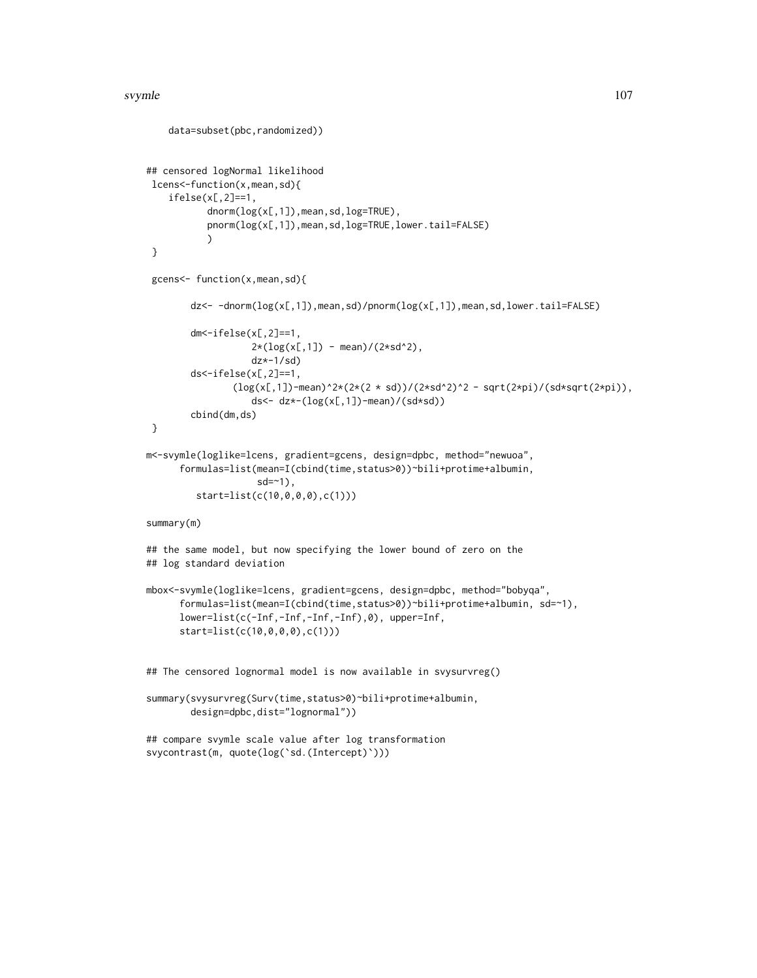#### svymle to the state of the state of the state of the state of the state of the state of the state of the state of the state of the state of the state of the state of the state of the state of the state of the state of the

```
data=subset(pbc,randomized))
## censored logNormal likelihood
lcens<-function(x,mean,sd){
    ifelse(x[,2]==1,
           dnorm(log(x[,1]),mean,sd,log=TRUE),
           pnorm(log(x[,1]),mean,sd,log=TRUE,lower.tail=FALSE)
           \mathcal{L}}
 gcens<- function(x,mean,sd){
        dz<- -dnorm(log(x[,1]),mean,sd)/pnorm(log(x[,1]),mean,sd,lower.tail=FALSE)
        dm \le -ifelse(x[,2] == 1,
                   2*(log(x[,1]) - mean)/(2*sd^2),
                   dz*-1/sd)
        ds<-ifelse(x[,2]==1,
               (\log(x[,1])-mean)^2*(2*(2 * sd))/(2*sd^2)^2 - sqrt(2*pi)/(sd*sqrt(2*pi)),
                   ds<- dz*-(log(x[,1])-mean)/(sd*sd))
        cbind(dm,ds)
}
m<-svymle(loglike=lcens, gradient=gcens, design=dpbc, method="newuoa",
      formulas=list(mean=I(cbind(time,status>0))~bili+protime+albumin,
                    sd = -1,
         start=list(c(10,0,0,0),c(1)))
summary(m)
## the same model, but now specifying the lower bound of zero on the
## log standard deviation
mbox<-svymle(loglike=lcens, gradient=gcens, design=dpbc, method="bobyqa",
      formulas=list(mean=I(cbind(time,status>0))~bili+protime+albumin, sd=~1),
      lower=list(c(-Inf,-Inf,-Inf,-Inf),0), upper=Inf,
      start=list(c(10,0,0,0),c(1)))
## The censored lognormal model is now available in svysurvreg()
summary(svysurvreg(Surv(time,status>0)~bili+protime+albumin,
        design=dpbc,dist="lognormal"))
## compare svymle scale value after log transformation
svycontrast(m, quote(log(`sd.(Intercept)`)))
```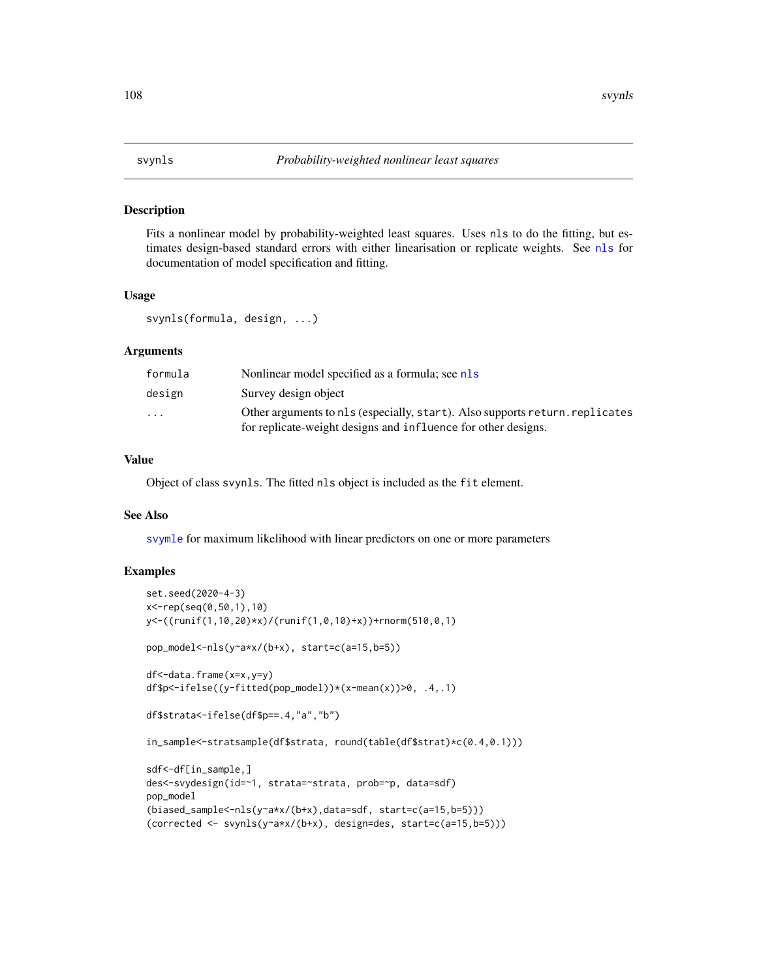# **Description**

Fits a nonlinear model by probability-weighted least squares. Uses nls to do the fitting, but estimates design-based standard errors with either linearisation or replicate weights. See [nls](#page-0-0) for documentation of model specification and fitting.

#### Usage

```
svynls(formula, design, ...)
```
#### Arguments

| formula                 | Nonlinear model specified as a formula; see nls                                                                                               |
|-------------------------|-----------------------------------------------------------------------------------------------------------------------------------------------|
| design                  | Survey design object                                                                                                                          |
| $\cdot$ $\cdot$ $\cdot$ | Other arguments to nls (especially, start). Also supports return. replicates<br>for replicate-weight designs and influence for other designs. |

### Value

Object of class svynls. The fitted nls object is included as the fit element.

#### See Also

[svymle](#page-103-0) for maximum likelihood with linear predictors on one or more parameters

```
set.seed(2020-4-3)
x<-rep(seq(0,50,1),10)
y<-((runif(1,10,20)*x)/(runif(1,0,10)+x))+rnorm(510,0,1)
pop_model<-nls(y~a*x/(b+x), start=c(a=15,b=5))
df<-data.frame(x=x,y=y)
df$p<-ifelse((y-fitted(pop_model))*(x-mean(x))>0, .4,.1)
df$strata<-ifelse(df$p==.4,"a","b")
in_sample<-stratsample(df$strata, round(table(df$strat)*c(0.4,0.1)))
sdf<-df[in_sample,]
des<-svydesign(id=~1, strata=~strata, prob=~p, data=sdf)
pop_model
(biased_sample<-nls(y~a*x/(b+x),data=sdf, start=c(a=15,b=5)))
(corrected <- svynls(y~a*x/(b+x), design=des, start=c(a=15,b=5)))
```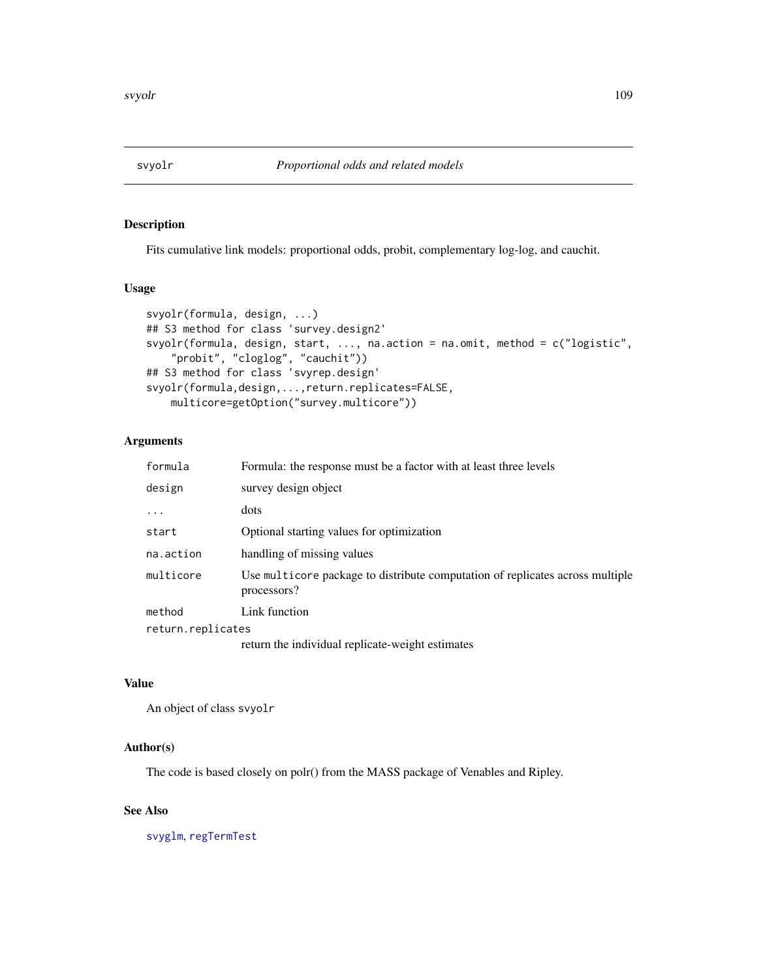<span id="page-108-0"></span>

# Description

Fits cumulative link models: proportional odds, probit, complementary log-log, and cauchit.

# Usage

```
svyolr(formula, design, ...)
## S3 method for class 'survey.design2'
svyolr(formula, design, start, ..., na.action = na.omit, method = c("logistic",
   "probit", "cloglog", "cauchit"))
## S3 method for class 'svyrep.design'
svyolr(formula,design,...,return.replicates=FALSE,
   multicore=getOption("survey.multicore"))
```
# Arguments

| formula           | Formula: the response must be a factor with at least three levels                            |
|-------------------|----------------------------------------------------------------------------------------------|
| design            | survey design object                                                                         |
| $\ddotsc$         | dots                                                                                         |
| start             | Optional starting values for optimization                                                    |
| na.action         | handling of missing values                                                                   |
| multicore         | Use multicore package to distribute computation of replicates across multiple<br>processors? |
| method            | Link function                                                                                |
| return.replicates |                                                                                              |
|                   | return the individual replicate-weight estimates                                             |

# Value

An object of class svyolr

# Author(s)

The code is based closely on polr() from the MASS package of Venables and Ripley.

# See Also

[svyglm](#page-90-0), [regTermTest](#page-56-0)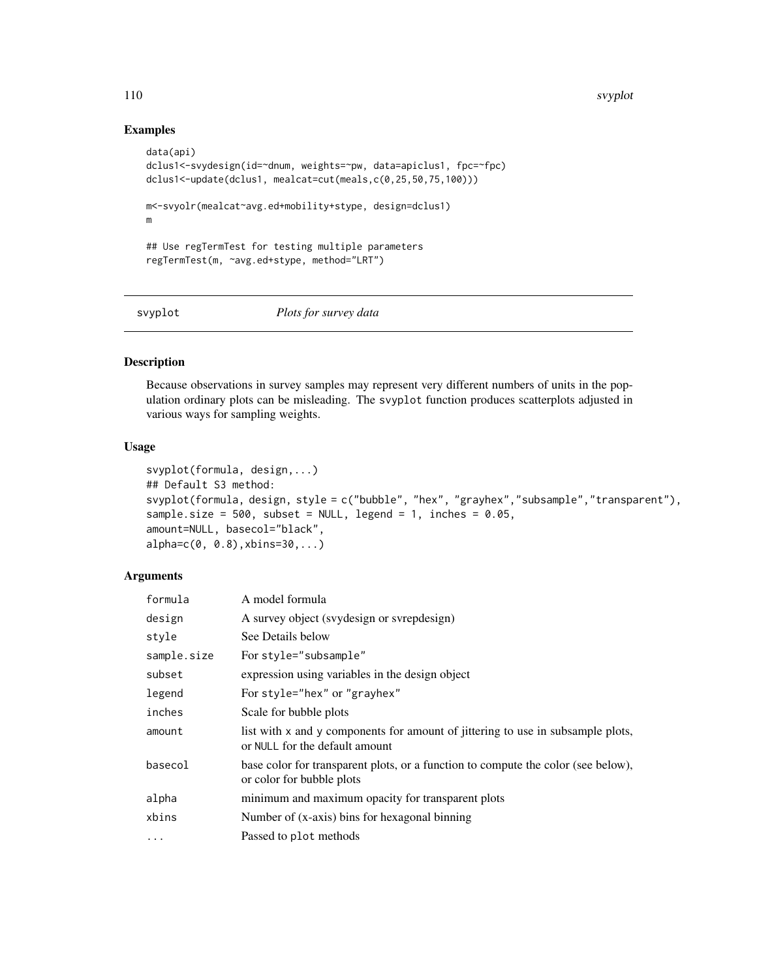110 svyplot

# Examples

```
data(api)
dclus1<-svydesign(id=~dnum, weights=~pw, data=apiclus1, fpc=~fpc)
dclus1<-update(dclus1, mealcat=cut(meals,c(0,25,50,75,100)))
m<-svyolr(mealcat~avg.ed+mobility+stype, design=dclus1)
m
## Use regTermTest for testing multiple parameters
regTermTest(m, ~avg.ed+stype, method="LRT")
```
svyplot *Plots for survey data*

# Description

Because observations in survey samples may represent very different numbers of units in the population ordinary plots can be misleading. The svyplot function produces scatterplots adjusted in various ways for sampling weights.

# Usage

```
svyplot(formula, design,...)
## Default S3 method:
svyplot(formula, design, style = c("bubble", "hex", "grayhex","subsample","transparent"),
sample.size = 500, subset = NULL, legend = 1, inches = 0.05,
amount=NULL, basecol="black",
alpha=c(0, 0.8),xbins=30,...)
```
#### Arguments

| formula     | A model formula                                                                                                   |
|-------------|-------------------------------------------------------------------------------------------------------------------|
| design      | A survey object (svydesign or svrepdesign)                                                                        |
| style       | See Details below                                                                                                 |
| sample.size | For style="subsample"                                                                                             |
| subset      | expression using variables in the design object                                                                   |
| legend      | For style="hex" or "grayhex"                                                                                      |
| inches      | Scale for bubble plots                                                                                            |
| amount      | list with x and y components for amount of jittering to use in subsample plots,<br>or NULL for the default amount |
| basecol     | base color for transparent plots, or a function to compute the color (see below),<br>or color for bubble plots    |
| alpha       | minimum and maximum opacity for transparent plots                                                                 |
| xbins       | Number of (x-axis) bins for hexagonal binning                                                                     |
| $\cdots$    | Passed to plot methods                                                                                            |

<span id="page-109-0"></span>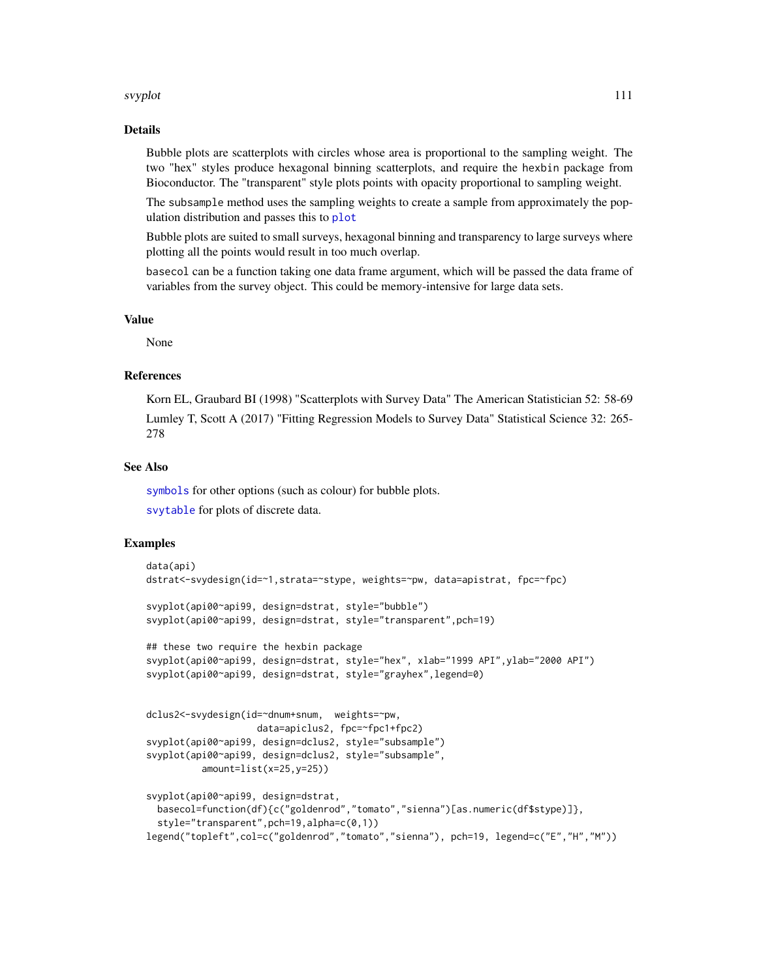#### svyplot that the state of the state of the state of the state of the state of the state of the state of the state of the state of the state of the state of the state of the state of the state of the state of the state of t

#### Details

Bubble plots are scatterplots with circles whose area is proportional to the sampling weight. The two "hex" styles produce hexagonal binning scatterplots, and require the hexbin package from Bioconductor. The "transparent" style plots points with opacity proportional to sampling weight.

The subsample method uses the sampling weights to create a sample from approximately the population distribution and passes this to [plot](#page-0-0)

Bubble plots are suited to small surveys, hexagonal binning and transparency to large surveys where plotting all the points would result in too much overlap.

basecol can be a function taking one data frame argument, which will be passed the data frame of variables from the survey object. This could be memory-intensive for large data sets.

#### Value

None

# References

Korn EL, Graubard BI (1998) "Scatterplots with Survey Data" The American Statistician 52: 58-69 Lumley T, Scott A (2017) "Fitting Regression Models to Survey Data" Statistical Science 32: 265- 278

# See Also

[symbols](#page-0-0) for other options (such as colour) for bubble plots.

[svytable](#page-125-0) for plots of discrete data.

```
data(api)
dstrat<-svydesign(id=~1,strata=~stype, weights=~pw, data=apistrat, fpc=~fpc)
svyplot(api00~api99, design=dstrat, style="bubble")
svyplot(api00~api99, design=dstrat, style="transparent",pch=19)
## these two require the hexbin package
svyplot(api00~api99, design=dstrat, style="hex", xlab="1999 API",ylab="2000 API")
svyplot(api00~api99, design=dstrat, style="grayhex",legend=0)
dclus2<-svydesign(id=~dnum+snum, weights=~pw,
                    data=apiclus2, fpc=~fpc1+fpc2)
svyplot(api00~api99, design=dclus2, style="subsample")
svyplot(api00~api99, design=dclus2, style="subsample",
          amount=list(x=25,y=25))
svyplot(api00~api99, design=dstrat,
 basecol=function(df){c("goldenrod","tomato","sienna")[as.numeric(df$stype)]},
 style="transparent",pch=19,alpha=c(0,1))
legend("topleft",col=c("goldenrod","tomato","sienna"), pch=19, legend=c("E","H","M"))
```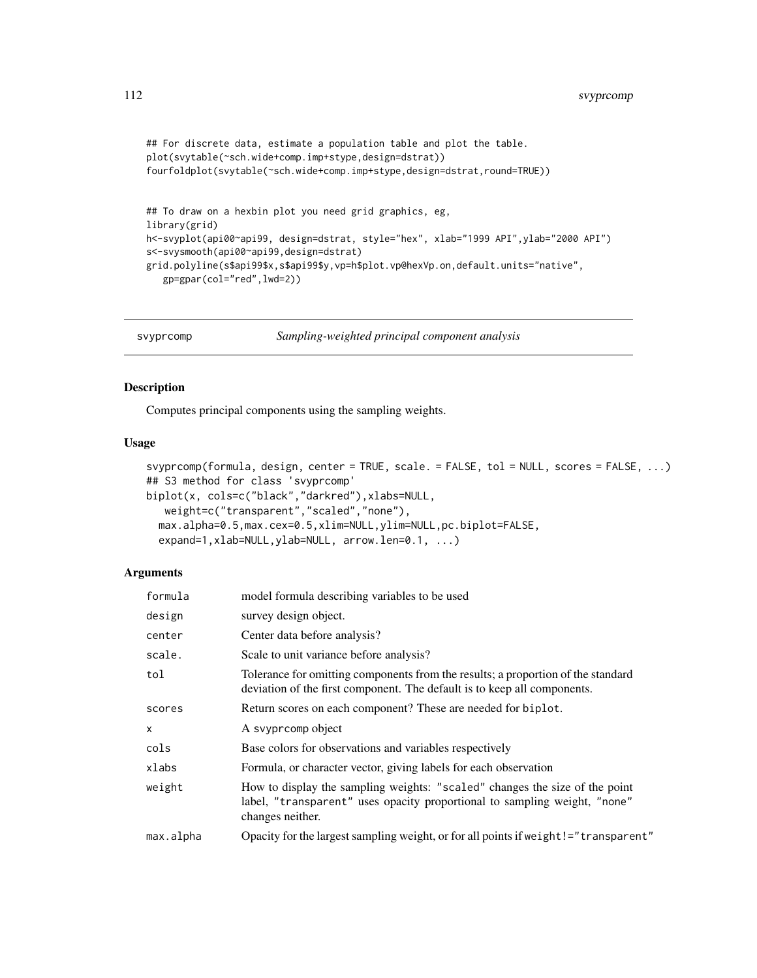```
## For discrete data, estimate a population table and plot the table.
plot(svytable(~sch.wide+comp.imp+stype,design=dstrat))
fourfoldplot(svytable(~sch.wide+comp.imp+stype,design=dstrat,round=TRUE))
## To draw on a hexbin plot you need grid graphics, eg,
library(grid)
h<-svyplot(api00~api99, design=dstrat, style="hex", xlab="1999 API",ylab="2000 API")
s<-svysmooth(api00~api99,design=dstrat)
grid.polyline(s$api99$x,s$api99$y,vp=h$plot.vp@hexVp.on,default.units="native",
   gp=gpar(col="red",lwd=2))
```
svyprcomp *Sampling-weighted principal component analysis*

# Description

Computes principal components using the sampling weights.

#### Usage

```
svyprcomp(formula, design, center = TRUE, scale. = FALSE, tol = NULL, scores = FALSE, ...)
## S3 method for class 'svyprcomp'
biplot(x, cols=c("black","darkred"),xlabs=NULL,
   weight=c("transparent","scaled","none"),
  max.alpha=0.5,max.cex=0.5,xlim=NULL,ylim=NULL,pc.biplot=FALSE,
  expand=1,xlab=NULL,ylab=NULL, arrow.len=0.1, ...)
```
#### **Arguments**

| formula   | model formula describing variables to be used                                                                                                                                |
|-----------|------------------------------------------------------------------------------------------------------------------------------------------------------------------------------|
| design    | survey design object.                                                                                                                                                        |
| center    | Center data before analysis?                                                                                                                                                 |
| scale.    | Scale to unit variance before analysis?                                                                                                                                      |
| tol       | Tolerance for omitting components from the results; a proportion of the standard<br>deviation of the first component. The default is to keep all components.                 |
| scores    | Return scores on each component? These are needed for biplot.                                                                                                                |
| X         | A svyprcomp object                                                                                                                                                           |
| cols      | Base colors for observations and variables respectively                                                                                                                      |
| xlabs     | Formula, or character vector, giving labels for each observation                                                                                                             |
| weight    | How to display the sampling weights: "scaled" changes the size of the point<br>label, "transparent" uses opacity proportional to sampling weight, "none"<br>changes neither. |
| max.alpha | Opacity for the largest sampling weight, or for all points if weight! = "transparent"                                                                                        |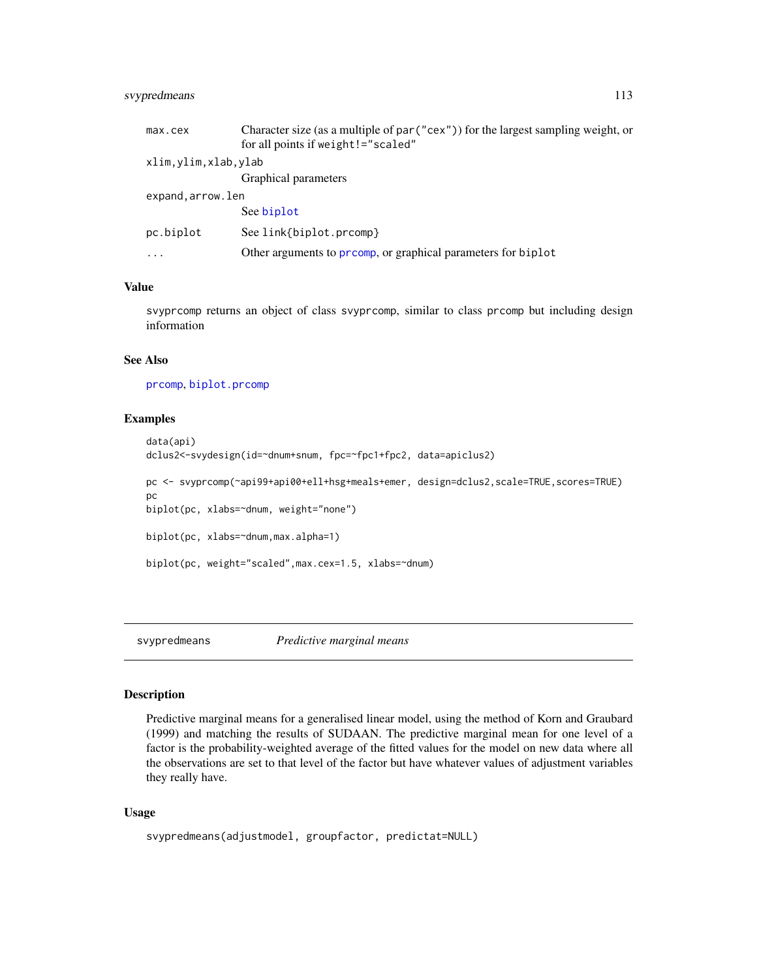# <span id="page-112-0"></span>svypredmeans 113

| max.cex             | Character size (as a multiple of par ("cex")) for the largest sampling weight, or |
|---------------------|-----------------------------------------------------------------------------------|
|                     | for all points if weight!="scaled"                                                |
| xlim,ylim,xlab,ylab |                                                                                   |
|                     | Graphical parameters                                                              |
| expand.arrow.len    |                                                                                   |
|                     | See biplot                                                                        |
| pc.biplot           | See link{biplot.prcomp}                                                           |
| $\cdots$            | Other arguments to prcomp, or graphical parameters for biplot                     |

#### Value

svyprcomp returns an object of class svyprcomp, similar to class prcomp but including design information

# See Also

[prcomp](#page-0-0), [biplot.prcomp](#page-0-0)

# Examples

```
data(api)
dclus2<-svydesign(id=~dnum+snum, fpc=~fpc1+fpc2, data=apiclus2)
pc <- svyprcomp(~api99+api00+ell+hsg+meals+emer, design=dclus2,scale=TRUE,scores=TRUE)
pc
biplot(pc, xlabs=~dnum, weight="none")
biplot(pc, xlabs=~dnum,max.alpha=1)
biplot(pc, weight="scaled",max.cex=1.5, xlabs=~dnum)
```
svypredmeans *Predictive marginal means*

#### Description

Predictive marginal means for a generalised linear model, using the method of Korn and Graubard (1999) and matching the results of SUDAAN. The predictive marginal mean for one level of a factor is the probability-weighted average of the fitted values for the model on new data where all the observations are set to that level of the factor but have whatever values of adjustment variables they really have.

#### Usage

```
svypredmeans(adjustmodel, groupfactor, predictat=NULL)
```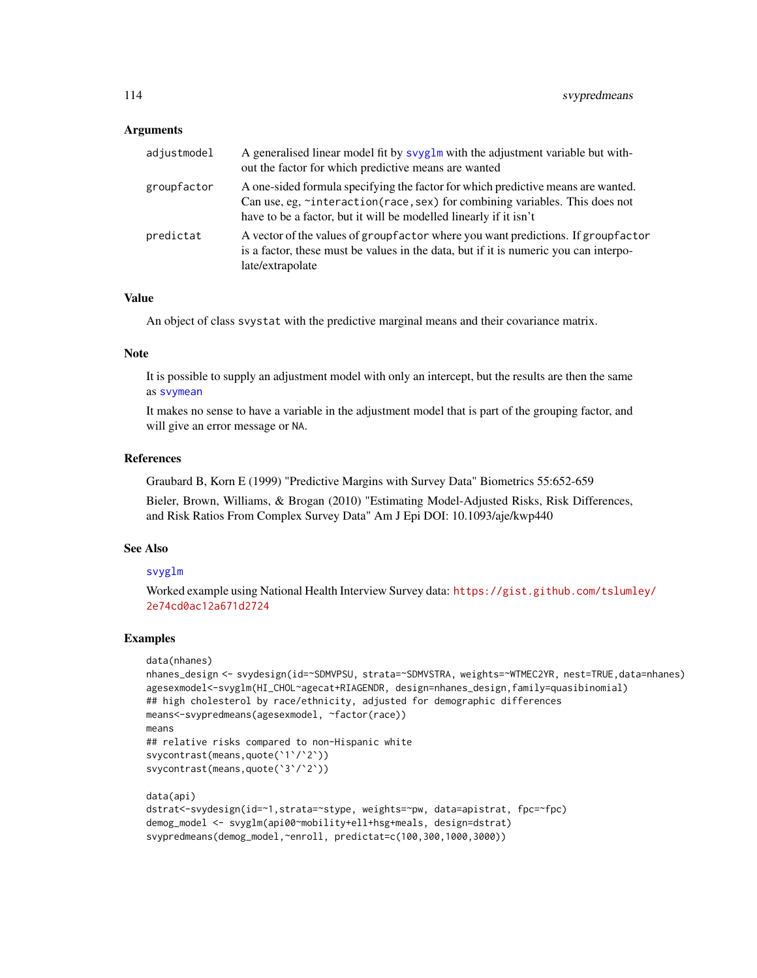#### Arguments

| adjustmodel | A generalised linear model fit by svyglm with the adjustment variable but with-<br>out the factor for which predictive means are wanted                                                                                              |
|-------------|--------------------------------------------------------------------------------------------------------------------------------------------------------------------------------------------------------------------------------------|
| groupfactor | A one-sided formula specifying the factor for which predictive means are wanted.<br>Can use, eg, ~interaction(race, sex) for combining variables. This does not<br>have to be a factor, but it will be modelled linearly if it isn't |
| predictat   | A vector of the values of groupfactor where you want predictions. If groupfactor<br>is a factor, these must be values in the data, but if it is numeric you can interpo-<br>late/extrapolate                                         |

# Value

An object of class svystat with the predictive marginal means and their covariance matrix.

# Note

It is possible to supply an adjustment model with only an intercept, but the results are then the same as [svymean](#page-63-0)

It makes no sense to have a variable in the adjustment model that is part of the grouping factor, and will give an error message or NA.

#### References

Graubard B, Korn E (1999) "Predictive Margins with Survey Data" Biometrics 55:652-659

Bieler, Brown, Williams, & Brogan (2010) "Estimating Model-Adjusted Risks, Risk Differences, and Risk Ratios From Complex Survey Data" Am J Epi DOI: 10.1093/aje/kwp440

### See Also

# [svyglm](#page-90-0)

Worked example using National Health Interview Survey data: [https://gist.github.com/tsluml](https://gist.github.com/tslumley/2e74cd0ac12a671d2724)ey/ [2e74cd0ac12a671d2724](https://gist.github.com/tslumley/2e74cd0ac12a671d2724)

```
data(nhanes)
nhanes_design <- svydesign(id=~SDMVPSU, strata=~SDMVSTRA, weights=~WTMEC2YR, nest=TRUE,data=nhanes)
agesexmodel<-svyglm(HI_CHOL~agecat+RIAGENDR, design=nhanes_design,family=quasibinomial)
## high cholesterol by race/ethnicity, adjusted for demographic differences
means<-svypredmeans(agesexmodel, ~factor(race))
means
## relative risks compared to non-Hispanic white
svycontrast(means,quote(`1`/`2`))
svycontrast(means,quote(`3`/`2`))
data(api)
dstrat<-svydesign(id=~1,strata=~stype, weights=~pw, data=apistrat, fpc=~fpc)
demog_model <- svyglm(api00~mobility+ell+hsg+meals, design=dstrat)
svypredmeans(demog_model,~enroll, predictat=c(100,300,1000,3000))
```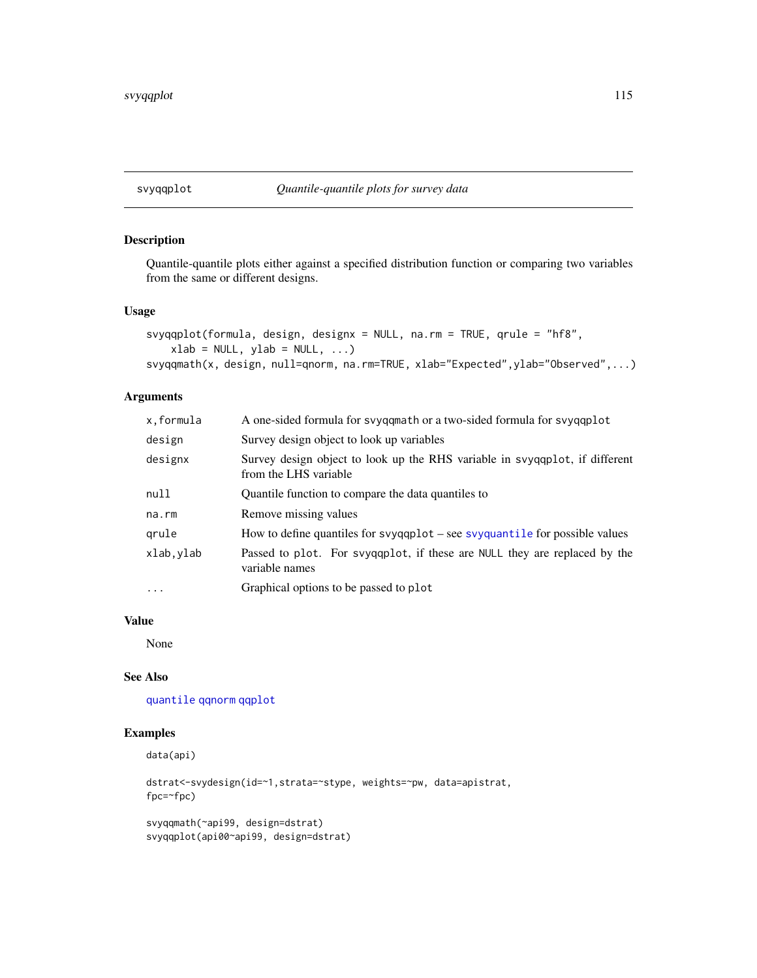# <span id="page-114-0"></span>Description

Quantile-quantile plots either against a specified distribution function or comparing two variables from the same or different designs.

# Usage

```
svyqqplot(formula, design, designx = NULL, na.rm = TRUE, qrule = "hf8",
   xlab = NULL, ylab = NULL, ...)svyqqmath(x, design, null=qnorm, na.rm=TRUE, xlab="Expected",ylab="Observed",...)
```
# Arguments

| x,formula  | A one-sided formula for svyqqmath or a two-sided formula for svyqqplot                               |
|------------|------------------------------------------------------------------------------------------------------|
| design     | Survey design object to look up variables                                                            |
| designx    | Survey design object to look up the RHS variable in syyqqplot, if different<br>from the LHS variable |
| null       | Quantile function to compare the data quantiles to                                                   |
| na.rm      | Remove missing values                                                                                |
| grule      | How to define quantiles for $s$ yqqqplot – see $s$ yqqqqntile for possible values                    |
| xlab, ylab | Passed to plot. For syyggplot, if these are NULL they are replaced by the<br>variable names          |
| $\ddotsc$  | Graphical options to be passed to plot                                                               |

# Value

None

# See Also

[quantile](#page-0-0) [qqnorm](#page-0-0) [qqplot](#page-0-0)

# Examples

```
data(api)
```

```
dstrat<-svydesign(id=~1,strata=~stype, weights=~pw, data=apistrat,
fpc=~fpc)
```
svyqqmath(~api99, design=dstrat) svyqqplot(api00~api99, design=dstrat)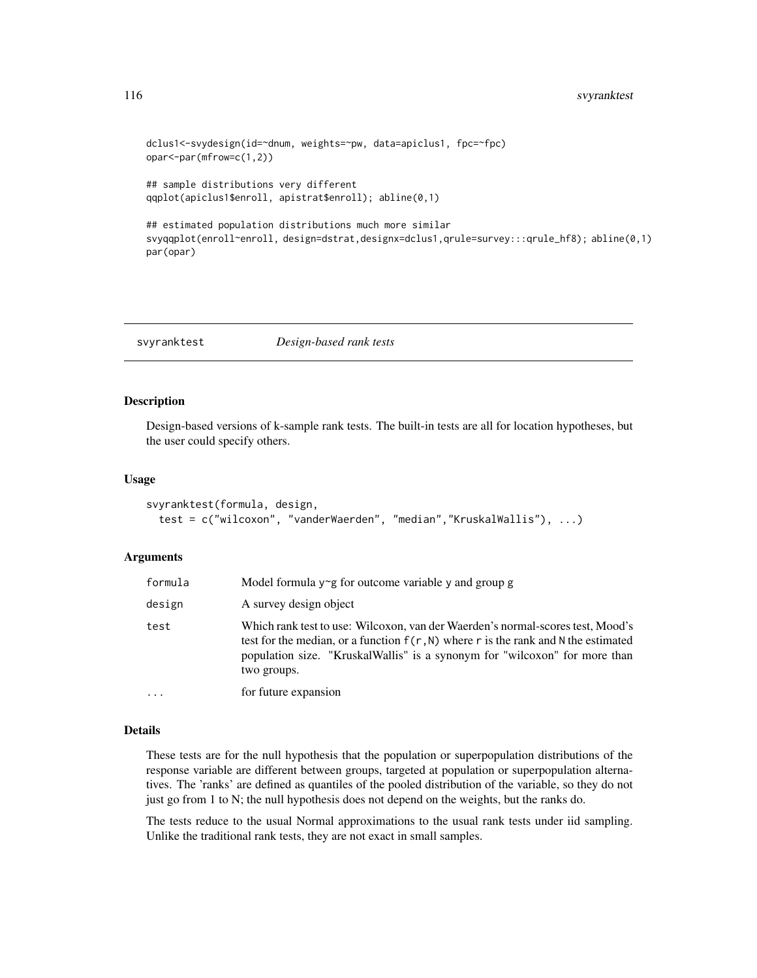```
dclus1<-svydesign(id=~dnum, weights=~pw, data=apiclus1, fpc=~fpc)
opar<-par(mfrow=c(1,2))
```

```
## sample distributions very different
qqplot(apiclus1$enroll, apistrat$enroll); abline(0,1)
```

```
## estimated population distributions much more similar
svyqqplot(enroll~enroll, design=dstrat,designx=dclus1,qrule=survey:::qrule_hf8); abline(0,1)
par(opar)
```
svyranktest *Design-based rank tests*

#### Description

Design-based versions of k-sample rank tests. The built-in tests are all for location hypotheses, but the user could specify others.

#### Usage

```
svyranktest(formula, design,
  test = c("wilcoxon", "vanderWaerden", "median","KruskalWallis"), ...)
```
#### Arguments

| formula | Model formula $y \sim g$ for outcome variable y and group g                                                                                                                                                                                                         |
|---------|---------------------------------------------------------------------------------------------------------------------------------------------------------------------------------------------------------------------------------------------------------------------|
| design  | A survey design object                                                                                                                                                                                                                                              |
| test    | Which rank test to use: Wilcoxon, van der Waerden's normal-scores test, Mood's<br>test for the median, or a function $f(r, N)$ where r is the rank and N the estimated<br>population size. "KruskalWallis" is a synonym for "wilcoxon" for more than<br>two groups. |
| .       | for future expansion                                                                                                                                                                                                                                                |

#### Details

These tests are for the null hypothesis that the population or superpopulation distributions of the response variable are different between groups, targeted at population or superpopulation alternatives. The 'ranks' are defined as quantiles of the pooled distribution of the variable, so they do not just go from 1 to N; the null hypothesis does not depend on the weights, but the ranks do.

The tests reduce to the usual Normal approximations to the usual rank tests under iid sampling. Unlike the traditional rank tests, they are not exact in small samples.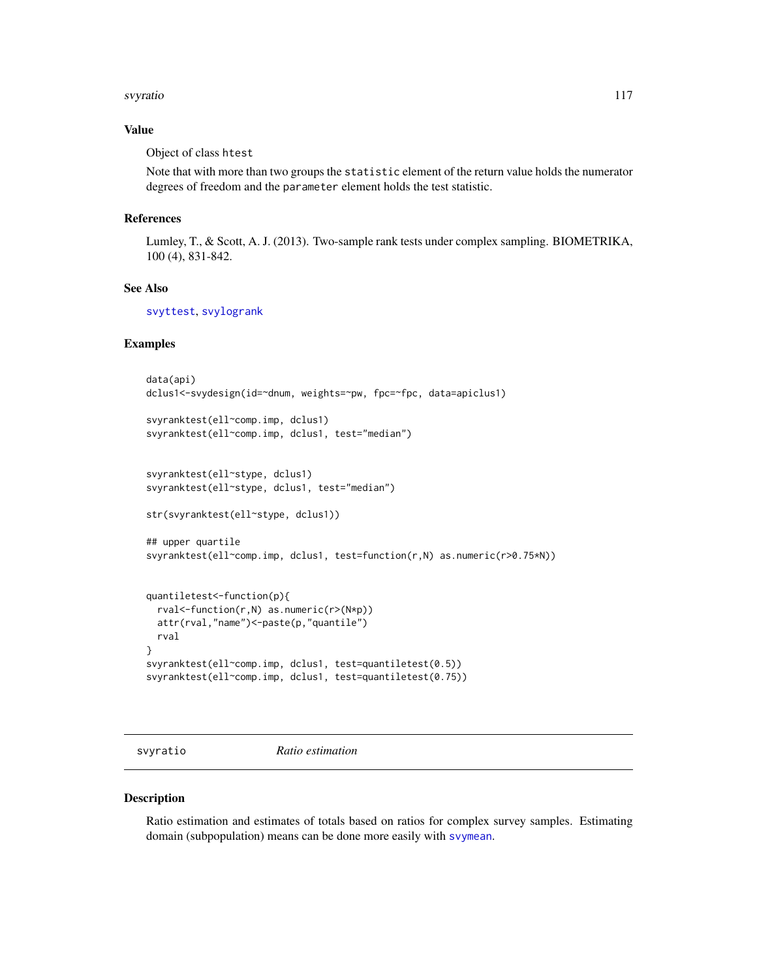#### <span id="page-116-0"></span>svyratio 117

# Value

Object of class htest

Note that with more than two groups the statistic element of the return value holds the numerator degrees of freedom and the parameter element holds the test statistic.

#### References

Lumley, T., & Scott, A. J. (2013). Two-sample rank tests under complex sampling. BIOMETRIKA, 100 (4), 831-842.

#### See Also

[svyttest](#page-128-0), [svylogrank](#page-102-0)

# Examples

```
data(api)
dclus1<-svydesign(id=~dnum, weights=~pw, fpc=~fpc, data=apiclus1)
svyranktest(ell~comp.imp, dclus1)
svyranktest(ell~comp.imp, dclus1, test="median")
svyranktest(ell~stype, dclus1)
svyranktest(ell~stype, dclus1, test="median")
str(svyranktest(ell~stype, dclus1))
## upper quartile
svyranktest(ell~comp.imp, dclus1, test=function(r,N) as.numeric(r>0.75*N))
quantiletest<-function(p){
 rval<-function(r,N) as.numeric(r>(N*p))
 attr(rval,"name")<-paste(p,"quantile")
 rval
}
svyranktest(ell~comp.imp, dclus1, test=quantiletest(0.5))
svyranktest(ell~comp.imp, dclus1, test=quantiletest(0.75))
```
svyratio *Ratio estimation*

#### Description

Ratio estimation and estimates of totals based on ratios for complex survey samples. Estimating domain (subpopulation) means can be done more easily with [svymean](#page-63-0).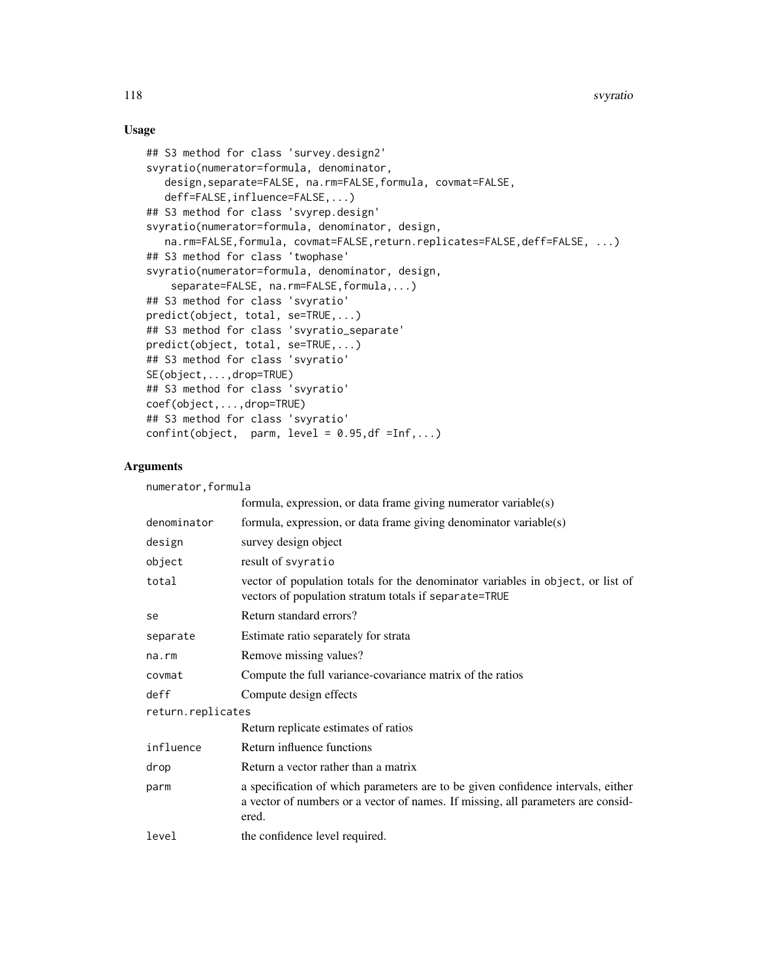## Usage

```
## S3 method for class 'survey.design2'
svyratio(numerator=formula, denominator,
   design,separate=FALSE, na.rm=FALSE,formula, covmat=FALSE,
   deff=FALSE,influence=FALSE,...)
## S3 method for class 'svyrep.design'
svyratio(numerator=formula, denominator, design,
   na.rm=FALSE,formula, covmat=FALSE,return.replicates=FALSE,deff=FALSE, ...)
## S3 method for class 'twophase'
svyratio(numerator=formula, denominator, design,
    separate=FALSE, na.rm=FALSE,formula,...)
## S3 method for class 'svyratio'
predict(object, total, se=TRUE,...)
## S3 method for class 'svyratio_separate'
predict(object, total, se=TRUE,...)
## S3 method for class 'svyratio'
SE(object,...,drop=TRUE)
## S3 method for class 'svyratio'
coef(object,...,drop=TRUE)
## S3 method for class 'svyratio'
confint(object, parm, level = 0.95, df =Inf,...)
```
#### **Arguments**

|                    | $\ddotsc$         |                                                                                                                                          |
|--------------------|-------------------|------------------------------------------------------------------------------------------------------------------------------------------|
| numerator, formula |                   |                                                                                                                                          |
|                    |                   | formula, expression, or data frame giving numerator variable(s)                                                                          |
|                    | denominator       | formula, expression, or data frame giving denominator variable(s)                                                                        |
|                    | design            | survey design object                                                                                                                     |
|                    | object            | result of svyratio                                                                                                                       |
|                    | total             | vector of population totals for the denominator variables in object, or list of<br>vectors of population stratum totals if separate=TRUE |
|                    | se                | Return standard errors?                                                                                                                  |
|                    | separate          | Estimate ratio separately for strata                                                                                                     |
|                    | na.rm             | Remove missing values?                                                                                                                   |
|                    | covmat            | Compute the full variance-covariance matrix of the ratios                                                                                |
|                    | deff              | Compute design effects                                                                                                                   |
|                    | return.replicates |                                                                                                                                          |
|                    |                   | Return replicate estimates of ratios                                                                                                     |
|                    | influence         | Return influence functions                                                                                                               |

# parm a specification of which parameters are to be given confidence intervals, either a vector of numbers or a vector of names. If missing, all parameters are considered.

level the confidence level required.

drop Return a vector rather than a matrix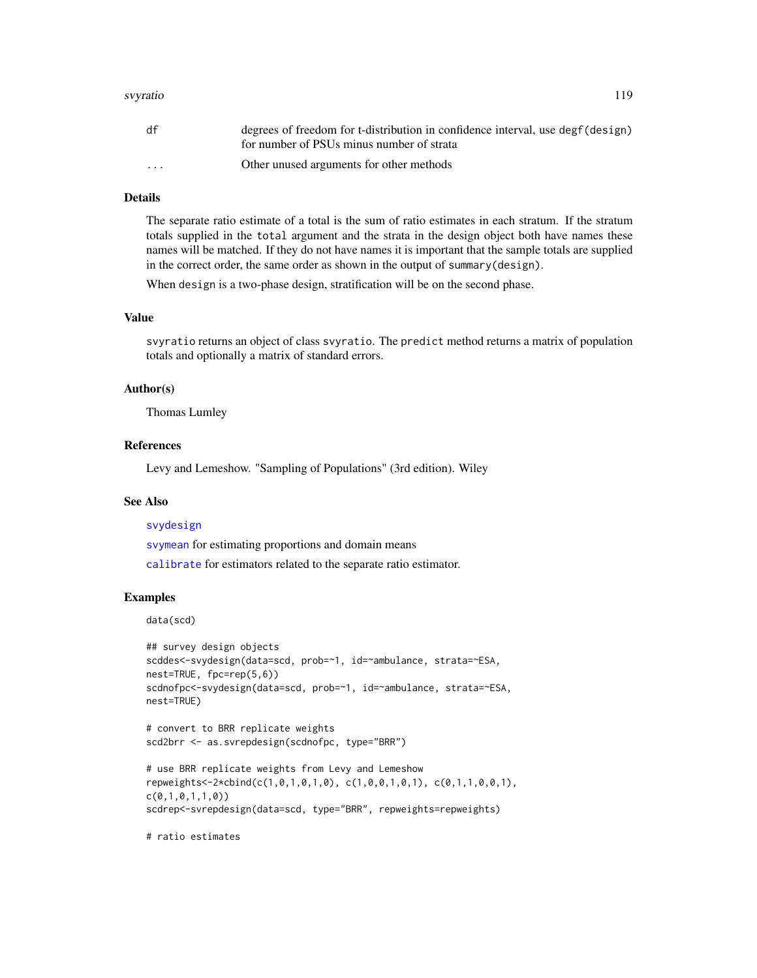#### svyratio 119

| df                   | degrees of freedom for t-distribution in confidence interval, use degf(design) |
|----------------------|--------------------------------------------------------------------------------|
|                      | for number of PSUs minus number of strata                                      |
| $\ddot{\phantom{0}}$ | Other unused arguments for other methods                                       |

# Details

The separate ratio estimate of a total is the sum of ratio estimates in each stratum. If the stratum totals supplied in the total argument and the strata in the design object both have names these names will be matched. If they do not have names it is important that the sample totals are supplied in the correct order, the same order as shown in the output of summary(design).

When design is a two-phase design, stratification will be on the second phase.

### Value

svyratio returns an object of class svyratio. The predict method returns a matrix of population totals and optionally a matrix of standard errors.

#### Author(s)

Thomas Lumley

#### References

Levy and Lemeshow. "Sampling of Populations" (3rd edition). Wiley

### See Also

#### [svydesign](#page-86-0)

[svymean](#page-63-0) for estimating proportions and domain means

[calibrate](#page-16-0) for estimators related to the separate ratio estimator.

#### Examples

data(scd)

```
## survey design objects
scddes<-svydesign(data=scd, prob=~1, id=~ambulance, strata=~ESA,
nest=TRUE, fpc=rep(5,6))
scdnofpc<-svydesign(data=scd, prob=~1, id=~ambulance, strata=~ESA,
nest=TRUE)
```

```
# convert to BRR replicate weights
scd2brr <- as.svrepdesign(scdnofpc, type="BRR")
```

```
# use BRR replicate weights from Levy and Lemeshow
repweights<-2*cbind(c(1,0,1,0,1,0), c(1,0,0,1,0,1), c(0,1,1,0,0,1),
c(0,1,0,1,1,0))
scdrep<-svrepdesign(data=scd, type="BRR", repweights=repweights)
```
# ratio estimates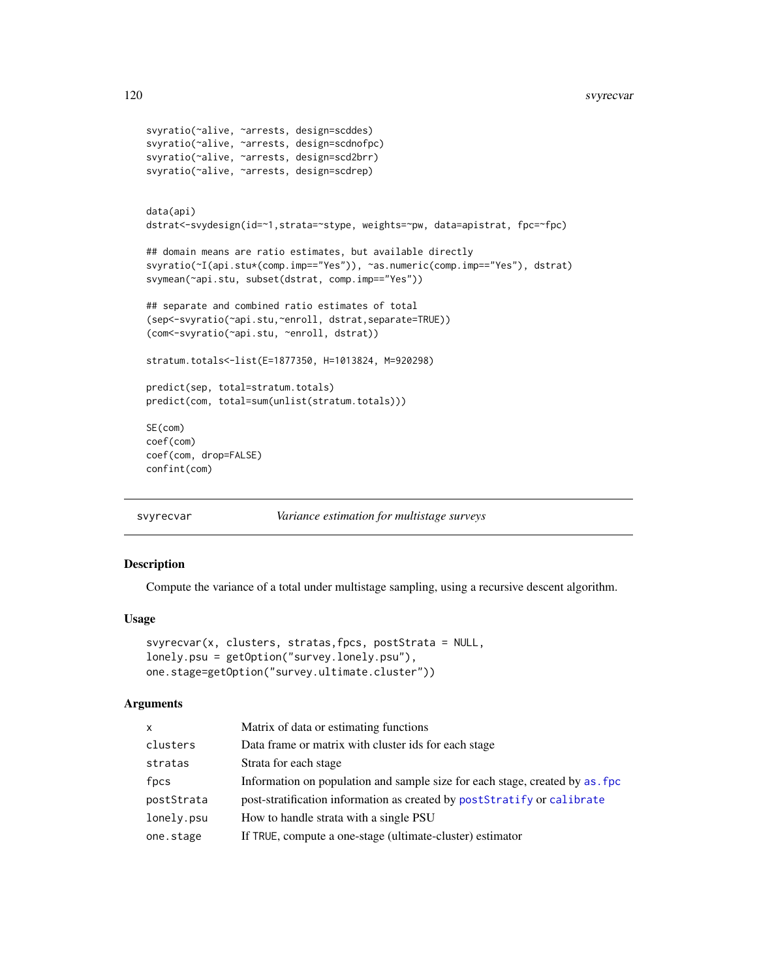```
svyratio(~alive, ~arrests, design=scddes)
svyratio(~alive, ~arrests, design=scdnofpc)
svyratio(~alive, ~arrests, design=scd2brr)
svyratio(~alive, ~arrests, design=scdrep)
data(api)
dstrat<-svydesign(id=~1,strata=~stype, weights=~pw, data=apistrat, fpc=~fpc)
## domain means are ratio estimates, but available directly
svyratio(~I(api.stu*(comp.imp=="Yes")), ~as.numeric(comp.imp=="Yes"), dstrat)
svymean(~api.stu, subset(dstrat, comp.imp=="Yes"))
## separate and combined ratio estimates of total
(sep<-svyratio(~api.stu,~enroll, dstrat,separate=TRUE))
(com<-svyratio(~api.stu, ~enroll, dstrat))
stratum.totals<-list(E=1877350, H=1013824, M=920298)
predict(sep, total=stratum.totals)
predict(com, total=sum(unlist(stratum.totals)))
SE(com)
coef(com)
coef(com, drop=FALSE)
confint(com)
```

```
svyrecvar Variance estimation for multistage surveys
```
#### **Description**

Compute the variance of a total under multistage sampling, using a recursive descent algorithm.

#### Usage

```
svyrecvar(x, clusters, stratas,fpcs, postStrata = NULL,
lonely.psu = getOption("survey.lonely.psu"),
one.stage=getOption("survey.ultimate.cluster"))
```
#### **Arguments**

| X          | Matrix of data or estimating functions                                       |
|------------|------------------------------------------------------------------------------|
| clusters   | Data frame or matrix with cluster ids for each stage                         |
| stratas    | Strata for each stage                                                        |
| fpcs       | Information on population and sample size for each stage, created by as f pc |
| postStrata | post-stratification information as created by postStratify or calibrate      |
| lonely.psu | How to handle strata with a single PSU                                       |
| one.stage  | If TRUE, compute a one-stage (ultimate-cluster) estimator                    |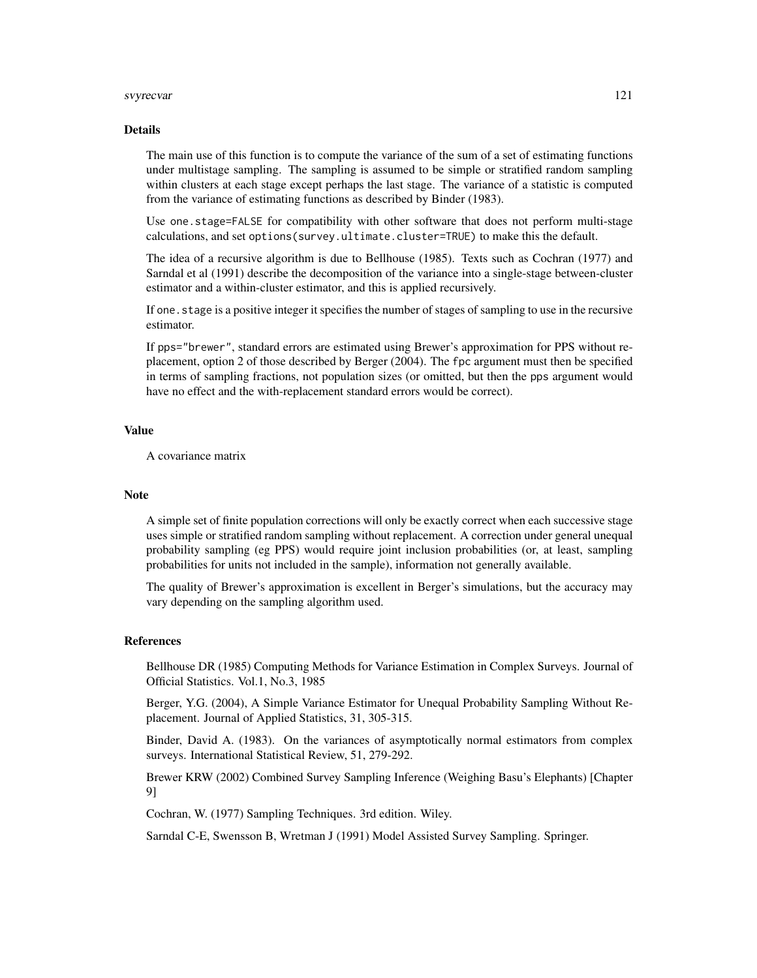#### svyrecvar 121

#### Details

The main use of this function is to compute the variance of the sum of a set of estimating functions under multistage sampling. The sampling is assumed to be simple or stratified random sampling within clusters at each stage except perhaps the last stage. The variance of a statistic is computed from the variance of estimating functions as described by Binder (1983).

Use one.stage=FALSE for compatibility with other software that does not perform multi-stage calculations, and set options(survey.ultimate.cluster=TRUE) to make this the default.

The idea of a recursive algorithm is due to Bellhouse (1985). Texts such as Cochran (1977) and Sarndal et al (1991) describe the decomposition of the variance into a single-stage between-cluster estimator and a within-cluster estimator, and this is applied recursively.

If one. stage is a positive integer it specifies the number of stages of sampling to use in the recursive estimator.

If pps="brewer", standard errors are estimated using Brewer's approximation for PPS without replacement, option 2 of those described by Berger (2004). The fpc argument must then be specified in terms of sampling fractions, not population sizes (or omitted, but then the pps argument would have no effect and the with-replacement standard errors would be correct).

#### Value

A covariance matrix

#### **Note**

A simple set of finite population corrections will only be exactly correct when each successive stage uses simple or stratified random sampling without replacement. A correction under general unequal probability sampling (eg PPS) would require joint inclusion probabilities (or, at least, sampling probabilities for units not included in the sample), information not generally available.

The quality of Brewer's approximation is excellent in Berger's simulations, but the accuracy may vary depending on the sampling algorithm used.

#### References

Bellhouse DR (1985) Computing Methods for Variance Estimation in Complex Surveys. Journal of Official Statistics. Vol.1, No.3, 1985

Berger, Y.G. (2004), A Simple Variance Estimator for Unequal Probability Sampling Without Replacement. Journal of Applied Statistics, 31, 305-315.

Binder, David A. (1983). On the variances of asymptotically normal estimators from complex surveys. International Statistical Review, 51, 279-292.

Brewer KRW (2002) Combined Survey Sampling Inference (Weighing Basu's Elephants) [Chapter 9]

Cochran, W. (1977) Sampling Techniques. 3rd edition. Wiley.

Sarndal C-E, Swensson B, Wretman J (1991) Model Assisted Survey Sampling. Springer.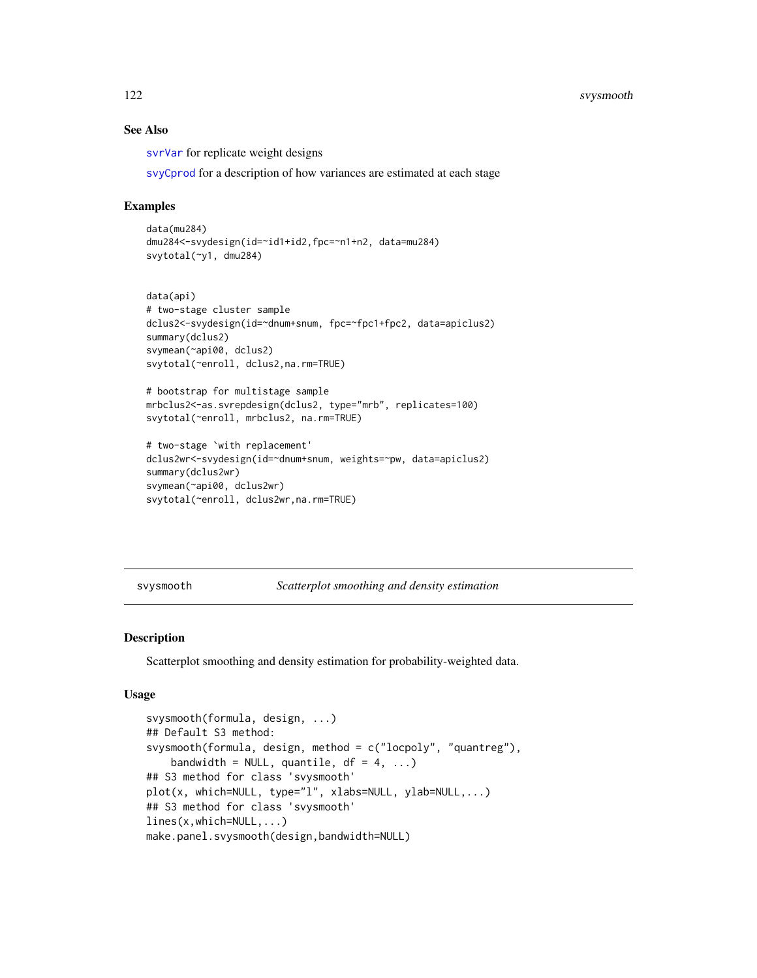# See Also

[svrVar](#page-70-0) for replicate weight designs

[svyCprod](#page-83-0) for a description of how variances are estimated at each stage

#### Examples

```
data(mu284)
dmu284<-svydesign(id=~id1+id2,fpc=~n1+n2, data=mu284)
svytotal(~y1, dmu284)
```

```
data(api)
# two-stage cluster sample
dclus2<-svydesign(id=~dnum+snum, fpc=~fpc1+fpc2, data=apiclus2)
summary(dclus2)
svymean(~api00, dclus2)
svytotal(~enroll, dclus2,na.rm=TRUE)
```

```
# bootstrap for multistage sample
mrbclus2<-as.svrepdesign(dclus2, type="mrb", replicates=100)
svytotal(~enroll, mrbclus2, na.rm=TRUE)
```

```
# two-stage `with replacement'
dclus2wr<-svydesign(id=~dnum+snum, weights=~pw, data=apiclus2)
summary(dclus2wr)
svymean(~api00, dclus2wr)
svytotal(~enroll, dclus2wr,na.rm=TRUE)
```

```
svysmooth Scatterplot smoothing and density estimation
```
#### Description

Scatterplot smoothing and density estimation for probability-weighted data.

#### Usage

```
svysmooth(formula, design, ...)
## Default S3 method:
svysmooth(formula, design, method = c("locpoly", "quantreg"),
    bandwidth = NULL, quantile, df = 4, ...## S3 method for class 'svysmooth'
plot(x, which=NULL, type="l", xlabs=NULL, ylab=NULL,...)
## S3 method for class 'svysmooth'
lines(x,which=NULL,...)
make.panel.svysmooth(design,bandwidth=NULL)
```
<span id="page-121-0"></span>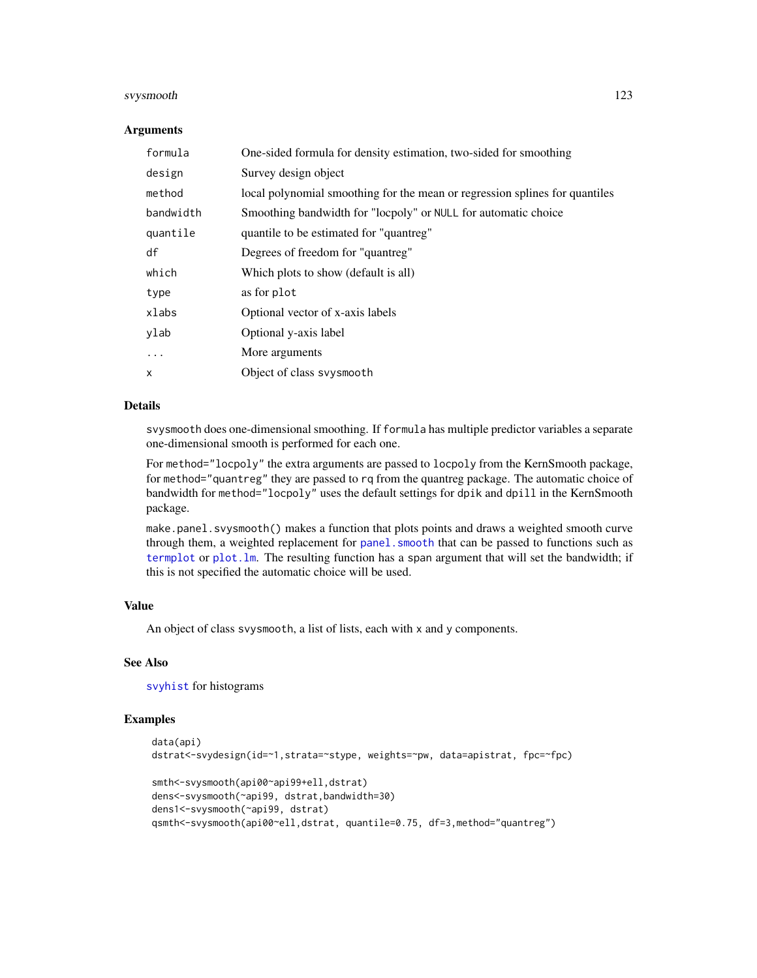#### svysmooth 123

#### Arguments

| formula   | One-sided formula for density estimation, two-sided for smoothing           |
|-----------|-----------------------------------------------------------------------------|
| design    | Survey design object                                                        |
| method    | local polynomial smoothing for the mean or regression splines for quantiles |
| bandwidth | Smoothing bandwidth for "locpoly" or NULL for automatic choice              |
| quantile  | quantile to be estimated for "quantreg"                                     |
| df        | Degrees of freedom for "quantreg"                                           |
| which     | Which plots to show (default is all)                                        |
| type      | as for plot                                                                 |
| xlabs     | Optional vector of x-axis labels                                            |
| ylab      | Optional y-axis label                                                       |
| $\cdots$  | More arguments                                                              |
| X         | Object of class syysmooth                                                   |

# Details

svysmooth does one-dimensional smoothing. If formula has multiple predictor variables a separate one-dimensional smooth is performed for each one.

For method="locpoly" the extra arguments are passed to locpoly from the KernSmooth package, for method="quantreg" they are passed to rq from the quantreg package. The automatic choice of bandwidth for method="locpoly" uses the default settings for dpik and dpill in the KernSmooth package.

make.panel.svysmooth() makes a function that plots points and draws a weighted smooth curve through them, a weighted replacement for panel. smooth that can be passed to functions such as [termplot](#page-0-0) or [plot.lm](#page-0-0). The resulting function has a span argument that will set the bandwidth; if this is not specified the automatic choice will be used.

# Value

An object of class svysmooth, a list of lists, each with x and y components.

# See Also

[svyhist](#page-95-0) for histograms

```
data(api)
dstrat<-svydesign(id=~1,strata=~stype, weights=~pw, data=apistrat, fpc=~fpc)
smth<-svysmooth(api00~api99+ell,dstrat)
dens<-svysmooth(~api99, dstrat,bandwidth=30)
dens1<-svysmooth(~api99, dstrat)
qsmth<-svysmooth(api00~ell,dstrat, quantile=0.75, df=3,method="quantreg")
```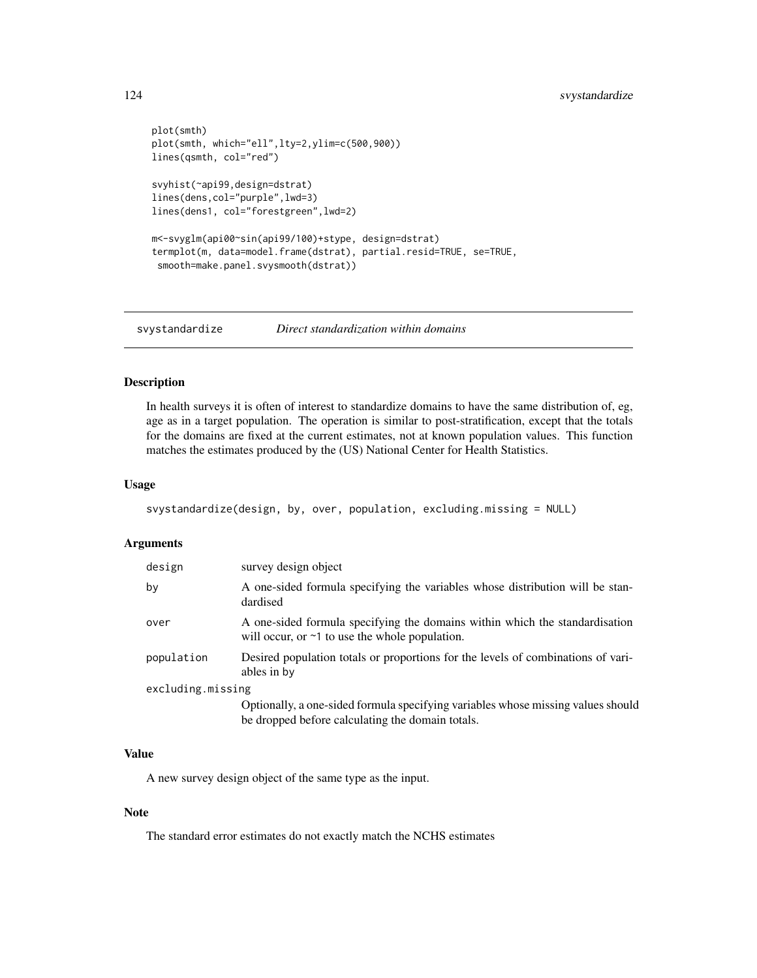```
plot(smth)
plot(smth, which="ell",lty=2,ylim=c(500,900))
lines(qsmth, col="red")
svyhist(~api99,design=dstrat)
lines(dens,col="purple",lwd=3)
lines(dens1, col="forestgreen",lwd=2)
m<-svyglm(api00~sin(api99/100)+stype, design=dstrat)
termplot(m, data=model.frame(dstrat), partial.resid=TRUE, se=TRUE,
 smooth=make.panel.svysmooth(dstrat))
```
svystandardize *Direct standardization within domains*

# Description

In health surveys it is often of interest to standardize domains to have the same distribution of, eg, age as in a target population. The operation is similar to post-stratification, except that the totals for the domains are fixed at the current estimates, not at known population values. This function matches the estimates produced by the (US) National Center for Health Statistics.

#### Usage

```
svystandardize(design, by, over, population, excluding.missing = NULL)
```
#### Arguments

| design            | survey design object                                                                                                                |
|-------------------|-------------------------------------------------------------------------------------------------------------------------------------|
| by                | A one-sided formula specifying the variables whose distribution will be stan-<br>dardised                                           |
| over              | A one-sided formula specifying the domains within which the standardisation<br>will occur, or $\sim$ 1 to use the whole population. |
| population        | Desired population totals or proportions for the levels of combinations of vari-<br>ables in by                                     |
| excluding.missing |                                                                                                                                     |
|                   | Optionally, a one-sided formula specifying variables whose missing values should                                                    |
|                   | be dropped before calculating the domain totals.                                                                                    |

# Value

A new survey design object of the same type as the input.

#### Note

The standard error estimates do not exactly match the NCHS estimates

<span id="page-123-0"></span>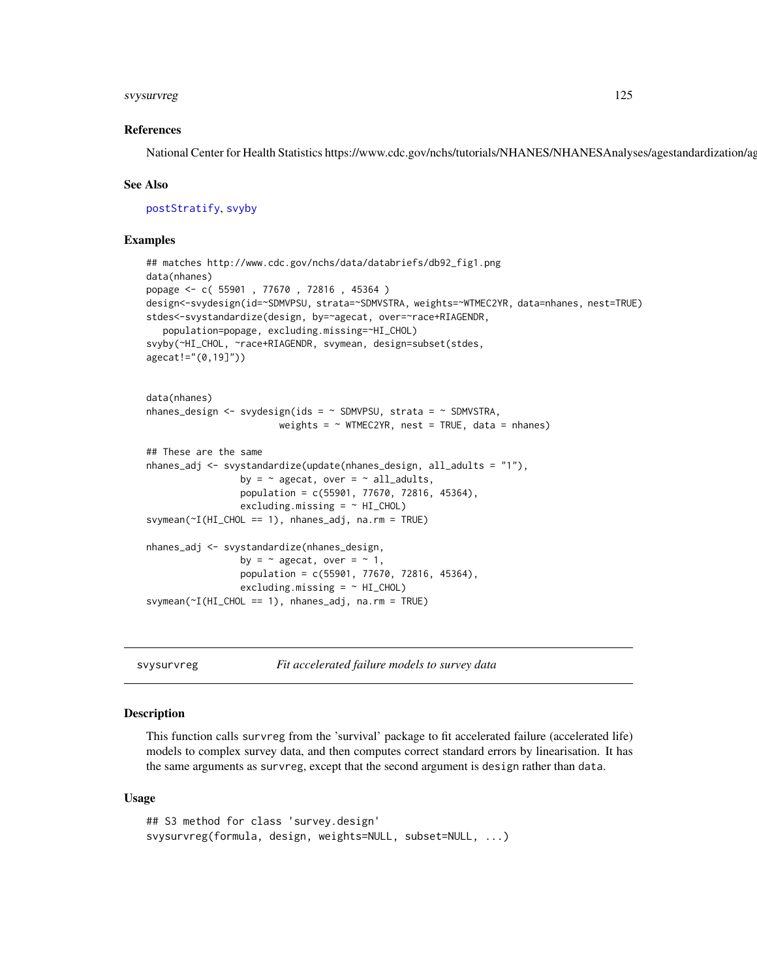#### <span id="page-124-0"></span>svysurvreg 125

#### References

National Center for Health Statistics https://www.cdc.gov/nchs/tutorials/NHANES/NHANESAnalyses/agestandardization/ag

#### See Also

[postStratify](#page-51-0), [svyby](#page-71-0)

#### Examples

```
## matches http://www.cdc.gov/nchs/data/databriefs/db92_fig1.png
data(nhanes)
popage <- c( 55901 , 77670 , 72816 , 45364 )
design<-svydesign(id=~SDMVPSU, strata=~SDMVSTRA, weights=~WTMEC2YR, data=nhanes, nest=TRUE)
stdes<-svystandardize(design, by=~agecat, over=~race+RIAGENDR,
   population=popage, excluding.missing=~HI_CHOL)
svyby(~HI_CHOL, ~race+RIAGENDR, svymean, design=subset(stdes,
agecat!="(0,19]"))
data(nhanes)
nhanes_design <- svydesign(ids = \sim SDMVPSU, strata = \sim SDMVSTRA,
                        weights = \sim WTMEC2YR, nest = TRUE, data = nhanes)
## These are the same
nhanes_adj <- svystandardize(update(nhanes_design, all_adults = "1"),
                 by = \sim agecat, over = \sim all_adults,
                 population = c(55901, 77670, 72816, 45364),
                 excluding.missing = ~ HI_CHOL)svymean(~I(HI_CHOL == 1), nhanes_adj, na.rm = TRUE)
nhanes_adj <- svystandardize(nhanes_design,
                 by = \sim agecat, over = \sim 1,
                 population = c(55901, 77670, 72816, 45364),
                 excluding.missing = ~\sim HI_CHOL)
svymean(~I(HI_CHOL == 1), nhanes_adj, na.rm = TRUE)
```
svysurvreg *Fit accelerated failure models to survey data*

#### Description

This function calls survreg from the 'survival' package to fit accelerated failure (accelerated life) models to complex survey data, and then computes correct standard errors by linearisation. It has the same arguments as survreg, except that the second argument is design rather than data.

#### Usage

```
## S3 method for class 'survey.design'
svysurvreg(formula, design, weights=NULL, subset=NULL, ...)
```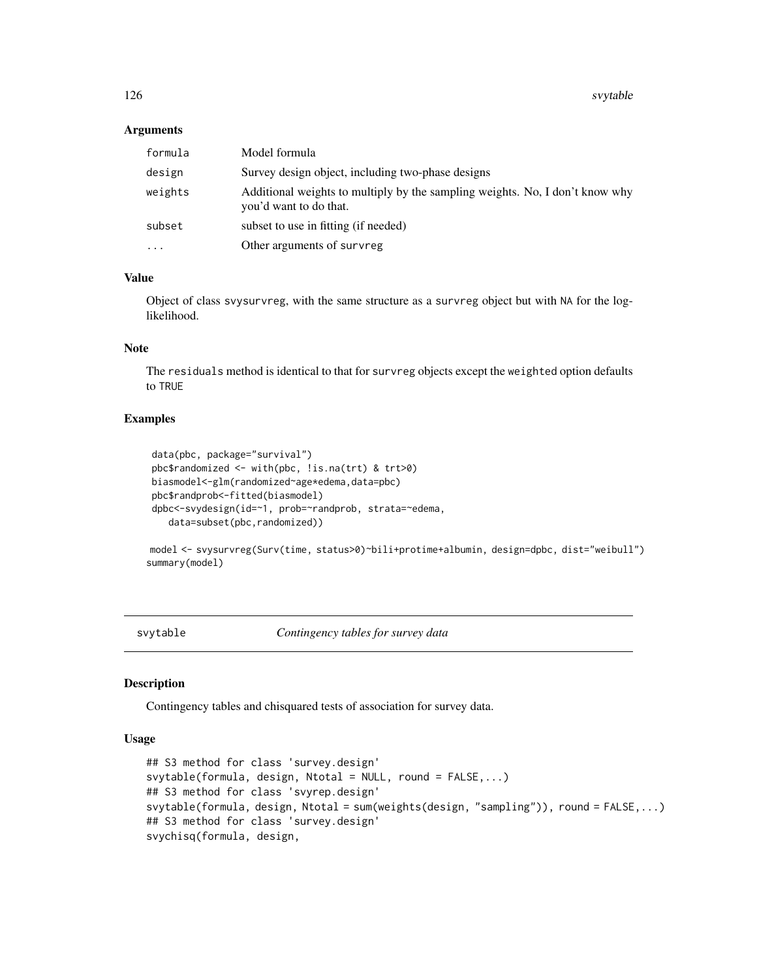#### <span id="page-125-1"></span>Arguments

| formula   | Model formula                                                                                          |
|-----------|--------------------------------------------------------------------------------------------------------|
| design    | Survey design object, including two-phase designs                                                      |
| weights   | Additional weights to multiply by the sampling weights. No, I don't know why<br>you'd want to do that. |
| subset    | subset to use in fitting (if needed)                                                                   |
| $\ddotsc$ | Other arguments of survreg                                                                             |

# Value

Object of class svysurvreg, with the same structure as a survreg object but with NA for the loglikelihood.

# Note

The residuals method is identical to that for survreg objects except the weighted option defaults to TRUE

#### Examples

```
data(pbc, package="survival")
pbc$randomized <- with(pbc, !is.na(trt) & trt>0)
biasmodel<-glm(randomized~age*edema,data=pbc)
pbc$randprob<-fitted(biasmodel)
dpbc<-svydesign(id=~1, prob=~randprob, strata=~edema,
   data=subset(pbc,randomized))
```
model <- svysurvreg(Surv(time, status>0)~bili+protime+albumin, design=dpbc, dist="weibull") summary(model)

<span id="page-125-0"></span>svytable *Contingency tables for survey data*

#### Description

Contingency tables and chisquared tests of association for survey data.

#### Usage

```
## S3 method for class 'survey.design'
svytable(formula, design, Ntotal = NULL, round = FALSE,...)
## S3 method for class 'svyrep.design'
svytable(formula, design, Ntotal = sum(weights(design, "sampling")), round = FALSE,...)
## S3 method for class 'survey.design'
svychisq(formula, design,
```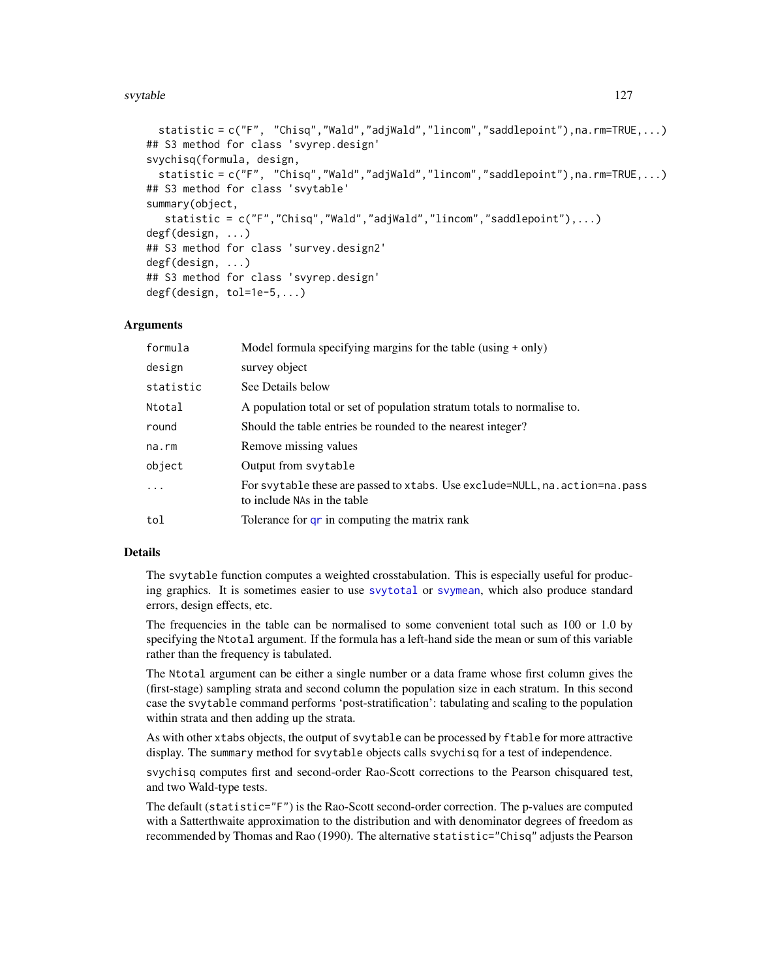#### svytable that the state of the state of the state of the state of the state of the state of the state of the state of the state of the state of the state of the state of the state of the state of the state of the state of

```
statistic = c("F", "Chisq","Wald","adjWald","lincom","saddlepoint"),na.rm=TRUE,...)
## S3 method for class 'svyrep.design'
svychisq(formula, design,
  statistic = c("F", "Chisq","Wald","adjWald","lincom","saddlepoint"),na.rm=TRUE,...)
## S3 method for class 'svytable'
summary(object,
  statistic = c("F","Chisq","Wald","adjWald","lincom","saddlepoint"),...)
degf(design, ...)
## S3 method for class 'survey.design2'
degf(design, ...)
## S3 method for class 'svyrep.design'
degf(design, tol=1e-5,...)
```
#### Arguments

| formula   | Model formula specifying margins for the table (using + only)                                                |
|-----------|--------------------------------------------------------------------------------------------------------------|
| design    | survey object                                                                                                |
| statistic | See Details below                                                                                            |
| Ntotal    | A population total or set of population stratum totals to normalise to.                                      |
| round     | Should the table entries be rounded to the nearest integer?                                                  |
| na.rm     | Remove missing values                                                                                        |
| object    | Output from svytable                                                                                         |
| $\ddotsc$ | For svytable these are passed to xtabs. Use exclude=NULL, na. action=na. pass<br>to include NAs in the table |
| tol       | Tolerance for qr in computing the matrix rank                                                                |

# Details

The svytable function computes a weighted crosstabulation. This is especially useful for producing graphics. It is sometimes easier to use [svytotal](#page-63-0) or [svymean](#page-63-0), which also produce standard errors, design effects, etc.

The frequencies in the table can be normalised to some convenient total such as 100 or 1.0 by specifying the Ntotal argument. If the formula has a left-hand side the mean or sum of this variable rather than the frequency is tabulated.

The Ntotal argument can be either a single number or a data frame whose first column gives the (first-stage) sampling strata and second column the population size in each stratum. In this second case the svytable command performs 'post-stratification': tabulating and scaling to the population within strata and then adding up the strata.

As with other xtabs objects, the output of svytable can be processed by ftable for more attractive display. The summary method for svytable objects calls svychisq for a test of independence.

svychisq computes first and second-order Rao-Scott corrections to the Pearson chisquared test, and two Wald-type tests.

The default (statistic="F") is the Rao-Scott second-order correction. The p-values are computed with a Satterthwaite approximation to the distribution and with denominator degrees of freedom as recommended by Thomas and Rao (1990). The alternative statistic="Chisq" adjusts the Pearson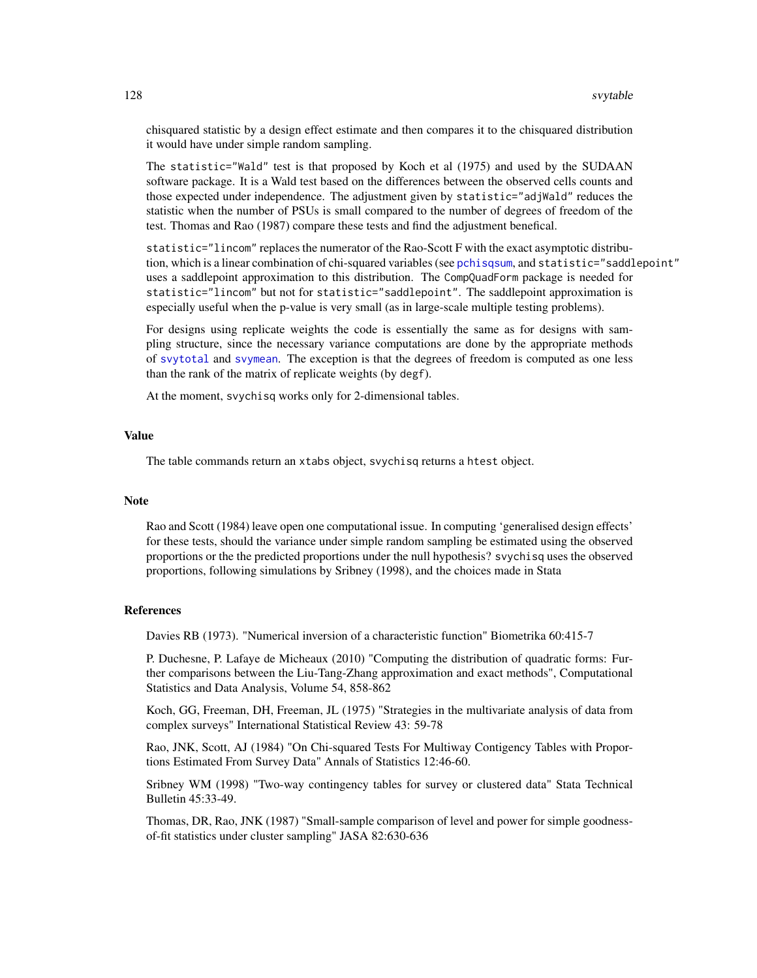chisquared statistic by a design effect estimate and then compares it to the chisquared distribution it would have under simple random sampling.

The statistic="Wald" test is that proposed by Koch et al (1975) and used by the SUDAAN software package. It is a Wald test based on the differences between the observed cells counts and those expected under independence. The adjustment given by statistic="adjWald" reduces the statistic when the number of PSUs is small compared to the number of degrees of freedom of the test. Thomas and Rao (1987) compare these tests and find the adjustment benefical.

statistic="lincom" replaces the numerator of the Rao-Scott F with the exact asymptotic distribution, which is a linear combination of chi-squared variables (see [pchisqsum](#page-49-0), and statistic="saddlepoint" uses a saddlepoint approximation to this distribution. The CompQuadForm package is needed for statistic="lincom" but not for statistic="saddlepoint". The saddlepoint approximation is especially useful when the p-value is very small (as in large-scale multiple testing problems).

For designs using replicate weights the code is essentially the same as for designs with sampling structure, since the necessary variance computations are done by the appropriate methods of [svytotal](#page-63-0) and [svymean](#page-63-0). The exception is that the degrees of freedom is computed as one less than the rank of the matrix of replicate weights (by degf).

At the moment, svychisq works only for 2-dimensional tables.

#### Value

The table commands return an xtabs object, svychisq returns a htest object.

#### **Note**

Rao and Scott (1984) leave open one computational issue. In computing 'generalised design effects' for these tests, should the variance under simple random sampling be estimated using the observed proportions or the the predicted proportions under the null hypothesis? svychisq uses the observed proportions, following simulations by Sribney (1998), and the choices made in Stata

# **References**

Davies RB (1973). "Numerical inversion of a characteristic function" Biometrika 60:415-7

P. Duchesne, P. Lafaye de Micheaux (2010) "Computing the distribution of quadratic forms: Further comparisons between the Liu-Tang-Zhang approximation and exact methods", Computational Statistics and Data Analysis, Volume 54, 858-862

Koch, GG, Freeman, DH, Freeman, JL (1975) "Strategies in the multivariate analysis of data from complex surveys" International Statistical Review 43: 59-78

Rao, JNK, Scott, AJ (1984) "On Chi-squared Tests For Multiway Contigency Tables with Proportions Estimated From Survey Data" Annals of Statistics 12:46-60.

Sribney WM (1998) "Two-way contingency tables for survey or clustered data" Stata Technical Bulletin 45:33-49.

Thomas, DR, Rao, JNK (1987) "Small-sample comparison of level and power for simple goodnessof-fit statistics under cluster sampling" JASA 82:630-636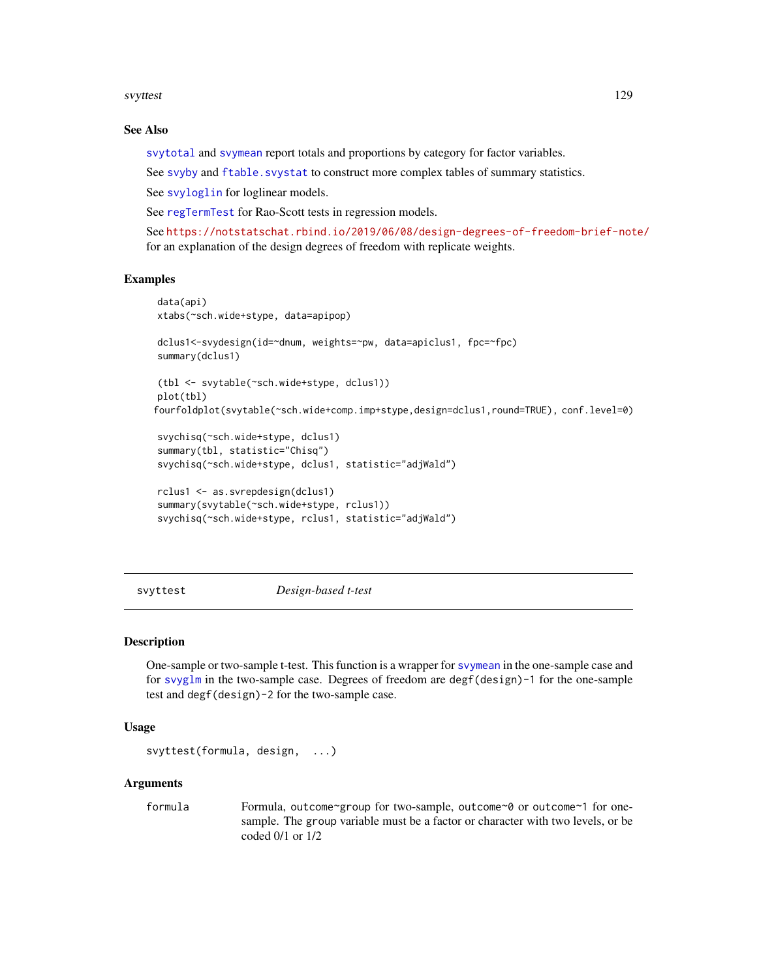#### <span id="page-128-1"></span>svyttest to the control of the control of the control of the control of the control of the control of the control of the control of the control of the control of the control of the control of the control of the control of

#### See Also

[svytotal](#page-63-0) and [svymean](#page-63-0) report totals and proportions by category for factor variables.

See [svyby](#page-71-0) and ftable. svystat to construct more complex tables of summary statistics.

See [svyloglin](#page-100-0) for loglinear models.

See [regTermTest](#page-56-0) for Rao-Scott tests in regression models.

See <https://notstatschat.rbind.io/2019/06/08/design-degrees-of-freedom-brief-note/> for an explanation of the design degrees of freedom with replicate weights.

#### Examples

```
data(api)
xtabs(~sch.wide+stype, data=apipop)
dclus1<-svydesign(id=~dnum, weights=~pw, data=apiclus1, fpc=~fpc)
summary(dclus1)
(tbl <- svytable(~sch.wide+stype, dclus1))
plot(tbl)
fourfoldplot(svytable(~sch.wide+comp.imp+stype,design=dclus1,round=TRUE), conf.level=0)
svychisq(~sch.wide+stype, dclus1)
```

```
summary(tbl, statistic="Chisq")
svychisq(~sch.wide+stype, dclus1, statistic="adjWald")
```

```
rclus1 <- as.svrepdesign(dclus1)
summary(svytable(~sch.wide+stype, rclus1))
svychisq(~sch.wide+stype, rclus1, statistic="adjWald")
```
<span id="page-128-0"></span>svyttest *Design-based t-test*

#### **Description**

One-sample or two-sample t-test. This function is a wrapper for [svymean](#page-63-0) in the one-sample case and for [svyglm](#page-90-0) in the two-sample case. Degrees of freedom are degf(design)-1 for the one-sample test and degf(design)-2 for the two-sample case.

#### Usage

```
svyttest(formula, design, ...)
```
#### Arguments

formula Formula, outcome~group for two-sample, outcome~0 or outcome~1 for onesample. The group variable must be a factor or character with two levels, or be coded 0/1 or 1/2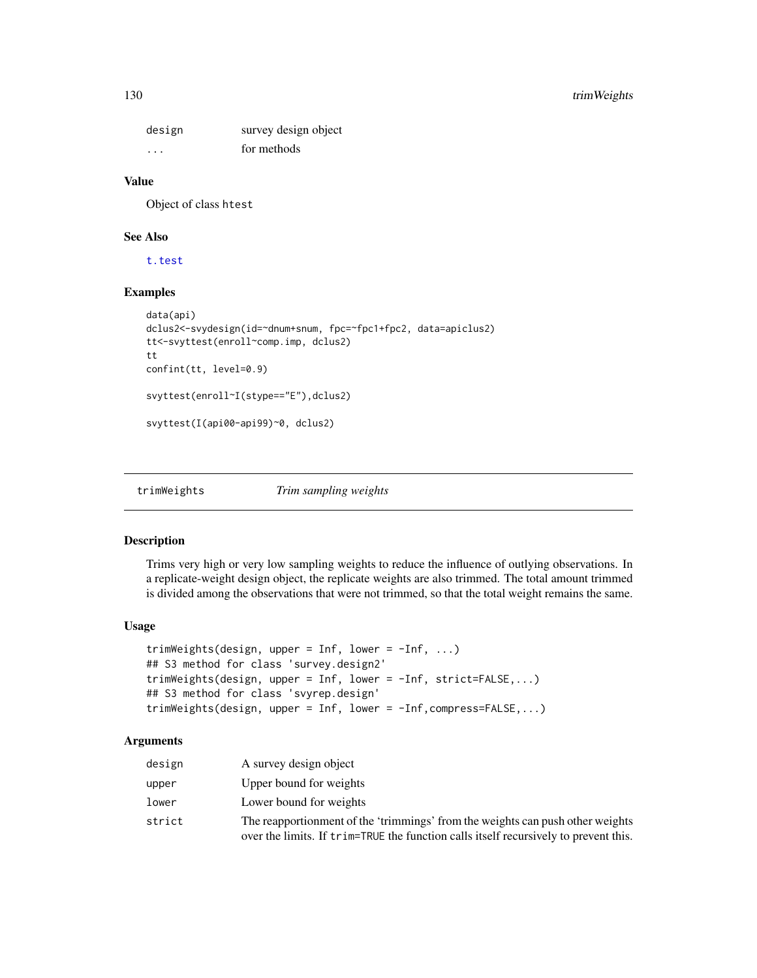<span id="page-129-0"></span>design survey design object ... for methods

#### Value

Object of class htest

#### See Also

[t.test](#page-0-0)

# Examples

```
data(api)
dclus2<-svydesign(id=~dnum+snum, fpc=~fpc1+fpc2, data=apiclus2)
tt<-svyttest(enroll~comp.imp, dclus2)
tt
confint(tt, level=0.9)
svyttest(enroll~I(stype=="E"),dclus2)
svyttest(I(api00-api99)~0, dclus2)
```
trimWeights *Trim sampling weights*

#### Description

Trims very high or very low sampling weights to reduce the influence of outlying observations. In a replicate-weight design object, the replicate weights are also trimmed. The total amount trimmed is divided among the observations that were not trimmed, so that the total weight remains the same.

#### Usage

```
trimWeights(design, upper = Inf, lower = -Inf, ...)
## S3 method for class 'survey.design2'
trimWeights(design, upper = Inf, lower = -Inf, strict=FALSE,...)
## S3 method for class 'svyrep.design'
trimWeights(design, upper = Inf, lower = -Inf,compress=FALSE,...)
```
# Arguments

| design | A survey design object                                                                                                                                                 |
|--------|------------------------------------------------------------------------------------------------------------------------------------------------------------------------|
| upper  | Upper bound for weights                                                                                                                                                |
| lower  | Lower bound for weights                                                                                                                                                |
| strict | The reapportionment of the 'trimmings' from the weights can push other weights<br>over the limits. If trim=TRUE the function calls itself recursively to prevent this. |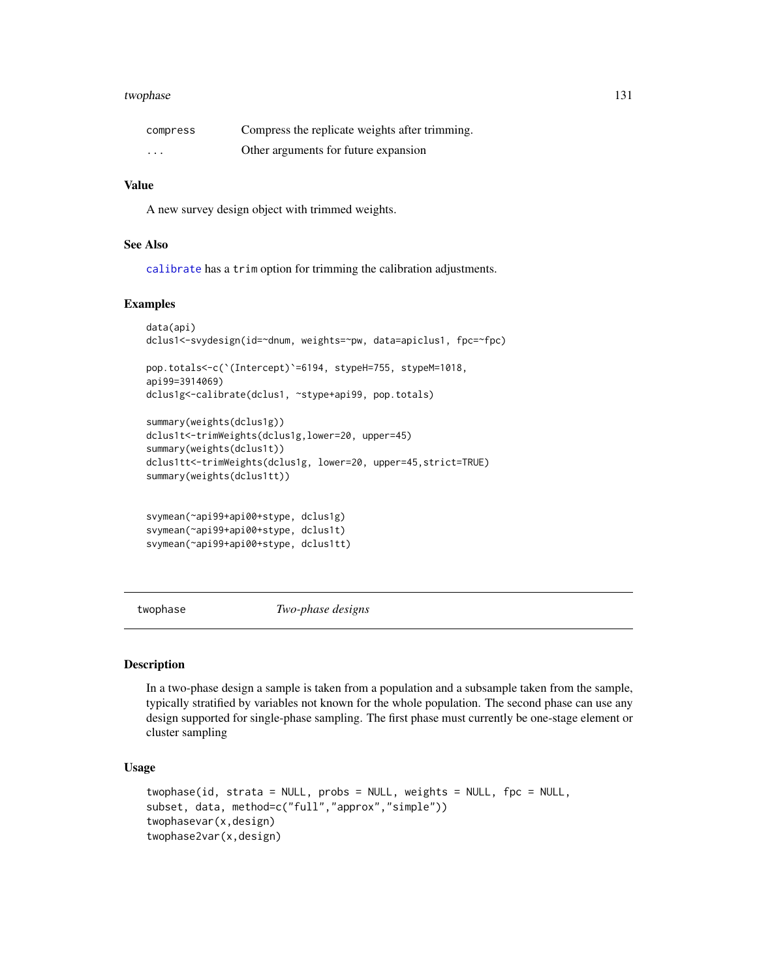#### <span id="page-130-1"></span>twophase 131

| compress | Compress the replicate weights after trimming. |
|----------|------------------------------------------------|
| $\cdots$ | Other arguments for future expansion           |

#### Value

A new survey design object with trimmed weights.

# See Also

[calibrate](#page-16-0) has a trim option for trimming the calibration adjustments.

# Examples

```
data(api)
dclus1<-svydesign(id=~dnum, weights=~pw, data=apiclus1, fpc=~fpc)
pop.totals<-c(`(Intercept)`=6194, stypeH=755, stypeM=1018,
api99=3914069)
dclus1g<-calibrate(dclus1, ~stype+api99, pop.totals)
summary(weights(dclus1g))
dclus1t<-trimWeights(dclus1g,lower=20, upper=45)
summary(weights(dclus1t))
dclus1tt<-trimWeights(dclus1g, lower=20, upper=45,strict=TRUE)
summary(weights(dclus1tt))
svymean(~api99+api00+stype, dclus1g)
svymean(~api99+api00+stype, dclus1t)
svymean(~api99+api00+stype, dclus1tt)
```
<span id="page-130-0"></span>twophase *Two-phase designs*

# Description

In a two-phase design a sample is taken from a population and a subsample taken from the sample, typically stratified by variables not known for the whole population. The second phase can use any design supported for single-phase sampling. The first phase must currently be one-stage element or cluster sampling

# Usage

```
twophase(id, strata = NULL, probs = NULL, weights = NULL, fpc = NULL,
subset, data, method=c("full","approx","simple"))
twophasevar(x,design)
twophase2var(x,design)
```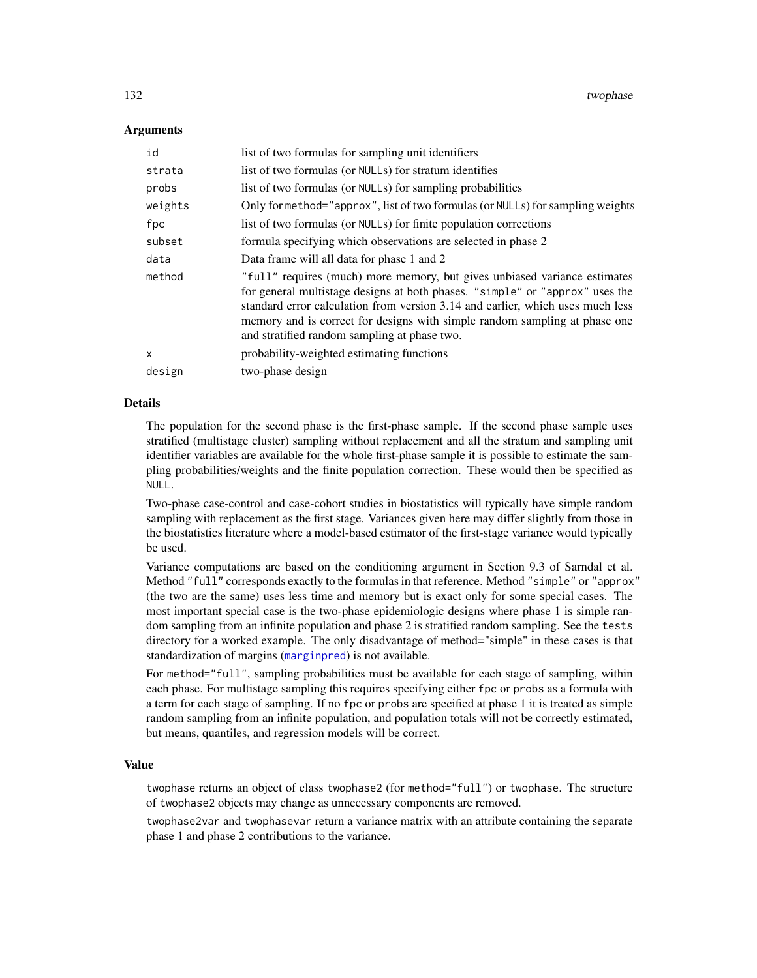## Arguments

| id      | list of two formulas for sampling unit identifiers                                                                                                                                                                                                                                                                                                                        |
|---------|---------------------------------------------------------------------------------------------------------------------------------------------------------------------------------------------------------------------------------------------------------------------------------------------------------------------------------------------------------------------------|
| strata  | list of two formulas (or NULLs) for stratum identifies                                                                                                                                                                                                                                                                                                                    |
| probs   | list of two formulas (or NULLs) for sampling probabilities                                                                                                                                                                                                                                                                                                                |
| weights | Only for method="approx", list of two formulas (or NULLs) for sampling weights                                                                                                                                                                                                                                                                                            |
| fpc     | list of two formulas (or NULLs) for finite population corrections                                                                                                                                                                                                                                                                                                         |
| subset  | formula specifying which observations are selected in phase 2                                                                                                                                                                                                                                                                                                             |
| data    | Data frame will all data for phase 1 and 2                                                                                                                                                                                                                                                                                                                                |
| method  | "full" requires (much) more memory, but gives unbiased variance estimates<br>for general multistage designs at both phases. "simple" or "approx" uses the<br>standard error calculation from version 3.14 and earlier, which uses much less<br>memory and is correct for designs with simple random sampling at phase one<br>and stratified random sampling at phase two. |
| x       | probability-weighted estimating functions                                                                                                                                                                                                                                                                                                                                 |
| design  | two-phase design                                                                                                                                                                                                                                                                                                                                                          |

# Details

The population for the second phase is the first-phase sample. If the second phase sample uses stratified (multistage cluster) sampling without replacement and all the stratum and sampling unit identifier variables are available for the whole first-phase sample it is possible to estimate the sampling probabilities/weights and the finite population correction. These would then be specified as NULL.

Two-phase case-control and case-cohort studies in biostatistics will typically have simple random sampling with replacement as the first stage. Variances given here may differ slightly from those in the biostatistics literature where a model-based estimator of the first-stage variance would typically be used.

Variance computations are based on the conditioning argument in Section 9.3 of Sarndal et al. Method "full" corresponds exactly to the formulas in that reference. Method "simple" or "approx" (the two are the same) uses less time and memory but is exact only for some special cases. The most important special case is the two-phase epidemiologic designs where phase 1 is simple random sampling from an infinite population and phase 2 is stratified random sampling. See the tests directory for a worked example. The only disadvantage of method="simple" in these cases is that standardization of margins ([marginpred](#page-36-0)) is not available.

For method="full", sampling probabilities must be available for each stage of sampling, within each phase. For multistage sampling this requires specifying either fpc or probs as a formula with a term for each stage of sampling. If no fpc or probs are specified at phase 1 it is treated as simple random sampling from an infinite population, and population totals will not be correctly estimated, but means, quantiles, and regression models will be correct.

#### Value

twophase returns an object of class twophase2 (for method="full") or twophase. The structure of twophase2 objects may change as unnecessary components are removed.

twophase2var and twophasevar return a variance matrix with an attribute containing the separate phase 1 and phase 2 contributions to the variance.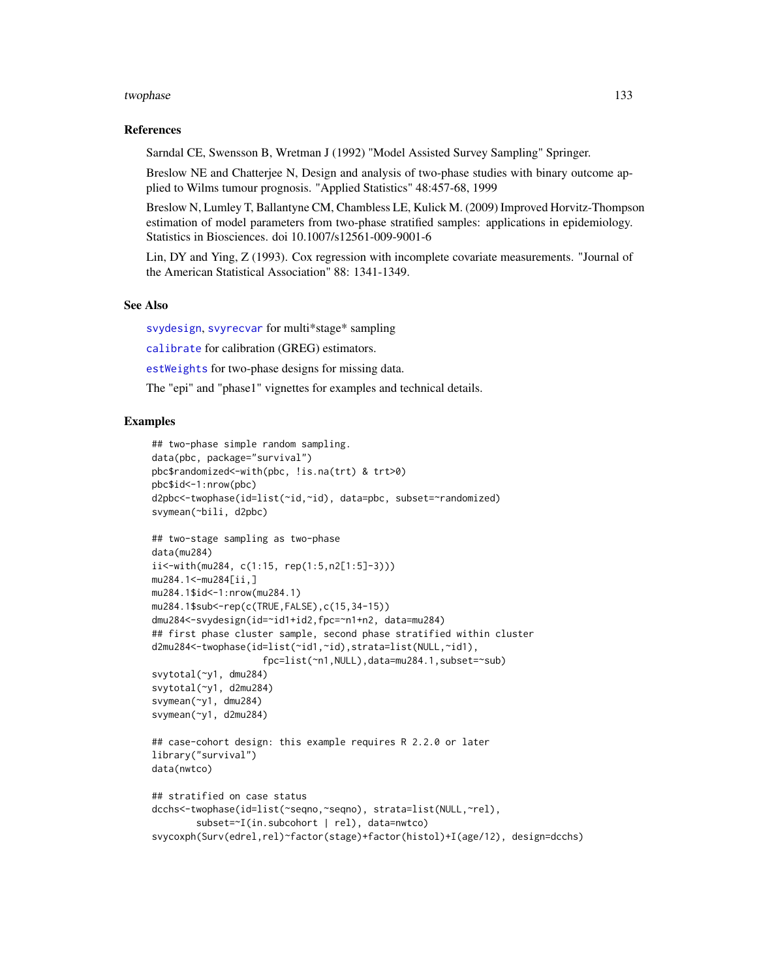#### twophase 133

#### References

Sarndal CE, Swensson B, Wretman J (1992) "Model Assisted Survey Sampling" Springer.

Breslow NE and Chatterjee N, Design and analysis of two-phase studies with binary outcome applied to Wilms tumour prognosis. "Applied Statistics" 48:457-68, 1999

Breslow N, Lumley T, Ballantyne CM, Chambless LE, Kulick M. (2009) Improved Horvitz-Thompson estimation of model parameters from two-phase stratified samples: applications in epidemiology. Statistics in Biosciences. doi 10.1007/s12561-009-9001-6

Lin, DY and Ying, Z (1993). Cox regression with incomplete covariate measurements. "Journal of the American Statistical Association" 88: 1341-1349.

# See Also

[svydesign](#page-86-0), [svyrecvar](#page-119-0) for multi\*stage\* sampling

[calibrate](#page-16-0) for calibration (GREG) estimators.

[estWeights](#page-27-0) for two-phase designs for missing data.

The "epi" and "phase1" vignettes for examples and technical details.

```
## two-phase simple random sampling.
data(pbc, package="survival")
pbc$randomized<-with(pbc, !is.na(trt) & trt>0)
pbc$id<-1:nrow(pbc)
d2pbc<-twophase(id=list(~id,~id), data=pbc, subset=~randomized)
svymean(~bili, d2pbc)
## two-stage sampling as two-phase
data(mu284)
ii<-with(mu284, c(1:15, rep(1:5,n2[1:5]-3)))
mu284.1<-mu284[ii,]
mu284.1$id<-1:nrow(mu284.1)
mu284.1$sub<-rep(c(TRUE,FALSE),c(15,34-15))
dmu284<-svydesign(id=~id1+id2,fpc=~n1+n2, data=mu284)
## first phase cluster sample, second phase stratified within cluster
d2mu284<-twophase(id=list(~id1,~id),strata=list(NULL,~id1),
                    fpc=list(~n1,NULL),data=mu284.1,subset=~sub)
svytotal(~y1, dmu284)
svytotal(~y1, d2mu284)
svymean(~y1, dmu284)
svymean(~y1, d2mu284)
## case-cohort design: this example requires R 2.2.0 or later
library("survival")
data(nwtco)
## stratified on case status
dcchs<-twophase(id=list(~seqno,~seqno), strata=list(NULL,~rel),
        subset=~I(in.subcohort | rel), data=nwtco)
svycoxph(Surv(edrel,rel)~factor(stage)+factor(histol)+I(age/12), design=dcchs)
```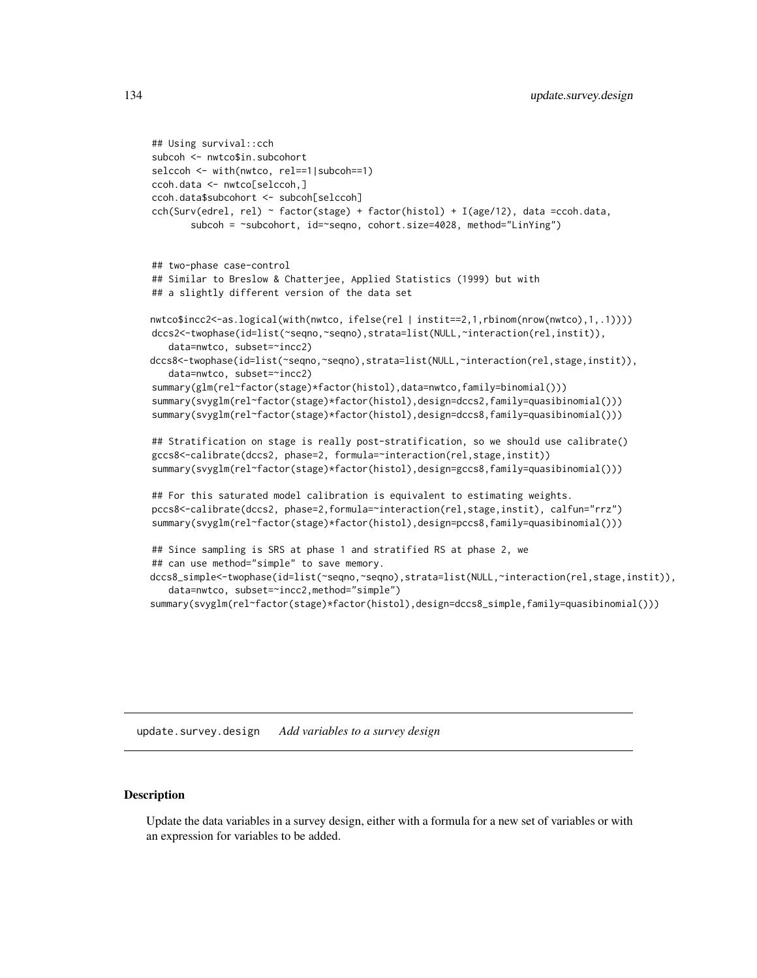```
## Using survival::cch
subcoh <- nwtco$in.subcohort
selccoh <- with(nwtco, rel==1|subcoh==1)
ccoh.data <- nwtco[selccoh,]
ccoh.data$subcohort <- subcoh[selccoh]
cch(Surv(edrel, rel) ~ factor(stage) + factor(histol) + I(age/12), data =ccoh.data,
       subcoh = ~subcohort, id=~seqno, cohort.size=4028, method="LinYing")
## two-phase case-control
## Similar to Breslow & Chatterjee, Applied Statistics (1999) but with
## a slightly different version of the data set
nwtco$incc2<-as.logical(with(nwtco, ifelse(rel | instit==2,1,rbinom(nrow(nwtco),1,.1))))
dccs2<-twophase(id=list(~seqno,~seqno),strata=list(NULL,~interaction(rel,instit)),
   data=nwtco, subset=~incc2)
dccs8<-twophase(id=list(~seqno,~seqno),strata=list(NULL,~interaction(rel,stage,instit)),
   data=nwtco, subset=~incc2)
summary(glm(rel~factor(stage)*factor(histol),data=nwtco,family=binomial()))
summary(svyglm(rel~factor(stage)*factor(histol),design=dccs2,family=quasibinomial()))
summary(svyglm(rel~factor(stage)*factor(histol),design=dccs8,family=quasibinomial()))
## Stratification on stage is really post-stratification, so we should use calibrate()
gccs8<-calibrate(dccs2, phase=2, formula=~interaction(rel,stage,instit))
summary(svyglm(rel~factor(stage)*factor(histol),design=gccs8,family=quasibinomial()))
## For this saturated model calibration is equivalent to estimating weights.
pccs8<-calibrate(dccs2, phase=2,formula=~interaction(rel,stage,instit), calfun="rrz")
summary(svyglm(rel~factor(stage)*factor(histol),design=pccs8,family=quasibinomial()))
## Since sampling is SRS at phase 1 and stratified RS at phase 2, we
## can use method="simple" to save memory.
dccs8_simple<-twophase(id=list(~seqno,~seqno),strata=list(NULL,~interaction(rel,stage,instit)),
   data=nwtco, subset=~incc2,method="simple")
summary(svyglm(rel~factor(stage)*factor(histol),design=dccs8_simple,family=quasibinomial()))
```
update.survey.design *Add variables to a survey design*

#### Description

Update the data variables in a survey design, either with a formula for a new set of variables or with an expression for variables to be added.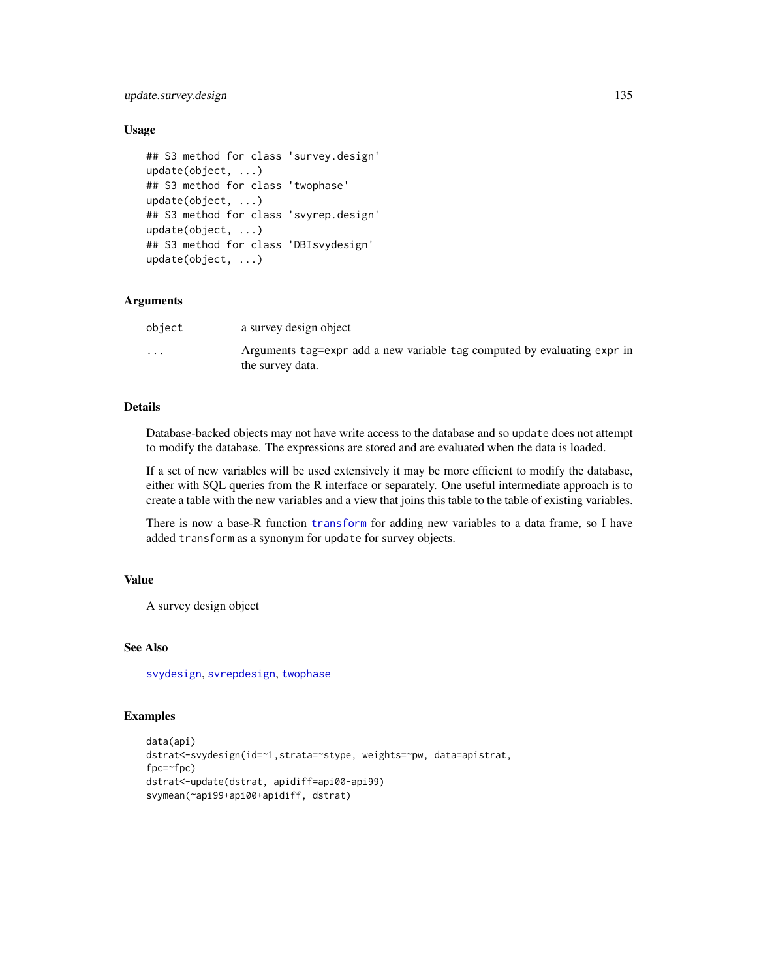# update.survey.design 135

## Usage

```
## S3 method for class 'survey.design'
update(object, ...)
## S3 method for class 'twophase'
update(object, ...)
## S3 method for class 'svyrep.design'
update(object, ...)
## S3 method for class 'DBIsvydesign'
update(object, ...)
```
# **Arguments**

| object               | a survey design object                                                                       |
|----------------------|----------------------------------------------------------------------------------------------|
| $\ddot{\phantom{0}}$ | Arguments tag=expr add a new variable tag computed by evaluating expr in<br>the survey data. |

# Details

Database-backed objects may not have write access to the database and so update does not attempt to modify the database. The expressions are stored and are evaluated when the data is loaded.

If a set of new variables will be used extensively it may be more efficient to modify the database, either with SQL queries from the R interface or separately. One useful intermediate approach is to create a table with the new variables and a view that joins this table to the table of existing variables.

There is now a base-R function [transform](#page-0-0) for adding new variables to a data frame, so I have added transform as a synonym for update for survey objects.

# Value

A survey design object

# See Also

[svydesign](#page-86-0), [svrepdesign](#page-66-0), [twophase](#page-130-0)

```
data(api)
dstrat<-svydesign(id=~1,strata=~stype, weights=~pw, data=apistrat,
fpc=~fpc)
dstrat<-update(dstrat, apidiff=api00-api99)
svymean(~api99+api00+apidiff, dstrat)
```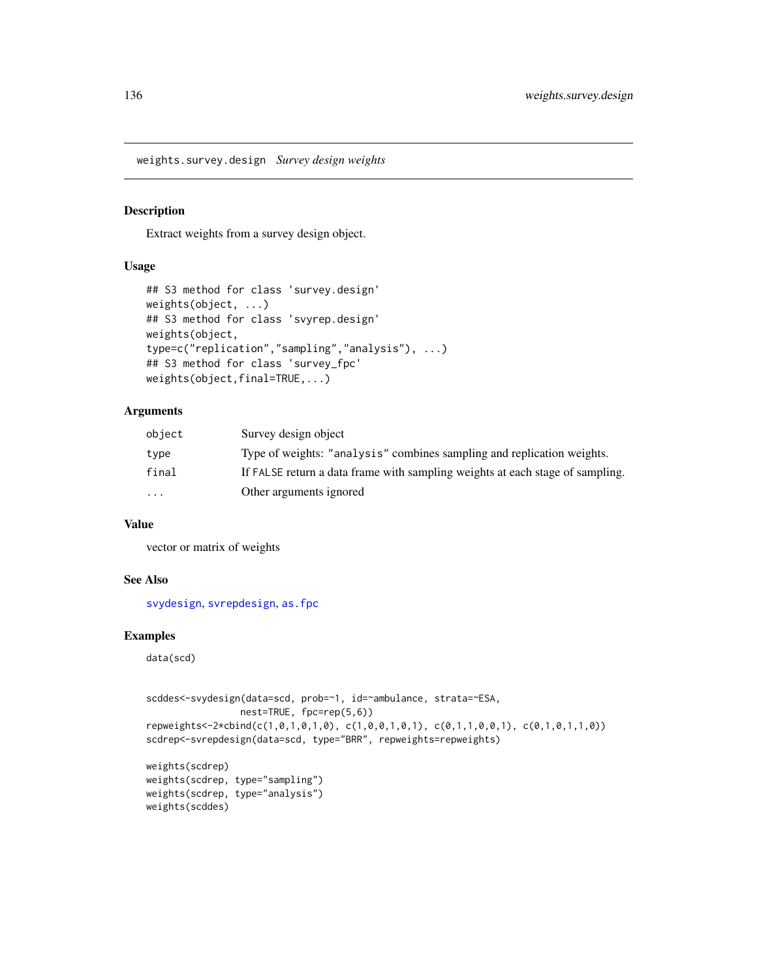<span id="page-135-0"></span>weights.survey.design *Survey design weights*

# Description

Extract weights from a survey design object.

#### Usage

```
## S3 method for class 'survey.design'
weights(object, ...)
## S3 method for class 'svyrep.design'
weights(object,
type=c("replication","sampling","analysis"), ...)
## S3 method for class 'survey_fpc'
weights(object,final=TRUE,...)
```
#### Arguments

| object    | Survey design object                                                          |
|-----------|-------------------------------------------------------------------------------|
| type      | Type of weights: "analysis" combines sampling and replication weights.        |
| final     | If FALSE return a data frame with sampling weights at each stage of sampling. |
| $\ddotsc$ | Other arguments ignored                                                       |

#### Value

vector or matrix of weights

#### See Also

[svydesign](#page-86-0), [svrepdesign](#page-66-0), [as.fpc](#page-7-0)

# Examples

data(scd)

```
scddes<-svydesign(data=scd, prob=~1, id=~ambulance, strata=~ESA,
                 nest=TRUE, fpc=rep(5,6))
repweights<-2*cbind(c(1,0,1,0,1,0), c(1,0,0,1,0,1), c(0,1,1,0,0,1), c(0,1,0,1,1,0))
scdrep<-svrepdesign(data=scd, type="BRR", repweights=repweights)
weights(scdrep)
```

```
weights(scdrep, type="sampling")
weights(scdrep, type="analysis")
weights(scddes)
```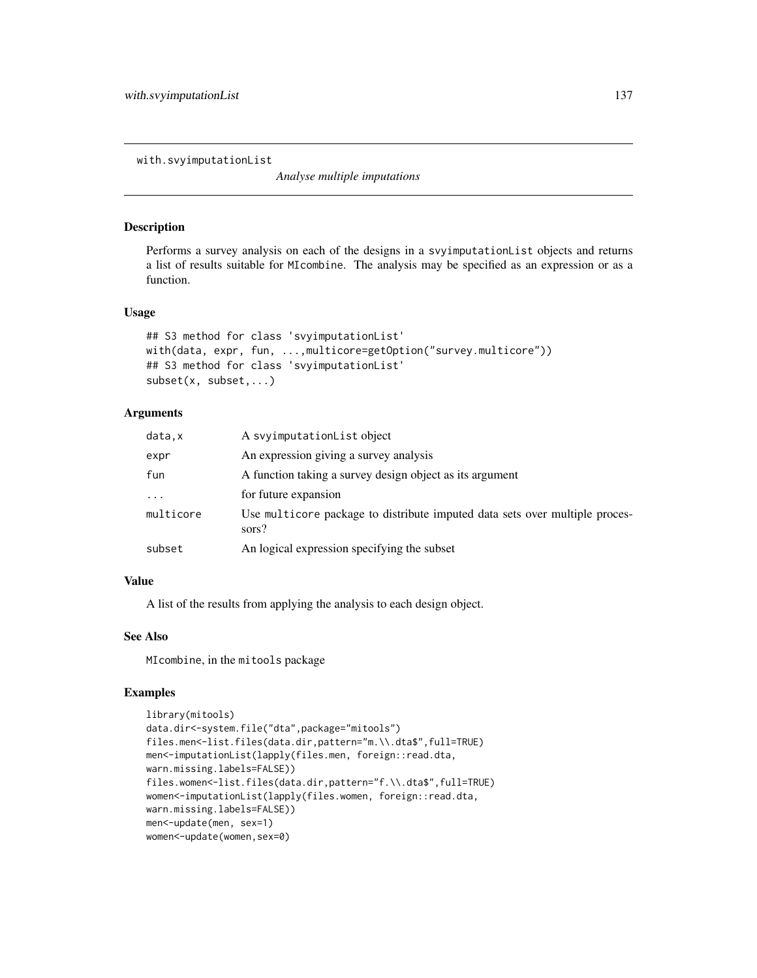<span id="page-136-1"></span><span id="page-136-0"></span>with.svyimputationList

*Analyse multiple imputations*

#### Description

Performs a survey analysis on each of the designs in a svyimputationList objects and returns a list of results suitable for MIcombine. The analysis may be specified as an expression or as a function.

#### Usage

```
## S3 method for class 'svyimputationList'
with(data, expr, fun, ...,multicore=getOption("survey.multicore"))
## S3 method for class 'svyimputationList'
subset(x, subset,...)
```
#### Arguments

| data.x    | A syyimputation List object                                                          |
|-----------|--------------------------------------------------------------------------------------|
| expr      | An expression giving a survey analysis                                               |
| fun       | A function taking a survey design object as its argument                             |
| $\cdots$  | for future expansion                                                                 |
| multicore | Use multicore package to distribute imputed data sets over multiple proces-<br>sors? |
| subset    | An logical expression specifying the subset                                          |

# Value

A list of the results from applying the analysis to each design object.

# See Also

MIcombine, in the mitools package

```
library(mitools)
data.dir<-system.file("dta",package="mitools")
files.men<-list.files(data.dir,pattern="m.\\.dta$",full=TRUE)
men<-imputationList(lapply(files.men, foreign::read.dta,
warn.missing.labels=FALSE))
files.women<-list.files(data.dir,pattern="f.\\.dta$",full=TRUE)
women<-imputationList(lapply(files.women, foreign::read.dta,
warn.missing.labels=FALSE))
men<-update(men, sex=1)
women<-update(women,sex=0)
```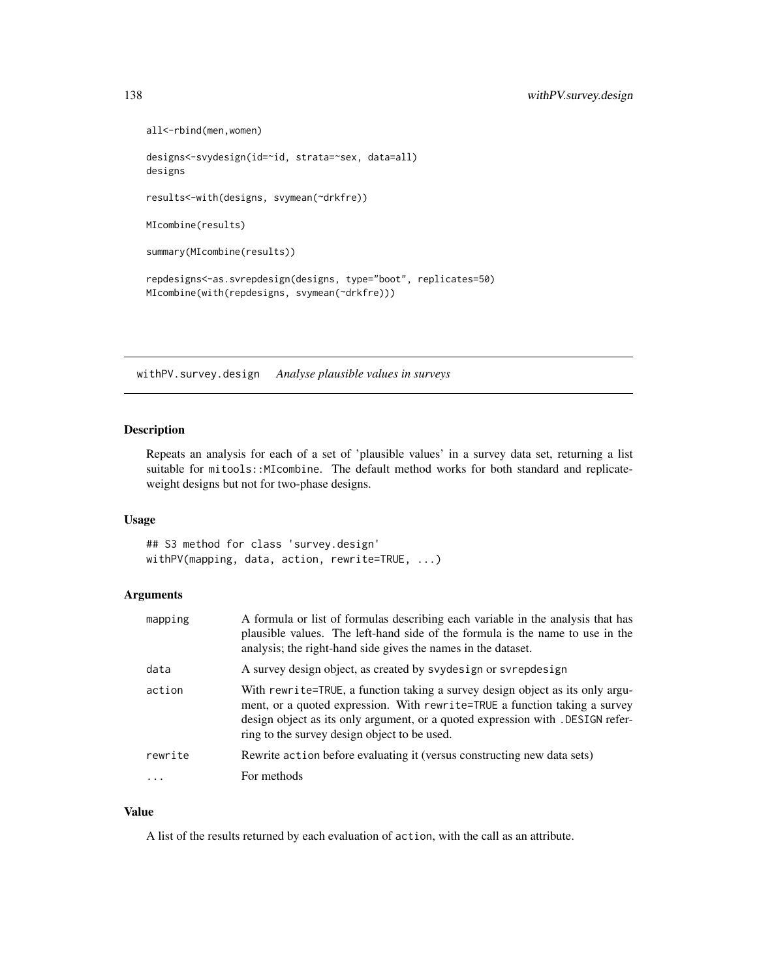```
all<-rbind(men,women)
designs<-svydesign(id=~id, strata=~sex, data=all)
designs
results<-with(designs, svymean(~drkfre))
MIcombine(results)
summary(MIcombine(results))
repdesigns<-as.svrepdesign(designs, type="boot", replicates=50)
MIcombine(with(repdesigns, svymean(~drkfre)))
```
withPV.survey.design *Analyse plausible values in surveys*

# Description

Repeats an analysis for each of a set of 'plausible values' in a survey data set, returning a list suitable for mitools::MIcombine. The default method works for both standard and replicateweight designs but not for two-phase designs.

#### Usage

## S3 method for class 'survey.design' withPV(mapping, data, action, rewrite=TRUE, ...)

# Arguments

| mapping    | A formula or list of formulas describing each variable in the analysis that has<br>plausible values. The left-hand side of the formula is the name to use in the<br>analysis; the right-hand side gives the names in the dataset.                                                              |
|------------|------------------------------------------------------------------------------------------------------------------------------------------------------------------------------------------------------------------------------------------------------------------------------------------------|
| data       | A survey design object, as created by svydesign or svrepdesign                                                                                                                                                                                                                                 |
| action     | With rewrite=TRUE, a function taking a survey design object as its only argu-<br>ment, or a quoted expression. With rewrite=TRUE a function taking a survey<br>design object as its only argument, or a quoted expression with . DESIGN refer-<br>ring to the survey design object to be used. |
| rewrite    | Rewrite action before evaluating it (versus constructing new data sets)                                                                                                                                                                                                                        |
| $\ddots$ . | For methods                                                                                                                                                                                                                                                                                    |

#### Value

A list of the results returned by each evaluation of action, with the call as an attribute.

<span id="page-137-0"></span>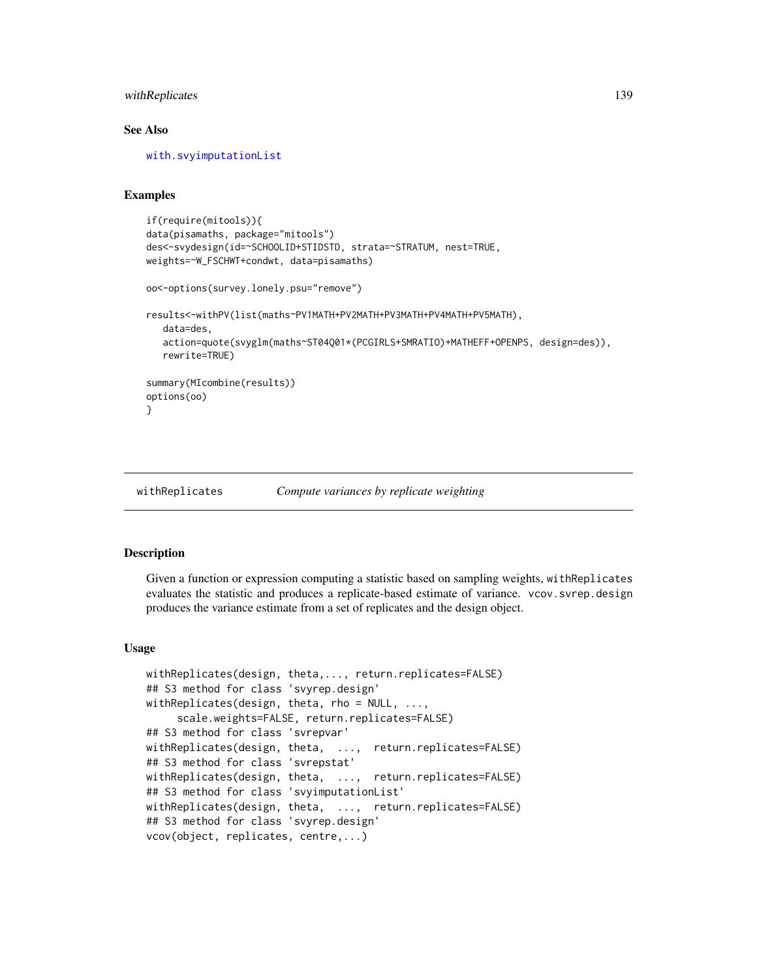# <span id="page-138-0"></span>withReplicates 139

#### See Also

[with.svyimputationList](#page-136-0)

#### Examples

```
if(require(mitools)){
data(pisamaths, package="mitools")
des<-svydesign(id=~SCHOOLID+STIDSTD, strata=~STRATUM, nest=TRUE,
weights=~W_FSCHWT+condwt, data=pisamaths)
oo<-options(survey.lonely.psu="remove")
results<-withPV(list(maths~PV1MATH+PV2MATH+PV3MATH+PV4MATH+PV5MATH),
  data=des,
  action=quote(svyglm(maths~ST04Q01*(PCGIRLS+SMRATIO)+MATHEFF+OPENPS, design=des)),
  rewrite=TRUE)
summary(MIcombine(results))
options(oo)
}
```
withReplicates *Compute variances by replicate weighting*

#### Description

Given a function or expression computing a statistic based on sampling weights, withReplicates evaluates the statistic and produces a replicate-based estimate of variance. vcov.svrep.design produces the variance estimate from a set of replicates and the design object.

#### Usage

```
withReplicates(design, theta,..., return.replicates=FALSE)
## S3 method for class 'svyrep.design'
withReplicates(design, theta, rho = NULL, ...,scale.weights=FALSE, return.replicates=FALSE)
## S3 method for class 'svrepvar'
withReplicates(design, theta, ..., return.replicates=FALSE)
## S3 method for class 'svrepstat'
withReplicates(design, theta, ..., return.replicates=FALSE)
## S3 method for class 'svyimputationList'
withReplicates(design, theta, ..., return.replicates=FALSE)
## S3 method for class 'svyrep.design'
vcov(object, replicates, centre,...)
```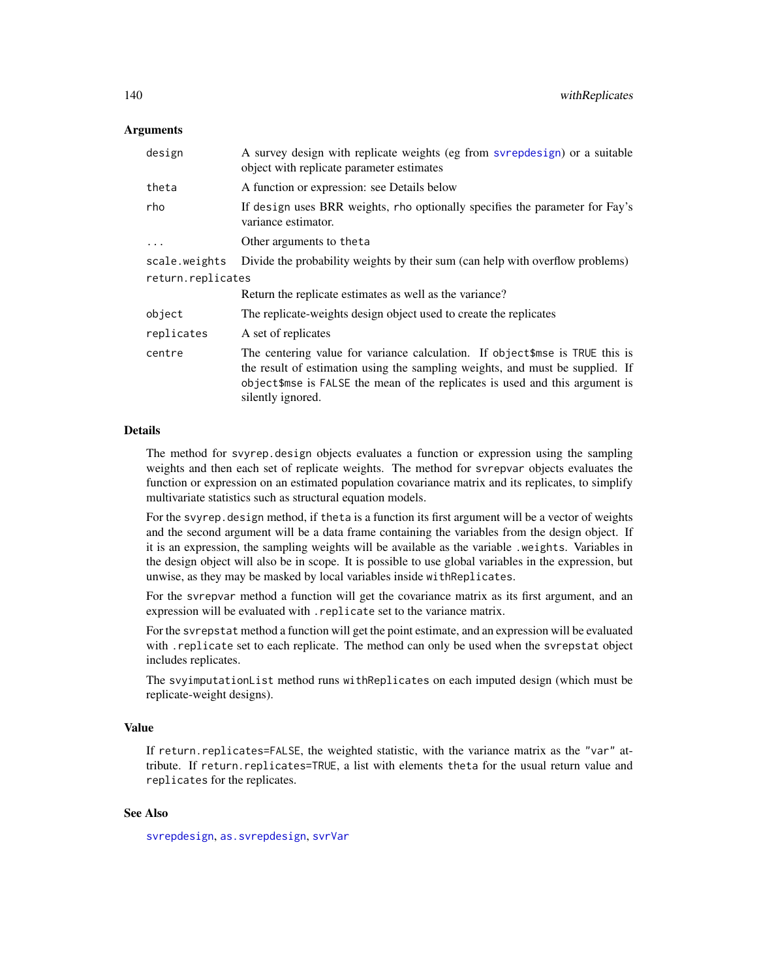#### <span id="page-139-0"></span>Arguments

| design            | A survey design with replicate weights (eg from svrepdesign) or a suitable<br>object with replicate parameter estimates                                                                                                                                            |
|-------------------|--------------------------------------------------------------------------------------------------------------------------------------------------------------------------------------------------------------------------------------------------------------------|
| theta             | A function or expression: see Details below                                                                                                                                                                                                                        |
| rho               | If design uses BRR weights, rho optionally specifies the parameter for Fay's<br>variance estimator.                                                                                                                                                                |
| $\cdot$           | Other arguments to theta                                                                                                                                                                                                                                           |
| scale.weights     | Divide the probability weights by their sum (can help with overflow problems)                                                                                                                                                                                      |
| return.replicates |                                                                                                                                                                                                                                                                    |
|                   | Return the replicate estimates as well as the variance?                                                                                                                                                                                                            |
| object            | The replicate-weights design object used to create the replicates                                                                                                                                                                                                  |
| replicates        | A set of replicates                                                                                                                                                                                                                                                |
| centre            | The centering value for variance calculation. If object\$mse is TRUE this is<br>the result of estimation using the sampling weights, and must be supplied. If<br>object\$mse is FALSE the mean of the replicates is used and this argument is<br>silently ignored. |

#### Details

The method for svyrep.design objects evaluates a function or expression using the sampling weights and then each set of replicate weights. The method for svrepvar objects evaluates the function or expression on an estimated population covariance matrix and its replicates, to simplify multivariate statistics such as structural equation models.

For the svyrep. design method, if theta is a function its first argument will be a vector of weights and the second argument will be a data frame containing the variables from the design object. If it is an expression, the sampling weights will be available as the variable .weights. Variables in the design object will also be in scope. It is possible to use global variables in the expression, but unwise, as they may be masked by local variables inside withReplicates.

For the svrepvar method a function will get the covariance matrix as its first argument, and an expression will be evaluated with .replicate set to the variance matrix.

For the svrepstat method a function will get the point estimate, and an expression will be evaluated with .replicate set to each replicate. The method can only be used when the svrepstat object includes replicates.

The svyimputationList method runs withReplicates on each imputed design (which must be replicate-weight designs).

# Value

If return.replicates=FALSE, the weighted statistic, with the variance matrix as the "var" attribute. If return.replicates=TRUE, a list with elements theta for the usual return value and replicates for the replicates.

# See Also

[svrepdesign](#page-66-0), [as.svrepdesign](#page-8-0), [svrVar](#page-70-0)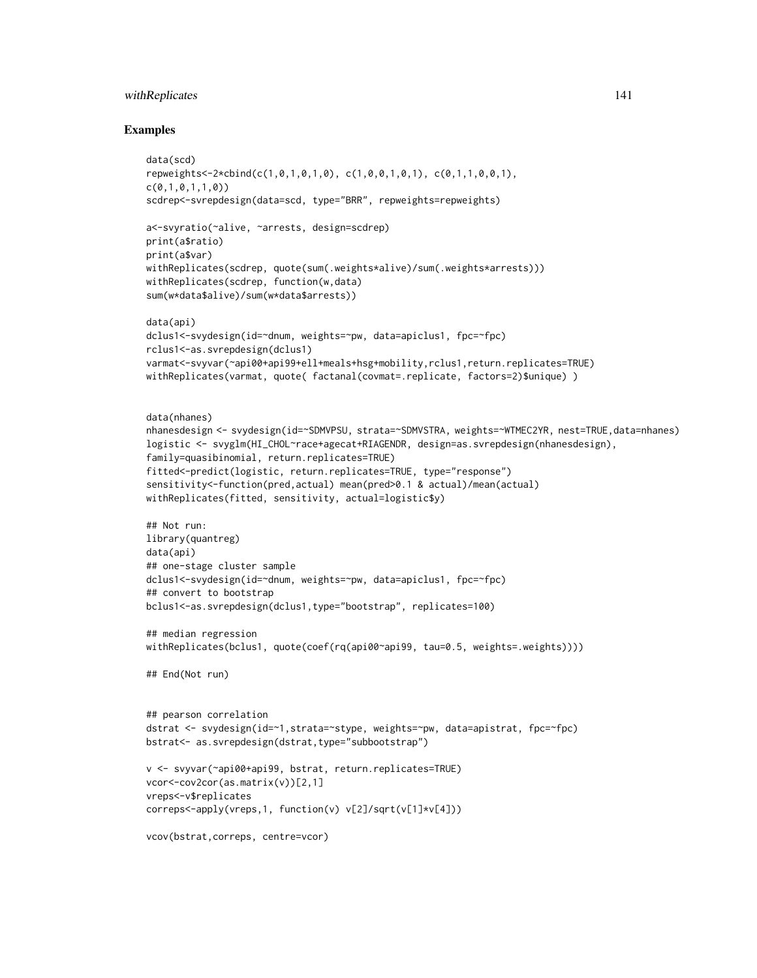# withReplicates 141

```
data(scd)
repweights<-2*cbind(c(1,0,1,0,1,0), c(1,0,0,1,0,1), c(0,1,1,0,0,1),
c(0,1,0,1,1,0))
scdrep<-svrepdesign(data=scd, type="BRR", repweights=repweights)
a<-svyratio(~alive, ~arrests, design=scdrep)
print(a$ratio)
print(a$var)
withReplicates(scdrep, quote(sum(.weights*alive)/sum(.weights*arrests)))
withReplicates(scdrep, function(w,data)
sum(w*data$alive)/sum(w*data$arrests))
data(api)
dclus1<-svydesign(id=~dnum, weights=~pw, data=apiclus1, fpc=~fpc)
rclus1<-as.svrepdesign(dclus1)
varmat<-svyvar(~api00+api99+ell+meals+hsg+mobility,rclus1,return.replicates=TRUE)
withReplicates(varmat, quote( factanal(covmat=.replicate, factors=2)$unique) )
data(nhanes)
nhanesdesign <- svydesign(id=~SDMVPSU, strata=~SDMVSTRA, weights=~WTMEC2YR, nest=TRUE,data=nhanes)
logistic <- svyglm(HI_CHOL~race+agecat+RIAGENDR, design=as.svrepdesign(nhanesdesign),
family=quasibinomial, return.replicates=TRUE)
fitted<-predict(logistic, return.replicates=TRUE, type="response")
sensitivity<-function(pred,actual) mean(pred>0.1 & actual)/mean(actual)
withReplicates(fitted, sensitivity, actual=logistic$y)
## Not run:
library(quantreg)
data(api)
## one-stage cluster sample
dclus1<-svydesign(id=~dnum, weights=~pw, data=apiclus1, fpc=~fpc)
## convert to bootstrap
bclus1<-as.svrepdesign(dclus1,type="bootstrap", replicates=100)
## median regression
withReplicates(bclus1, quote(coef(rq(api00~api99, tau=0.5, weights=.weights))))
## End(Not run)
## pearson correlation
dstrat <- svydesign(id=~1,strata=~stype, weights=~pw, data=apistrat, fpc=~fpc)
bstrat<- as.svrepdesign(dstrat,type="subbootstrap")
v <- svyvar(~api00+api99, bstrat, return.replicates=TRUE)
vcor<-cov2cor(as.matrix(v))[2,1]
vreps<-v$replicates
correps<-apply(vreps,1, function(v) v[2]/sqrt(v[1]*v[4]))
vcov(bstrat,correps, centre=vcor)
```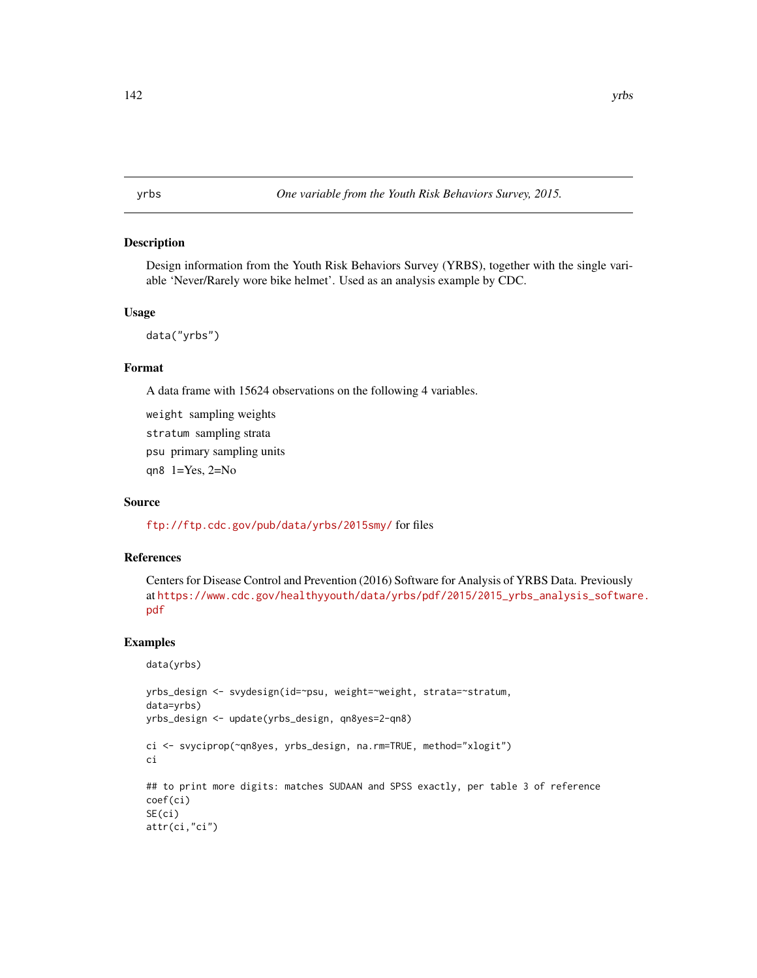<span id="page-141-0"></span>yrbs *One variable from the Youth Risk Behaviors Survey, 2015.*

#### Description

Design information from the Youth Risk Behaviors Survey (YRBS), together with the single variable 'Never/Rarely wore bike helmet'. Used as an analysis example by CDC.

#### Usage

data("yrbs")

#### Format

A data frame with 15624 observations on the following 4 variables.

weight sampling weights stratum sampling strata psu primary sampling units qn8 1=Yes, 2=No

# Source

<ftp://ftp.cdc.gov/pub/data/yrbs/2015smy/> for files

# References

Centers for Disease Control and Prevention (2016) Software for Analysis of YRBS Data. Previously at [https://www.cdc.gov/healthyyouth/data/yrbs/pdf/2015/2015\\_yrbs\\_analysis\\_softwar](https://www.cdc.gov/healthyyouth/data/yrbs/pdf/2015/2015_yrbs_analysis_software.pdf)e. [pdf](https://www.cdc.gov/healthyyouth/data/yrbs/pdf/2015/2015_yrbs_analysis_software.pdf)

```
data(yrbs)
```

```
yrbs_design <- svydesign(id=~psu, weight=~weight, strata=~stratum,
data=yrbs)
yrbs_design <- update(yrbs_design, qn8yes=2-qn8)
ci <- svyciprop(~qn8yes, yrbs_design, na.rm=TRUE, method="xlogit")
ci
## to print more digits: matches SUDAAN and SPSS exactly, per table 3 of reference
coef(ci)
SE(ci)
attr(ci,"ci")
```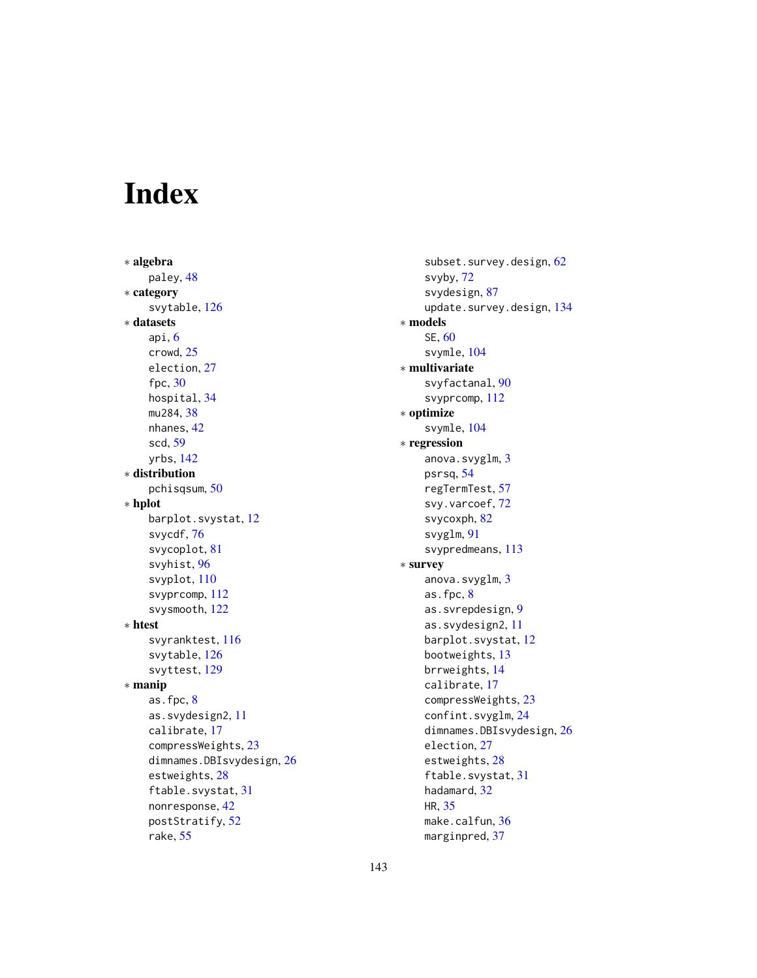# Index

∗ algebra paley, [48](#page-47-0) ∗ category svytable, [126](#page-125-1) ∗ datasets api, [6](#page-5-0) crowd, [25](#page-24-0) election, [27](#page-26-0) fpc, [30](#page-29-0) hospital, [34](#page-33-0) mu284, [38](#page-37-0) nhanes, [42](#page-41-0) scd, [59](#page-58-0) yrbs, [142](#page-141-0) ∗ distribution pchisqsum, [50](#page-49-1) ∗ hplot barplot.svystat, [12](#page-11-0) svycdf, [76](#page-75-0) svycoplot, [81](#page-80-0) svyhist, [96](#page-95-1) svyplot, [110](#page-109-0) svyprcomp, [112](#page-111-0) svysmooth, [122](#page-121-0) ∗ htest svyranktest, [116](#page-115-0) svytable, [126](#page-125-1) svyttest, [129](#page-128-1) ∗ manip as.fpc, [8](#page-7-1) as.svydesign2, [11](#page-10-0) calibrate, [17](#page-16-1) compressWeights, [23](#page-22-0) dimnames.DBIsvydesign, [26](#page-25-0) estweights, [28](#page-27-1) ftable.svystat, [31](#page-30-1) nonresponse, [42](#page-41-0) postStratify, [52](#page-51-1) rake, [55](#page-54-0)

subset.survey.design, [62](#page-61-0) svyby, [72](#page-71-1) svydesign, [87](#page-86-1) update.survey.design, [134](#page-133-0) ∗ models SE, [60](#page-59-0) svymle, [104](#page-103-0) ∗ multivariate svyfactanal, [90](#page-89-0) svyprcomp, [112](#page-111-0) ∗ optimize svymle, [104](#page-103-0) ∗ regression anova.svyglm, [3](#page-2-0) psrsq, [54](#page-53-0) regTermTest, [57](#page-56-1) svy.varcoef, [72](#page-71-1) svycoxph, [82](#page-81-0) svyglm, [91](#page-90-1) svypredmeans, [113](#page-112-0) ∗ survey anova.svyglm, [3](#page-2-0) as.fpc, [8](#page-7-1) as.svrepdesign, [9](#page-8-1) as.svydesign2, [11](#page-10-0) barplot.svystat, [12](#page-11-0) bootweights, [13](#page-12-0) brrweights, [14](#page-13-0) calibrate, [17](#page-16-1) compressWeights, [23](#page-22-0) confint.svyglm, [24](#page-23-0) dimnames.DBIsvydesign, [26](#page-25-0) election, [27](#page-26-0) estweights, [28](#page-27-1) ftable.svystat, [31](#page-30-1) hadamard, [32](#page-31-0) HR, [35](#page-34-0) make.calfun, [36](#page-35-0) marginpred, [37](#page-36-1)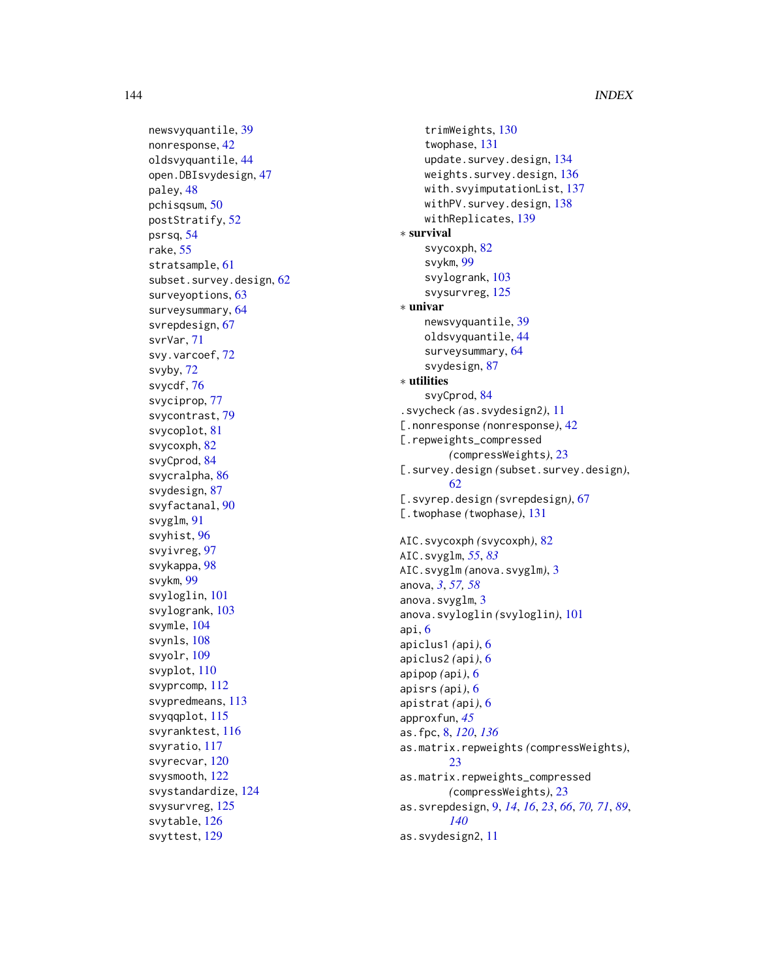144 INDEX

newsvyquantile , [39](#page-38-1) nonresponse , [42](#page-41-0) oldsvyquantile , [44](#page-43-0) open.DBIsvydesign , [47](#page-46-0) paley , [48](#page-47-0) pchisqsum , [50](#page-49-1) postStratify , [52](#page-51-1) psrsq , [54](#page-53-0) rake , [55](#page-54-0) stratsample, [61](#page-60-0) subset.survey.design, [62](#page-61-0) surveyoptions , [63](#page-62-0) surveysummary, [64](#page-63-1) svrepdesign , [67](#page-66-1) svrVar , [71](#page-70-1) svy.varcoef, [72](#page-71-1) svyby , [72](#page-71-1) svycdf , [76](#page-75-0) svyciprop , [77](#page-76-0) svycontrast , [79](#page-78-0) svycoplot , [81](#page-80-0) svycoxph , [82](#page-81-0) svyCprod , [84](#page-83-1) svycralpha , [86](#page-85-0) svydesign , [87](#page-86-1) svyfactanal , [90](#page-89-0) svyglm , [91](#page-90-1) svyhist , [96](#page-95-1) svyivreg , [97](#page-96-0) svykappa , [98](#page-97-0) svykm , [99](#page-98-0) svyloglin , [101](#page-100-1) svylogrank , [103](#page-102-1) svymle, [104](#page-103-0) svynls, [108](#page-107-0) svyolr, [109](#page-108-0) svyplot , [110](#page-109-0) svyprcomp , [112](#page-111-0) svypredmeans , [113](#page-112-0) svyqqplot , [115](#page-114-0) svyranktest , [116](#page-115-0) svyratio , [117](#page-116-0) svyrecvar , [120](#page-119-1) svysmooth , [122](#page-121-0) svystandardize , [124](#page-123-0) svysurvreg, [125](#page-124-0) svytable , [126](#page-125-1) svyttest , [129](#page-128-1)

trimWeights , [130](#page-129-0) twophase , [131](#page-130-1) update.survey.design, [134](#page-133-0) weights.survey.design , [136](#page-135-0) with.svyimputationList , [137](#page-136-1) withPV.survey.design, [138](#page-137-0) withReplicates , [139](#page-138-0) ∗ survival svycoxph, [82](#page-81-0) svykm , [99](#page-98-0) svylogrank , [103](#page-102-1) svysurvreg, [125](#page-124-0) ∗ univar newsvyquantile , [39](#page-38-1) oldsvyquantile , [44](#page-43-0) surveysummary, [64](#page-63-1) svydesign , [87](#page-86-1) ∗ utilities svyCprod, [84](#page-83-1) .svycheck *(*as.svydesign2 *)* , [11](#page-10-0) [.nonresponse *(*nonresponse *)* , [42](#page-41-0) [.repweights\_compressed *(*compressWeights *)* , [23](#page-22-0) [.survey.design *(*subset.survey.design *)* , [62](#page-61-0) [.svyrep.design(svrepdesign), [67](#page-66-1) [.twophase *(*twophase *)* , [131](#page-130-1) AIC.svycoxph *(*svycoxph *)* , [82](#page-81-0) AIC.svyglm , *[55](#page-54-0)* , *[83](#page-82-0)* AIC.svyglm *(*anova.svyglm *)* , [3](#page-2-0) anova , *[3](#page-2-0)* , *[57,](#page-56-1) [58](#page-57-0)* anova.svyglm, [3](#page-2-0) anova.svyloglin *(*svyloglin *)* , [101](#page-100-1) api , [6](#page-5-0) apiclus1 *(*api *)* , [6](#page-5-0) apiclus2 *(*api *)* , [6](#page-5-0) apipop *(*api *)* , [6](#page-5-0) apisrs *(*api *)* , [6](#page-5-0) apistrat *(*api *)* , [6](#page-5-0) approxfun , *[45](#page-44-0)* as.fpc , [8](#page-7-1) , *[120](#page-119-1)* , *[136](#page-135-0)* as.matrix.repweights *(*compressWeights *)* , [23](#page-22-0) as.matrix.repweights\_compressed *(*compressWeights*)*, [23](#page-22-0) as.svrepdesign , [9](#page-8-1) , *[14](#page-13-0)* , *[16](#page-15-0)* , *[23](#page-22-0)* , *[66](#page-65-0)* , *[70](#page-69-0) , [71](#page-70-1)* , *[89](#page-88-0)* , *[140](#page-139-0)* as.svydesign2 , [11](#page-10-0)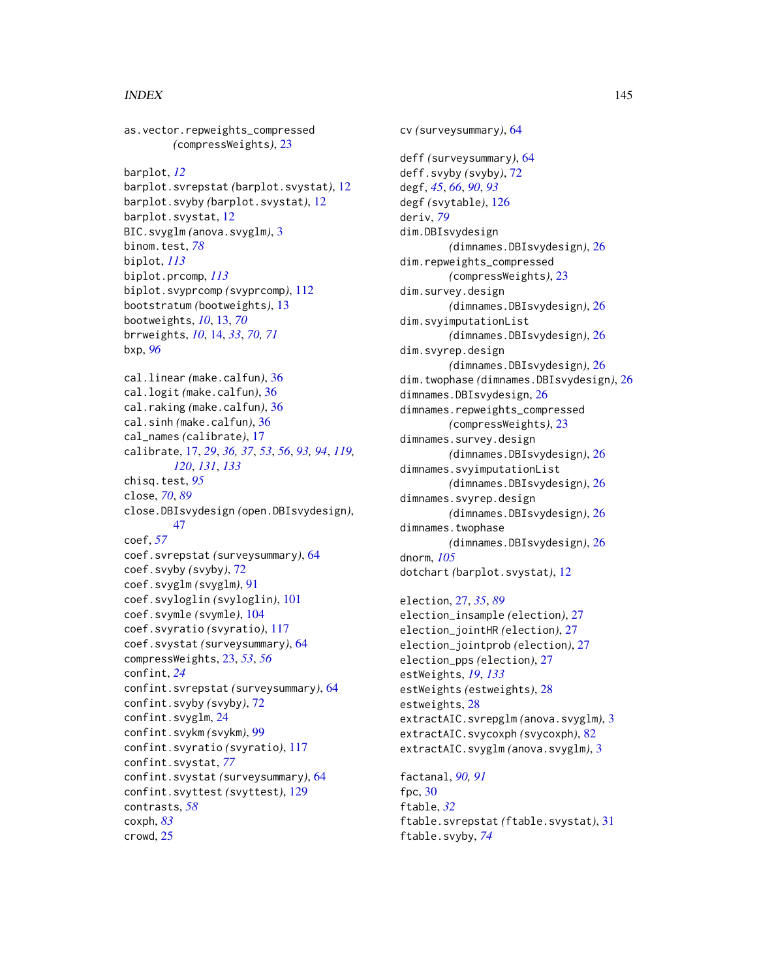as.vector.repweights\_compressed *(*compressWeights*)*, [23](#page-22-0) barplot, *[12](#page-11-0)* barplot.svrepstat *(*barplot.svystat*)*, [12](#page-11-0) barplot.svyby *(*barplot.svystat*)*, [12](#page-11-0) barplot.svystat, [12](#page-11-0) BIC.svyglm *(*anova.svyglm*)*, [3](#page-2-0) binom.test, *[78](#page-77-0)* biplot, *[113](#page-112-0)* biplot.prcomp, *[113](#page-112-0)* biplot.svyprcomp *(*svyprcomp*)*, [112](#page-111-0) bootstratum *(*bootweights*)*, [13](#page-12-0) bootweights, *[10](#page-9-0)*, [13,](#page-12-0) *[70](#page-69-0)* brrweights, *[10](#page-9-0)*, [14,](#page-13-0) *[33](#page-32-0)*, *[70,](#page-69-0) [71](#page-70-0)* bxp, *[96](#page-95-0)* cal.linear *(*make.calfun*)*, [36](#page-35-0) cal.logit *(*make.calfun*)*, [36](#page-35-0) cal.raking *(*make.calfun*)*, [36](#page-35-0) cal.sinh *(*make.calfun*)*, [36](#page-35-0) cal\_names *(*calibrate*)*, [17](#page-16-0) calibrate, [17,](#page-16-0) *[29](#page-28-0)*, *[36,](#page-35-0) [37](#page-36-0)*, *[53](#page-52-0)*, *[56](#page-55-0)*, *[93,](#page-92-0) [94](#page-93-0)*, *[119,](#page-118-0) [120](#page-119-0)*, *[131](#page-130-0)*, *[133](#page-132-0)* chisq.test, *[95](#page-94-0)* close, *[70](#page-69-0)*, *[89](#page-88-0)* close.DBIsvydesign *(*open.DBIsvydesign*)*, [47](#page-46-0) coef, *[57](#page-56-0)* coef.svrepstat *(*surveysummary*)*, [64](#page-63-0) coef.svyby *(*svyby*)*, [72](#page-71-0) coef.svyglm *(*svyglm*)*, [91](#page-90-0) coef.svyloglin *(*svyloglin*)*, [101](#page-100-0) coef.svymle *(*svymle*)*, [104](#page-103-0) coef.svyratio *(*svyratio*)*, [117](#page-116-0) coef.svystat *(*surveysummary*)*, [64](#page-63-0) compressWeights, [23,](#page-22-0) *[53](#page-52-0)*, *[56](#page-55-0)* confint, *[24](#page-23-0)* confint.svrepstat *(*surveysummary*)*, [64](#page-63-0) confint.svyby *(*svyby*)*, [72](#page-71-0) confint.svyglm, [24](#page-23-0) confint.svykm *(*svykm*)*, [99](#page-98-0) confint.svyratio *(*svyratio*)*, [117](#page-116-0) confint.svystat, *[77](#page-76-0)* confint.svystat *(*surveysummary*)*, [64](#page-63-0) confint.svyttest *(*svyttest*)*, [129](#page-128-0) contrasts, *[58](#page-57-0)* coxph, *[83](#page-82-0)* crowd, [25](#page-24-0)

cv *(*surveysummary*)*, [64](#page-63-0) deff *(*surveysummary*)*, [64](#page-63-0) deff.svyby *(*svyby*)*, [72](#page-71-0) degf, *[45](#page-44-0)*, *[66](#page-65-0)*, *[90](#page-89-0)*, *[93](#page-92-0)* degf *(*svytable*)*, [126](#page-125-0) deriv, *[79](#page-78-0)* dim.DBIsvydesign *(*dimnames.DBIsvydesign*)*, [26](#page-25-0) dim.repweights\_compressed *(*compressWeights*)*, [23](#page-22-0) dim.survey.design *(*dimnames.DBIsvydesign*)*, [26](#page-25-0) dim.svyimputationList *(*dimnames.DBIsvydesign*)*, [26](#page-25-0) dim.svyrep.design *(*dimnames.DBIsvydesign*)*, [26](#page-25-0) dim.twophase *(*dimnames.DBIsvydesign*)*, [26](#page-25-0) dimnames.DBIsvydesign, [26](#page-25-0) dimnames.repweights\_compressed *(*compressWeights*)*, [23](#page-22-0) dimnames.survey.design *(*dimnames.DBIsvydesign*)*, [26](#page-25-0) dimnames.svyimputationList *(*dimnames.DBIsvydesign*)*, [26](#page-25-0) dimnames.svyrep.design *(*dimnames.DBIsvydesign*)*, [26](#page-25-0) dimnames.twophase *(*dimnames.DBIsvydesign*)*, [26](#page-25-0) dnorm, *[105](#page-104-0)* dotchart *(*barplot.svystat*)*, [12](#page-11-0) election, [27,](#page-26-0) *[35](#page-34-0)*, *[89](#page-88-0)*

election\_insample *(*election*)*, [27](#page-26-0) election\_jointHR *(*election*)*, [27](#page-26-0) election\_jointprob *(*election*)*, [27](#page-26-0) election\_pps *(*election*)*, [27](#page-26-0) estWeights, *[19](#page-18-0)*, *[133](#page-132-0)* estWeights *(*estweights*)*, [28](#page-27-0) estweights, [28](#page-27-0) extractAIC.svrepglm *(*anova.svyglm*)*, [3](#page-2-0) extractAIC.svycoxph *(*svycoxph*)*, [82](#page-81-0) extractAIC.svyglm *(*anova.svyglm*)*, [3](#page-2-0)

factanal, *[90,](#page-89-0) [91](#page-90-0)* fpc, [30](#page-29-0) ftable, *[32](#page-31-0)* ftable.svrepstat *(*ftable.svystat*)*, [31](#page-30-0) ftable.svyby, *[74](#page-73-0)*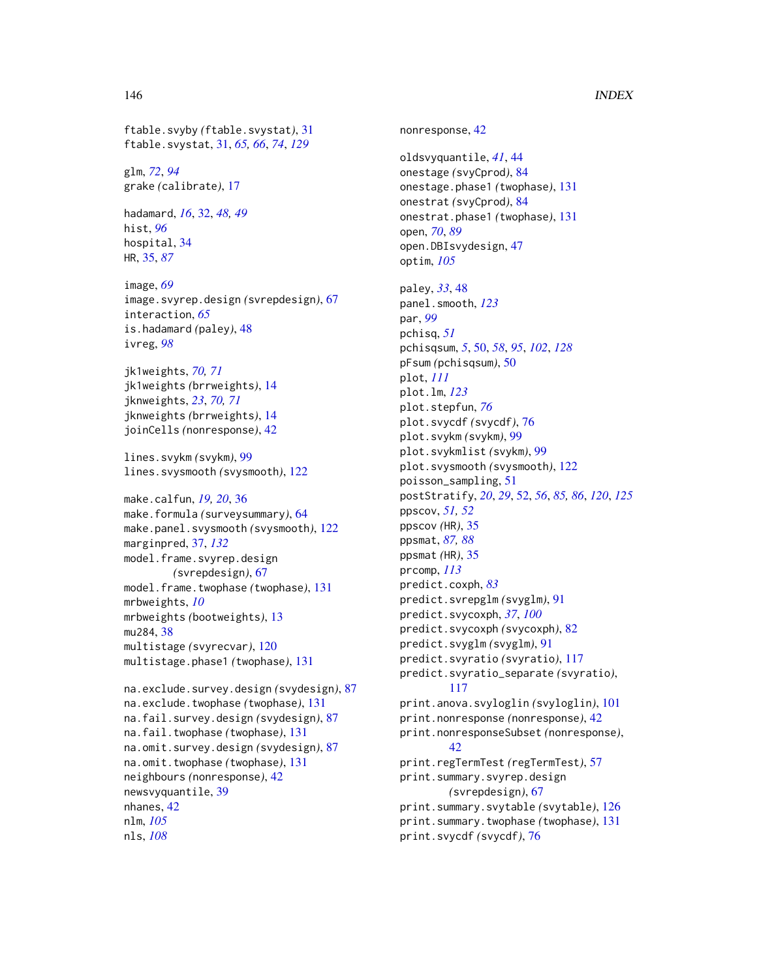ftable.svyby *(*ftable.svystat*)*, [31](#page-30-0) ftable.svystat, [31,](#page-30-0) *[65,](#page-64-0) [66](#page-65-0)*, *[74](#page-73-0)*, *[129](#page-128-0)*

glm, *[72](#page-71-0)*, *[94](#page-93-0)* grake *(*calibrate*)*, [17](#page-16-0)

hadamard, *[16](#page-15-0)*, [32,](#page-31-0) *[48,](#page-47-0) [49](#page-48-0)* hist, *[96](#page-95-0)* hospital, [34](#page-33-0) HR, [35,](#page-34-0) *[87](#page-86-0)*

image, *[69](#page-68-0)* image.svyrep.design *(*svrepdesign*)*, [67](#page-66-0) interaction, *[65](#page-64-0)* is.hadamard *(*paley*)*, [48](#page-47-0) ivreg, *[98](#page-97-0)*

jk1weights, *[70,](#page-69-0) [71](#page-70-0)* jk1weights *(*brrweights*)*, [14](#page-13-0) jknweights, *[23](#page-22-0)*, *[70,](#page-69-0) [71](#page-70-0)* jknweights *(*brrweights*)*, [14](#page-13-0) joinCells *(*nonresponse*)*, [42](#page-41-0)

lines.svykm *(*svykm*)*, [99](#page-98-0) lines.svysmooth *(*svysmooth*)*, [122](#page-121-0)

make.calfun, *[19,](#page-18-0) [20](#page-19-0)*, [36](#page-35-0) make.formula *(*surveysummary*)*, [64](#page-63-0) make.panel.svysmooth *(*svysmooth*)*, [122](#page-121-0) marginpred, [37,](#page-36-0) *[132](#page-131-0)* model.frame.svyrep.design *(*svrepdesign*)*, [67](#page-66-0) model.frame.twophase *(*twophase*)*, [131](#page-130-0) mrbweights, *[10](#page-9-0)* mrbweights *(*bootweights*)*, [13](#page-12-0) mu284, [38](#page-37-0) multistage *(*svyrecvar*)*, [120](#page-119-0) multistage.phase1 *(*twophase*)*, [131](#page-130-0)

```
na.exclude.survey.design (svydesign), 87
na.exclude.twophase (twophase), 131
na.fail.survey.design (svydesign), 87
na.fail.twophase (twophase), 131
na.omit.survey.design (svydesign), 87
na.omit.twophase (twophase), 131
neighbours (nonresponse), 42
newsvyquantile, 39
nhanes, 42
nlm, 105
nls, 108
```
nonresponse, [42](#page-41-0) oldsvyquantile, *[41](#page-40-0)*, [44](#page-43-0) onestage *(*svyCprod*)*, [84](#page-83-0) onestage.phase1 *(*twophase*)*, [131](#page-130-0) onestrat *(*svyCprod*)*, [84](#page-83-0) onestrat.phase1 *(*twophase*)*, [131](#page-130-0) open, *[70](#page-69-0)*, *[89](#page-88-0)* open.DBIsvydesign, [47](#page-46-0) optim, *[105](#page-104-0)* paley, *[33](#page-32-0)*, [48](#page-47-0) panel.smooth, *[123](#page-122-0)* par, *[99](#page-98-0)* pchisq, *[51](#page-50-0)* pchisqsum, *[5](#page-4-0)*, [50,](#page-49-0) *[58](#page-57-0)*, *[95](#page-94-0)*, *[102](#page-101-0)*, *[128](#page-127-0)* pFsum *(*pchisqsum*)*, [50](#page-49-0) plot, *[111](#page-110-0)* plot.lm, *[123](#page-122-0)* plot.stepfun, *[76](#page-75-0)* plot.svycdf *(*svycdf*)*, [76](#page-75-0) plot.svykm *(*svykm*)*, [99](#page-98-0) plot.svykmlist *(*svykm*)*, [99](#page-98-0) plot.svysmooth *(*svysmooth*)*, [122](#page-121-0) poisson\_sampling, [51](#page-50-0) postStratify, *[20](#page-19-0)*, *[29](#page-28-0)*, [52,](#page-51-0) *[56](#page-55-0)*, *[85,](#page-84-0) [86](#page-85-0)*, *[120](#page-119-0)*, *[125](#page-124-0)* ppscov, *[51,](#page-50-0) [52](#page-51-0)* ppscov *(*HR*)*, [35](#page-34-0) ppsmat, *[87,](#page-86-0) [88](#page-87-0)* ppsmat *(*HR*)*, [35](#page-34-0) prcomp, *[113](#page-112-0)* predict.coxph, *[83](#page-82-0)* predict.svrepglm *(*svyglm*)*, [91](#page-90-0) predict.svycoxph, *[37](#page-36-0)*, *[100](#page-99-0)* predict.svycoxph *(*svycoxph*)*, [82](#page-81-0) predict.svyglm *(*svyglm*)*, [91](#page-90-0) predict.svyratio *(*svyratio*)*, [117](#page-116-0) predict.svyratio\_separate *(*svyratio*)*, [117](#page-116-0) print.anova.svyloglin *(*svyloglin*)*, [101](#page-100-0) print.nonresponse *(*nonresponse*)*, [42](#page-41-0) print.nonresponseSubset *(*nonresponse*)*, [42](#page-41-0) print.regTermTest *(*regTermTest*)*, [57](#page-56-0) print.summary.svyrep.design *(*svrepdesign*)*, [67](#page-66-0) print.summary.svytable *(*svytable*)*, [126](#page-125-0) print.summary.twophase *(*twophase*)*, [131](#page-130-0) print.svycdf *(*svycdf*)*, [76](#page-75-0)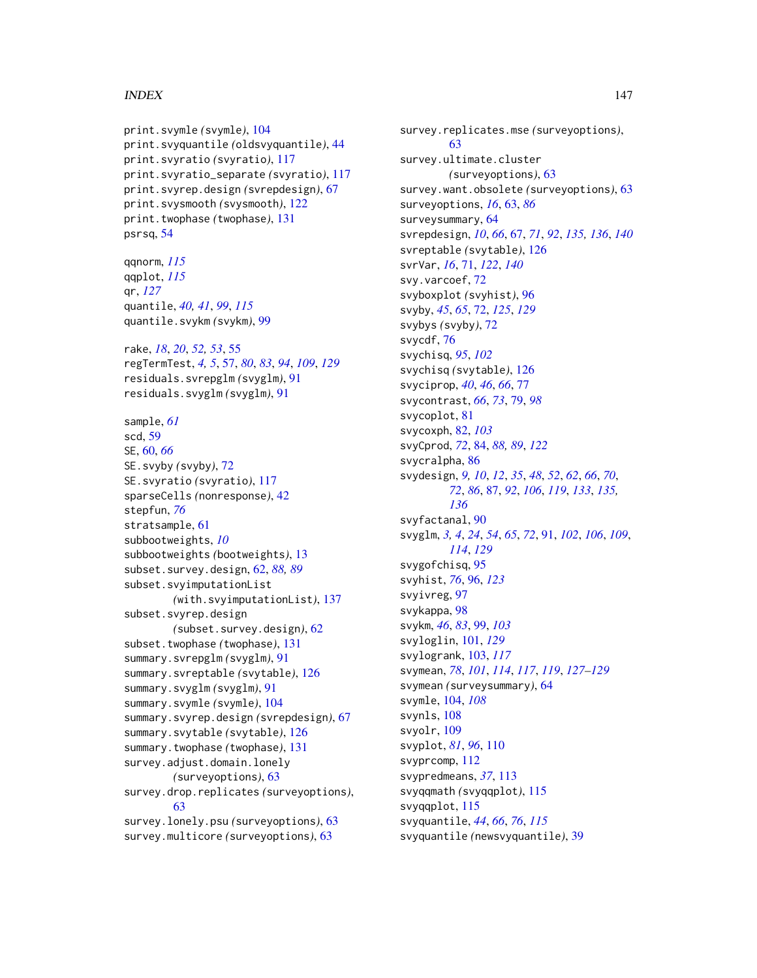```
print.svymle (svymle), 104
print.svyquantile (oldsvyquantile), 44
print.svyratio (svyratio), 117
print.svyratio_separate (svyratio), 117
print.svyrep.design (svrepdesign), 67
print.svysmooth (svysmooth), 122
print.twophase (twophase), 131
psrsq, 54
```
qqnorm, *[115](#page-114-0)* qqplot, *[115](#page-114-0)* qr, *[127](#page-126-0)* quantile, *[40,](#page-39-0) [41](#page-40-0)*, *[99](#page-98-0)*, *[115](#page-114-0)* quantile.svykm *(*svykm*)*, [99](#page-98-0)

rake, *[18](#page-17-0)*, *[20](#page-19-0)*, *[52,](#page-51-0) [53](#page-52-0)*, [55](#page-54-0) regTermTest, *[4,](#page-3-0) [5](#page-4-0)*, [57,](#page-56-0) *[80](#page-79-0)*, *[83](#page-82-0)*, *[94](#page-93-0)*, *[109](#page-108-0)*, *[129](#page-128-0)* residuals.svrepglm *(*svyglm*)*, [91](#page-90-0) residuals.svyglm *(*svyglm*)*, [91](#page-90-0)

sample, *[61](#page-60-0)* scd, [59](#page-58-0) SE, [60,](#page-59-0) *[66](#page-65-0)* SE.svyby *(*svyby*)*, [72](#page-71-0) SE.svyratio *(*svyratio*)*, [117](#page-116-0) sparseCells *(*nonresponse*)*, [42](#page-41-0) stepfun, *[76](#page-75-0)* stratsample, [61](#page-60-0) subbootweights, *[10](#page-9-0)* subbootweights *(*bootweights*)*, [13](#page-12-0) subset.survey.design, [62,](#page-61-0) *[88,](#page-87-0) [89](#page-88-0)* subset.svyimputationList *(*with.svyimputationList*)*, [137](#page-136-0) subset.svyrep.design *(*subset.survey.design*)*, [62](#page-61-0) subset.twophase *(*twophase*)*, [131](#page-130-0) summary.svrepglm *(*svyglm*)*, [91](#page-90-0) summary.svreptable *(*svytable*)*, [126](#page-125-0) summary.svyglm *(*svyglm*)*, [91](#page-90-0) summary.svymle *(*svymle*)*, [104](#page-103-0) summary.svyrep.design *(*svrepdesign*)*, [67](#page-66-0) summary.svytable *(*svytable*)*, [126](#page-125-0) summary.twophase *(*twophase*)*, [131](#page-130-0) survey.adjust.domain.lonely *(*surveyoptions*)*, [63](#page-62-0) survey.drop.replicates *(*surveyoptions*)*, [63](#page-62-0) survey.lonely.psu *(*surveyoptions*)*, [63](#page-62-0) survey.multicore *(*surveyoptions*)*, [63](#page-62-0)

survey.replicates.mse *(*surveyoptions*)*, [63](#page-62-0) survey.ultimate.cluster *(*surveyoptions*)*, [63](#page-62-0) survey.want.obsolete *(*surveyoptions*)*, [63](#page-62-0) surveyoptions, *[16](#page-15-0)*, [63,](#page-62-0) *[86](#page-85-0)* surveysummary, [64](#page-63-0) svrepdesign, *[10](#page-9-0)*, *[66](#page-65-0)*, [67,](#page-66-0) *[71](#page-70-0)*, *[92](#page-91-0)*, *[135,](#page-134-0) [136](#page-135-0)*, *[140](#page-139-0)* svreptable *(*svytable*)*, [126](#page-125-0) svrVar, *[16](#page-15-0)*, [71,](#page-70-0) *[122](#page-121-0)*, *[140](#page-139-0)* svy.varcoef, [72](#page-71-0) svyboxplot *(*svyhist*)*, [96](#page-95-0) svyby, *[45](#page-44-0)*, *[65](#page-64-0)*, [72,](#page-71-0) *[125](#page-124-0)*, *[129](#page-128-0)* svybys *(*svyby*)*, [72](#page-71-0) svycdf, [76](#page-75-0) svychisq, *[95](#page-94-0)*, *[102](#page-101-0)* svychisq *(*svytable*)*, [126](#page-125-0) svyciprop, *[40](#page-39-0)*, *[46](#page-45-0)*, *[66](#page-65-0)*, [77](#page-76-0) svycontrast, *[66](#page-65-0)*, *[73](#page-72-0)*, [79,](#page-78-0) *[98](#page-97-0)* svycoplot, [81](#page-80-0) svycoxph, [82,](#page-81-0) *[103](#page-102-0)* svyCprod, *[72](#page-71-0)*, [84,](#page-83-0) *[88,](#page-87-0) [89](#page-88-0)*, *[122](#page-121-0)* svycralpha, [86](#page-85-0) svydesign, *[9,](#page-8-0) [10](#page-9-0)*, *[12](#page-11-0)*, *[35](#page-34-0)*, *[48](#page-47-0)*, *[52](#page-51-0)*, *[62](#page-61-0)*, *[66](#page-65-0)*, *[70](#page-69-0)*, *[72](#page-71-0)*, *[86](#page-85-0)*, [87,](#page-86-0) *[92](#page-91-0)*, *[106](#page-105-0)*, *[119](#page-118-0)*, *[133](#page-132-0)*, *[135,](#page-134-0) [136](#page-135-0)* svyfactanal, [90](#page-89-0) svyglm, *[3,](#page-2-0) [4](#page-3-0)*, *[24](#page-23-0)*, *[54](#page-53-0)*, *[65](#page-64-0)*, *[72](#page-71-0)*, [91,](#page-90-0) *[102](#page-101-0)*, *[106](#page-105-0)*, *[109](#page-108-0)*, *[114](#page-113-0)*, *[129](#page-128-0)* svygofchisq, [95](#page-94-0) svyhist, *[76](#page-75-0)*, [96,](#page-95-0) *[123](#page-122-0)* svyivreg, [97](#page-96-0) svykappa, [98](#page-97-0) svykm, *[46](#page-45-0)*, *[83](#page-82-0)*, [99,](#page-98-0) *[103](#page-102-0)* svyloglin, [101,](#page-100-0) *[129](#page-128-0)* svylogrank, [103,](#page-102-0) *[117](#page-116-0)* svymean, *[78](#page-77-0)*, *[101](#page-100-0)*, *[114](#page-113-0)*, *[117](#page-116-0)*, *[119](#page-118-0)*, *[127](#page-126-0)[–129](#page-128-0)* svymean *(*surveysummary*)*, [64](#page-63-0) svymle, [104,](#page-103-0) *[108](#page-107-0)* svynls, [108](#page-107-0) svyolr, [109](#page-108-0) svyplot, *[81](#page-80-0)*, *[96](#page-95-0)*, [110](#page-109-0) svyprcomp, [112](#page-111-0) svypredmeans, *[37](#page-36-0)*, [113](#page-112-0) svyqqmath *(*svyqqplot*)*, [115](#page-114-0) svyqqplot, [115](#page-114-0) svyquantile, *[44](#page-43-0)*, *[66](#page-65-0)*, *[76](#page-75-0)*, *[115](#page-114-0)* svyquantile *(*newsvyquantile*)*, [39](#page-38-0)